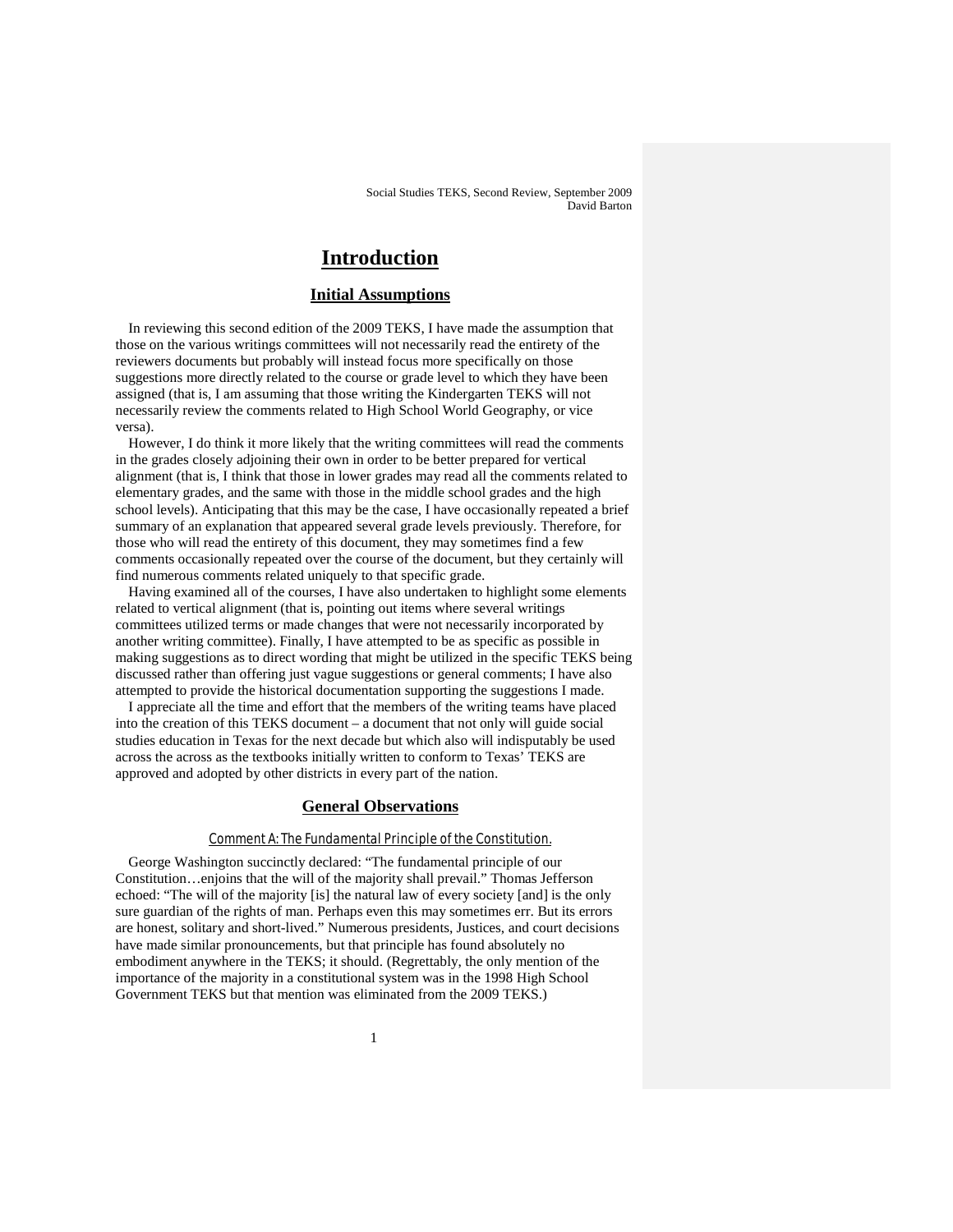# **Introduction**

# **Initial Assumptions**

In reviewing this second edition of the 2009 TEKS, I have made the assumption that those on the various writings committees will not necessarily read the entirety of the reviewers documents but probably will instead focus more specifically on those suggestions more directly related to the course or grade level to which they have been assigned (that is, I am assuming that those writing the Kindergarten TEKS will not necessarily review the comments related to High School World Geography, or vice versa).

However, I do think it more likely that the writing committees will read the comments in the grades closely adjoining their own in order to be better prepared for vertical alignment (that is, I think that those in lower grades may read all the comments related to elementary grades, and the same with those in the middle school grades and the high school levels). Anticipating that this may be the case, I have occasionally repeated a brief summary of an explanation that appeared several grade levels previously. Therefore, for those who will read the entirety of this document, they may sometimes find a few comments occasionally repeated over the course of the document, but they certainly will find numerous comments related uniquely to that specific grade.

Having examined all of the courses, I have also undertaken to highlight some elements related to vertical alignment (that is, pointing out items where several writings committees utilized terms or made changes that were not necessarily incorporated by another writing committee). Finally, I have attempted to be as specific as possible in making suggestions as to direct wording that might be utilized in the specific TEKS being discussed rather than offering just vague suggestions or general comments; I have also attempted to provide the historical documentation supporting the suggestions I made.

I appreciate all the time and effort that the members of the writing teams have placed into the creation of this TEKS document – a document that not only will guide social studies education in Texas for the next decade but which also will indisputably be used across the across as the textbooks initially written to conform to Texas' TEKS are approved and adopted by other districts in every part of the nation.

# **General Observations**

# Comment A: The Fundamental Principle of the Constitution.

George Washington succinctly declared: "The fundamental principle of our Constitution…enjoins that the will of the majority shall prevail." Thomas Jefferson echoed: "The will of the majority [is] the natural law of every society [and] is the only sure guardian of the rights of man. Perhaps even this may sometimes err. But its errors are honest, solitary and short-lived." Numerous presidents, Justices, and court decisions have made similar pronouncements, but that principle has found absolutely no embodiment anywhere in the TEKS; it should. (Regrettably, the only mention of the importance of the majority in a constitutional system was in the 1998 High School Government TEKS but that mention was eliminated from the 2009 TEKS.)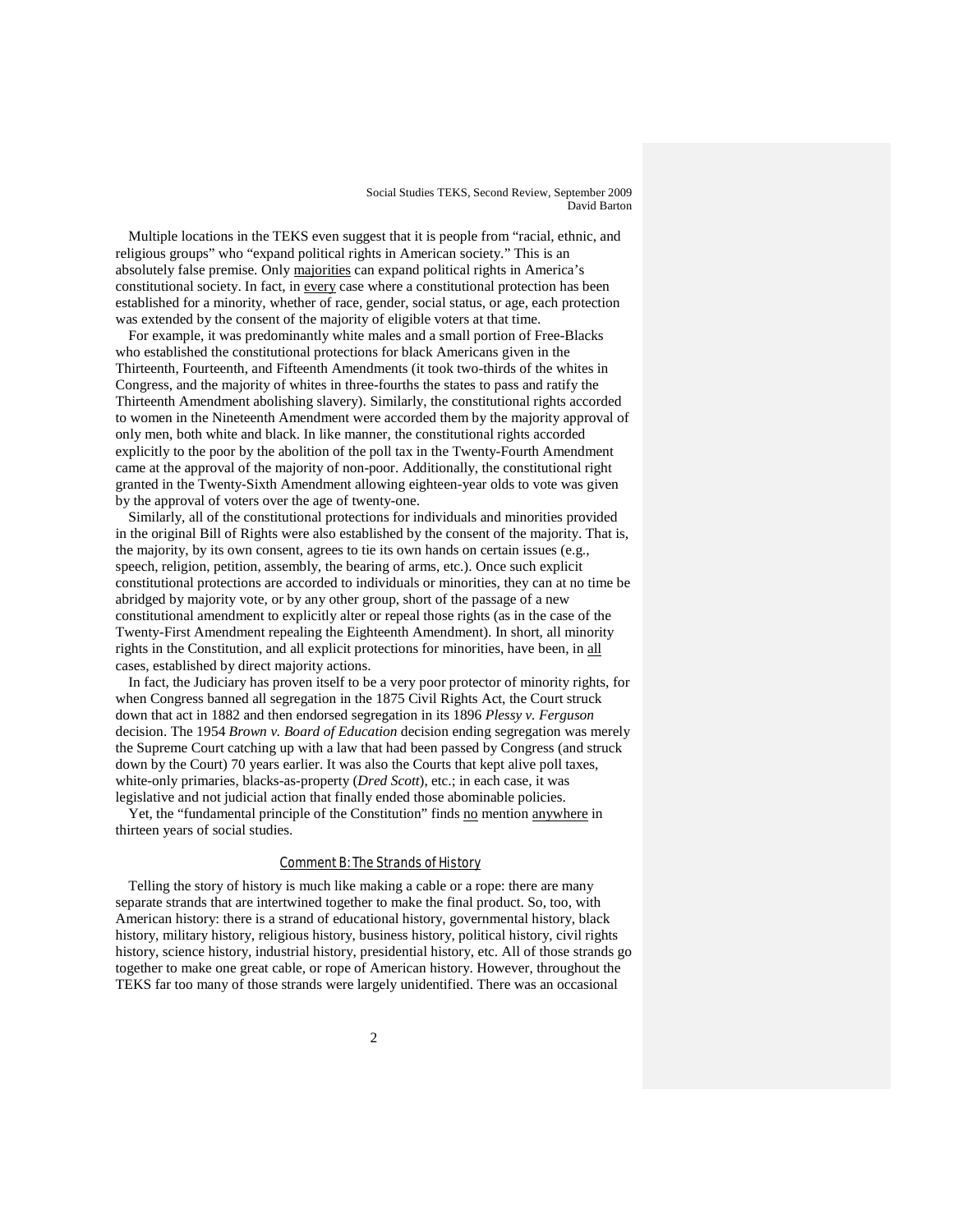Multiple locations in the TEKS even suggest that it is people from "racial, ethnic, and religious groups" who "expand political rights in American society." This is an absolutely false premise. Only majorities can expand political rights in America's constitutional society. In fact, in every case where a constitutional protection has been established for a minority, whether of race, gender, social status, or age, each protection was extended by the consent of the majority of eligible voters at that time.

For example, it was predominantly white males and a small portion of Free-Blacks who established the constitutional protections for black Americans given in the Thirteenth, Fourteenth, and Fifteenth Amendments (it took two-thirds of the whites in Congress, and the majority of whites in three-fourths the states to pass and ratify the Thirteenth Amendment abolishing slavery). Similarly, the constitutional rights accorded to women in the Nineteenth Amendment were accorded them by the majority approval of only men, both white and black. In like manner, the constitutional rights accorded explicitly to the poor by the abolition of the poll tax in the Twenty-Fourth Amendment came at the approval of the majority of non-poor. Additionally, the constitutional right granted in the Twenty-Sixth Amendment allowing eighteen-year olds to vote was given by the approval of voters over the age of twenty-one.

Similarly, all of the constitutional protections for individuals and minorities provided in the original Bill of Rights were also established by the consent of the majority. That is, the majority, by its own consent, agrees to tie its own hands on certain issues (e.g., speech, religion, petition, assembly, the bearing of arms, etc.). Once such explicit constitutional protections are accorded to individuals or minorities, they can at no time be abridged by majority vote, or by any other group, short of the passage of a new constitutional amendment to explicitly alter or repeal those rights (as in the case of the Twenty-First Amendment repealing the Eighteenth Amendment). In short, all minority rights in the Constitution, and all explicit protections for minorities, have been, in all cases, established by direct majority actions.

In fact, the Judiciary has proven itself to be a very poor protector of minority rights, for when Congress banned all segregation in the 1875 Civil Rights Act, the Court struck down that act in 1882 and then endorsed segregation in its 1896 *Plessy v. Ferguson* decision. The 1954 *Brown v. Board of Education* decision ending segregation was merely the Supreme Court catching up with a law that had been passed by Congress (and struck down by the Court) 70 years earlier. It was also the Courts that kept alive poll taxes, white-only primaries, blacks-as-property (*Dred Scott*), etc.; in each case, it was legislative and not judicial action that finally ended those abominable policies.

Yet, the "fundamental principle of the Constitution" finds no mention anywhere in thirteen years of social studies.

### Comment B: The Strands of History

Telling the story of history is much like making a cable or a rope: there are many separate strands that are intertwined together to make the final product. So, too, with American history: there is a strand of educational history, governmental history, black history, military history, religious history, business history, political history, civil rights history, science history, industrial history, presidential history, etc. All of those strands go together to make one great cable, or rope of American history. However, throughout the TEKS far too many of those strands were largely unidentified. There was an occasional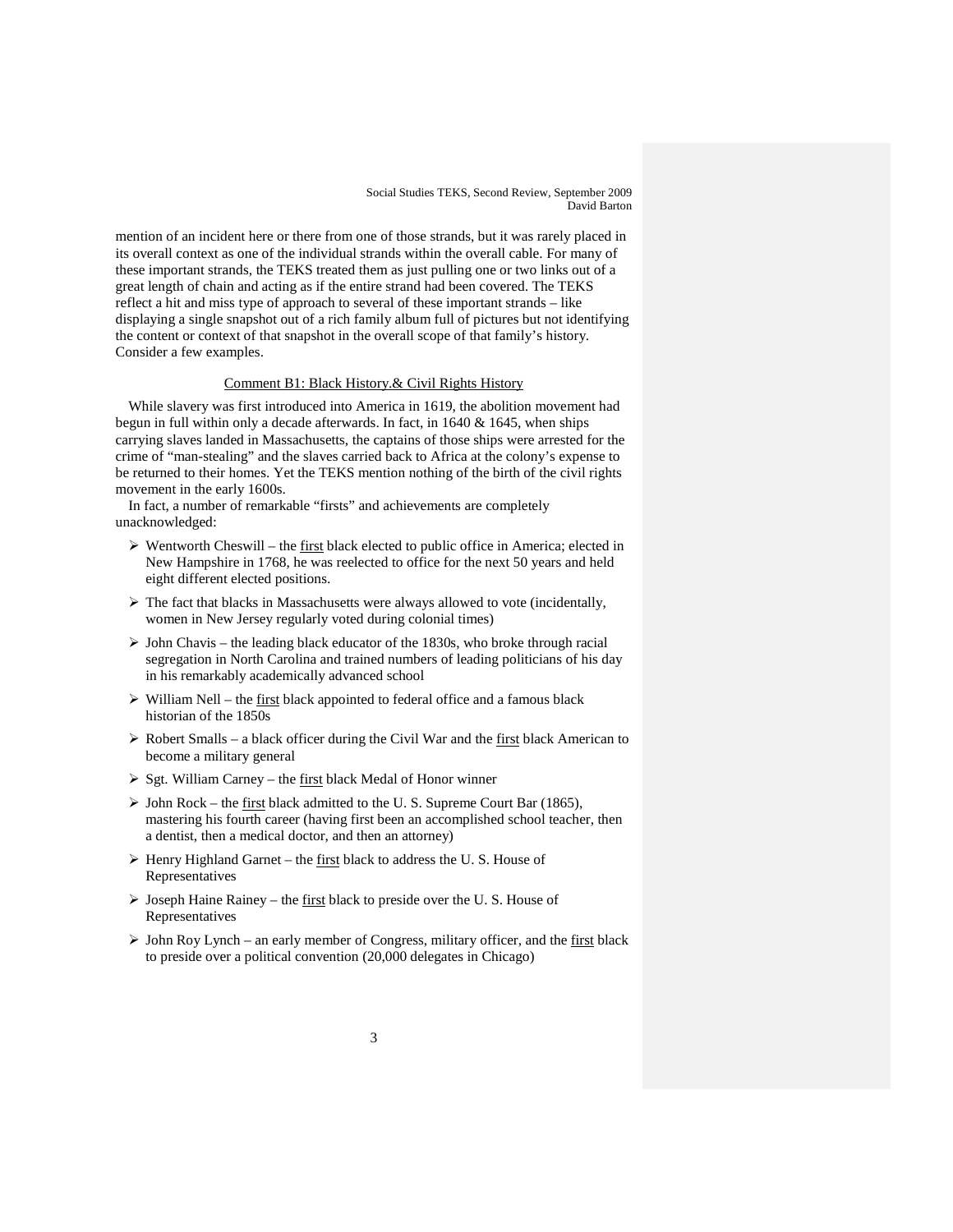mention of an incident here or there from one of those strands, but it was rarely placed in its overall context as one of the individual strands within the overall cable. For many of these important strands, the TEKS treated them as just pulling one or two links out of a great length of chain and acting as if the entire strand had been covered. The TEKS reflect a hit and miss type of approach to several of these important strands – like displaying a single snapshot out of a rich family album full of pictures but not identifying the content or context of that snapshot in the overall scope of that family's history. Consider a few examples.

# Comment B1: Black History.& Civil Rights History

While slavery was first introduced into America in 1619, the abolition movement had begun in full within only a decade afterwards. In fact, in 1640 & 1645, when ships carrying slaves landed in Massachusetts, the captains of those ships were arrested for the crime of "man-stealing" and the slaves carried back to Africa at the colony's expense to be returned to their homes. Yet the TEKS mention nothing of the birth of the civil rights movement in the early 1600s.

In fact, a number of remarkable "firsts" and achievements are completely unacknowledged:

- $\triangleright$  Wentworth Cheswill the first black elected to public office in America; elected in New Hampshire in 1768, he was reelected to office for the next 50 years and held eight different elected positions.
- $\triangleright$  The fact that blacks in Massachusetts were always allowed to vote (incidentally, women in New Jersey regularly voted during colonial times)
- $\triangleright$  John Chavis the leading black educator of the 1830s, who broke through racial segregation in North Carolina and trained numbers of leading politicians of his day in his remarkably academically advanced school
- $\triangleright$  William Nell the first black appointed to federal office and a famous black historian of the 1850s
- $\triangleright$  Robert Smalls a black officer during the Civil War and the first black American to become a military general
- $\triangleright$  Sgt. William Carney the first black Medal of Honor winner
- $\triangleright$  John Rock the first black admitted to the U.S. Supreme Court Bar (1865), mastering his fourth career (having first been an accomplished school teacher, then a dentist, then a medical doctor, and then an attorney)
- $\triangleright$  Henry Highland Garnet the first black to address the U.S. House of Representatives
- $\triangleright$  Joseph Haine Rainey the <u>first</u> black to preside over the U.S. House of Representatives
- $\triangleright$  John Roy Lynch an early member of Congress, military officer, and the first black to preside over a political convention (20,000 delegates in Chicago)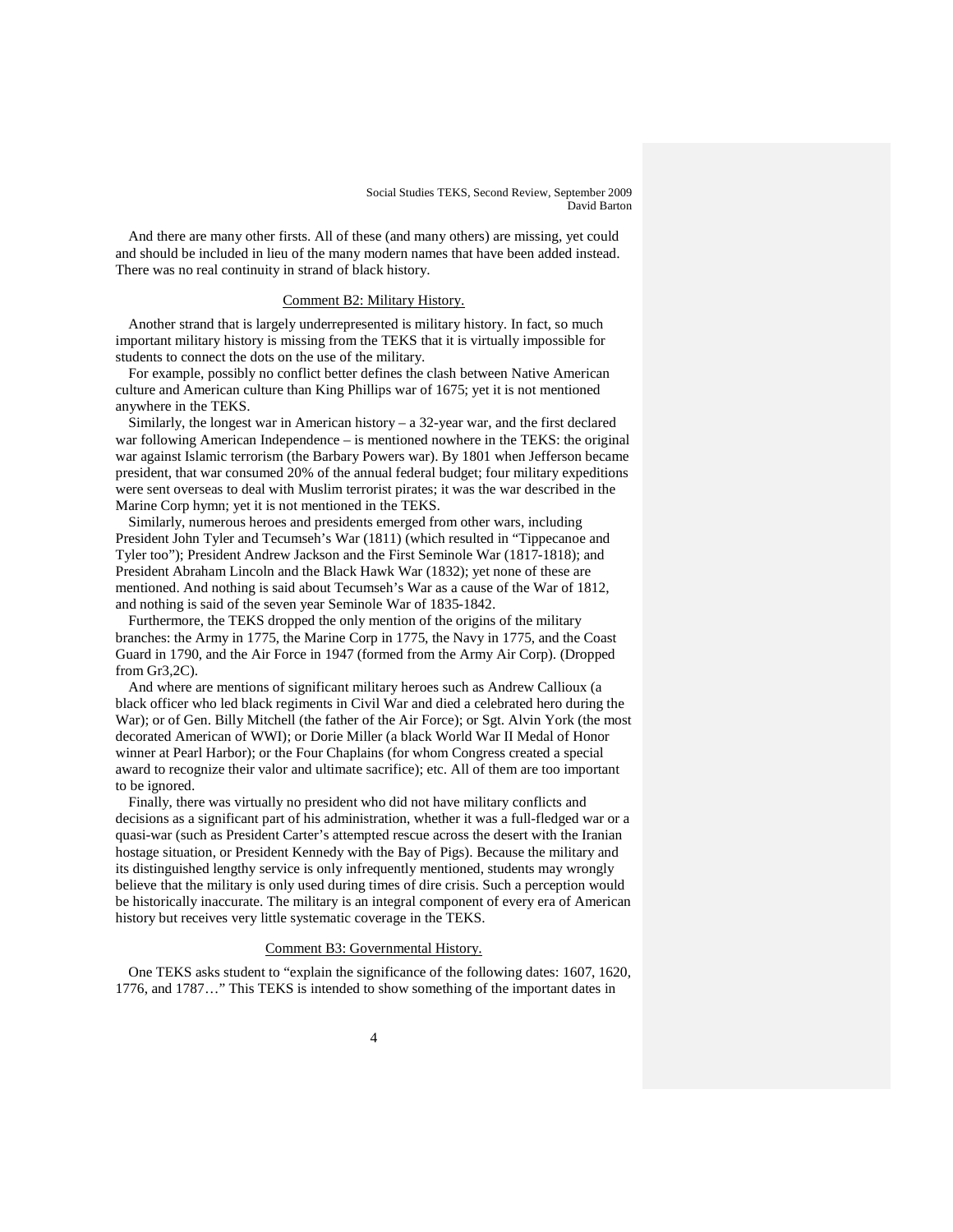And there are many other firsts. All of these (and many others) are missing, yet could and should be included in lieu of the many modern names that have been added instead. There was no real continuity in strand of black history.

### Comment B2: Military History.

Another strand that is largely underrepresented is military history. In fact, so much important military history is missing from the TEKS that it is virtually impossible for students to connect the dots on the use of the military.

For example, possibly no conflict better defines the clash between Native American culture and American culture than King Phillips war of 1675; yet it is not mentioned anywhere in the TEKS.

Similarly, the longest war in American history – a  $32$ -year war, and the first declared war following American Independence – is mentioned nowhere in the TEKS: the original war against Islamic terrorism (the Barbary Powers war). By 1801 when Jefferson became president, that war consumed 20% of the annual federal budget; four military expeditions were sent overseas to deal with Muslim terrorist pirates; it was the war described in the Marine Corp hymn; yet it is not mentioned in the TEKS.

Similarly, numerous heroes and presidents emerged from other wars, including President John Tyler and Tecumseh's War (1811) (which resulted in "Tippecanoe and Tyler too"); President Andrew Jackson and the First Seminole War (1817-1818); and President Abraham Lincoln and the Black Hawk War (1832); yet none of these are mentioned. And nothing is said about Tecumseh's War as a cause of the War of 1812, and nothing is said of the seven year Seminole War of 1835-1842.

Furthermore, the TEKS dropped the only mention of the origins of the military branches: the Army in 1775, the Marine Corp in 1775, the Navy in 1775, and the Coast Guard in 1790, and the Air Force in 1947 (formed from the Army Air Corp). (Dropped from Gr3,2C).

And where are mentions of significant military heroes such as Andrew Callioux (a black officer who led black regiments in Civil War and died a celebrated hero during the War); or of Gen. Billy Mitchell (the father of the Air Force); or Sgt. Alvin York (the most decorated American of WWI); or Dorie Miller (a black World War II Medal of Honor winner at Pearl Harbor); or the Four Chaplains (for whom Congress created a special award to recognize their valor and ultimate sacrifice); etc. All of them are too important to be ignored.

Finally, there was virtually no president who did not have military conflicts and decisions as a significant part of his administration, whether it was a full-fledged war or a quasi-war (such as President Carter's attempted rescue across the desert with the Iranian hostage situation, or President Kennedy with the Bay of Pigs). Because the military and its distinguished lengthy service is only infrequently mentioned, students may wrongly believe that the military is only used during times of dire crisis. Such a perception would be historically inaccurate. The military is an integral component of every era of American history but receives very little systematic coverage in the TEKS.

# Comment B3: Governmental History.

One TEKS asks student to "explain the significance of the following dates: 1607, 1620, 1776, and 1787…" This TEKS is intended to show something of the important dates in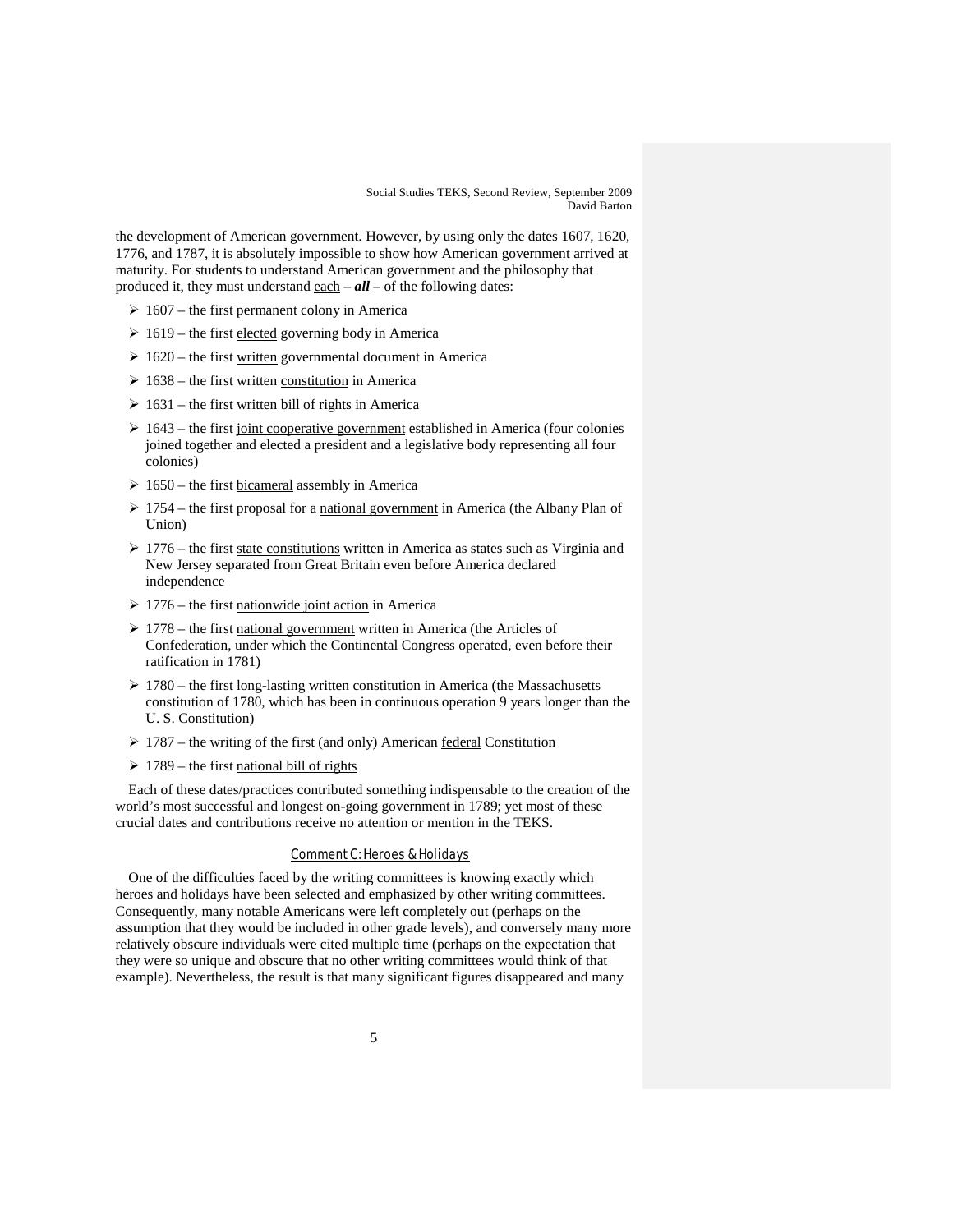the development of American government. However, by using only the dates 1607, 1620, 1776, and 1787, it is absolutely impossible to show how American government arrived at maturity. For students to understand American government and the philosophy that produced it, they must understand each  $-\alpha l\ell$  – of the following dates:

- $\geq 1607$  the first permanent colony in America
- $\geq 1619$  the first elected governing body in America
- $\geq 1620$  the first written governmental document in America
- $\geq 1638$  the first written constitution in America
- $\geq 1631$  the first written bill of rights in America
- $\geq 1643$  the first joint cooperative government established in America (four colonies joined together and elected a president and a legislative body representing all four colonies)
- $\geq 1650$  the first bicameral assembly in America
- $\geq 1754$  the first proposal for a national government in America (the Albany Plan of Union)
- $\geq 1776$  the first state constitutions written in America as states such as Virginia and New Jersey separated from Great Britain even before America declared independence
- $\geq 1776$  the first nationwide joint action in America
- $\geq 1778$  the first national government written in America (the Articles of Confederation, under which the Continental Congress operated, even before their ratification in 1781)
- $\geq 1780$  the first long-lasting written constitution in America (the Massachusetts constitution of 1780, which has been in continuous operation 9 years longer than the U. S. Constitution)
- $\geq 1787$  the writing of the first (and only) American <u>federal</u> Constitution
- $\geq 1789$  the first national bill of rights

Each of these dates/practices contributed something indispensable to the creation of the world's most successful and longest on-going government in 1789; yet most of these crucial dates and contributions receive no attention or mention in the TEKS.

# Comment C: Heroes & Holidays

One of the difficulties faced by the writing committees is knowing exactly which heroes and holidays have been selected and emphasized by other writing committees. Consequently, many notable Americans were left completely out (perhaps on the assumption that they would be included in other grade levels), and conversely many more relatively obscure individuals were cited multiple time (perhaps on the expectation that they were so unique and obscure that no other writing committees would think of that example). Nevertheless, the result is that many significant figures disappeared and many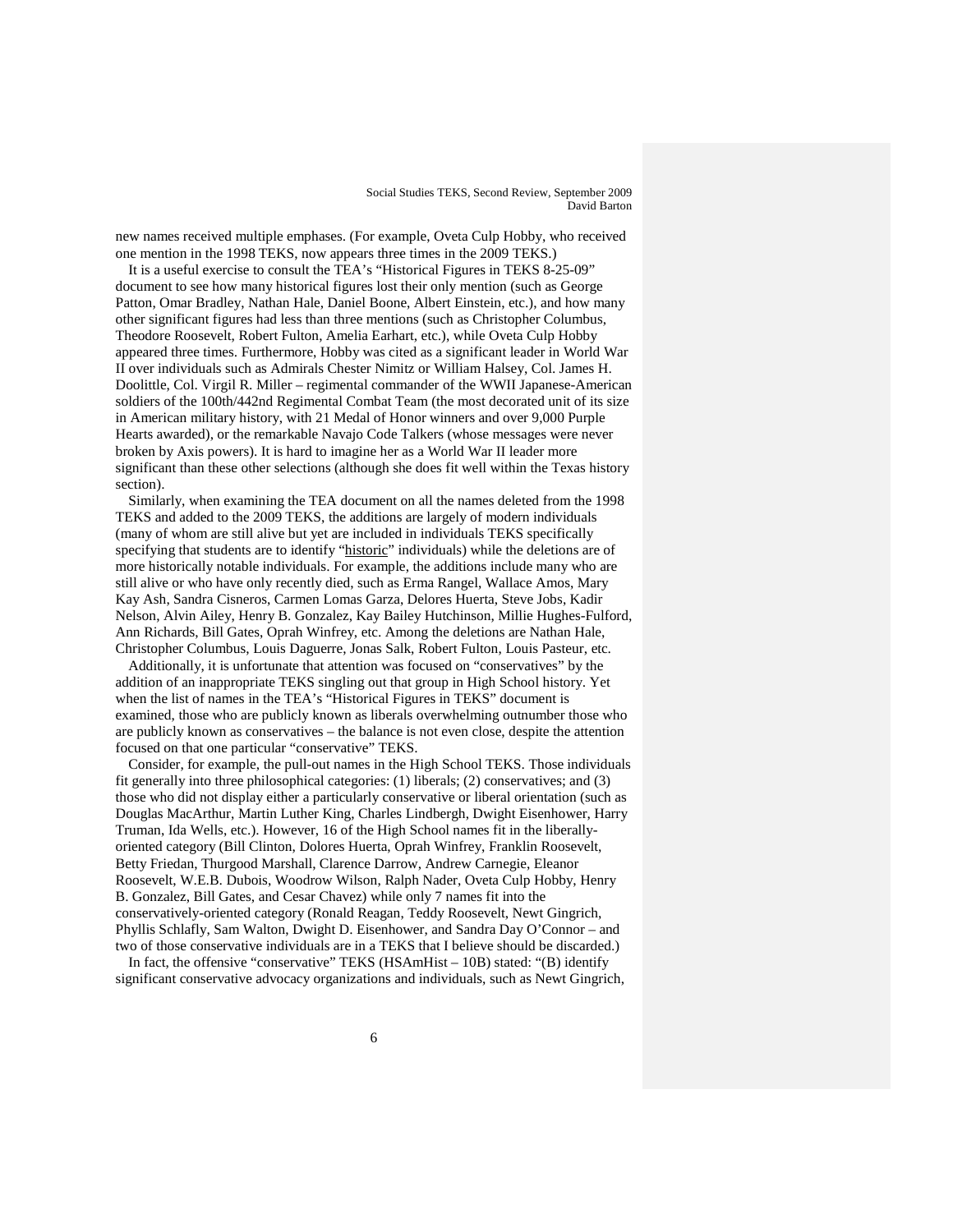new names received multiple emphases. (For example, Oveta Culp Hobby, who received one mention in the 1998 TEKS, now appears three times in the 2009 TEKS.)

It is a useful exercise to consult the TEA's "Historical Figures in TEKS 8-25-09" document to see how many historical figures lost their only mention (such as George Patton, Omar Bradley, Nathan Hale, Daniel Boone, Albert Einstein, etc.), and how many other significant figures had less than three mentions (such as Christopher Columbus, Theodore Roosevelt, Robert Fulton, Amelia Earhart, etc.), while Oveta Culp Hobby appeared three times. Furthermore, Hobby was cited as a significant leader in World War II over individuals such as Admirals Chester Nimitz or William Halsey, Col. James H. Doolittle, Col. Virgil R. Miller – regimental commander of the WWII Japanese-American soldiers of the 100th/442nd Regimental Combat Team (the most decorated unit of its size in American military history, with 21 Medal of Honor winners and over 9,000 Purple Hearts awarded), or the remarkable Navajo Code Talkers (whose messages were never broken by Axis powers). It is hard to imagine her as a World War II leader more significant than these other selections (although she does fit well within the Texas history section).

Similarly, when examining the TEA document on all the names deleted from the 1998 TEKS and added to the 2009 TEKS, the additions are largely of modern individuals (many of whom are still alive but yet are included in individuals TEKS specifically specifying that students are to identify "historic" individuals) while the deletions are of more historically notable individuals. For example, the additions include many who are still alive or who have only recently died, such as Erma Rangel, Wallace Amos, Mary Kay Ash, Sandra Cisneros, Carmen Lomas Garza, Delores Huerta, Steve Jobs, Kadir Nelson, Alvin Ailey, Henry B. Gonzalez, Kay Bailey Hutchinson, Millie Hughes-Fulford, Ann Richards, Bill Gates, Oprah Winfrey, etc. Among the deletions are Nathan Hale, Christopher Columbus, Louis Daguerre, Jonas Salk, Robert Fulton, Louis Pasteur, etc.

Additionally, it is unfortunate that attention was focused on "conservatives" by the addition of an inappropriate TEKS singling out that group in High School history. Yet when the list of names in the TEA's "Historical Figures in TEKS" document is examined, those who are publicly known as liberals overwhelming outnumber those who are publicly known as conservatives – the balance is not even close, despite the attention focused on that one particular "conservative" TEKS.

Consider, for example, the pull-out names in the High School TEKS. Those individuals fit generally into three philosophical categories: (1) liberals; (2) conservatives; and (3) those who did not display either a particularly conservative or liberal orientation (such as Douglas MacArthur, Martin Luther King, Charles Lindbergh, Dwight Eisenhower, Harry Truman, Ida Wells, etc.). However, 16 of the High School names fit in the liberallyoriented category (Bill Clinton, Dolores Huerta, Oprah Winfrey, Franklin Roosevelt, Betty Friedan, Thurgood Marshall, Clarence Darrow, Andrew Carnegie, Eleanor Roosevelt, W.E.B. Dubois, Woodrow Wilson, Ralph Nader, Oveta Culp Hobby, Henry B. Gonzalez, Bill Gates, and Cesar Chavez) while only 7 names fit into the conservatively-oriented category (Ronald Reagan, Teddy Roosevelt, Newt Gingrich, Phyllis Schlafly, Sam Walton, Dwight D. Eisenhower, and Sandra Day O'Connor – and two of those conservative individuals are in a TEKS that I believe should be discarded.)

In fact, the offensive "conservative" TEKS (HSAmHist – 10B) stated: "(B) identify significant conservative advocacy organizations and individuals, such as Newt Gingrich,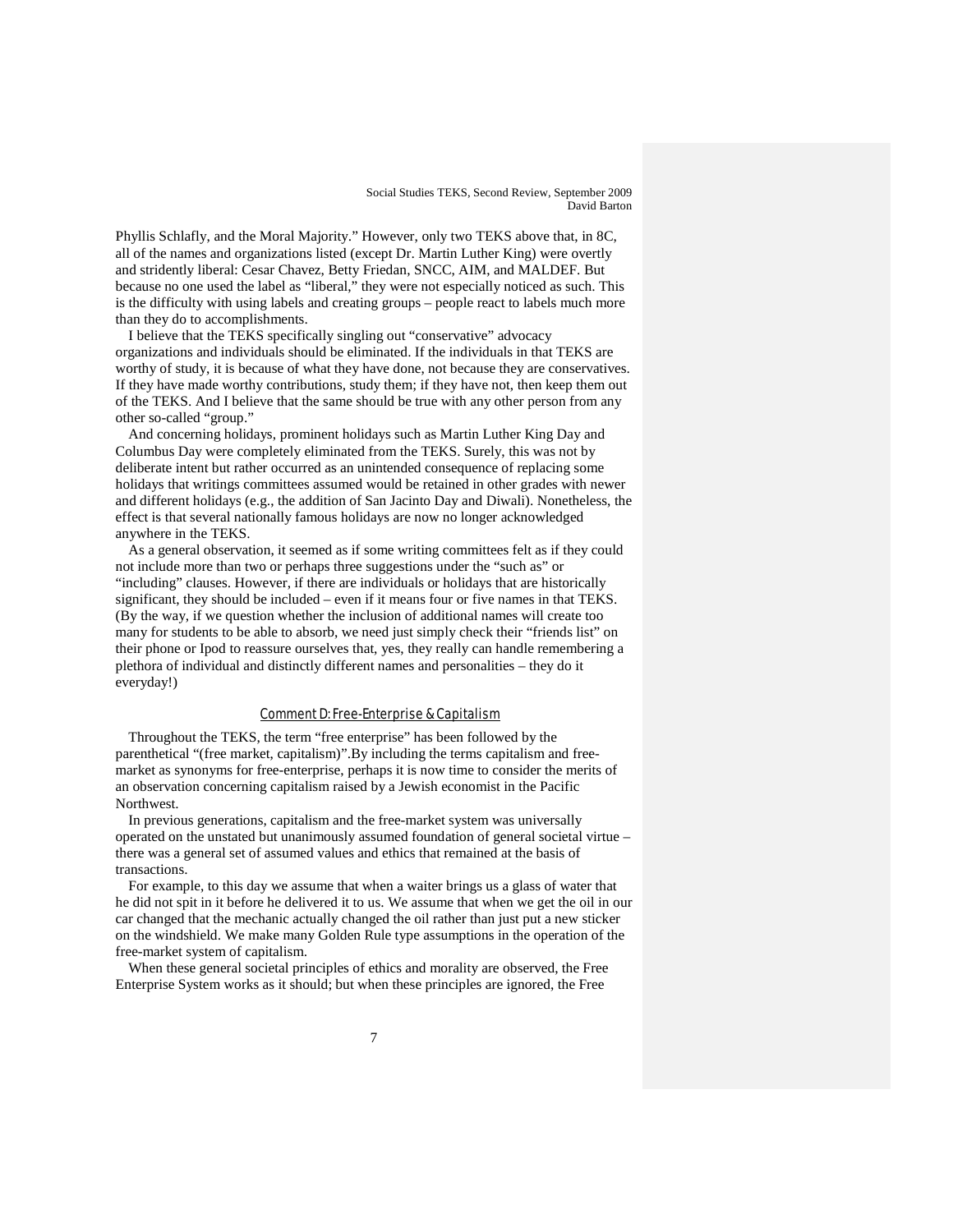Phyllis Schlafly, and the Moral Majority." However, only two TEKS above that, in 8C, all of the names and organizations listed (except Dr. Martin Luther King) were overtly and stridently liberal: Cesar Chavez, Betty Friedan, SNCC, AIM, and MALDEF. But because no one used the label as "liberal," they were not especially noticed as such. This is the difficulty with using labels and creating groups – people react to labels much more than they do to accomplishments.

I believe that the TEKS specifically singling out "conservative" advocacy organizations and individuals should be eliminated. If the individuals in that TEKS are worthy of study, it is because of what they have done, not because they are conservatives. If they have made worthy contributions, study them; if they have not, then keep them out of the TEKS. And I believe that the same should be true with any other person from any other so-called "group."

And concerning holidays, prominent holidays such as Martin Luther King Day and Columbus Day were completely eliminated from the TEKS. Surely, this was not by deliberate intent but rather occurred as an unintended consequence of replacing some holidays that writings committees assumed would be retained in other grades with newer and different holidays (e.g., the addition of San Jacinto Day and Diwali). Nonetheless, the effect is that several nationally famous holidays are now no longer acknowledged anywhere in the TEKS.

As a general observation, it seemed as if some writing committees felt as if they could not include more than two or perhaps three suggestions under the "such as" or "including" clauses. However, if there are individuals or holidays that are historically significant, they should be included – even if it means four or five names in that TEKS. (By the way, if we question whether the inclusion of additional names will create too many for students to be able to absorb, we need just simply check their "friends list" on their phone or Ipod to reassure ourselves that, yes, they really can handle remembering a plethora of individual and distinctly different names and personalities – they do it everyday!)

### Comment D: Free-Enterprise & Capitalism

Throughout the TEKS, the term "free enterprise" has been followed by the parenthetical "(free market, capitalism)".By including the terms capitalism and freemarket as synonyms for free-enterprise, perhaps it is now time to consider the merits of an observation concerning capitalism raised by a Jewish economist in the Pacific Northwest.

In previous generations, capitalism and the free-market system was universally operated on the unstated but unanimously assumed foundation of general societal virtue – there was a general set of assumed values and ethics that remained at the basis of transactions.

For example, to this day we assume that when a waiter brings us a glass of water that he did not spit in it before he delivered it to us. We assume that when we get the oil in our car changed that the mechanic actually changed the oil rather than just put a new sticker on the windshield. We make many Golden Rule type assumptions in the operation of the free-market system of capitalism.

When these general societal principles of ethics and morality are observed, the Free Enterprise System works as it should; but when these principles are ignored, the Free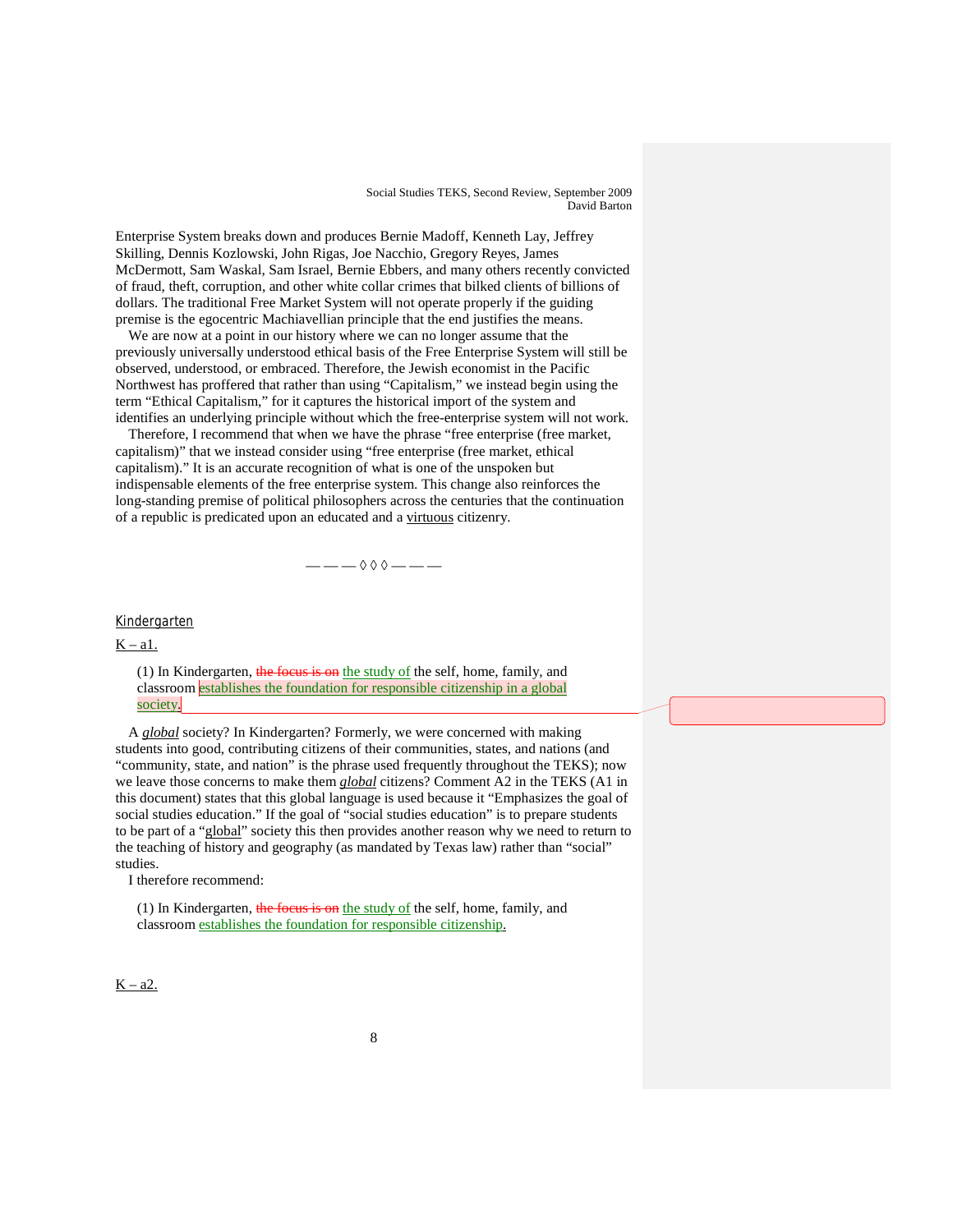Enterprise System breaks down and produces Bernie Madoff, Kenneth Lay, Jeffrey Skilling, Dennis Kozlowski, John Rigas, Joe Nacchio, Gregory Reyes, James McDermott, Sam Waskal, Sam Israel, Bernie Ebbers, and many others recently convicted of fraud, theft, corruption, and other white collar crimes that bilked clients of billions of dollars. The traditional Free Market System will not operate properly if the guiding premise is the egocentric Machiavellian principle that the end justifies the means.

We are now at a point in our history where we can no longer assume that the previously universally understood ethical basis of the Free Enterprise System will still be observed, understood, or embraced. Therefore, the Jewish economist in the Pacific Northwest has proffered that rather than using "Capitalism," we instead begin using the term "Ethical Capitalism," for it captures the historical import of the system and identifies an underlying principle without which the free-enterprise system will not work.

Therefore, I recommend that when we have the phrase "free enterprise (free market, capitalism)" that we instead consider using "free enterprise (free market, ethical capitalism)." It is an accurate recognition of what is one of the unspoken but indispensable elements of the free enterprise system. This change also reinforces the long-standing premise of political philosophers across the centuries that the continuation of a republic is predicated upon an educated and a virtuous citizenry.

— — — ◊ ◊ ◊ — — —

# Kindergarten

 $K - a1$ .

(1) In Kindergarten, the focus is on the study of the self, home, family, and classroom establishes the foundation for responsible citizenship in a global society.

A *global* society? In Kindergarten? Formerly, we were concerned with making students into good, contributing citizens of their communities, states, and nations (and "community, state, and nation" is the phrase used frequently throughout the TEKS); now we leave those concerns to make them *global* citizens? Comment A2 in the TEKS (A1 in this document) states that this global language is used because it "Emphasizes the goal of social studies education." If the goal of "social studies education" is to prepare students to be part of a "global" society this then provides another reason why we need to return to the teaching of history and geography (as mandated by Texas law) rather than "social" studies.

I therefore recommend:

(1) In Kindergarten, the focus is on the study of the self, home, family, and classroom establishes the foundation for responsible citizenship.

### $K - a2$ .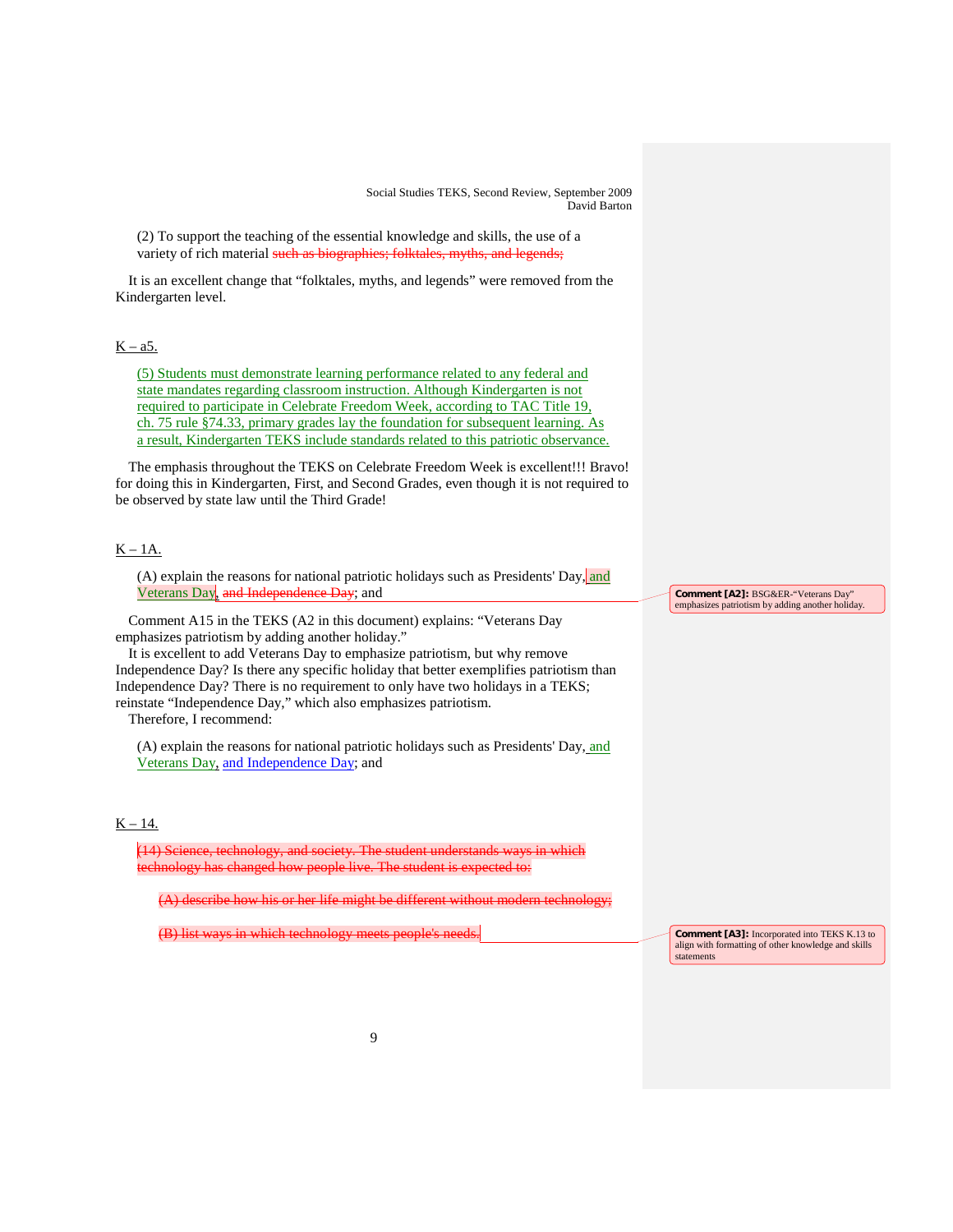(2) To support the teaching of the essential knowledge and skills, the use of a variety of rich material such as biographies; folktales, myths, and legends;

It is an excellent change that "folktales, myths, and legends" were removed from the Kindergarten level.

# $K - a5$ .

(5) Students must demonstrate learning performance related to any federal and state mandates regarding classroom instruction. Although Kindergarten is not required to participate in Celebrate Freedom Week, according to TAC Title 19, ch. 75 rule §74.33, primary grades lay the foundation for subsequent learning. As a result, Kindergarten TEKS include standards related to this patriotic observance.

The emphasis throughout the TEKS on Celebrate Freedom Week is excellent!!! Bravo! for doing this in Kindergarten, First, and Second Grades, even though it is not required to be observed by state law until the Third Grade!

# $K - 1A$ .

(A) explain the reasons for national patriotic holidays such as Presidents' Day, and Veterans Day, and Independence Day; and

Comment A15 in the TEKS (A2 in this document) explains: "Veterans Day emphasizes patriotism by adding another holiday."

It is excellent to add Veterans Day to emphasize patriotism, but why remove Independence Day? Is there any specific holiday that better exemplifies patriotism than Independence Day? There is no requirement to only have two holidays in a TEKS; reinstate "Independence Day," which also emphasizes patriotism.

Therefore, I recommend:

(A) explain the reasons for national patriotic holidays such as Presidents' Day, and Veterans Day, and Independence Day; and

# $K - 14.$

(14) Science, technology, and society. The student understands ways in which hnology has changed how people live. The student is

 $(A)$  describe how his or her life might be different without modern technology

(B) list ways in which technology meets people's needs.

**Comment [A2]:** BSG&ER-"Veterans Day" emphasizes patriotism by adding another holiday.

**Comment [A3]:** Incorporated into TEKS K.13 to align with formatting of other knowledge and skills statements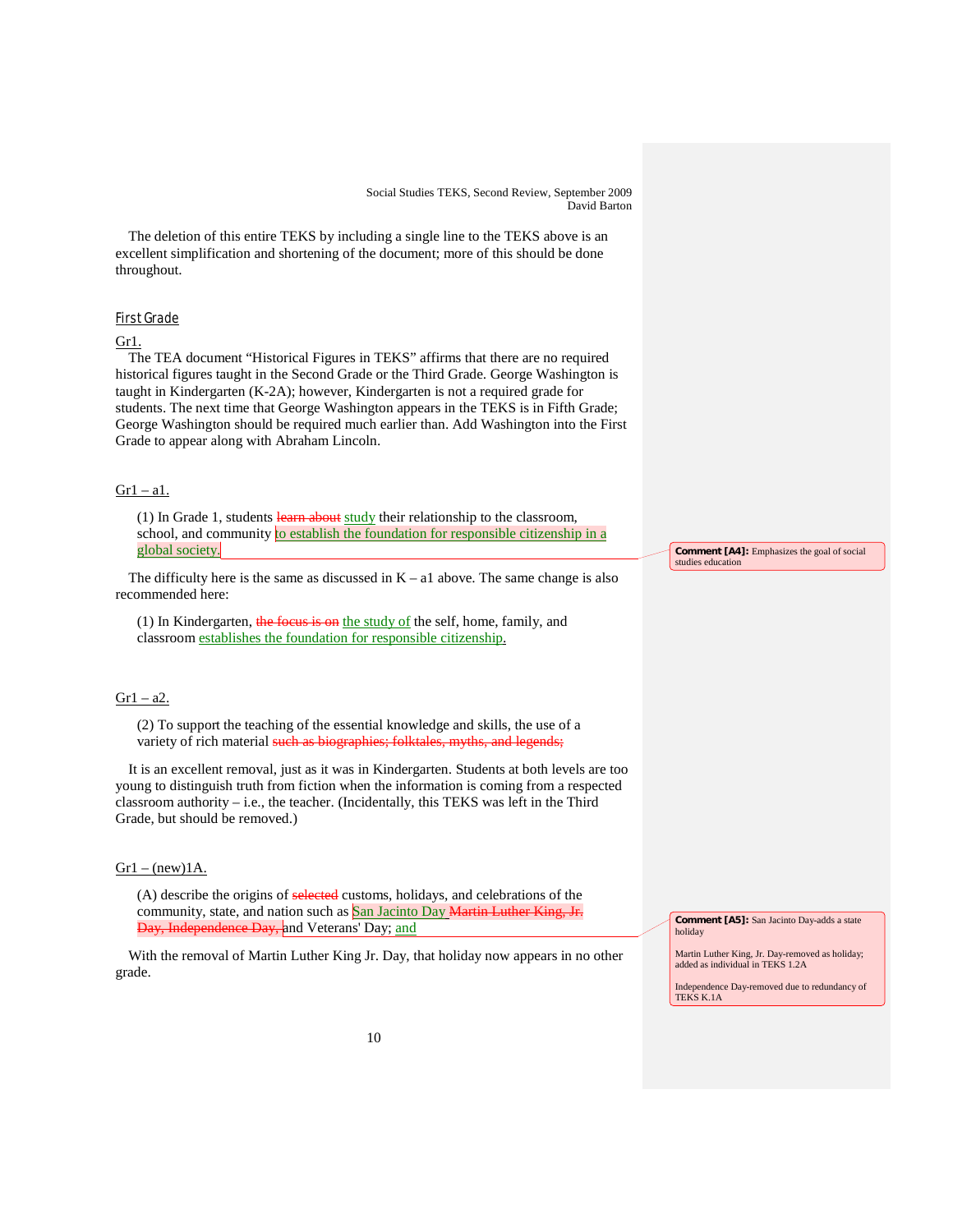The deletion of this entire TEKS by including a single line to the TEKS above is an excellent simplification and shortening of the document; more of this should be done throughout.

### First Grade

# Gr1.

The TEA document "Historical Figures in TEKS" affirms that there are no required historical figures taught in the Second Grade or the Third Grade. George Washington is taught in Kindergarten (K-2A); however, Kindergarten is not a required grade for students. The next time that George Washington appears in the TEKS is in Fifth Grade; George Washington should be required much earlier than. Add Washington into the First Grade to appear along with Abraham Lincoln.

### $Gr1 - a1$ .

(1) In Grade 1, students learn about study their relationship to the classroom, school, and community to establish the foundation for responsible citizenship in a global society.

The difficulty here is the same as discussed in  $K - a1$  above. The same change is also recommended here:

(1) In Kindergarten, the focus is on the study of the self, home, family, and classroom establishes the foundation for responsible citizenship.

### $Gr1 - a2$ .

(2) To support the teaching of the essential knowledge and skills, the use of a variety of rich material such as biographies; folktales, myths, and legends;

It is an excellent removal, just as it was in Kindergarten. Students at both levels are too young to distinguish truth from fiction when the information is coming from a respected classroom authority – i.e., the teacher. (Incidentally, this TEKS was left in the Third Grade, but should be removed.)

### $Gr1 - (new)1A$ .

(A) describe the origins of selected customs, holidays, and celebrations of the community, state, and nation such as **San Jacinto Day Martin Luther King, Jr.** <del>Day, Independence Day, <mark>and Veterans' Day; <u>and</u></u></del></mark>

With the removal of Martin Luther King Jr. Day, that holiday now appears in no other grade.

**Comment [A4]:** Emphasizes the goal of social studies education

**Comment [A5]:** San Jacinto Day-adds a state holiday

Martin Luther King, Jr. Day-removed as holiday; added as individual in TEKS 1.2A

Independence Day-removed due to redundancy of TEKS K.1A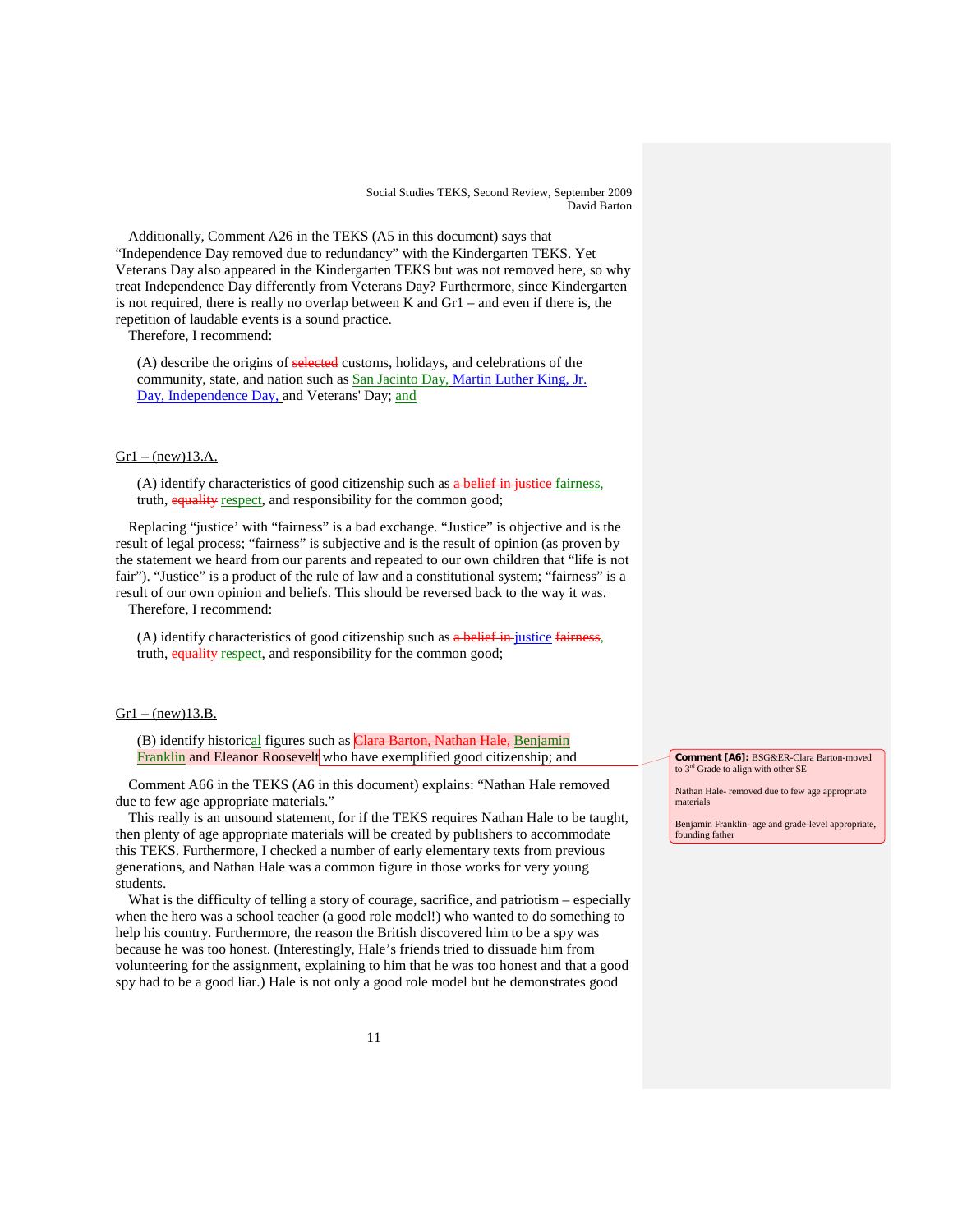Additionally, Comment A26 in the TEKS (A5 in this document) says that "Independence Day removed due to redundancy" with the Kindergarten TEKS. Yet Veterans Day also appeared in the Kindergarten TEKS but was not removed here, so why treat Independence Day differently from Veterans Day? Furthermore, since Kindergarten is not required, there is really no overlap between K and  $Gr1 -$  and even if there is, the repetition of laudable events is a sound practice.

Therefore, I recommend:

(A) describe the origins of selected customs, holidays, and celebrations of the community, state, and nation such as San Jacinto Day, Martin Luther King, Jr. Day, Independence Day, and Veterans' Day; and

### $Gr1 - (new)13.A.$

(A) identify characteristics of good citizenship such as a belief in justice fairness, truth, equality respect, and responsibility for the common good;

Replacing "justice' with "fairness" is a bad exchange. "Justice" is objective and is the result of legal process; "fairness" is subjective and is the result of opinion (as proven by the statement we heard from our parents and repeated to our own children that "life is not fair"). "Justice" is a product of the rule of law and a constitutional system; "fairness" is a result of our own opinion and beliefs. This should be reversed back to the way it was.

Therefore, I recommend:

(A) identify characteristics of good citizenship such as  $a$  belief in justice fairness, truth, equality respect, and responsibility for the common good;

### $Gr1 - (new)13.B.$

(B) identify historical figures such as *Clara Barton*, Nathan Hale, Benjamin Franklin and Eleanor Roosevelt who have exemplified good citizenship; and

Comment A66 in the TEKS (A6 in this document) explains: "Nathan Hale removed due to few age appropriate materials."

This really is an unsound statement, for if the TEKS requires Nathan Hale to be taught, then plenty of age appropriate materials will be created by publishers to accommodate this TEKS. Furthermore, I checked a number of early elementary texts from previous generations, and Nathan Hale was a common figure in those works for very young students.

What is the difficulty of telling a story of courage, sacrifice, and patriotism – especially when the hero was a school teacher (a good role model!) who wanted to do something to help his country. Furthermore, the reason the British discovered him to be a spy was because he was too honest. (Interestingly, Hale's friends tried to dissuade him from volunteering for the assignment, explaining to him that he was too honest and that a good spy had to be a good liar.) Hale is not only a good role model but he demonstrates good

**Comment [A6]:** BSG&ER-Clara Barton-moved to  $3<sup>rd</sup>$  Grade to align with other SE

Nathan Hale- removed due to few age appropriate materials

Benjamin Franklin- age and grade-level appropriate, founding father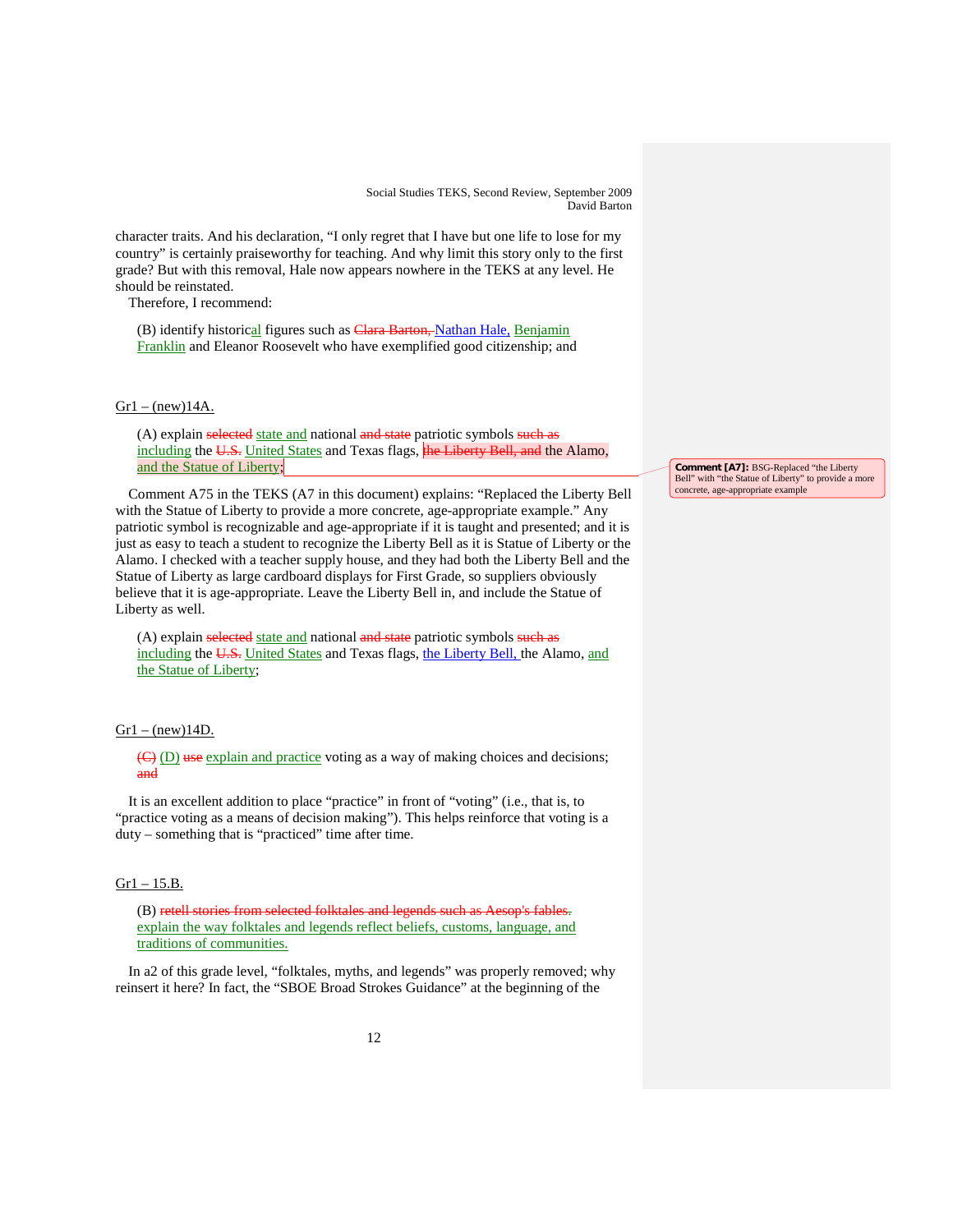character traits. And his declaration, "I only regret that I have but one life to lose for my country" is certainly praiseworthy for teaching. And why limit this story only to the first grade? But with this removal, Hale now appears nowhere in the TEKS at any level. He should be reinstated.

Therefore, I recommend:

(B) identify historical figures such as Clara Barton, Nathan Hale, Benjamin Franklin and Eleanor Roosevelt who have exemplified good citizenship; and

# $Gr1 - (new)14A$ .

(A) explain selected state and national and state patriotic symbols such as including the U.S. United States and Texas flags, the Liberty Bell, and the Alamo, and the Statue of Liberty;

Comment A75 in the TEKS (A7 in this document) explains: "Replaced the Liberty Bell with the Statue of Liberty to provide a more concrete, age-appropriate example." Any patriotic symbol is recognizable and age-appropriate if it is taught and presented; and it is just as easy to teach a student to recognize the Liberty Bell as it is Statue of Liberty or the Alamo. I checked with a teacher supply house, and they had both the Liberty Bell and the Statue of Liberty as large cardboard displays for First Grade, so suppliers obviously believe that it is age-appropriate. Leave the Liberty Bell in, and include the Statue of Liberty as well.

(A) explain selected state and national and state patriotic symbols such as including the U.S. United States and Texas flags, the Liberty Bell, the Alamo, and the Statue of Liberty;

### $Gr1 - (new)14D$ .

(C) (D) use explain and practice voting as a way of making choices and decisions; and

It is an excellent addition to place "practice" in front of "voting" (i.e., that is, to "practice voting as a means of decision making"). This helps reinforce that voting is a duty – something that is "practiced" time after time.

# $Gr1 - 15.B.$

(B) retell stories from selected folktales and legends such as Aesop's fables. explain the way folktales and legends reflect beliefs, customs, language, and traditions of communities.

In a2 of this grade level, "folktales, myths, and legends" was properly removed; why reinsert it here? In fact, the "SBOE Broad Strokes Guidance" at the beginning of the

**Comment [A7]:** BSG-Replaced "the Liberty Bell" with "the Statue of Liberty" to provide a more concrete, age-appropriate example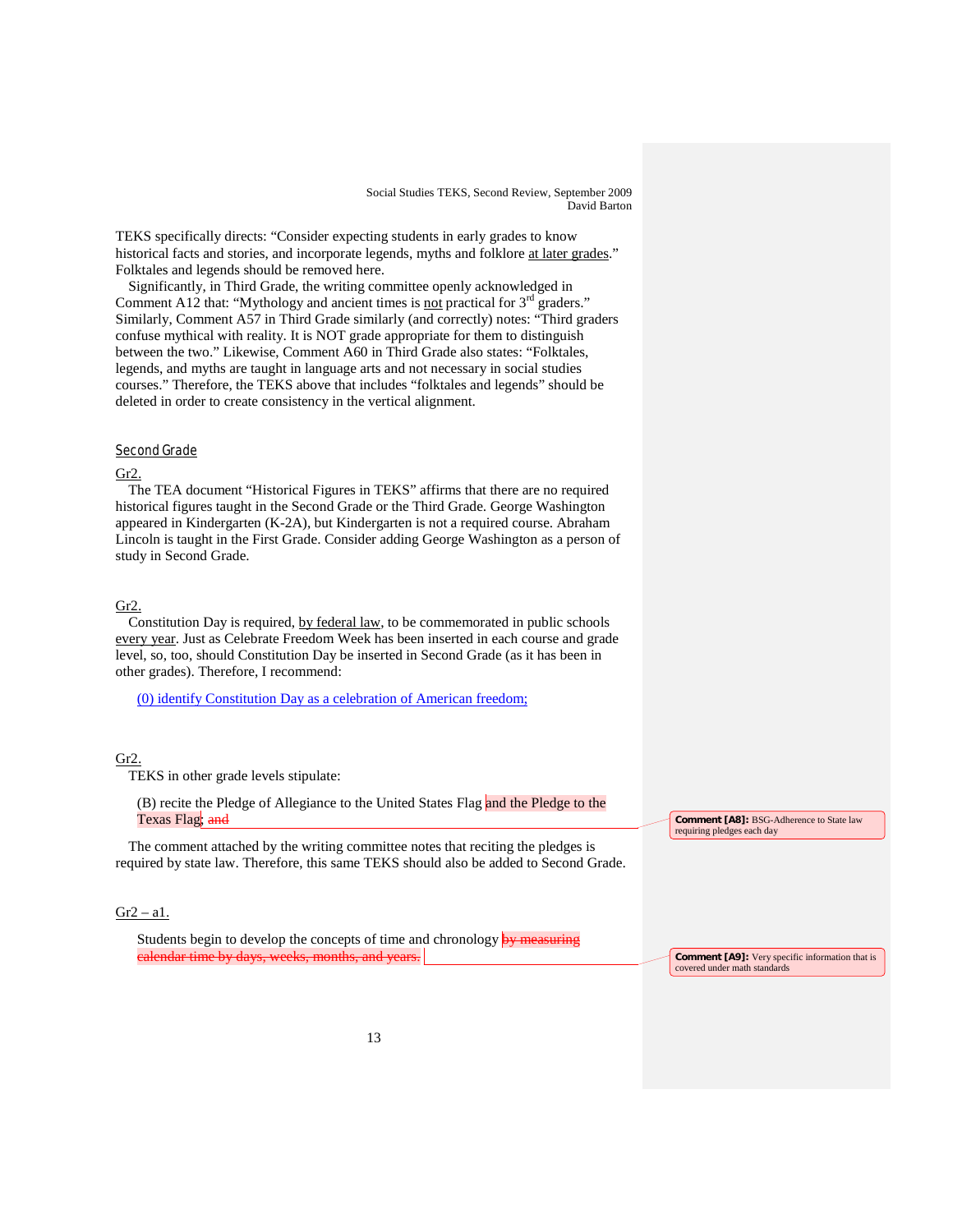TEKS specifically directs: "Consider expecting students in early grades to know historical facts and stories, and incorporate legends, myths and folklore at later grades." Folktales and legends should be removed here.

Significantly, in Third Grade, the writing committee openly acknowledged in Comment A12 that: "Mythology and ancient times is not practical for  $3<sup>rd</sup>$  graders." Similarly, Comment A57 in Third Grade similarly (and correctly) notes: "Third graders confuse mythical with reality. It is NOT grade appropriate for them to distinguish between the two." Likewise, Comment A60 in Third Grade also states: "Folktales, legends, and myths are taught in language arts and not necessary in social studies courses." Therefore, the TEKS above that includes "folktales and legends" should be deleted in order to create consistency in the vertical alignment.

# Second Grade

# Gr2.

The TEA document "Historical Figures in TEKS" affirms that there are no required historical figures taught in the Second Grade or the Third Grade. George Washington appeared in Kindergarten (K-2A), but Kindergarten is not a required course. Abraham Lincoln is taught in the First Grade. Consider adding George Washington as a person of study in Second Grade.

# Gr2.

Constitution Day is required, by federal law, to be commemorated in public schools every year. Just as Celebrate Freedom Week has been inserted in each course and grade level, so, too, should Constitution Day be inserted in Second Grade (as it has been in other grades). Therefore, I recommend:

(0) identify Constitution Day as a celebration of American freedom;

### Gr2.

TEKS in other grade levels stipulate:

(B) recite the Pledge of Allegiance to the United States Flag and the Pledge to the Texas Flag; and

The comment attached by the writing committee notes that reciting the pledges is required by state law. Therefore, this same TEKS should also be added to Second Grade.

### $Gr2 - a1$ .

Students begin to develop the concepts of time and chronology by measuring calendar time by days, weeks, months, and year

**Comment [A8]:** BSG-Adherence to State law requiring pledges each day

**Comment [A9]:** Very specific information that is covered under math standards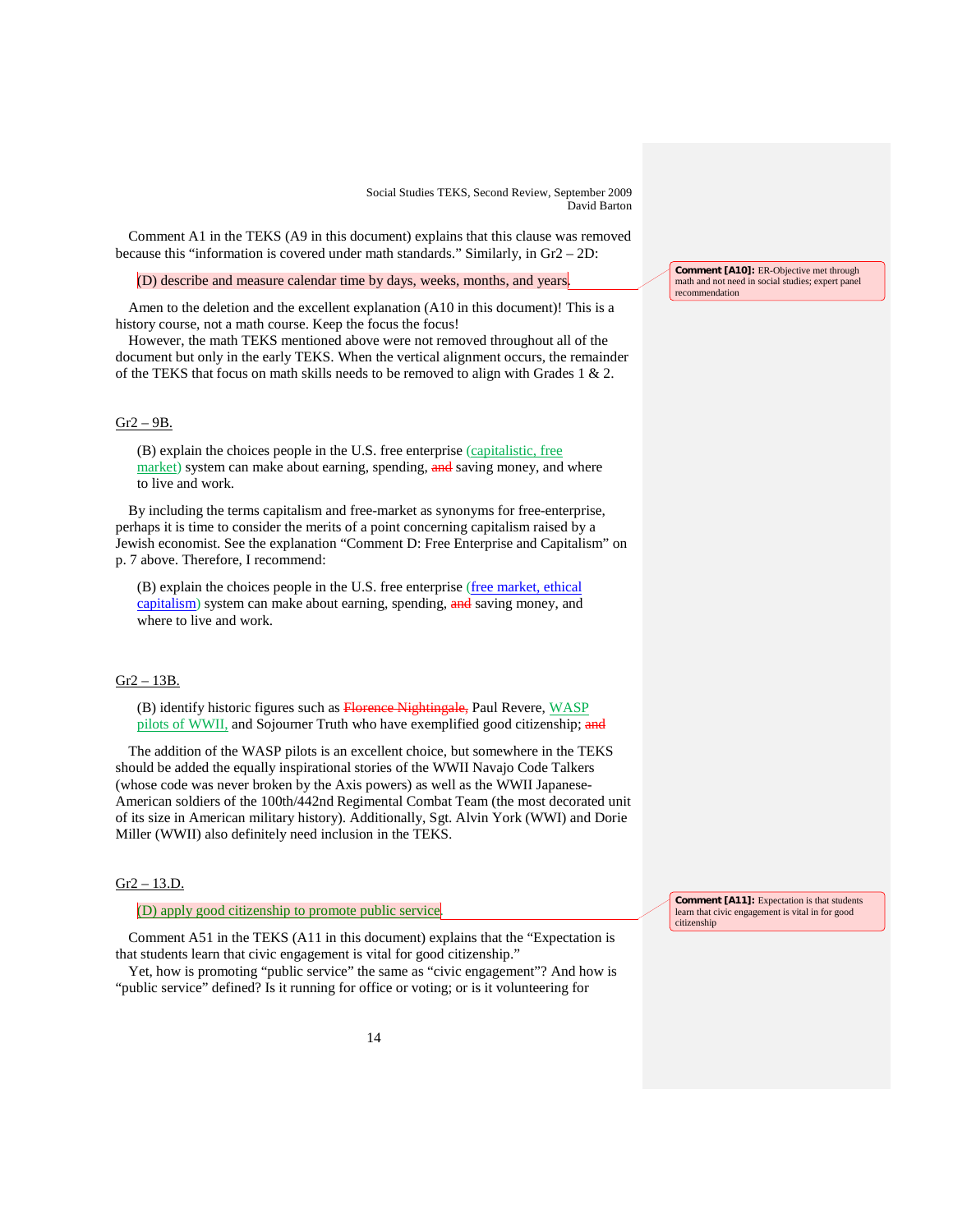Comment A1 in the TEKS (A9 in this document) explains that this clause was removed because this "information is covered under math standards." Similarly, in Gr2 – 2D:

(D) describe and measure calendar time by days, weeks, months, and years.

Amen to the deletion and the excellent explanation (A10 in this document)! This is a history course, not a math course. Keep the focus the focus!

However, the math TEKS mentioned above were not removed throughout all of the document but only in the early TEKS. When the vertical alignment occurs, the remainder of the TEKS that focus on math skills needs to be removed to align with Grades 1  $\&$  2.

#### $Gr2 - 9B$ .

(B) explain the choices people in the U.S. free enterprise ( capitalistic, free market) system can make about earning, spending, and saving money, and where to live and work.

By including the terms capitalism and free-market as synonyms for free-enterprise, perhaps it is time to consider the merits of a point concerning capitalism raised by a Jewish economist. See the explanation "Comment D: Free Enterprise and Capitalism" on p. 7 above. Therefore, I recommend:

(B) explain the choices people in the U.S. free enterprise (free market, ethical capitalism) system can make about earning, spending, and saving money, and where to live and work.

### Gr2 – 13B.

(B) identify historic figures such as **Florence Nightingale**, Paul Revere, WASP pilots of WWII, and Sojourner Truth who have exemplified good citizenship; and

The addition of the WASP pilots is an excellent choice, but somewhere in the TEKS should be added the equally inspirational stories of the WWII Navajo Code Talkers (whose code was never broken by the Axis powers) as well as the WWII Japanese-American soldiers of the 100th/442nd Regimental Combat Team (the most decorated unit of its size in American military history). Additionally, Sgt. Alvin York (WWI) and Dorie Miller (WWII) also definitely need inclusion in the TEKS.

# Gr2 – 13.D.

(D) apply good citizenship to promote public service .

Comment A51 in the TEKS (A11 in this document) explains that the "Expectation is that students learn that civic engagement is vital for good citizenship."

Yet, how is promoting "public service" the same as "civic engagement"? And how is "public service" defined? Is it running for office or voting; or is it volunteering for

**Comment [A10]:** ER-Objective met through math and not need in social studies; expert panel recommendation

**Comment [A11]:** Expectation is that students learn that civic engagement is vital in for good citizenship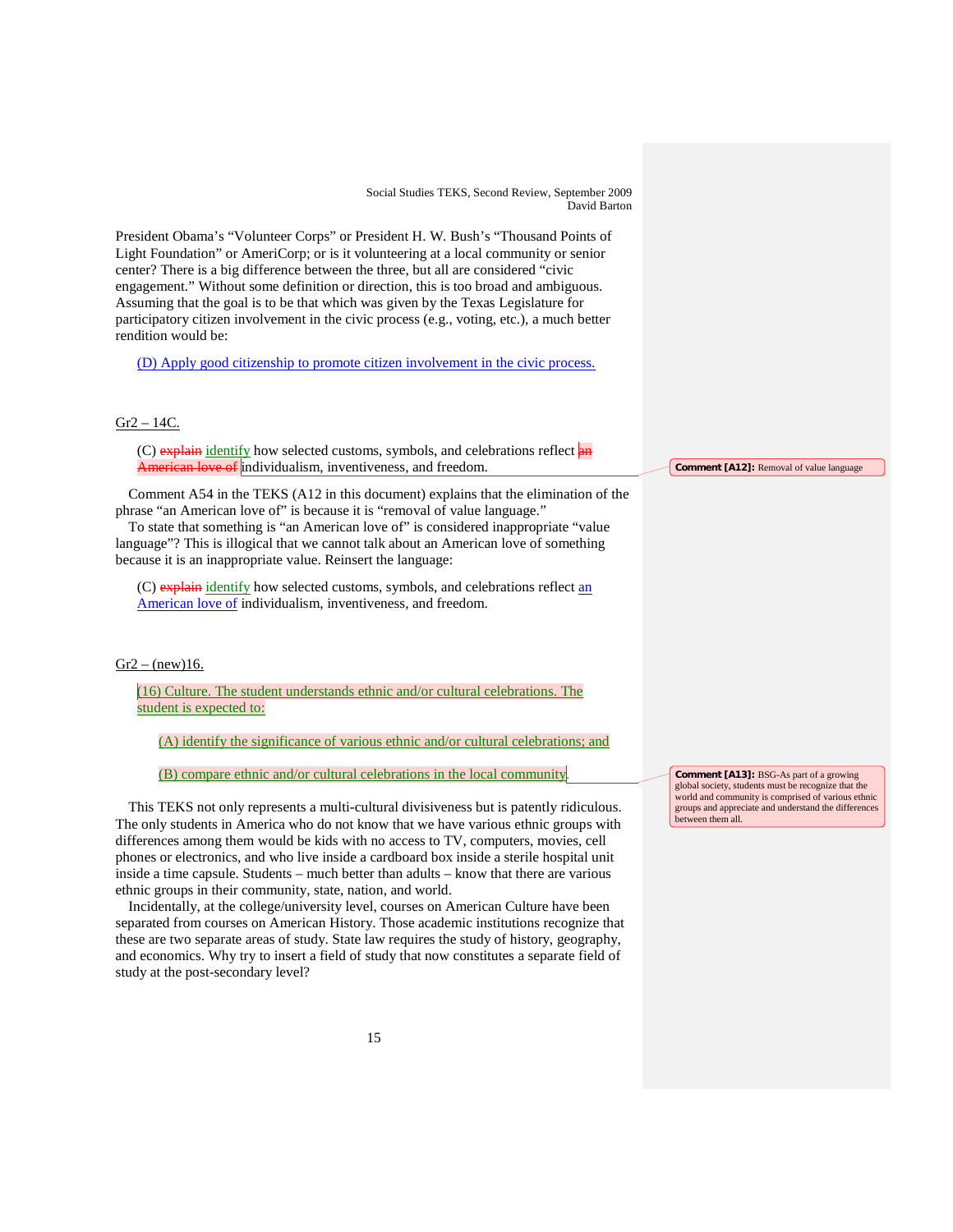| Social Studies TEKS, Second Review, September 2009<br>David Barton<br>President Obama's "Volunteer Corps" or President H. W. Bush's "Thousand Points of<br>Light Foundation" or AmeriCorp; or is it volunteering at a local community or senior<br>center? There is a big difference between the three, but all are considered "civic<br>engagement." Without some definition or direction, this is too broad and ambiguous.<br>Assuming that the goal is to be that which was given by the Texas Legislature for<br>participatory citizen involvement in the civic process (e.g., voting, etc.), a much better<br>rendition would be:<br>(D) Apply good citizenship to promote citizen involvement in the civic process.                                                                                                                                                                                                                                                             |                                                                                                                                                                                                                                          |
|---------------------------------------------------------------------------------------------------------------------------------------------------------------------------------------------------------------------------------------------------------------------------------------------------------------------------------------------------------------------------------------------------------------------------------------------------------------------------------------------------------------------------------------------------------------------------------------------------------------------------------------------------------------------------------------------------------------------------------------------------------------------------------------------------------------------------------------------------------------------------------------------------------------------------------------------------------------------------------------|------------------------------------------------------------------------------------------------------------------------------------------------------------------------------------------------------------------------------------------|
| $Gr2 - 14C$ .<br>(C) explain identify how selected customs, symbols, and celebrations reflect an<br><b>American love of individualism, inventiveness, and freedom.</b>                                                                                                                                                                                                                                                                                                                                                                                                                                                                                                                                                                                                                                                                                                                                                                                                                | <b>Comment [A12]:</b> Removal of value language                                                                                                                                                                                          |
| Comment A54 in the TEKS (A12 in this document) explains that the elimination of the<br>phrase "an American love of" is because it is "removal of value language."<br>To state that something is "an American love of" is considered inappropriate "value<br>language"? This is illogical that we cannot talk about an American love of something<br>because it is an inappropriate value. Reinsert the language:                                                                                                                                                                                                                                                                                                                                                                                                                                                                                                                                                                      |                                                                                                                                                                                                                                          |
| (C) explain identify how selected customs, symbols, and celebrations reflect an<br>American love of individualism, inventiveness, and freedom.                                                                                                                                                                                                                                                                                                                                                                                                                                                                                                                                                                                                                                                                                                                                                                                                                                        |                                                                                                                                                                                                                                          |
| $Gr2 - (new)16.$<br>(16) Culture. The student understands ethnic and/or cultural celebrations. The                                                                                                                                                                                                                                                                                                                                                                                                                                                                                                                                                                                                                                                                                                                                                                                                                                                                                    |                                                                                                                                                                                                                                          |
| student is expected to:                                                                                                                                                                                                                                                                                                                                                                                                                                                                                                                                                                                                                                                                                                                                                                                                                                                                                                                                                               |                                                                                                                                                                                                                                          |
| (A) identify the significance of various ethnic and/or cultural celebrations; and                                                                                                                                                                                                                                                                                                                                                                                                                                                                                                                                                                                                                                                                                                                                                                                                                                                                                                     |                                                                                                                                                                                                                                          |
| (B) compare ethnic and/or cultural celebrations in the local community.<br>This TEKS not only represents a multi-cultural divisiveness but is patently ridiculous.<br>The only students in America who do not know that we have various ethnic groups with<br>differences among them would be kids with no access to TV, computers, movies, cell<br>phones or electronics, and who live inside a cardboard box inside a sterile hospital unit<br>inside a time capsule. Students – much better than adults – know that there are various<br>ethnic groups in their community, state, nation, and world.<br>Incidentally, at the college/university level, courses on American Culture have been<br>separated from courses on American History. Those academic institutions recognize that<br>these are two separate areas of study. State law requires the study of history, geography,<br>and economics. Why try to insert a field of study that now constitutes a separate field of | <b>Comment [A13]:</b> BSG-As part of a growing<br>global society, students must be recognize that the<br>world and community is comprised of various ethnic<br>groups and appreciate and understand the differences<br>between them all. |
| study at the post-secondary level?                                                                                                                                                                                                                                                                                                                                                                                                                                                                                                                                                                                                                                                                                                                                                                                                                                                                                                                                                    |                                                                                                                                                                                                                                          |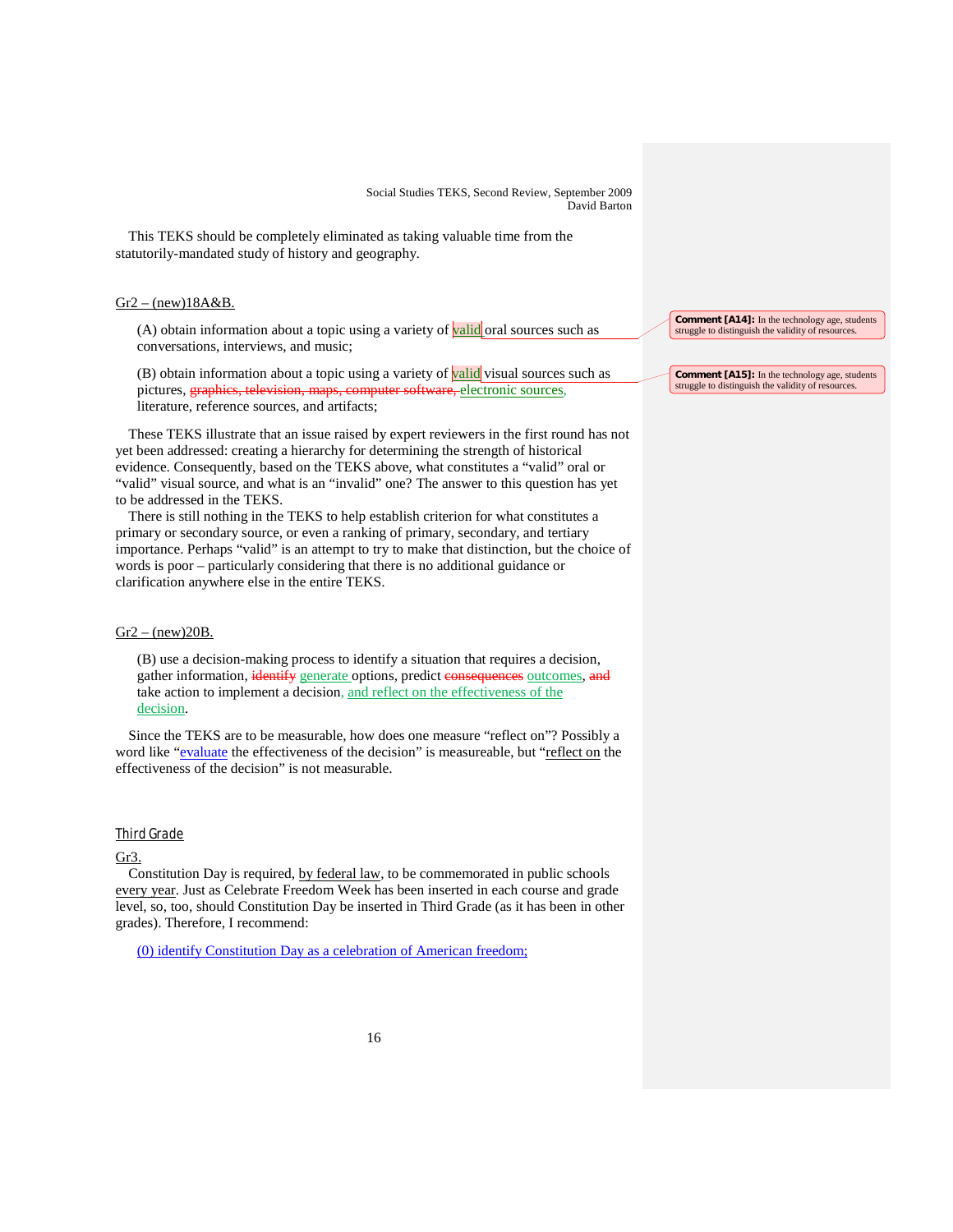This TEKS should be completely eliminated as taking valuable time from the statutorily-mandated study of history and geography.

### $Gr2 - (new)18A&B.$

(A) obtain information about a topic using a variety of **valid** oral sources such as conversations, interviews, and music;

(B) obtain information about a topic using a variety of valid visual sources such as pictures, **graphics, television, maps, computer software,** electronic sources, literature, reference sources, and artifacts;

These TEKS illustrate that an issue raised by expert reviewers in the first round has not yet been addressed: creating a hierarchy for determining the strength of historical evidence. Consequently, based on the TEKS above, what constitutes a "valid" oral or "valid" visual source, and what is an "invalid" one? The answer to this question has yet to be addressed in the TEKS.

There is still nothing in the TEKS to help establish criterion for what constitutes a primary or secondary source, or even a ranking of primary, secondary, and tertiary importance. Perhaps "valid" is an attempt to try to make that distinction, but the choice of words is poor – particularly considering that there is no additional guidance or clarification anywhere else in the entire TEKS.

### $Gr2 - (new)20B$ .

(B) use a decision-making process to identify a situation that requires a decision, gather information, identify generate options, predict consequences outcomes, and take action to implement a decision, and reflect on the effectiveness of the decision.

Since the TEKS are to be measurable, how does one measure "reflect on"? Possibly a word like "evaluate the effectiveness of the decision" is measureable, but "reflect on the effectiveness of the decision" is not measurable.

# Third Grade

### Gr3.

Constitution Day is required, by federal law, to be commemorated in public schools every year. Just as Celebrate Freedom Week has been inserted in each course and grade level, so, too, should Constitution Day be inserted in Third Grade (as it has been in other grades). Therefore, I recommend:

(0) identify Constitution Day as a celebration of American freedom;

**Comment [A14]:** In the technology age, students struggle to distinguish the validity of resources.

**Comment [A15]:** In the technology age, students struggle to distinguish the validity of resources.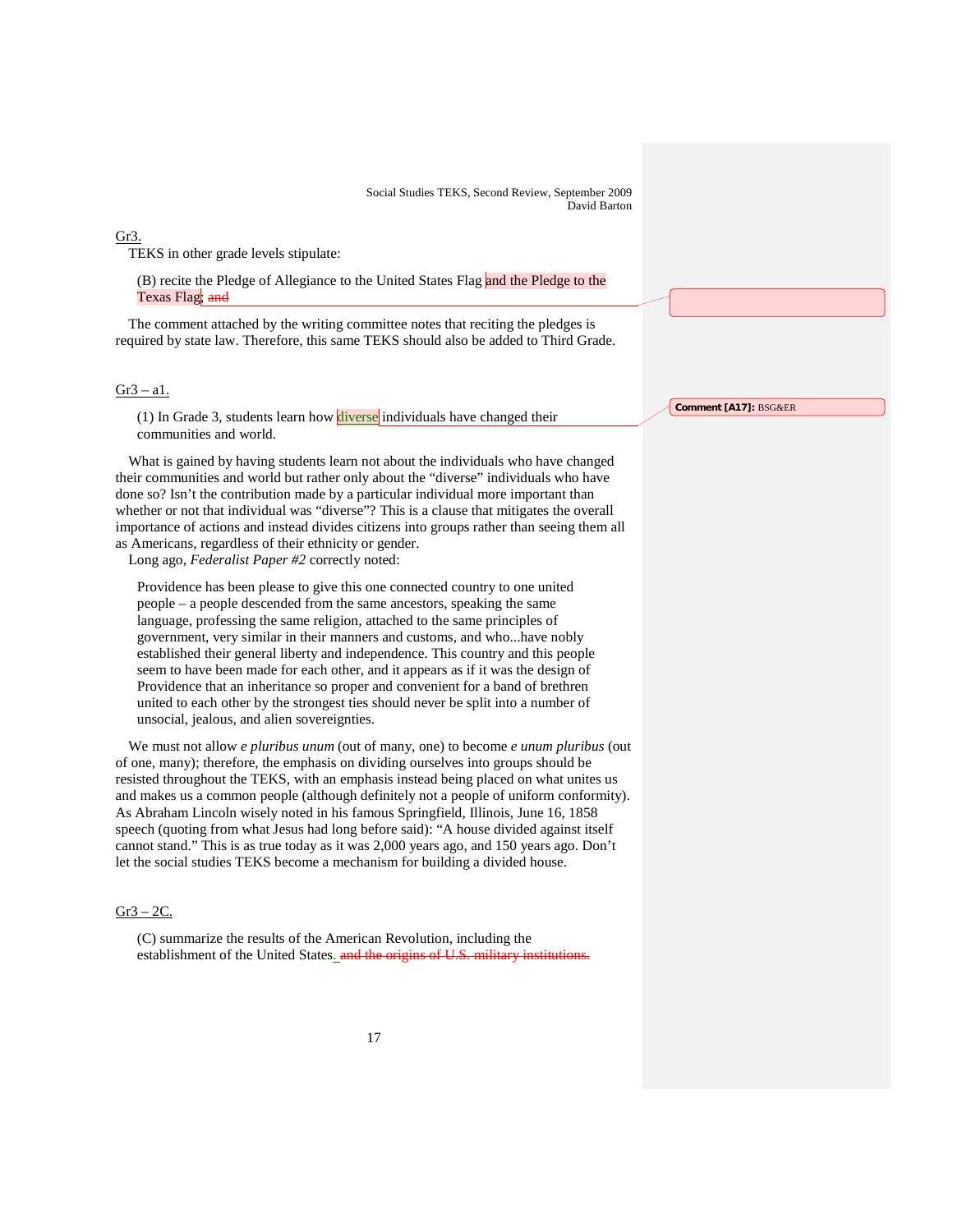#### Gr3.

TEKS in other grade levels stipulate:

(B) recite the Pledge of Allegiance to the United States Flag and the Pledge to the Texas Flag; and

The comment attached by the writing committee notes that reciting the pledges is required by state law. Therefore, this same TEKS should also be added to Third Grade.

### $Gr3 - a1$ .

(1) In Grade 3, students learn how diverse individuals have changed their communities and world.

What is gained by having students learn not about the individuals who have changed their communities and world but rather only about the "diverse" individuals who have done so? Isn't the contribution made by a particular individual more important than whether or not that individual was "diverse"? This is a clause that mitigates the overall importance of actions and instead divides citizens into groups rather than seeing them all as Americans, regardless of their ethnicity or gender.

Long ago, *Federalist Paper #2* correctly noted:

Providence has been please to give this one connected country to one united people – a people descended from the same ancestors, speaking the same language, professing the same religion, attached to the same principles of government, very similar in their manners and customs, and who...have nobly established their general liberty and independence. This country and this people seem to have been made for each other, and it appears as if it was the design of Providence that an inheritance so proper and convenient for a band of brethren united to each other by the strongest ties should never be split into a number of unsocial, jealous, and alien sovereignties.

We must not allow *e pluribus unum* (out of many, one) to become *e unum pluribus* (out of one, many); therefore, the emphasis on dividing ourselves into groups should be resisted throughout the TEKS, with an emphasis instead being placed on what unites us and makes us a common people (although definitely not a people of uniform conformity). As Abraham Lincoln wisely noted in his famous Springfield, Illinois, June 16, 1858 speech (quoting from what Jesus had long before said): "A house divided against itself cannot stand." This is as true today as it was 2,000 years ago, and 150 years ago. Don't let the social studies TEKS become a mechanism for building a divided house.

### $Gr3 - 2C$ .

(C) summarize the results of the American Revolution, including the establishment of the United States. and the origins of U.S. military institutions. **Comment [A17]:** BSG&ER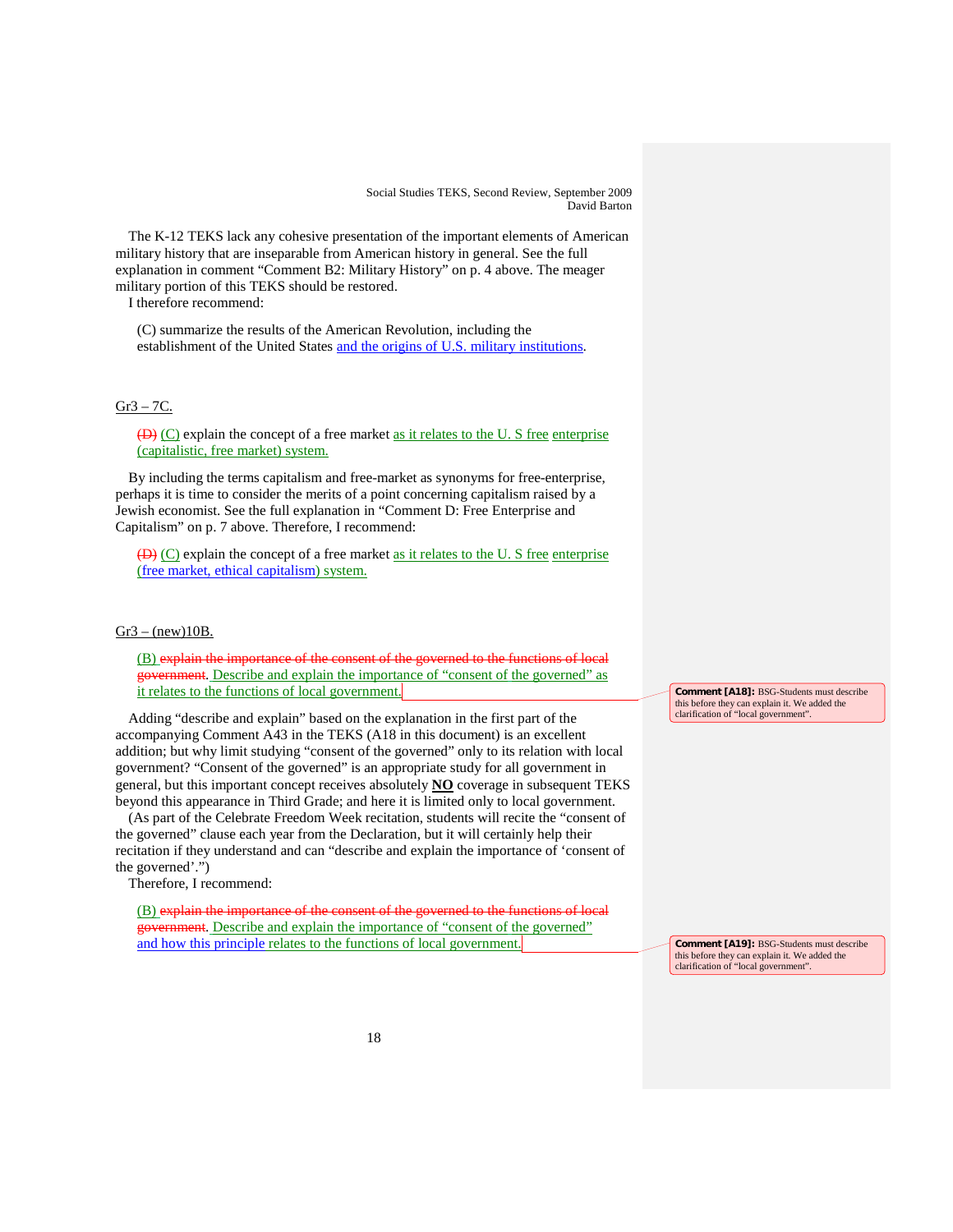The K-12 TEKS lack any cohesive presentation of the important elements of American military history that are inseparable from American history in general. See the full explanation in comment "Comment B2: Military History" on p. 4 above. The meager military portion of this TEKS should be restored.

I therefore recommend:

(C) summarize the results of the American Revolution, including the establishment of the United States and the origins of U.S. military institutions.

# Gr3 – 7C.

 $(D)$  (C) explain the concept of a free market as it relates to the U. S free enterprise (capitalistic, free market) system.

By including the terms capitalism and free-market as synonyms for free-enterprise, perhaps it is time to consider the merits of a point concerning capitalism raised by a Jewish economist. See the full explanation in "Comment D: Free Enterprise and Capitalism" on p. 7 above. Therefore, I recommend:

 $(D)$  (C) explain the concept of a free market as it relates to the U. S free enterprise (free market, ethical capitalism) system.

### $Gr3 - (new)10B$ .

(B) explain the importance of the consent of the governed to the functions of local government. Describe and explain the importance of "consent of the governed" as it relates to the functions of local government.

Adding "describe and explain" based on the explanation in the first part of the accompanying Comment A43 in the TEKS (A18 in this document) is an excellent addition; but why limit studying "consent of the governed" only to its relation with local government? "Consent of the governed" is an appropriate study for all government in general, but this important concept receives absolutely **NO** coverage in subsequent TEKS beyond this appearance in Third Grade; and here it is limited only to local government.

(As part of the Celebrate Freedom Week recitation, students will recite the "consent of the governed" clause each year from the Declaration, but it will certainly help their recitation if they understand and can "describe and explain the importance of 'consent of the governed'.")

Therefore, I recommend:

(B) explain the importance of the consent of the governed to the functions of local government. Describe and explain the importance of "consent of the governed" and how this principle relates to the functions of local government.

**Comment [A18]:** BSG-Students must describe this before they can explain it. We added the clarification of "local government".

**Comment [A19]:** BSG-Students must describe this before they can explain it. We added the clarification of "local government".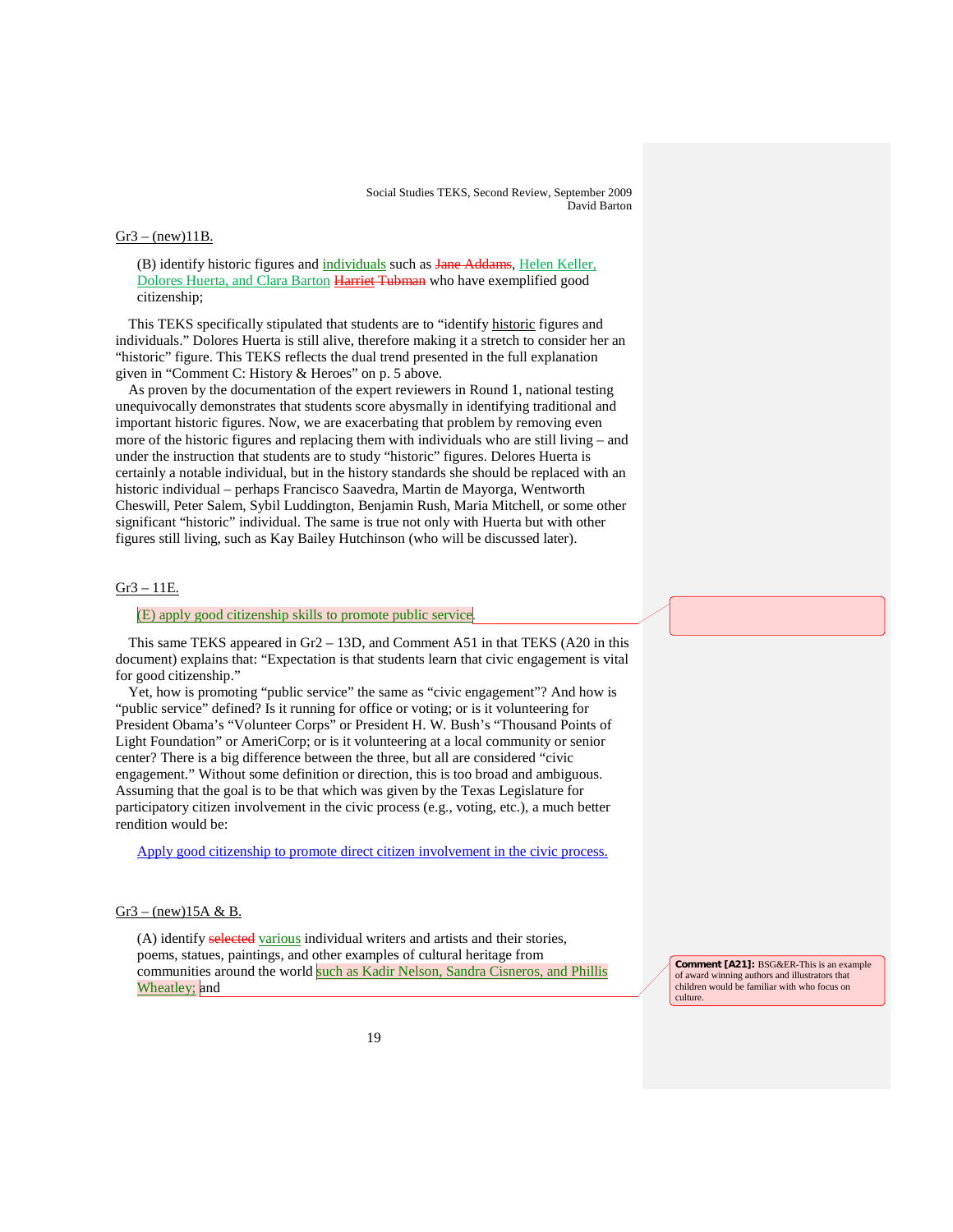#### $Gr3 - (new)11B$ .

(B) identify historic figures and individuals such as Jane Addams, Helen Keller, Dolores Huerta, and Clara Barton Harriet Tubman who have exemplified good citizenship;

This TEKS specifically stipulated that students are to "identify historic figures and individuals." Dolores Huerta is still alive, therefore making it a stretch to consider her an "historic" figure. This TEKS reflects the dual trend presented in the full explanation given in "Comment C: History & Heroes" on p. 5 above.

As proven by the documentation of the expert reviewers in Round 1, national testing unequivocally demonstrates that students score abysmally in identifying traditional and important historic figures. Now, we are exacerbating that problem by removing even more of the historic figures and replacing them with individuals who are still living – and under the instruction that students are to study "historic" figures. Delores Huerta is certainly a notable individual, but in the history standards she should be replaced with an historic individual – perhaps Francisco Saavedra, Martin de Mayorga, Wentworth Cheswill, Peter Salem, Sybil Luddington, Benjamin Rush, Maria Mitchell, or some other significant "historic" individual. The same is true not only with Huerta but with other figures still living, such as Kay Bailey Hutchinson (who will be discussed later).

# Gr3 – 11E.

#### (E) apply good citizenship skills to promote public service .

This same TEKS appeared in Gr2 – 13D, and Comment A51 in that TEKS (A20 in this document) explains that: "Expectation is that students learn that civic engagement is vital for good citizenship."

Yet, how is promoting "public service" the same as "civic engagement"? And how is "public service" defined? Is it running for office or voting; or is it volunteering for President Obama's "Volunteer Corps" or President H. W. Bush's "Thousand Points of Light Foundation" or AmeriCorp; or is it volunteering at a local community or senior center? There is a big difference between the three, but all are considered "civic engagement." Without some definition or direction, this is too broad and ambiguous. Assuming that the goal is to be that which was given by the Texas Legislature for participatory citizen involvement in the civic process (e.g., voting, etc.), a much better rendition would be:

Apply good citizenship to promote direct citizen involvement in the civic process.

### $Gr3 - (new)15A \& B.$

(A) identify selected various individual writers and artists and their stories, poems, statues, paintings, and other examples of cultural heritage from communities around the world such as Kadir Nelson, Sandra Cisneros, and Phillis Wheatley; and

**Comment [A21]:** BSG&ER-This is an example of award winning authors and illustrators that children would be familiar with who focus on culture.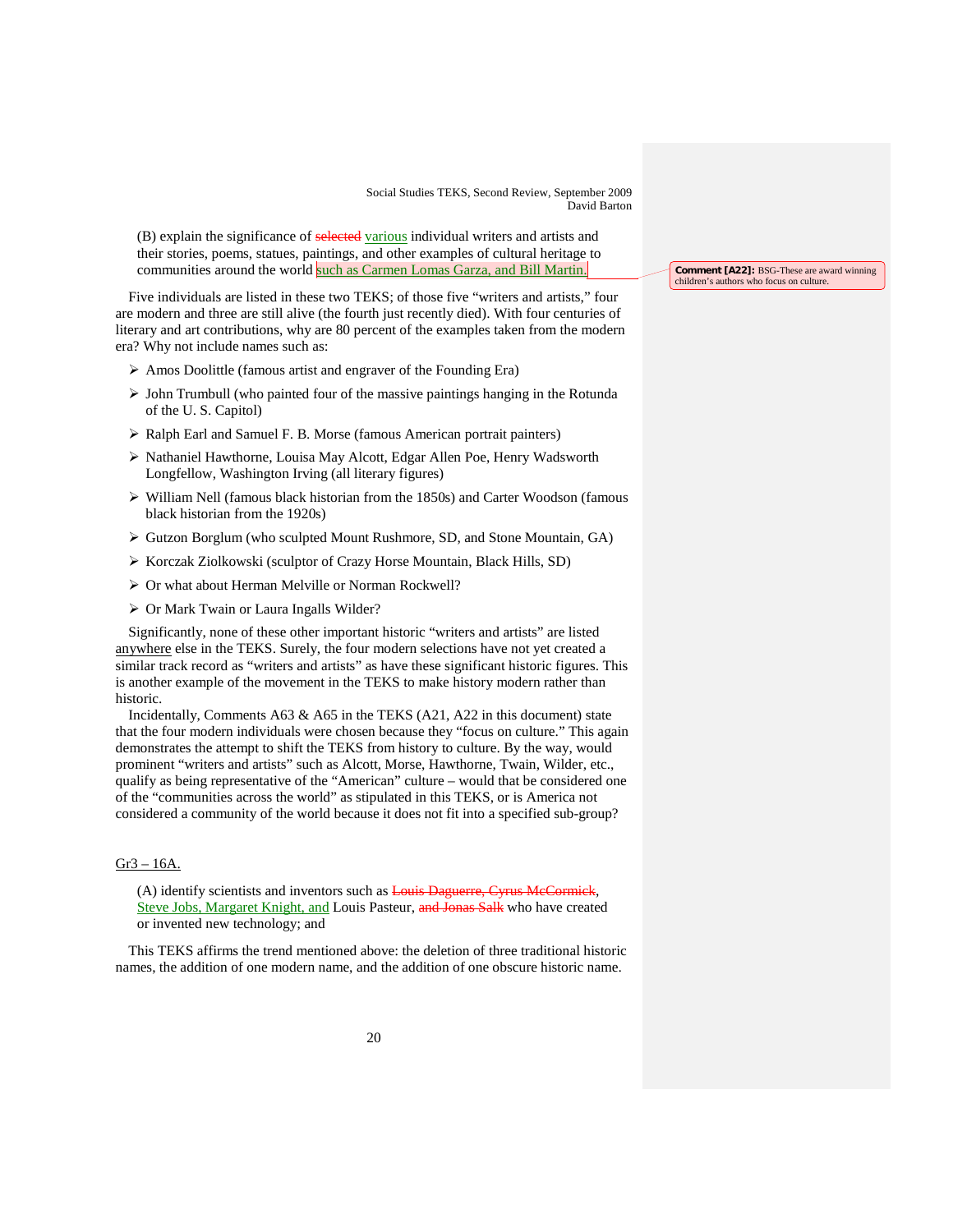(B) explain the significance of selected various individual writers and artists and their stories, poems, statues, paintings, and other examples of cultural heritage to communities around the world <mark>such as Carmen Lomas Garza, and Bill Martin.</mark>

Five individuals are listed in these two TEKS; of those five "writers and artists," four are modern and three are still alive (the fourth just recently died). With four centuries of literary and art contributions, why are 80 percent of the examples taken from the modern era? Why not include names such as:

- $\triangleright$  Amos Doolittle (famous artist and engraver of the Founding Era)
- $\triangleright$  John Trumbull (who painted four of the massive paintings hanging in the Rotunda of the U. S. Capitol)
- Ralph Earl and Samuel F. B. Morse (famous American portrait painters)
- Nathaniel Hawthorne, Louisa May Alcott, Edgar Allen Poe, Henry Wadsworth Longfellow, Washington Irving (all literary figures)
- William Nell (famous black historian from the 1850s) and Carter Woodson (famous black historian from the 1920s)
- Gutzon Borglum (who sculpted Mount Rushmore, SD, and Stone Mountain, GA)
- Korczak Ziolkowski (sculptor of Crazy Horse Mountain, Black Hills, SD)
- $\triangleright$  Or what about Herman Melville or Norman Rockwell?
- Or Mark Twain or Laura Ingalls Wilder?

Significantly, none of these other important historic "writers and artists" are listed anywhere else in the TEKS. Surely, the four modern selections have not yet created a similar track record as "writers and artists" as have these significant historic figures. This is another example of the movement in the TEKS to make history modern rather than historic.

Incidentally, Comments A63 & A65 in the TEKS (A21, A22 in this document) state that the four modern individuals were chosen because they "focus on culture." This again demonstrates the attempt to shift the TEKS from history to culture. By the way, would prominent "writers and artists" such as Alcott, Morse, Hawthorne, Twain, Wilder, etc., qualify as being representative of the "American" culture – would that be considered one of the "communities across the world" as stipulated in this TEKS, or is America not considered a community of the world because it does not fit into a specified sub-group?

# Gr3 – 16A.

(A) identify scientists and inventors such as Louis Daguerre, Cyrus McCormick, Steve Jobs, Margaret Knight, and Louis Pasteur, and Jonas Salk who have created or invented new technology; and

This TEKS affirms the trend mentioned above: the deletion of three traditional historic names, the addition of one modern name, and the addition of one obscure historic name.

**Comment [A22]:** BSG-These are award winning children's authors who focus on culture.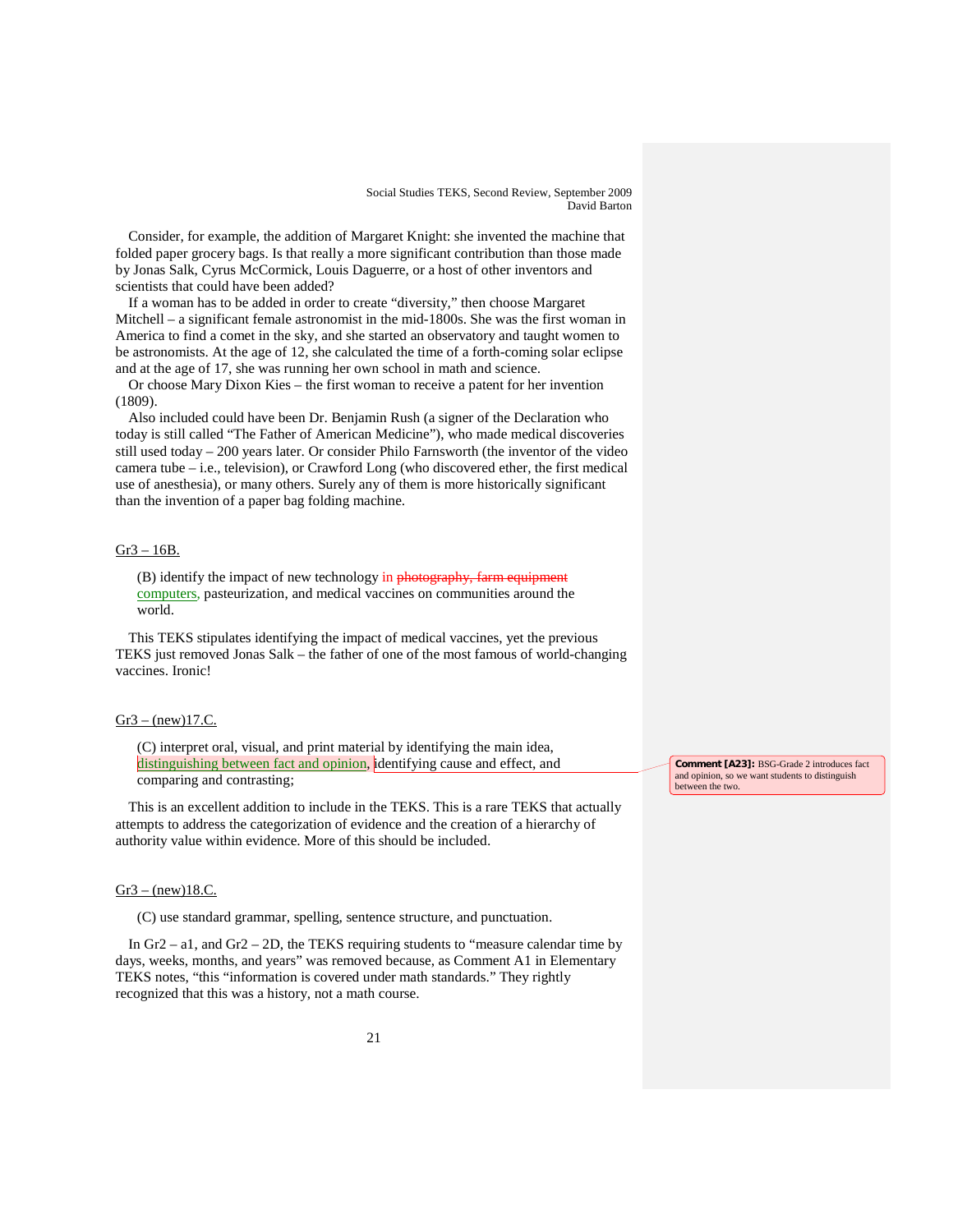Consider, for example, the addition of Margaret Knight: she invented the machine that folded paper grocery bags. Is that really a more significant contribution than those made by Jonas Salk, Cyrus McCormick, Louis Daguerre, or a host of other inventors and scientists that could have been added?

If a woman has to be added in order to create "diversity," then choose Margaret Mitchell – a significant female astronomist in the mid-1800s. She was the first woman in America to find a comet in the sky, and she started an observatory and taught women to be astronomists. At the age of 12, she calculated the time of a forth-coming solar eclipse and at the age of 17, she was running her own school in math and science.

Or choose Mary Dixon Kies – the first woman to receive a patent for her invention (1809).

Also included could have been Dr. Benjamin Rush (a signer of the Declaration who today is still called "The Father of American Medicine"), who made medical discoveries still used today – 200 years later. Or consider Philo Farnsworth (the inventor of the video camera tube – i.e., television), or Crawford Long (who discovered ether, the first medical use of anesthesia), or many others. Surely any of them is more historically significant than the invention of a paper bag folding machine.

# Gr3 – 16B.

(B) identify the impact of new technology in photography, farm equipment computers , pasteurization, and medical vaccines on communities around the world.

This TEKS stipulates identifying the impact of medical vaccines, yet the previous TEKS just removed Jonas Salk – the father of one of the most famous of world-changing vaccines. Ironic!

### $Gr3 - (new)17.C.$

(C) interpret oral, visual, and print material by identifying the main idea, distinguishing between fact and opinion, identifying cause and effect, and comparing and contrasting;

This is an excellent addition to include in the TEKS. This is a rare TEKS that actually attempts to address the categorization of evidence and the creation of a hierarchy of authority value within evidence. More of this should be included.

#### $Gr3 - (new)18.C.$

(C) use standard grammar, spelling, sentence structure, and punctuation.

In Gr2 – a1, and Gr2 – 2D, the TEKS requiring students to "measure calendar time by days, weeks, months, and years" was removed because, as Comment A1 in Elementary TEKS notes, "this "information is covered under math standards." They rightly recognized that this was a history, not a math course.

**Comment [A23]:** BSG-Grade 2 introduces fact and opinion, so we want students to distinguish between the two.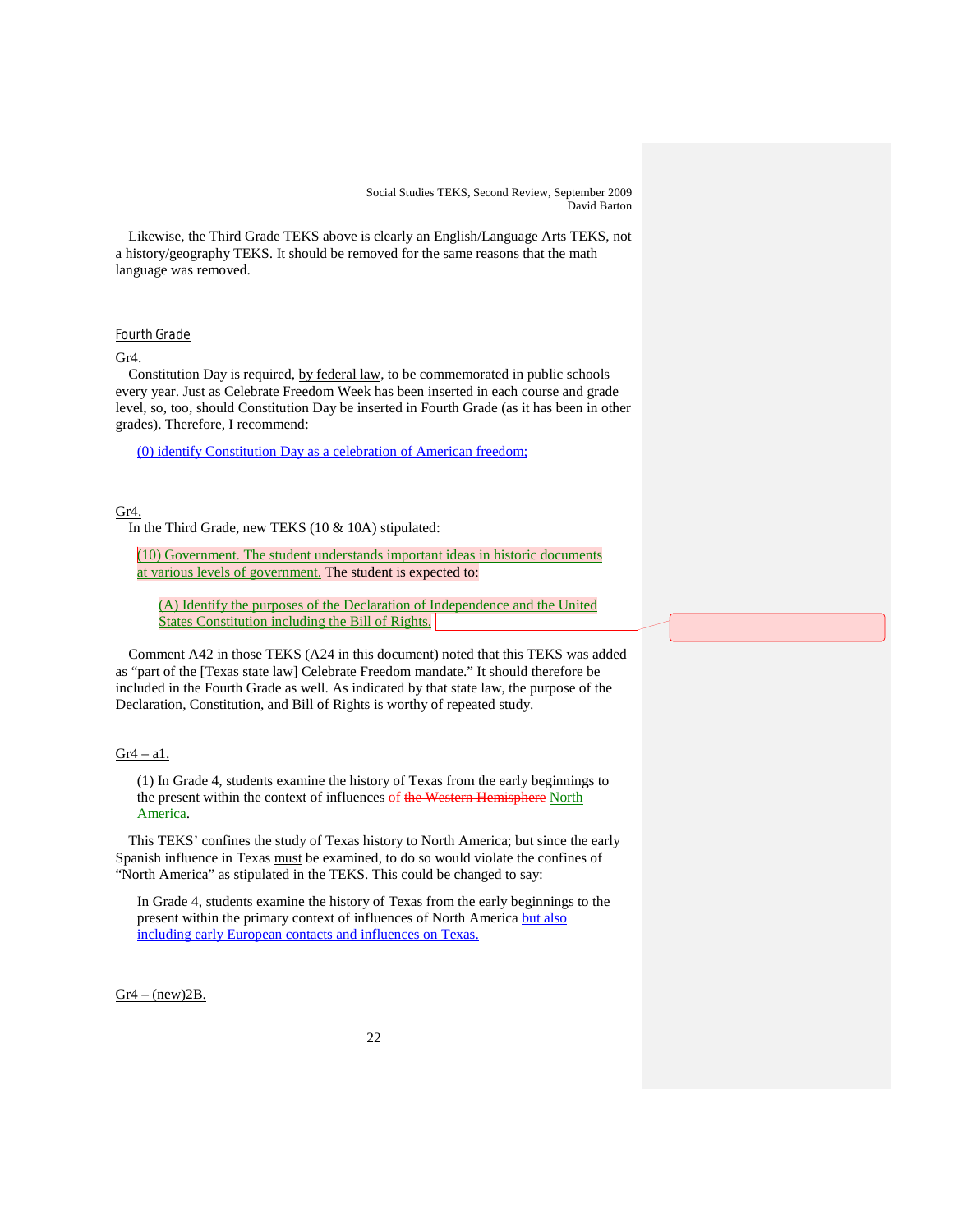Likewise, the Third Grade TEKS above is clearly an English/Language Arts TEKS, not a history/geography TEKS. It should be removed for the same reasons that the math language was removed.

# Fourth Grade

# $Gr4.$

Constitution Day is required, by federal law, to be commemorated in public schools every year. Just as Celebrate Freedom Week has been inserted in each course and grade level, so, too, should Constitution Day be inserted in Fourth Grade (as it has been in other grades). Therefore, I recommend:

(0) identify Constitution Day as a celebration of American freedom;

# Gr4.

In the Third Grade, new TEKS (10 & 10A) stipulated:

(10) Government. The student understands important ideas in historic documents at various levels of government. The student is expected to:

(A) Identify the purposes of the Declaration of Independence and the United States Constitution including the Bill of Rights.

Comment A42 in those TEKS (A24 in this document) noted that this TEKS was added as "part of the [Texas state law] Celebrate Freedom mandate." It should therefore be included in the Fourth Grade as well. As indicated by that state law, the purpose of the Declaration, Constitution, and Bill of Rights is worthy of repeated study.

### $Gr4 - a1$ .

(1) In Grade 4, students examine the history of Texas from the early beginnings to the present within the context of influences of the Western Hemisphere North America.

This TEKS' confines the study of Texas history to North America; but since the early Spanish influence in Texas must be examined, to do so would violate the confines of "North America" as stipulated in the TEKS. This could be changed to say:

In Grade 4, students examine the history of Texas from the early beginnings to the present within the primary context of influences of North America but also including early European contacts and influences on Texas.

 $Gr4 - (new)2B$ .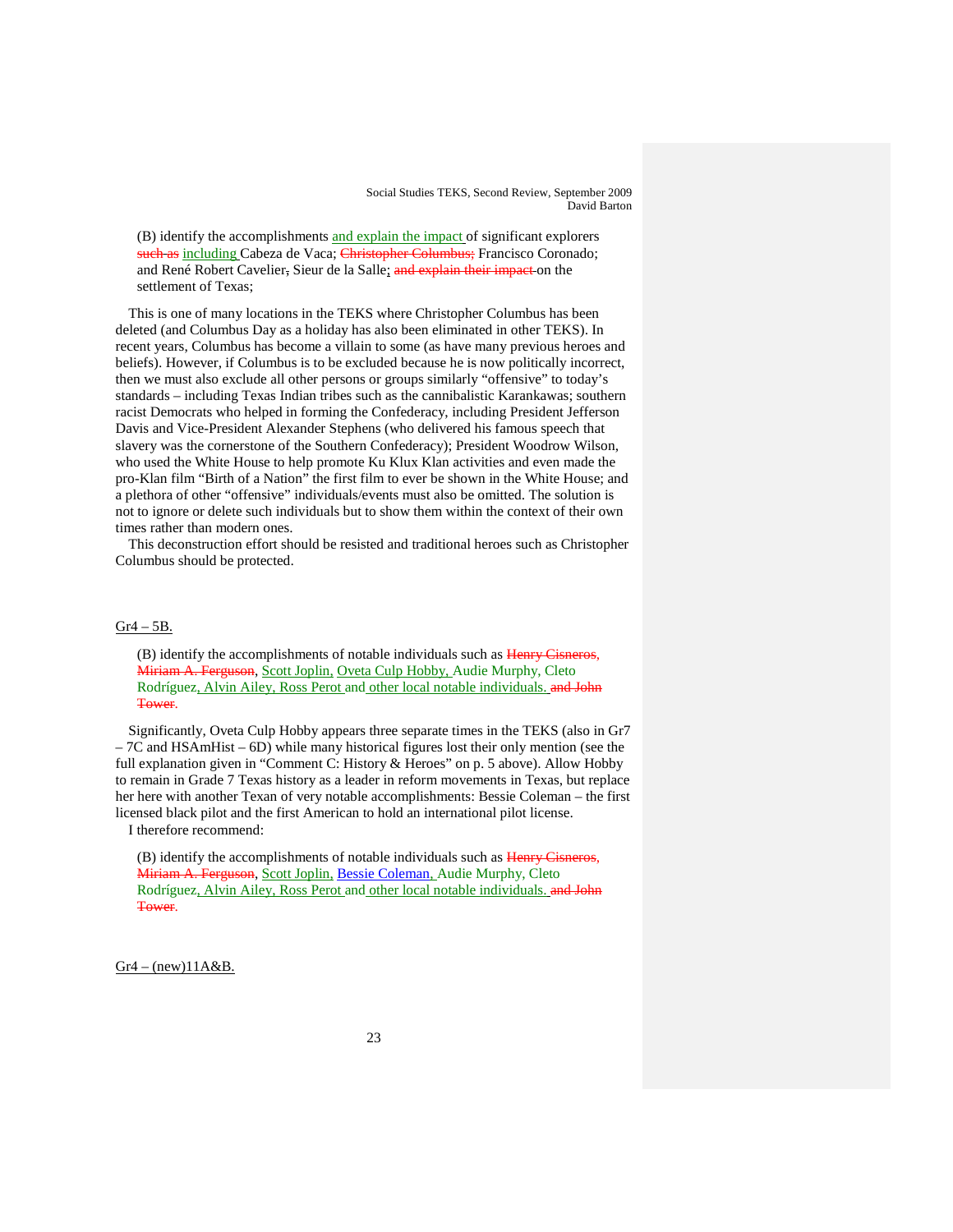(B) identify the accomplishments and explain the impact of significant explorers such as including Cabeza de Vaca; Christopher Columbus; Francisco Coronado; and René Robert Cavelier, Sieur de la Salle; and explain their impact on the settlement of Texas;

This is one of many locations in the TEKS where Christopher Columbus has been deleted (and Columbus Day as a holiday has also been eliminated in other TEKS). In recent years, Columbus has become a villain to some (as have many previous heroes and beliefs). However, if Columbus is to be excluded because he is now politically incorrect, then we must also exclude all other persons or groups similarly "offensive" to today's standards – including Texas Indian tribes such as the cannibalistic Karankawas; southern racist Democrats who helped in forming the Confederacy, including President Jefferson Davis and Vice-President Alexander Stephens (who delivered his famous speech that slavery was the cornerstone of the Southern Confederacy); President Woodrow Wilson, who used the White House to help promote Ku Klux Klan activities and even made the pro-Klan film "Birth of a Nation" the first film to ever be shown in the White House; and a plethora of other "offensive" individuals/events must also be omitted. The solution is not to ignore or delete such individuals but to show them within the context of their own times rather than modern ones.

This deconstruction effort should be resisted and traditional heroes such as Christopher Columbus should be protected.

### Gr4 – 5B.

(B) identify the accomplishments of notable individuals such as Henry Cisneros, Miriam A. Ferguson, Scott Joplin, Oveta Culp Hobby, Audie Murphy, Cleto Rodríguez, Alvin Ailey, Ross Perot and other local notable individuals, and John **Tower** 

Significantly, Oveta Culp Hobby appears three separate times in the TEKS (also in Gr7 – 7C and HSAmHist – 6D) while many historical figures lost their only mention (see the full explanation given in "Comment C: History & Heroes" on p. 5 above). Allow Hobby to remain in Grade 7 Texas history as a leader in reform movements in Texas, but replace her here with another Texan of very notable accomplishments: Bessie Coleman – the first licensed black pilot and the first American to hold an international pilot license.

I therefore recommend:

(B) identify the accomplishments of notable individuals such as Henry Cisneros, Miriam A. Ferguson, Scott Joplin, Bessie Coleman, Audie Murphy, Cleto Rodríguez, Alvin Ailey, Ross Perot and other local notable individuals. and John Tower.

 $Gr4 - (new)11A&B$ .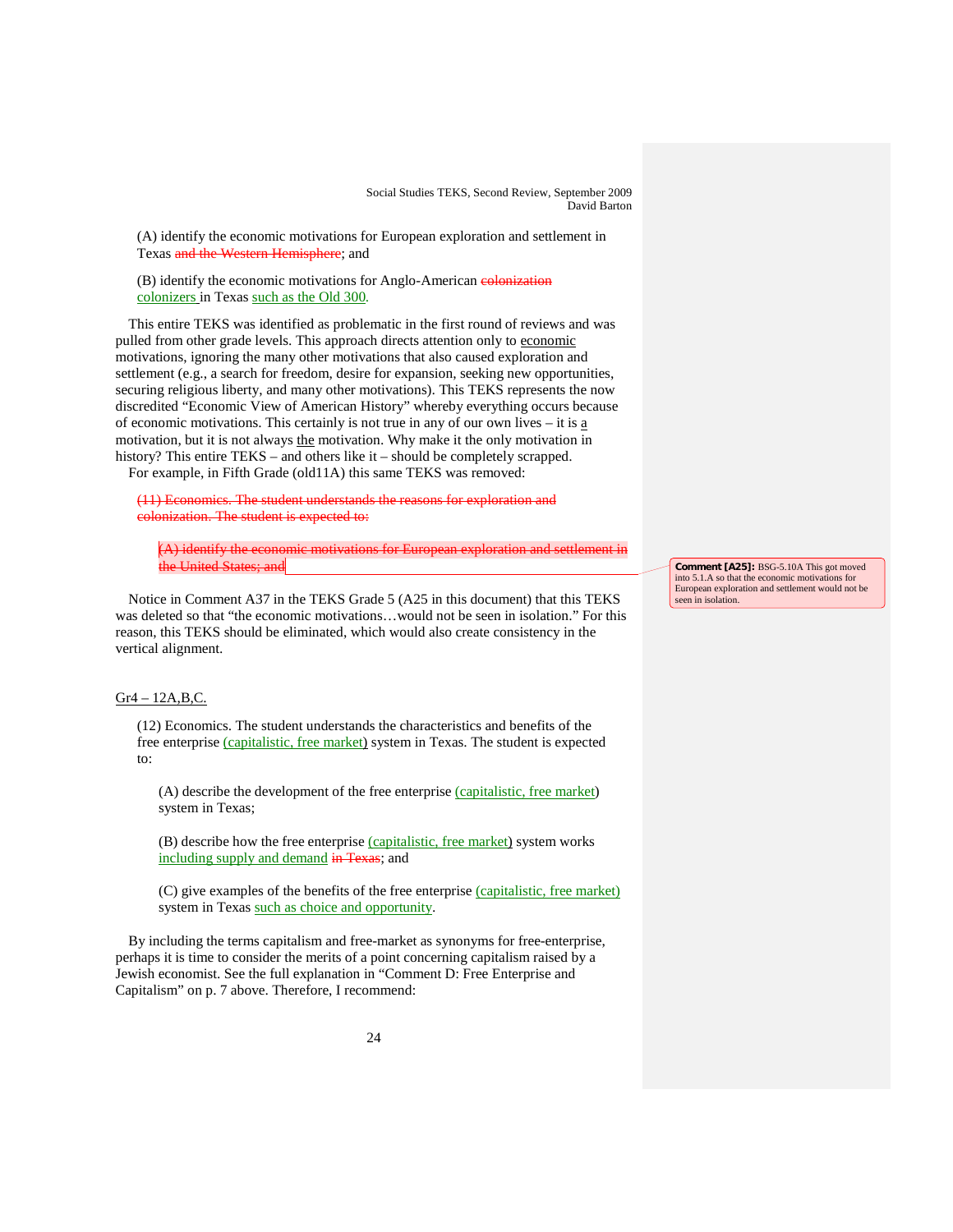(A) identify the economic motivations for European exploration and settlement in Texas and the Western Hemisphere; and

(B) identify the economic motivations for Anglo-American colonization colonizers in Texas such as the Old 300.

This entire TEKS was identified as problematic in the first round of reviews and was pulled from other grade levels. This approach directs attention only to economic motivations, ignoring the many other motivations that also caused exploration and settlement (e.g., a search for freedom, desire for expansion, seeking new opportunities, securing religious liberty, and many other motivations). This TEKS represents the now discredited "Economic View of American History" whereby everything occurs because of economic motivations. This certainly is not true in any of our own lives – it is a motivation, but it is not always the motivation. Why make it the only motivation in history? This entire TEKS – and others like it – should be completely scrapped. For example, in Fifth Grade (old11A) this same TEKS was removed:

(11) Economics. The student understands the reasons for exploration and colonization. The student is expected to:

(A) identify the economic motivations for European exploration and settlement in the United States; and

Notice in Comment A37 in the TEKS Grade 5 (A25 in this document) that this TEKS was deleted so that "the economic motivations…would not be seen in isolation." For this reason, this TEKS should be eliminated, which would also create consistency in the vertical alignment.

# Gr4 – 12A,B,C.

(12) Economics. The student understands the characteristics and benefits of the free enterprise (capitalistic, free market) system in Texas. The student is expected to:

(A) describe the development of the free enterprise (capitalistic, free market) system in Texas;

(B) describe how the free enterprise (capitalistic, free market) system works including supply and demand in Texas; and

(C) give examples of the benefits of the free enterprise (capitalistic, free market) system in Texas such as choice and opportunity.

By including the terms capitalism and free-market as synonyms for free-enterprise, perhaps it is time to consider the merits of a point concerning capitalism raised by a Jewish economist. See the full explanation in "Comment D: Free Enterprise and Capitalism" on p. 7 above. Therefore, I recommend:

**Comment [A25]:** BSG-5.10A This got moved into 5.1.A so that the economic motivations for European exploration and settlement would not be seen in isolation.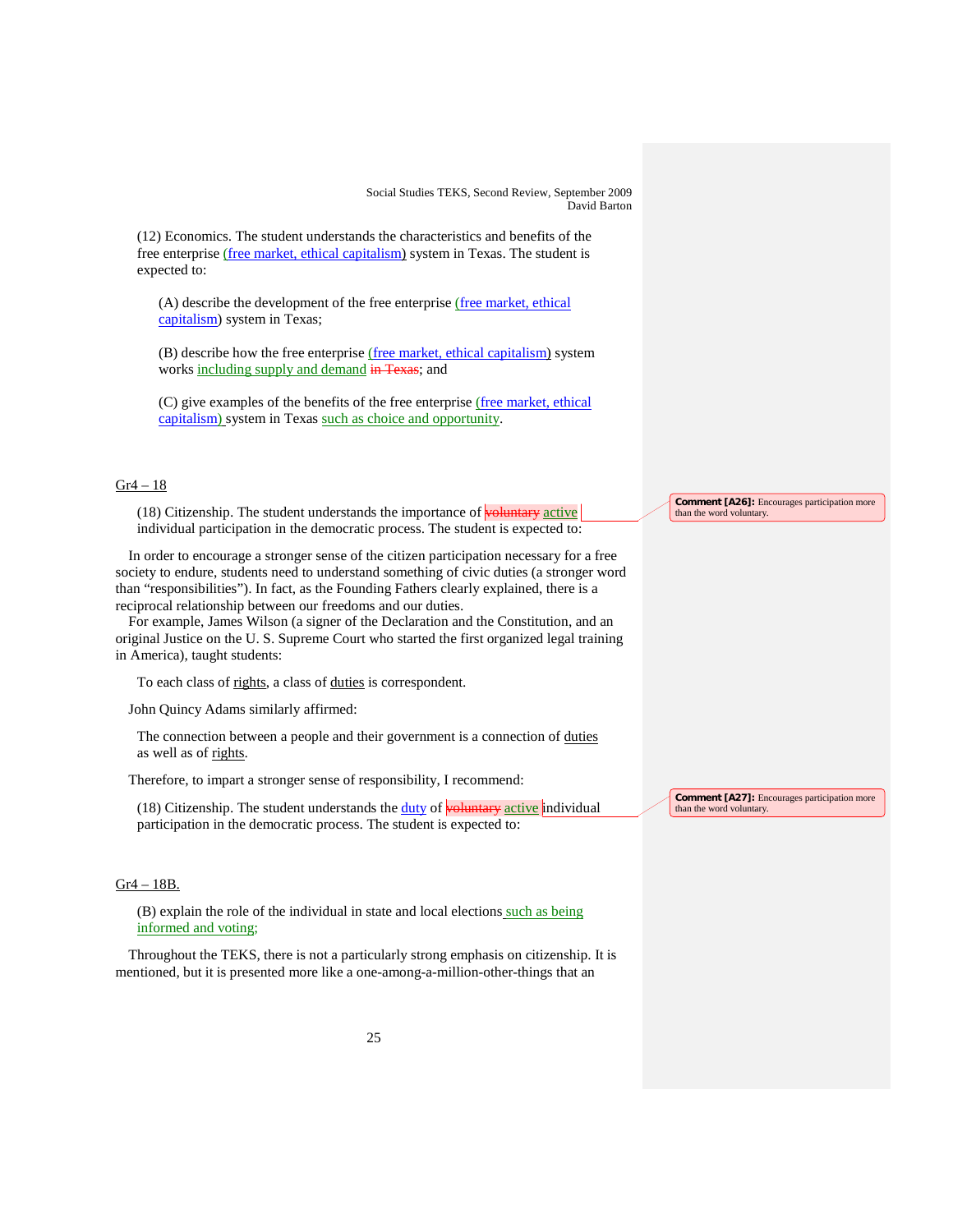(12) Economics. The student understands the characteristics and benefits of the free enterprise (free market, ethical capitalism) system in Texas. The student is expected to:

(A) describe the development of the free enterprise (free market, ethical capitalism) system in Texas;

(B) describe how the free enterprise (free market, ethical capitalism) system works including supply and demand in Texas; and

(C) give examples of the benefits of the free enterprise (free market, ethical capitalism) system in Texas such as choice and opportunity.

# Gr4 – 18

(18) Citizenship. The student understands the importance of **voluntary** active individual participation in the democratic process. The student is expected to:

In order to encourage a stronger sense of the citizen participation necessary for a free society to endure, students need to understand something of civic duties (a stronger word than "responsibilities"). In fact, as the Founding Fathers clearly explained, there is a reciprocal relationship between our freedoms and our duties.

For example, James Wilson (a signer of the Declaration and the Constitution, and an original Justice on the U. S. Supreme Court who started the first organized legal training in America), taught students:

To each class of rights, a class of duties is correspondent.

John Quincy Adams similarly affirmed:

The connection between a people and their government is a connection of duties as well as of rights.

Therefore, to impart a stronger sense of responsibility, I recommend:

 $(18)$  Citizenship. The student understands the duty of **voluntary** active individual participation in the democratic process. The student is expected to:

# Gr4 – 18B.

(B) explain the role of the individual in state and local elections such as being informed and voting;

Throughout the TEKS, there is not a particularly strong emphasis on citizenship. It is mentioned, but it is presented more like a one-among-a-million-other-things that an

**Comment [A26]:** Encourages participation more than the word voluntary.

**Comment [A27]:** Encourages participation more than the word voluntary.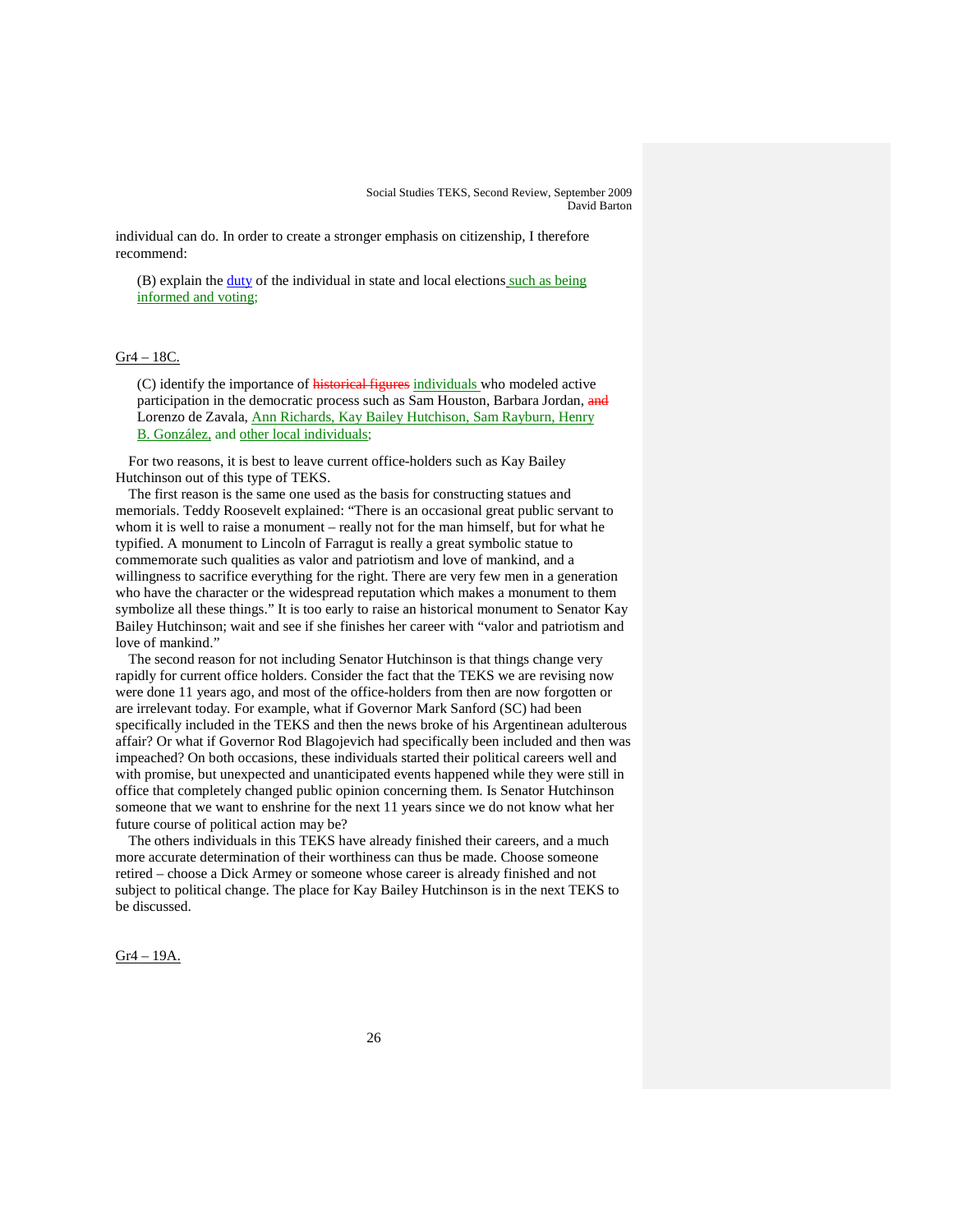individual can do. In order to create a stronger emphasis on citizenship, I therefore recommend:

(B) explain the duty of the individual in state and local elections such as being informed and voting;

### Gr4 – 18C.

(C) identify the importance of historical figures individuals who modeled active participation in the democratic process such as Sam Houston, Barbara Jordan, and Lorenzo de Zavala, Ann Richards, Kay Bailey Hutchison, Sam Rayburn, Henry B. González, and other local individuals;

For two reasons, it is best to leave current office-holders such as Kay Bailey Hutchinson out of this type of TEKS.

The first reason is the same one used as the basis for constructing statues and memorials. Teddy Roosevelt explained: "There is an occasional great public servant to whom it is well to raise a monument – really not for the man himself, but for what he typified. A monument to Lincoln of Farragut is really a great symbolic statue to commemorate such qualities as valor and patriotism and love of mankind, and a willingness to sacrifice everything for the right. There are very few men in a generation who have the character or the widespread reputation which makes a monument to them symbolize all these things." It is too early to raise an historical monument to Senator Kay Bailey Hutchinson; wait and see if she finishes her career with "valor and patriotism and love of mankind."

The second reason for not including Senator Hutchinson is that things change very rapidly for current office holders. Consider the fact that the TEKS we are revising now were done 11 years ago, and most of the office-holders from then are now forgotten or are irrelevant today. For example, what if Governor Mark Sanford (SC) had been specifically included in the TEKS and then the news broke of his Argentinean adulterous affair? Or what if Governor Rod Blagojevich had specifically been included and then was impeached? On both occasions, these individuals started their political careers well and with promise, but unexpected and unanticipated events happened while they were still in office that completely changed public opinion concerning them. Is Senator Hutchinson someone that we want to enshrine for the next 11 years since we do not know what her future course of political action may be?

The others individuals in this TEKS have already finished their careers, and a much more accurate determination of their worthiness can thus be made. Choose someone retired – choose a Dick Armey or someone whose career is already finished and not subject to political change. The place for Kay Bailey Hutchinson is in the next TEKS to be discussed.

Gr4 – 19A.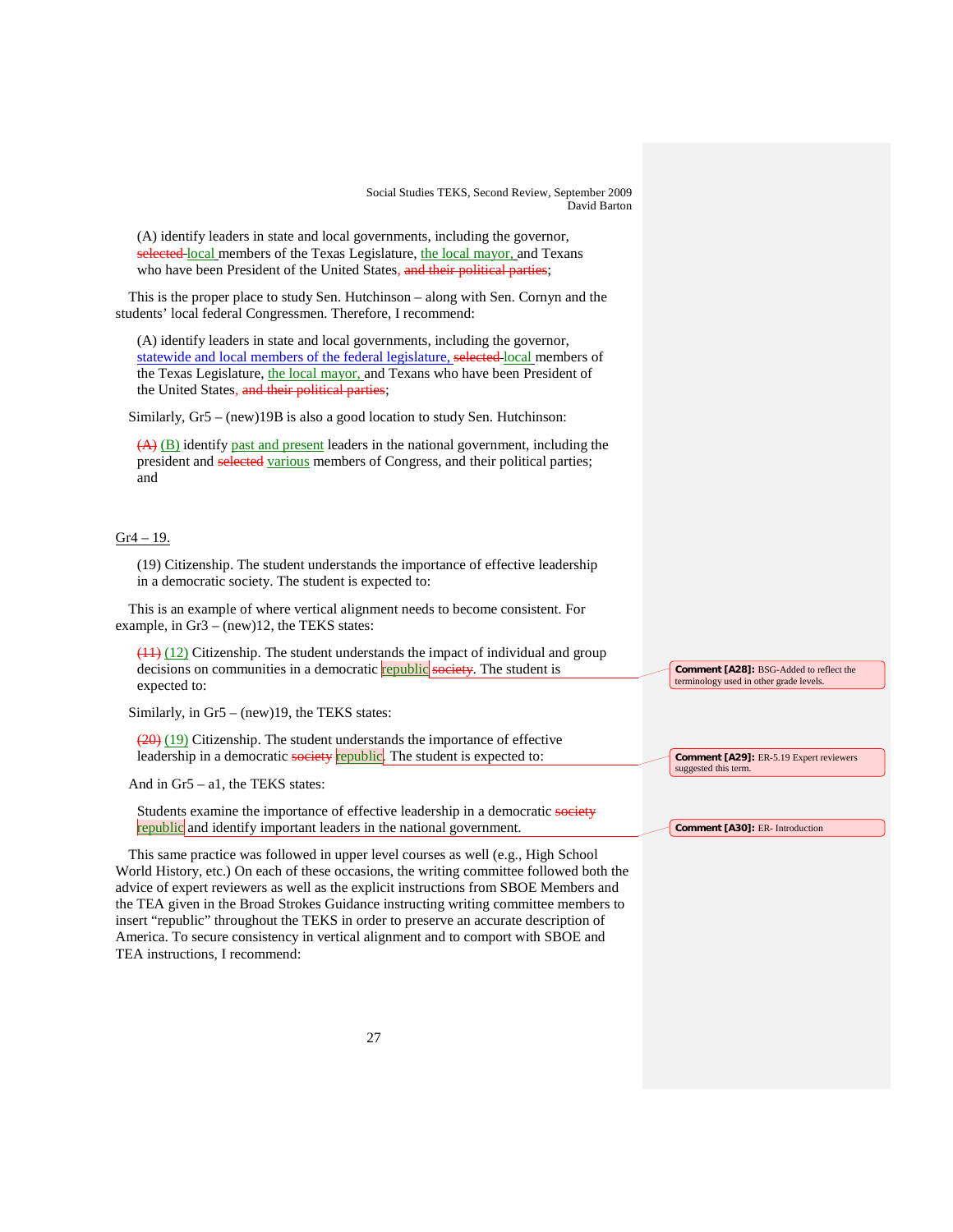(A) identify leaders in state and local governments, including the governor, selected local members of the Texas Legislature, the local mayor, and Texans who have been President of the United States, and their political parties;

This is the proper place to study Sen. Hutchinson – along with Sen. Cornyn and the students' local federal Congressmen. Therefore, I recommend:

(A) identify leaders in state and local governments, including the governor, statewide and local members of the federal legislature, selected local members of the Texas Legislature, the local mayor, and Texans who have been President of the United States, and their political parties;

Similarly, Gr5 – (new)19B is also a good location to study Sen. Hutchinson:

(A) (B) identify past and present leaders in the national government, including the president and selected various members of Congress, and their political parties; and

# Gr4 – 19.

(19) Citizenship. The student understands the importance of effective leadership in a democratic society. The student is expected to:

This is an example of where vertical alignment needs to become consistent. For example, in Gr3 – (new)12, the TEKS states:

 $(11)$  (12) Citizenship. The student understands the impact of individual and group decisions on communities in a democratic **republic** society. The student is expected to:

Similarly, in Gr5 – (new)19, the TEKS states:

 $(20)(19)$  Citizenship. The student understands the importance of effective leadership in a democratic society republic. The student is expected to:

And in Gr5 – a1, the TEKS states:

Students examine the importance of effective leadership in a democratic society republic and identify important leaders in the national government.

This same practice was followed in upper level courses as well (e.g., High School World History, etc.) On each of these occasions, the writing committee followed both the advice of expert reviewers as well as the explicit instructions from SBOE Members and the TEA given in the Broad Strokes Guidance instructing writing committee members to insert "republic" throughout the TEKS in order to preserve an accurate description of America. To secure consistency in vertical alignment and to comport with SBOE and TEA instructions, I recommend:

**Comment [A28]:** BSG-Added to reflect the terminology used in other grade levels.

**Comment [A29]:** ER-5.19 Expert reviewers suggested this term.

**Comment [A30]:** ER- Introduction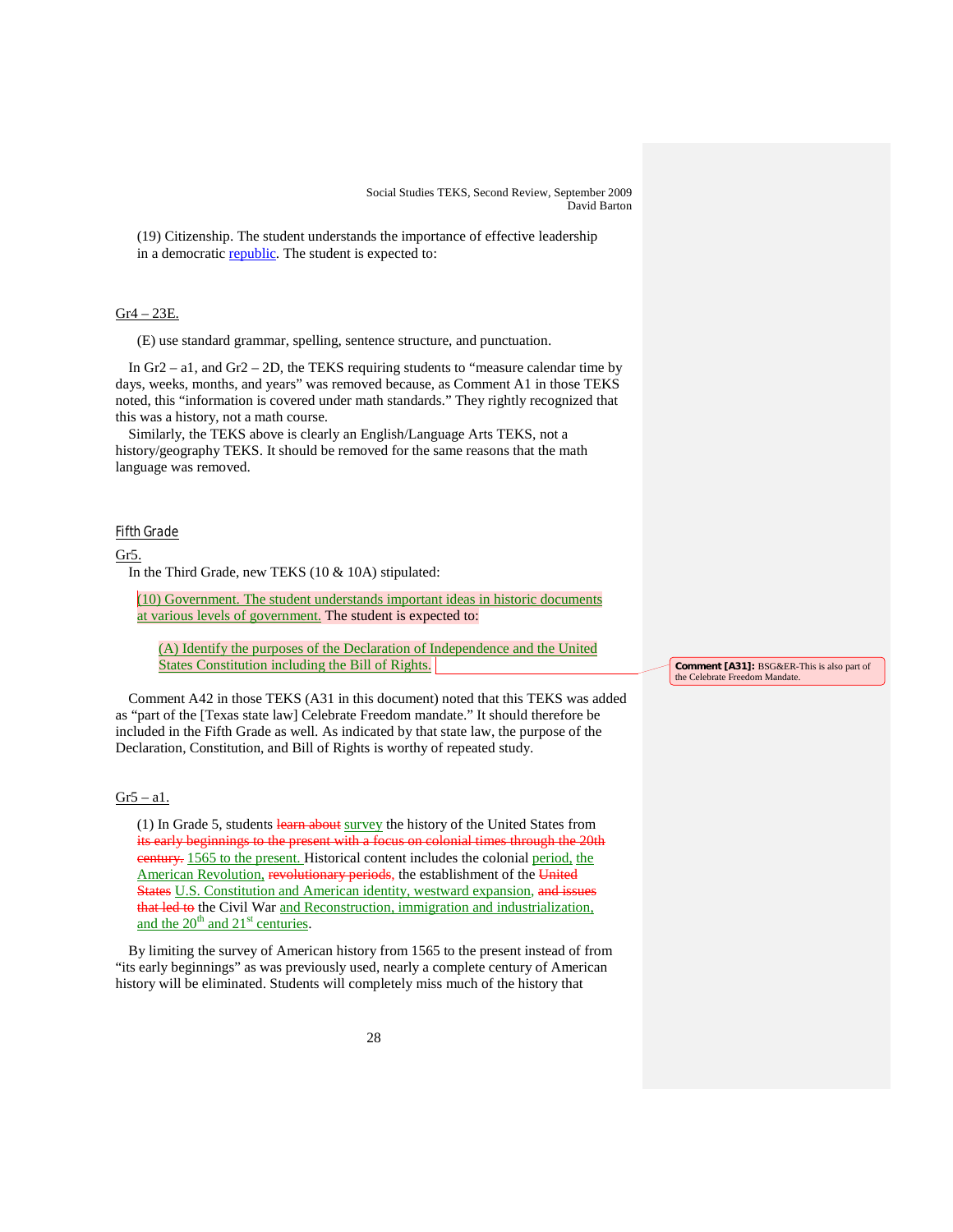(19) Citizenship. The student understands the importance of effective leadership in a democratic republic. The student is expected to:

### Gr4 – 23E.

(E) use standard grammar, spelling, sentence structure, and punctuation.

In Gr2 – a1, and Gr2 – 2D, the TEKS requiring students to "measure calendar time by days, weeks, months, and years" was removed because, as Comment A1 in those TEKS noted, this "information is covered under math standards." They rightly recognized that this was a history, not a math course.

Similarly, the TEKS above is clearly an English/Language Arts TEKS, not a history/geography TEKS. It should be removed for the same reasons that the math language was removed.

### Fifth Grade

### Gr5.

In the Third Grade, new TEKS (10 & 10A) stipulated:

(10) Government. The student understands important ideas in historic documents at various levels of government. The student is expected to:

(A) Identify the purposes of the Declaration of Independence and the United States Constitution including the Bill of Rights.

Comment A42 in those TEKS (A31 in this document) noted that this TEKS was added as "part of the [Texas state law] Celebrate Freedom mandate." It should therefore be included in the Fifth Grade as well. As indicated by that state law, the purpose of the Declaration, Constitution, and Bill of Rights is worthy of repeated study.

# $Gr5 - a1$ .

(1) In Grade 5, students learn about survey the history of the United States from its early beginnings to the present with a focus on colonial times through the 20th century. 1565 to the present. Historical content includes the colonial period, the American Revolution, revolutionary periods, the establishment of the United States U.S. Constitution and American identity, westward expansion, and issues that led to the Civil War and Reconstruction, immigration and industrialization, and the  $20^{th}$  and  $21^{st}$  centuries.

By limiting the survey of American history from 1565 to the present instead of from "its early beginnings" as was previously used, nearly a complete century of American history will be eliminated. Students will completely miss much of the history that

**Comment [A31]:** BSG&ER-This is also part of the Celebrate Freedom Mandate.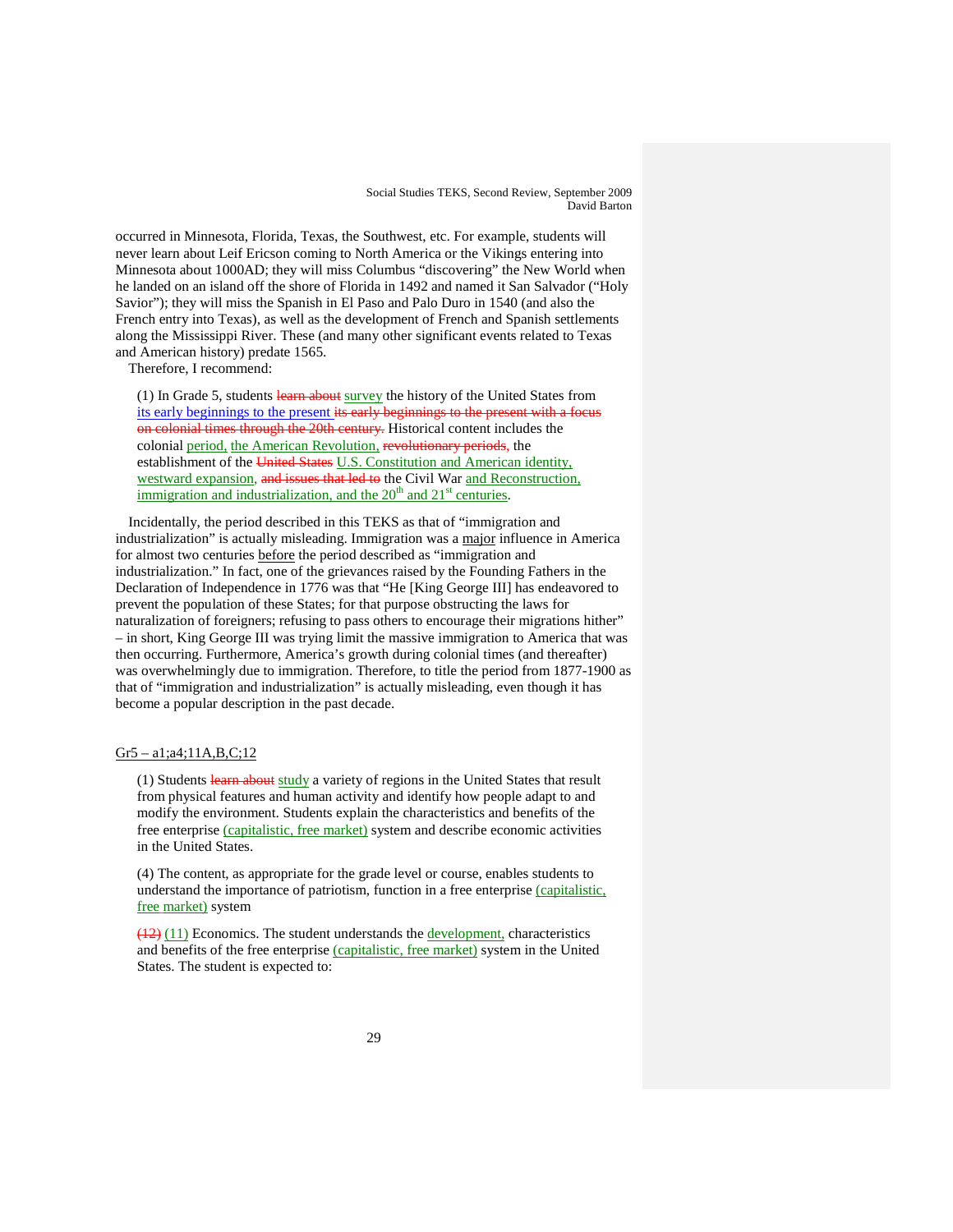occurred in Minnesota, Florida, Texas, the Southwest, etc. For example, students will never learn about Leif Ericson coming to North America or the Vikings entering into Minnesota about 1000AD; they will miss Columbus "discovering" the New World when he landed on an island off the shore of Florida in 1492 and named it San Salvador ("Holy Savior"); they will miss the Spanish in El Paso and Palo Duro in 1540 (and also the French entry into Texas), as well as the development of French and Spanish settlements along the Mississippi River. These (and many other significant events related to Texas and American history) predate 1565.

Therefore, I recommend:

(1) In Grade 5, students learn about survey the history of the United States from its early beginnings to the present its early beginnings to the present with a on colonial times through the 20th century. Historical content includes the colonial period, the American Revolution, revolutionary periods, the establishment of the United States U.S. Constitution and American identity, westward expansion, and issues that led to the Civil War and Reconstruction, immigration and industrialization, and the  $20<sup>th</sup>$  and  $21<sup>st</sup>$  centuries.

Incidentally, the period described in this TEKS as that of "immigration and industrialization" is actually misleading. Immigration was a major influence in America for almost two centuries before the period described as "immigration and industrialization." In fact, one of the grievances raised by the Founding Fathers in the Declaration of Independence in 1776 was that "He [King George III] has endeavored to prevent the population of these States; for that purpose obstructing the laws for naturalization of foreigners; refusing to pass others to encourage their migrations hither" – in short, King George III was trying limit the massive immigration to America that was then occurring. Furthermore, America's growth during colonial times (and thereafter) was overwhelmingly due to immigration. Therefore, to title the period from 1877-1900 as that of "immigration and industrialization" is actually misleading, even though it has become a popular description in the past decade.

# Gr5 – a1;a4;11A,B,C;12

(1) Students learn about study a variety of regions in the United States that result from physical features and human activity and identify how people adapt to and modify the environment. Students explain the characteristics and benefits of the free enterprise (capitalistic, free market) system and describe economic activities in the United States.

(4) The content, as appropriate for the grade level or course, enables students to understand the importance of patriotism, function in a free enterprise (capitalistic, free market) system

(12) (11) Economics. The student understands the development, characteristics and benefits of the free enterprise (capitalistic, free market) system in the United States. The student is expected to: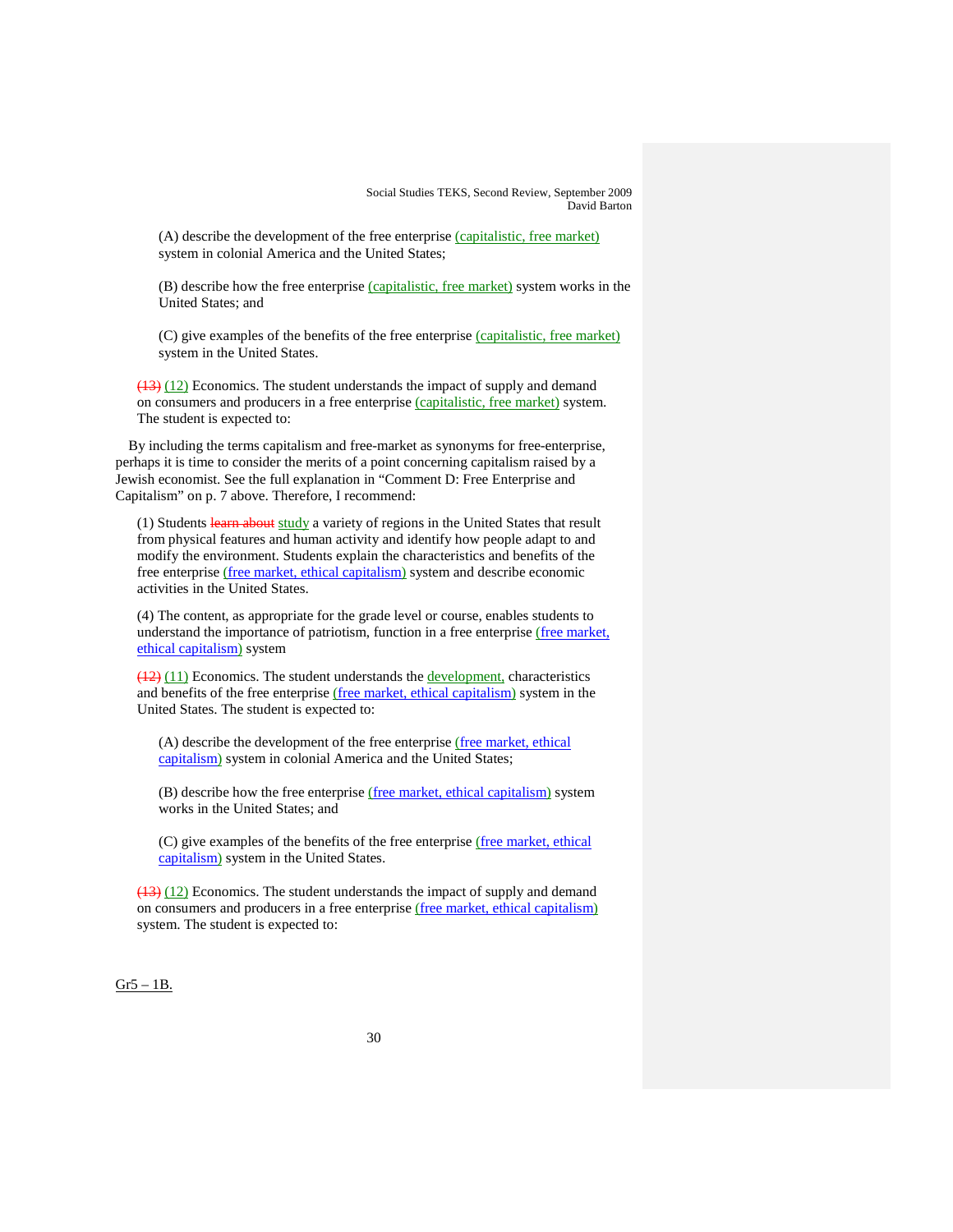(A) describe the development of the free enterprise (capitalistic, free market) system in colonial America and the United States;

(B) describe how the free enterprise (capitalistic, free market) system works in the United States; and

(C) give examples of the benefits of the free enterprise (capitalistic, free market) system in the United States.

 $(13)$  (12) Economics. The student understands the impact of supply and demand on consumers and producers in a free enterprise (capitalistic, free market) system. The student is expected to:

By including the terms capitalism and free-market as synonyms for free-enterprise, perhaps it is time to consider the merits of a point concerning capitalism raised by a Jewish economist. See the full explanation in "Comment D: Free Enterprise and Capitalism" on p. 7 above. Therefore, I recommend:

(1) Students learn about study a variety of regions in the United States that result from physical features and human activity and identify how people adapt to and modify the environment. Students explain the characteristics and benefits of the free enterprise (free market, ethical capitalism) system and describe economic activities in the United States.

(4) The content, as appropriate for the grade level or course, enables students to understand the importance of patriotism, function in a free enterprise (free market, ethical capitalism) system

 $(12)$   $(11)$  Economics. The student understands the **development**, characteristics and benefits of the free enterprise (free market, ethical capitalism) system in the United States. The student is expected to:

(A) describe the development of the free enterprise (free market, ethical capitalism) system in colonial America and the United States;

(B) describe how the free enterprise (free market, ethical capitalism) system works in the United States; and

(C) give examples of the benefits of the free enterprise (free market, ethical capitalism) system in the United States.

 $(13)$  (12) Economics. The student understands the impact of supply and demand on consumers and producers in a free enterprise (free market, ethical capitalism) system. The student is expected to:

Gr5 – 1B.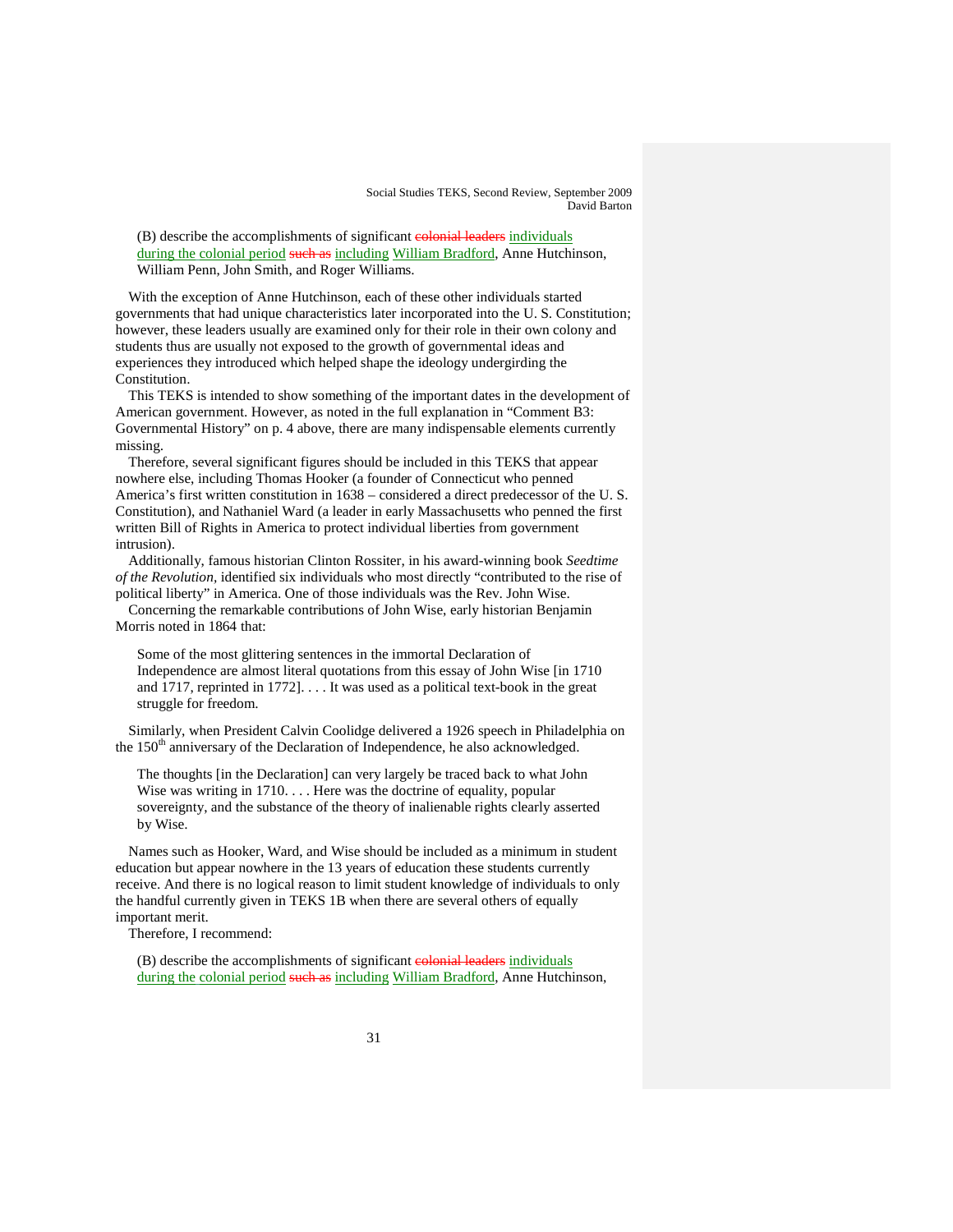(B) describe the accomplishments of significant **colonial leaders** individuals during the colonial period such as including William Bradford, Anne Hutchinson, William Penn, John Smith, and Roger Williams.

With the exception of Anne Hutchinson, each of these other individuals started governments that had unique characteristics later incorporated into the U. S. Constitution; however, these leaders usually are examined only for their role in their own colony and students thus are usually not exposed to the growth of governmental ideas and experiences they introduced which helped shape the ideology undergirding the Constitution.

This TEKS is intended to show something of the important dates in the development of American government. However, as noted in the full explanation in "Comment B3: Governmental History" on p. 4 above, there are many indispensable elements currently missing.

Therefore, several significant figures should be included in this TEKS that appear nowhere else, including Thomas Hooker (a founder of Connecticut who penned America's first written constitution in 1638 – considered a direct predecessor of the U. S. Constitution), and Nathaniel Ward (a leader in early Massachusetts who penned the first written Bill of Rights in America to protect individual liberties from government intrusion).

Additionally, famous historian Clinton Rossiter, in his award-winning book *Seedtime of the Revolution,* identified six individuals who most directly "contributed to the rise of political liberty" in America. One of those individuals was the Rev. John Wise.

Concerning the remarkable contributions of John Wise, early historian Benjamin Morris noted in 1864 that:

Some of the most glittering sentences in the immortal Declaration of Independence are almost literal quotations from this essay of John Wise [in 1710 and 1717, reprinted in 1772]. . . . It was used as a political text-book in the great struggle for freedom.

Similarly, when President Calvin Coolidge delivered a 1926 speech in Philadelphia on the  $150<sup>th</sup>$  anniversary of the Declaration of Independence, he also acknowledged.

The thoughts [in the Declaration] can very largely be traced back to what John Wise was writing in  $1710...$  Here was the doctrine of equality, popular sovereignty, and the substance of the theory of inalienable rights clearly asserted by Wise.

Names such as Hooker, Ward, and Wise should be included as a minimum in student education but appear nowhere in the 13 years of education these students currently receive. And there is no logical reason to limit student knowledge of individuals to only the handful currently given in TEKS 1B when there are several others of equally important merit.

Therefore, I recommend:

(B) describe the accomplishments of significant **colonial leaders** individuals during the colonial period such as including William Bradford, Anne Hutchinson,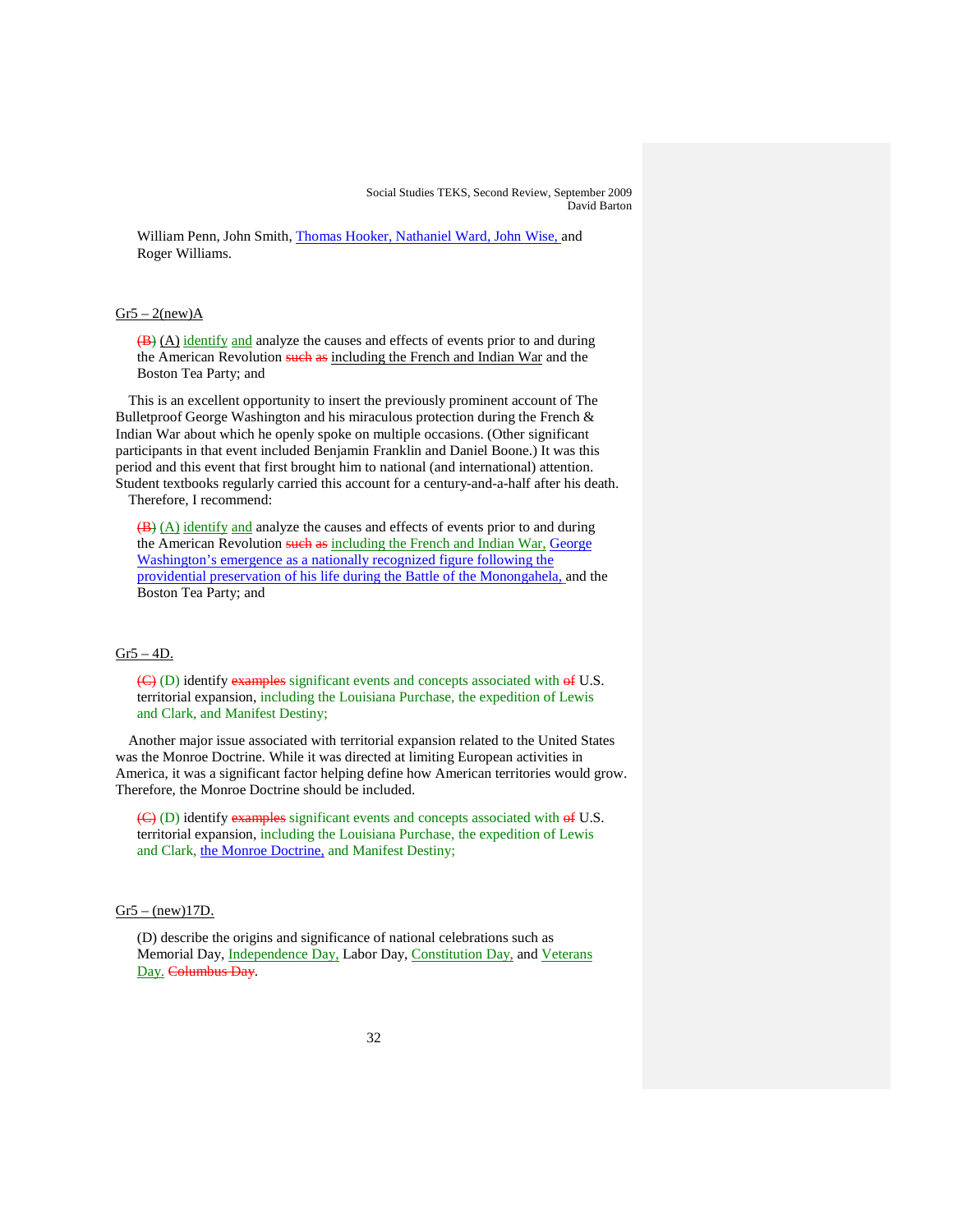William Penn, John Smith, Thomas Hooker, Nathaniel Ward, John Wise, and Roger Williams.

### $Gr5 - 2(new)$ A

(B) (A) identify and analyze the causes and effects of events prior to and during the American Revolution such as including the French and Indian War and the Boston Tea Party; and

This is an excellent opportunity to insert the previously prominent account of The Bulletproof George Washington and his miraculous protection during the French & Indian War about which he openly spoke on multiple occasions. (Other significant participants in that event included Benjamin Franklin and Daniel Boone.) It was this period and this event that first brought him to national (and international) attention. Student textbooks regularly carried this account for a century-and-a-half after his death. Therefore, I recommend:

(B) (A) identify and analyze the causes and effects of events prior to and during the American Revolution such as including the French and Indian War, George Washington's emergence as a nationally recognized figure following the providential preservation of his life during the Battle of the Monongahela, and the Boston Tea Party; and

# $Gr5 - 4D$ .

 $\left(\frac{C}{C}\right)$  (D) identify examples significant events and concepts associated with  $\Theta$  U.S. territorial expansion, including the Louisiana Purchase, the expedition of Lewis and Clark, and Manifest Destiny;

Another major issue associated with territorial expansion related to the United States was the Monroe Doctrine. While it was directed at limiting European activities in America, it was a significant factor helping define how American territories would grow. Therefore, the Monroe Doctrine should be included.

 $\left(\frac{C}{C}\right)$  (D) identify examples significant events and concepts associated with  $\Theta$  U.S. territorial expansion, including the Louisiana Purchase, the expedition of Lewis and Clark, the Monroe Doctrine, and Manifest Destiny;

#### $Gr5 - (new)17D$ .

(D) describe the origins and significance of national celebrations such as Memorial Day, *Independence Day*, Labor Day, *Constitution Day*, and *Veterans* Day. Columbus Day.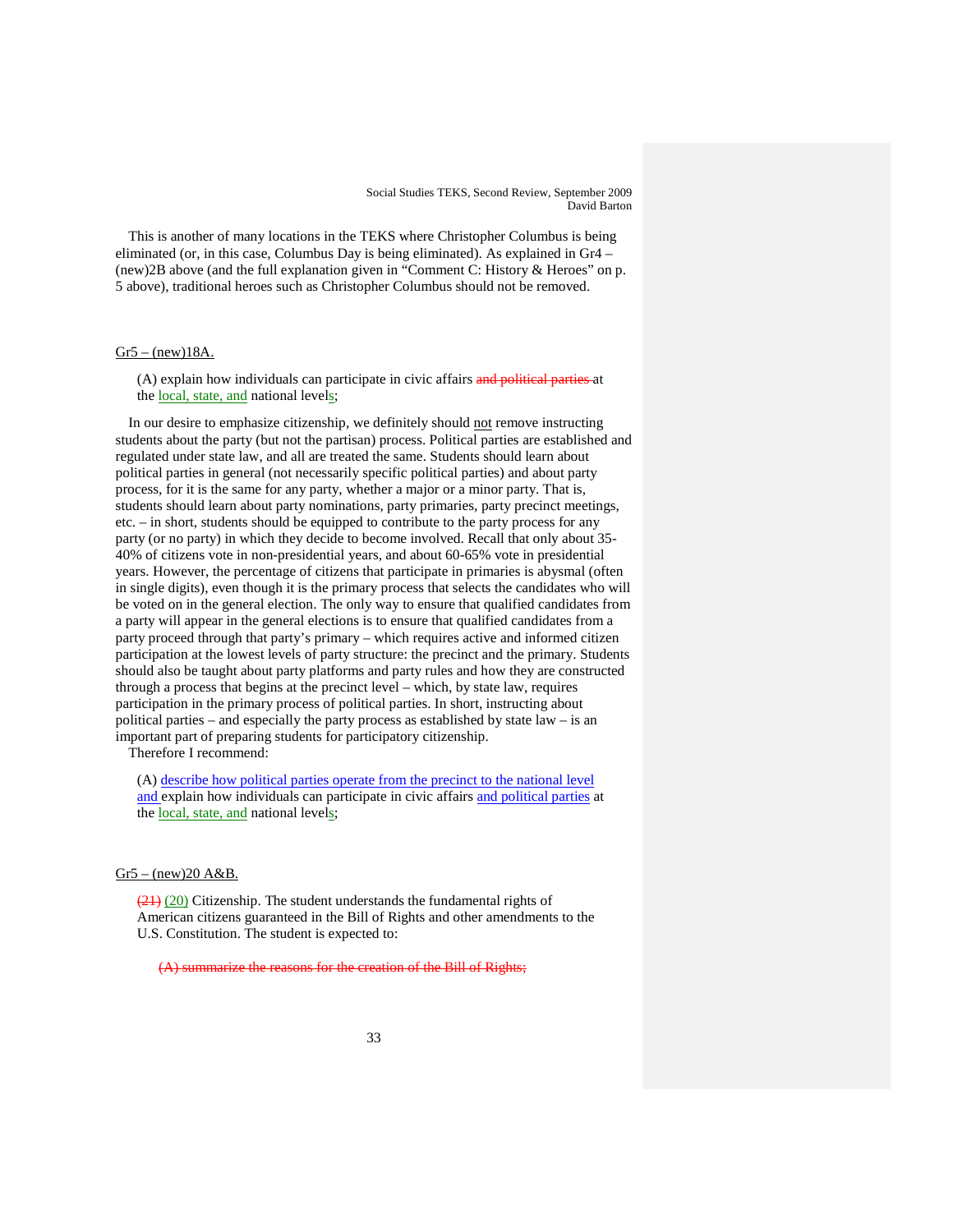This is another of many locations in the TEKS where Christopher Columbus is being eliminated (or, in this case, Columbus Day is being eliminated). As explained in Gr4 – (new)2B above (and the full explanation given in "Comment C: History & Heroes" on p. 5 above), traditional heroes such as Christopher Columbus should not be removed.

# $Gr5 - (new)18A.$

(A) explain how individuals can participate in civic affairs and political parties at the local, state, and national levels;

In our desire to emphasize citizenship, we definitely should not remove instructing students about the party (but not the partisan) process. Political parties are established and regulated under state law, and all are treated the same. Students should learn about political parties in general (not necessarily specific political parties) and about party process, for it is the same for any party, whether a major or a minor party. That is, students should learn about party nominations, party primaries, party precinct meetings, etc. – in short, students should be equipped to contribute to the party process for any party (or no party) in which they decide to become involved. Recall that only about 35- 40% of citizens vote in non-presidential years, and about 60-65% vote in presidential years. However, the percentage of citizens that participate in primaries is abysmal (often in single digits), even though it is the primary process that selects the candidates who will be voted on in the general election. The only way to ensure that qualified candidates from a party will appear in the general elections is to ensure that qualified candidates from a party proceed through that party's primary – which requires active and informed citizen participation at the lowest levels of party structure: the precinct and the primary. Students should also be taught about party platforms and party rules and how they are constructed through a process that begins at the precinct level – which, by state law, requires participation in the primary process of political parties. In short, instructing about political parties – and especially the party process as established by state law – is an important part of preparing students for participatory citizenship.

Therefore I recommend:

(A) describe how political parties operate from the precinct to the national level and explain how individuals can participate in civic affairs and political parties at the local, state, and national levels;

 $Gr5 - (new)20 A&B$ .

 $(21)$  (20) Citizenship. The student understands the fundamental rights of American citizens guaranteed in the Bill of Rights and other amendments to the U.S. Constitution. The student is expected to:

(A) summarize the reasons for the creation of the Bill of Rights: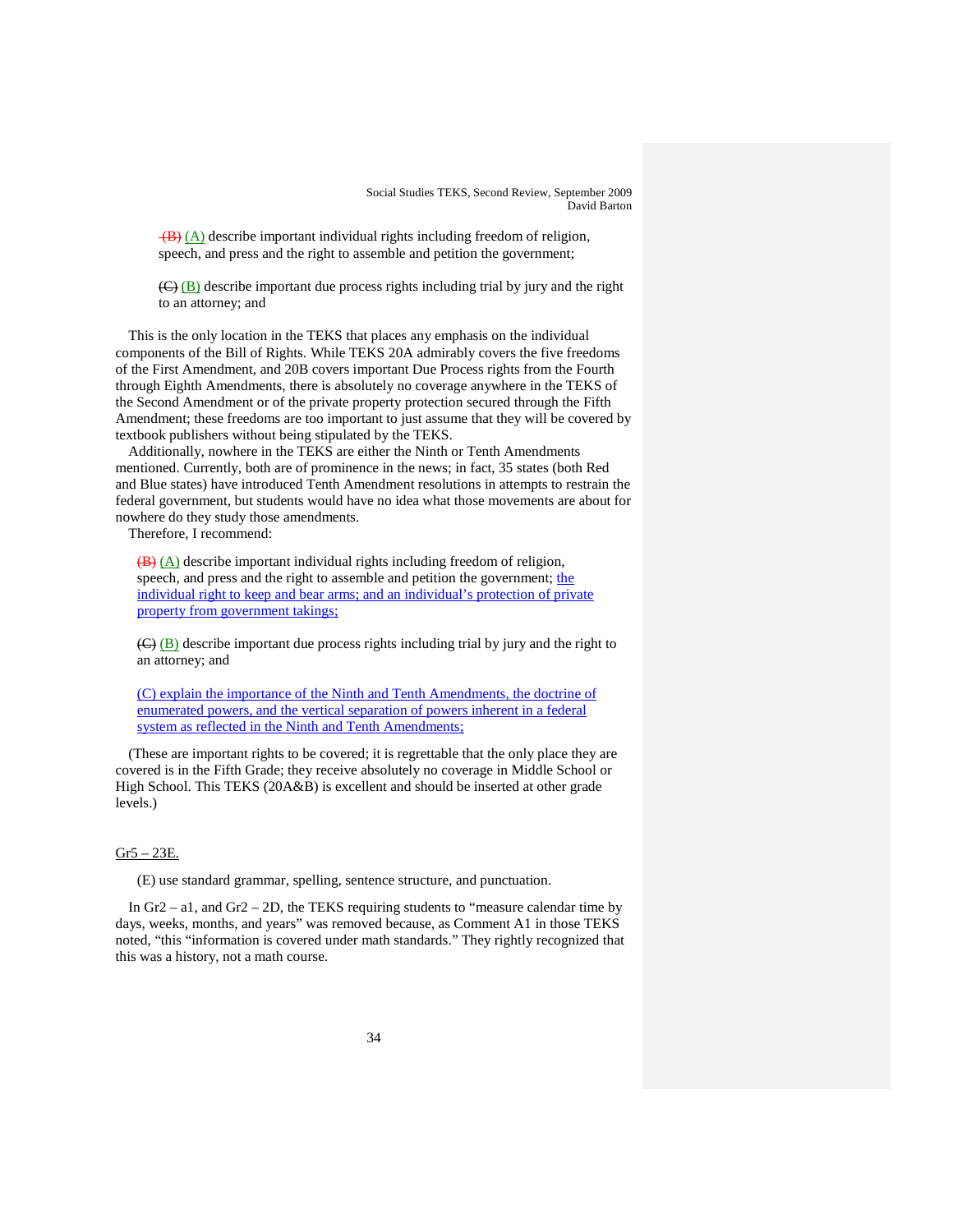$(\mathbf{B})$  (A) describe important individual rights including freedom of religion, speech, and press and the right to assemble and petition the government;

(C) (B) describe important due process rights including trial by jury and the right to an attorney; and

This is the only location in the TEKS that places any emphasis on the individual components of the Bill of Rights. While TEKS 20A admirably covers the five freedoms of the First Amendment, and 20B covers important Due Process rights from the Fourth through Eighth Amendments, there is absolutely no coverage anywhere in the TEKS of the Second Amendment or of the private property protection secured through the Fifth Amendment; these freedoms are too important to just assume that they will be covered by textbook publishers without being stipulated by the TEKS.

Additionally, nowhere in the TEKS are either the Ninth or Tenth Amendments mentioned. Currently, both are of prominence in the news; in fact, 35 states (both Red and Blue states) have introduced Tenth Amendment resolutions in attempts to restrain the federal government, but students would have no idea what those movements are about for nowhere do they study those amendments.

Therefore, I recommend:

 $\overline{(B)}$  (A) describe important individual rights including freedom of religion, speech, and press and the right to assemble and petition the government; the individual right to keep and bear arms; and an individual's protection of private property from government takings;

(C) (B) describe important due process rights including trial by jury and the right to an attorney; and

(C) explain the importance of the Ninth and Tenth Amendments, the doctrine of enumerated powers, and the vertical separation of powers inherent in a federal system as reflected in the Ninth and Tenth Amendments;

(These are important rights to be covered; it is regrettable that the only place they are covered is in the Fifth Grade; they receive absolutely no coverage in Middle School or High School. This TEKS (20A&B) is excellent and should be inserted at other grade levels.)

#### $Gr5 - 23E$ .

(E) use standard grammar, spelling, sentence structure, and punctuation.

In  $Gr_2$  – a1, and  $Gr_2$  – 2D, the TEKS requiring students to "measure calendar time by days, weeks, months, and years" was removed because, as Comment A1 in those TEKS noted, "this "information is covered under math standards." They rightly recognized that this was a history, not a math course.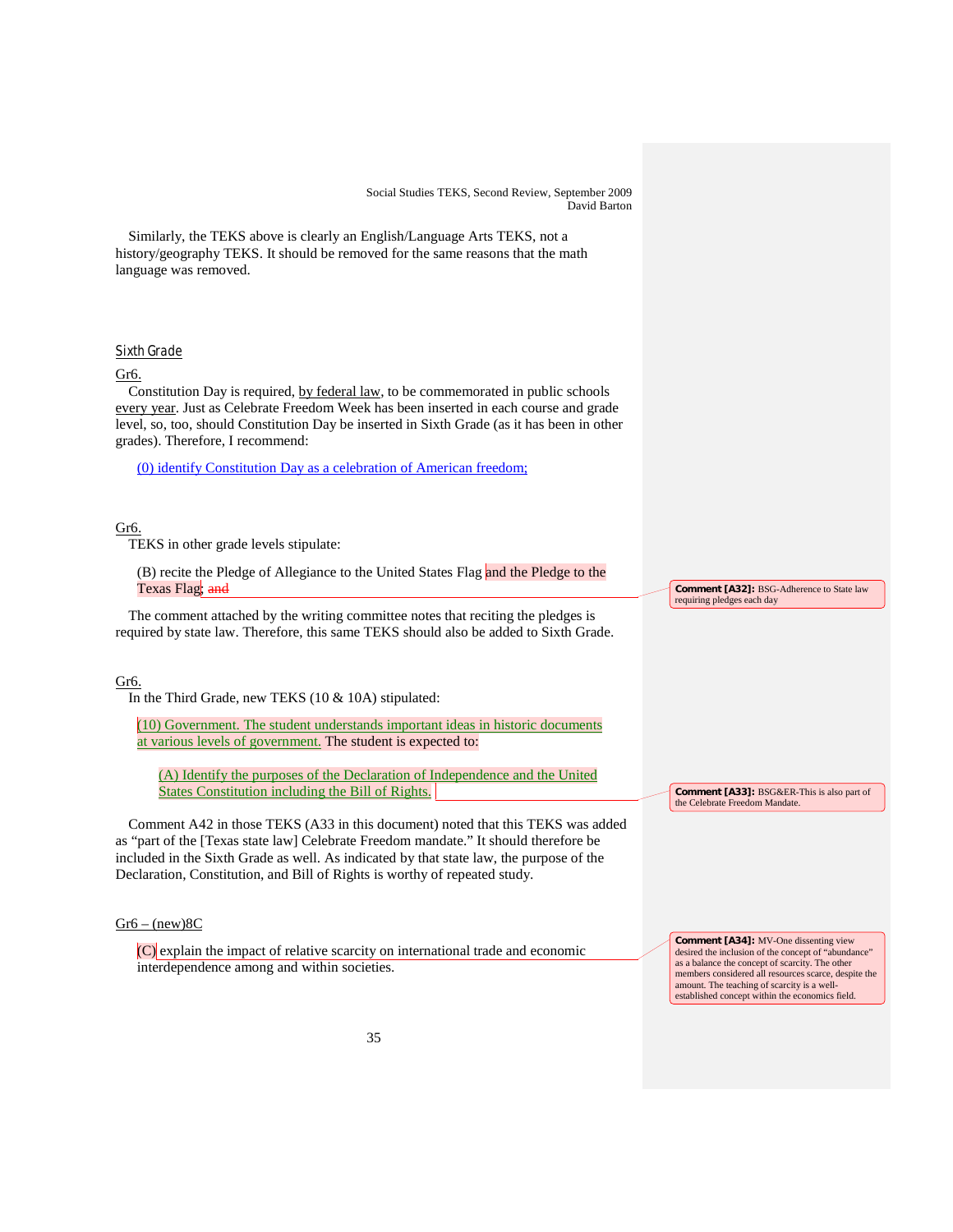Similarly, the TEKS above is clearly an English/Language Arts TEKS, not a history/geography TEKS. It should be removed for the same reasons that the math language was removed.

# Sixth Grade

### Gr6.

Constitution Day is required, by federal law, to be commemorated in public schools every year. Just as Celebrate Freedom Week has been inserted in each course and grade level, so, too, should Constitution Day be inserted in Sixth Grade (as it has been in other grades). Therefore, I recommend:

(0) identify Constitution Day as a celebration of American freedom;

# Gr6.

TEKS in other grade levels stipulate:

(B) recite the Pledge of Allegiance to the United States Flag and the Pledge to the Texas Flag; and

The comment attached by the writing committee notes that reciting the pledges is required by state law. Therefore, this same TEKS should also be added to Sixth Grade.

### Gr6.

In the Third Grade, new TEKS (10 & 10A) stipulated:

(10) Government. The student understands important ideas in historic documents at various levels of government. The student is expected to:

(A) Identify the purposes of the Declaration of Independence and the United States Constitution including the Bill of Rights.

Comment A42 in those TEKS (A33 in this document) noted that this TEKS was added as "part of the [Texas state law] Celebrate Freedom mandate." It should therefore be included in the Sixth Grade as well. As indicated by that state law, the purpose of the Declaration, Constitution, and Bill of Rights is worthy of repeated study.

# $Gr6 - (new)8C$

 $(C)$  explain the impact of relative scarcity on international trade and economic interdependence among and within societies.

**Comment [A32]:** BSG-Adherence to State law requiring pledges each day

**Comment [A33]:** BSG&ER-This is also part of the Celebrate Freedom Mandate.

**Comment [A34]:** MV-One dissenting view desired the inclusion of the concept of "abundance" as a balance the concept of scarcity. The other members considered all resources scarce, despite the amount. The teaching of scarcity is a wellestablished concept within the economics field.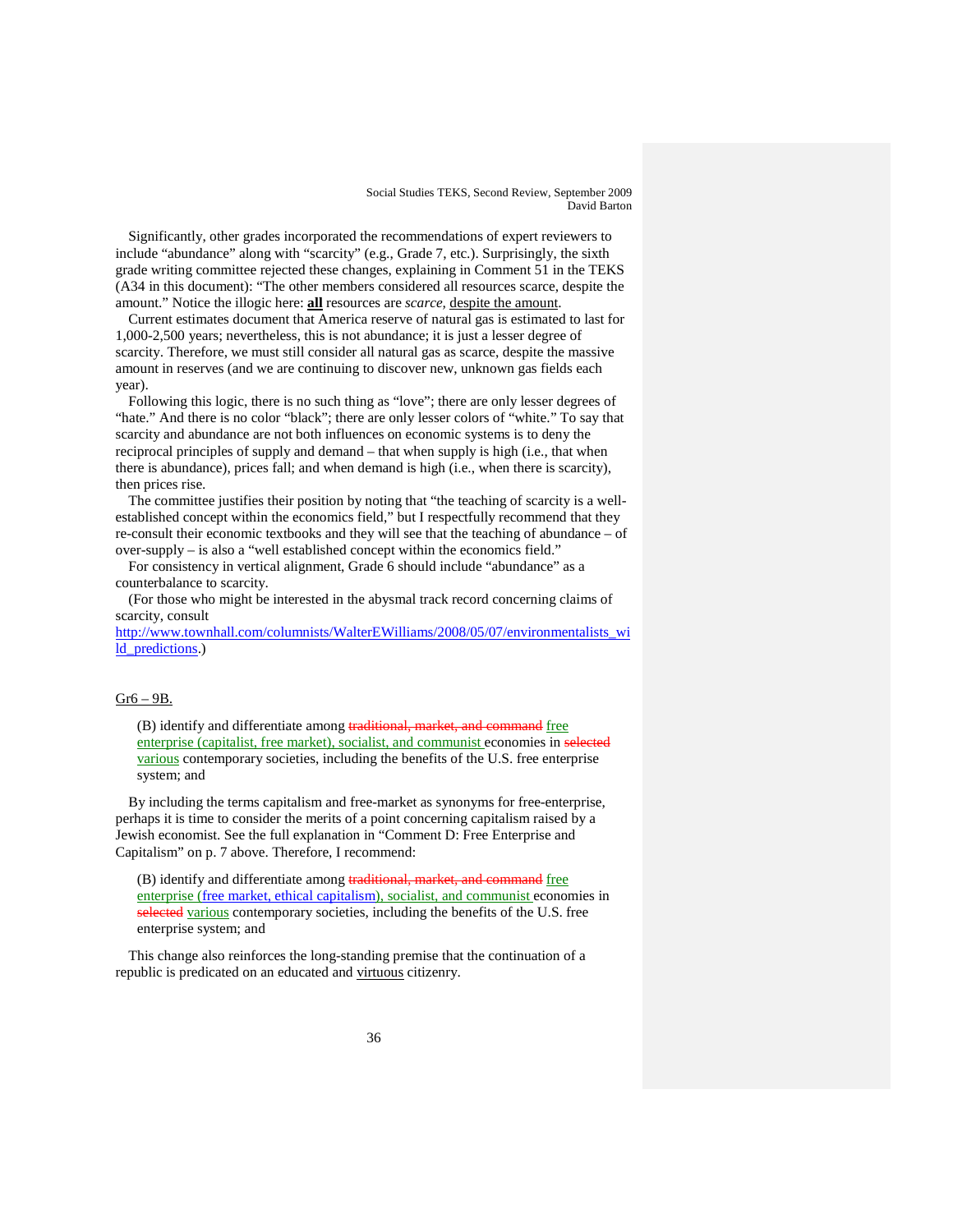Significantly, other grades incorporated the recommendations of expert reviewers to include "abundance" along with "scarcity" (e.g., Grade 7, etc.). Surprisingly, the sixth grade writing committee rejected these changes, explaining in Comment 51 in the TEKS (A34 in this document): "The other members considered all resources scarce, despite the amount." Notice the illogic here: **all** resources are *scarce,* despite the amount.

Current estimates document that America reserve of natural gas is estimated to last for 1,000-2,500 years; nevertheless, this is not abundance; it is just a lesser degree of scarcity. Therefore, we must still consider all natural gas as scarce, despite the massive amount in reserves (and we are continuing to discover new, unknown gas fields each year).

Following this logic, there is no such thing as "love"; there are only lesser degrees of "hate." And there is no color "black"; there are only lesser colors of "white." To say that scarcity and abundance are not both influences on economic systems is to deny the reciprocal principles of supply and demand – that when supply is high (i.e., that when there is abundance), prices fall; and when demand is high (i.e., when there is scarcity), then prices rise.

The committee justifies their position by noting that "the teaching of scarcity is a wellestablished concept within the economics field," but I respectfully recommend that they re-consult their economic textbooks and they will see that the teaching of abundance – of over-supply – is also a "well established concept within the economics field."

For consistency in vertical alignment, Grade 6 should include "abundance" as a counterbalance to scarcity.

(For those who might be interested in the abysmal track record concerning claims of scarcity, consult

[http://www.townhall.com/columnists/WalterEWilliams/2008/05/07/environmentalists\\_wi](http://www.townhall.com/columnists/WalterEWilliams/2008/05/07/environmentalists_wild_predictions) [ld\\_predictions.](http://www.townhall.com/columnists/WalterEWilliams/2008/05/07/environmentalists_wild_predictions))

# Gr6 – 9B.

(B) identify and differentiate among traditional, market, and command free enterprise (capitalist, free market), socialist, and communist economies in selected various contemporary societies, including the benefits of the U.S. free enterprise system; and

By including the terms capitalism and free-market as synonyms for free-enterprise, perhaps it is time to consider the merits of a point concerning capitalism raised by a Jewish economist. See the full explanation in "Comment D: Free Enterprise and Capitalism" on p. 7 above. Therefore, I recommend:

(B) identify and differentiate among traditional, market, and command free enterprise (free market, ethical capitalism), socialist, and communist economies in selected various contemporary societies, including the benefits of the U.S. free enterprise system; and

This change also reinforces the long-standing premise that the continuation of a republic is predicated on an educated and virtuous citizenry.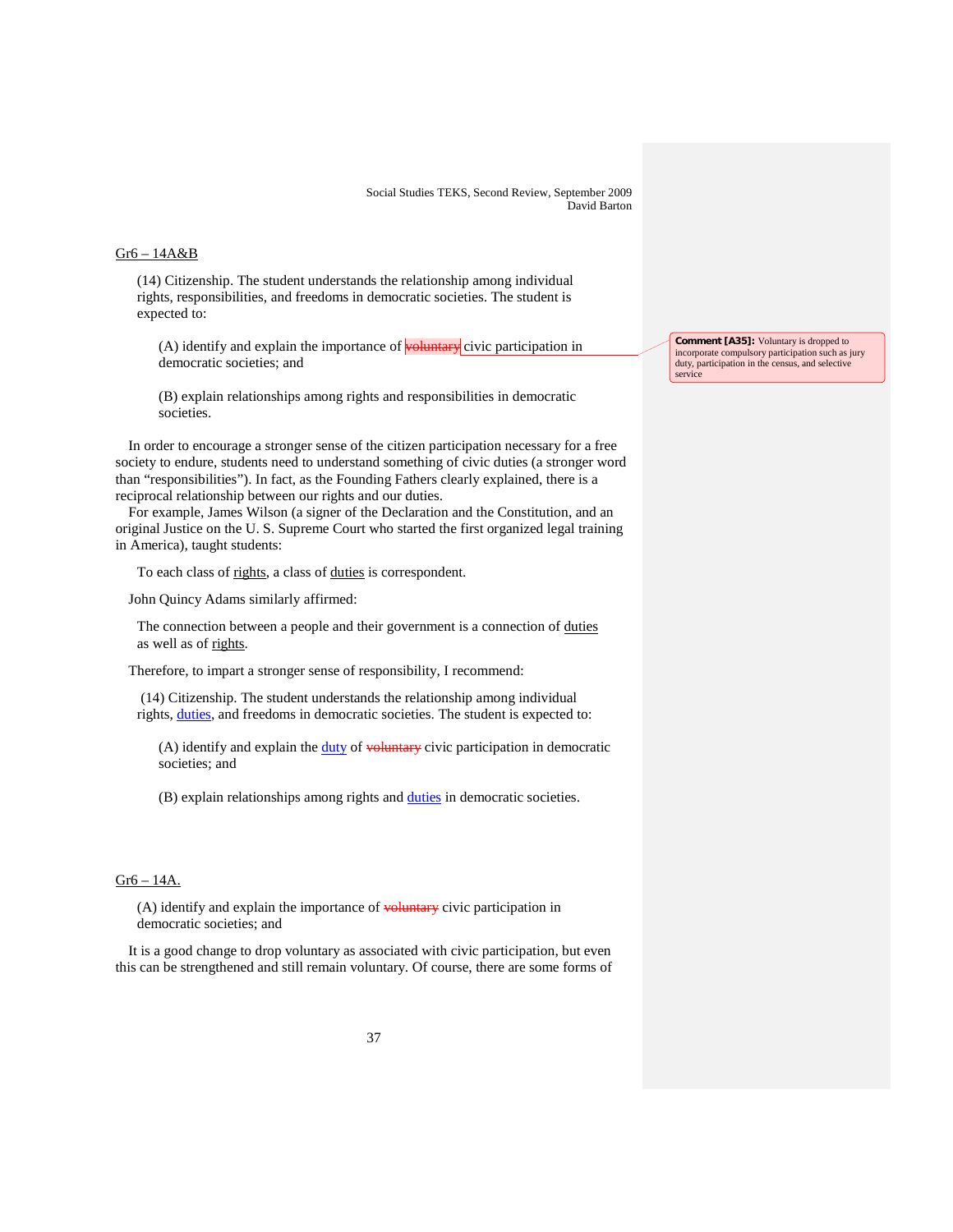#### Gr6 – 14A&B

(14) Citizenship. The student understands the relationship among individual rights, responsibilities, and freedoms in democratic societies. The student is expected to:

 $(A)$  identify and explain the importance of **voluntary** civic participation in democratic societies; and

(B) explain relationships among rights and responsibilities in democratic societies.

In order to encourage a stronger sense of the citizen participation necessary for a free society to endure, students need to understand something of civic duties (a stronger word than "responsibilities"). In fact, as the Founding Fathers clearly explained, there is a reciprocal relationship between our rights and our duties.

For example, James Wilson (a signer of the Declaration and the Constitution, and an original Justice on the U. S. Supreme Court who started the first organized legal training in America), taught students:

To each class of rights, a class of duties is correspondent.

John Quincy Adams similarly affirmed:

The connection between a people and their government is a connection of duties as well as of rights.

Therefore, to impart a stronger sense of responsibility, I recommend:

(14) Citizenship. The student understands the relationship among individual rights, *duties*, and freedoms in democratic societies. The student is expected to:

(A) identify and explain the duty of voluntary civic participation in democratic societies; and

(B) explain relationships among rights and duties in democratic societies.

# Gr6 – 14A.

 $(A)$  identify and explain the importance of  $v$ -buntary civic participation in democratic societies; and

It is a good change to drop voluntary as associated with civic participation, but even this can be strengthened and still remain voluntary. Of course, there are some forms of **Comment [A35]:** Voluntary is dropped to incorporate compulsory participation such as jury duty, participation in the census, and selective service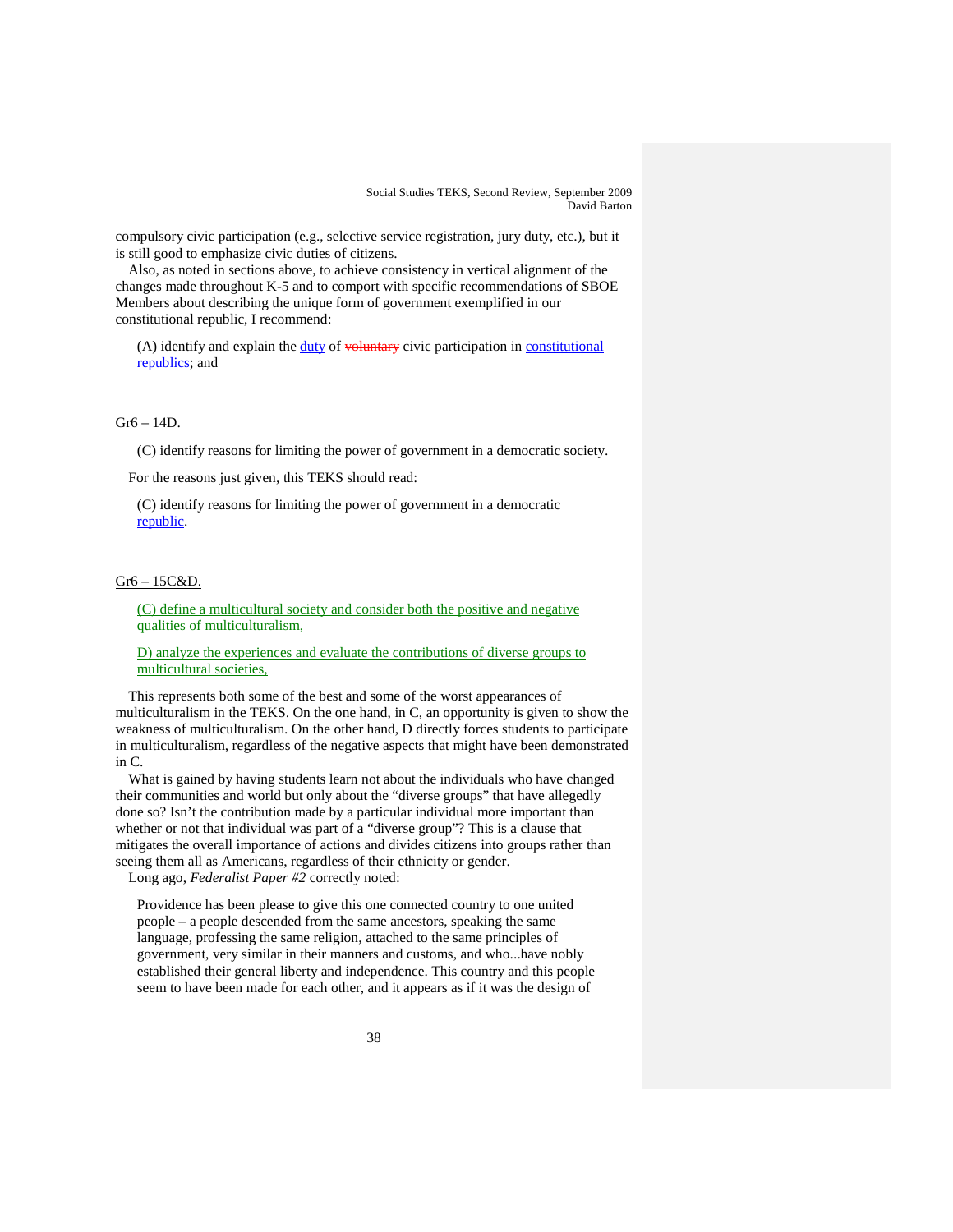compulsory civic participation (e.g., selective service registration, jury duty, etc.), but it is still good to emphasize civic duties of citizens.

Also, as noted in sections above, to achieve consistency in vertical alignment of the changes made throughout K-5 and to comport with specific recommendations of SBOE Members about describing the unique form of government exemplified in our constitutional republic, I recommend:

 $(A)$  identify and explain the  $\underline{duty}$  of  $\underline{v}$  voluntary civic participation in constitutional republics; and

### Gr6 – 14D.

(C) identify reasons for limiting the power of government in a democratic society.

For the reasons just given, this TEKS should read:

(C) identify reasons for limiting the power of government in a democratic republic.

# Gr6 – 15C&D.

(C) define a multicultural society and consider both the positive and negative qualities of multiculturalism,

D) analyze the experiences and evaluate the contributions of diverse groups to multicultural societies,

This represents both some of the best and some of the worst appearances of multiculturalism in the TEKS. On the one hand, in C, an opportunity is given to show the weakness of multiculturalism. On the other hand, D directly forces students to participate in multiculturalism, regardless of the negative aspects that might have been demonstrated in C.

What is gained by having students learn not about the individuals who have changed their communities and world but only about the "diverse groups" that have allegedly done so? Isn't the contribution made by a particular individual more important than whether or not that individual was part of a "diverse group"? This is a clause that mitigates the overall importance of actions and divides citizens into groups rather than seeing them all as Americans, regardless of their ethnicity or gender. Long ago, *Federalist Paper #2* correctly noted:

Providence has been please to give this one connected country to one united people – a people descended from the same ancestors, speaking the same language, professing the same religion, attached to the same principles of government, very similar in their manners and customs, and who...have nobly established their general liberty and independence. This country and this people seem to have been made for each other, and it appears as if it was the design of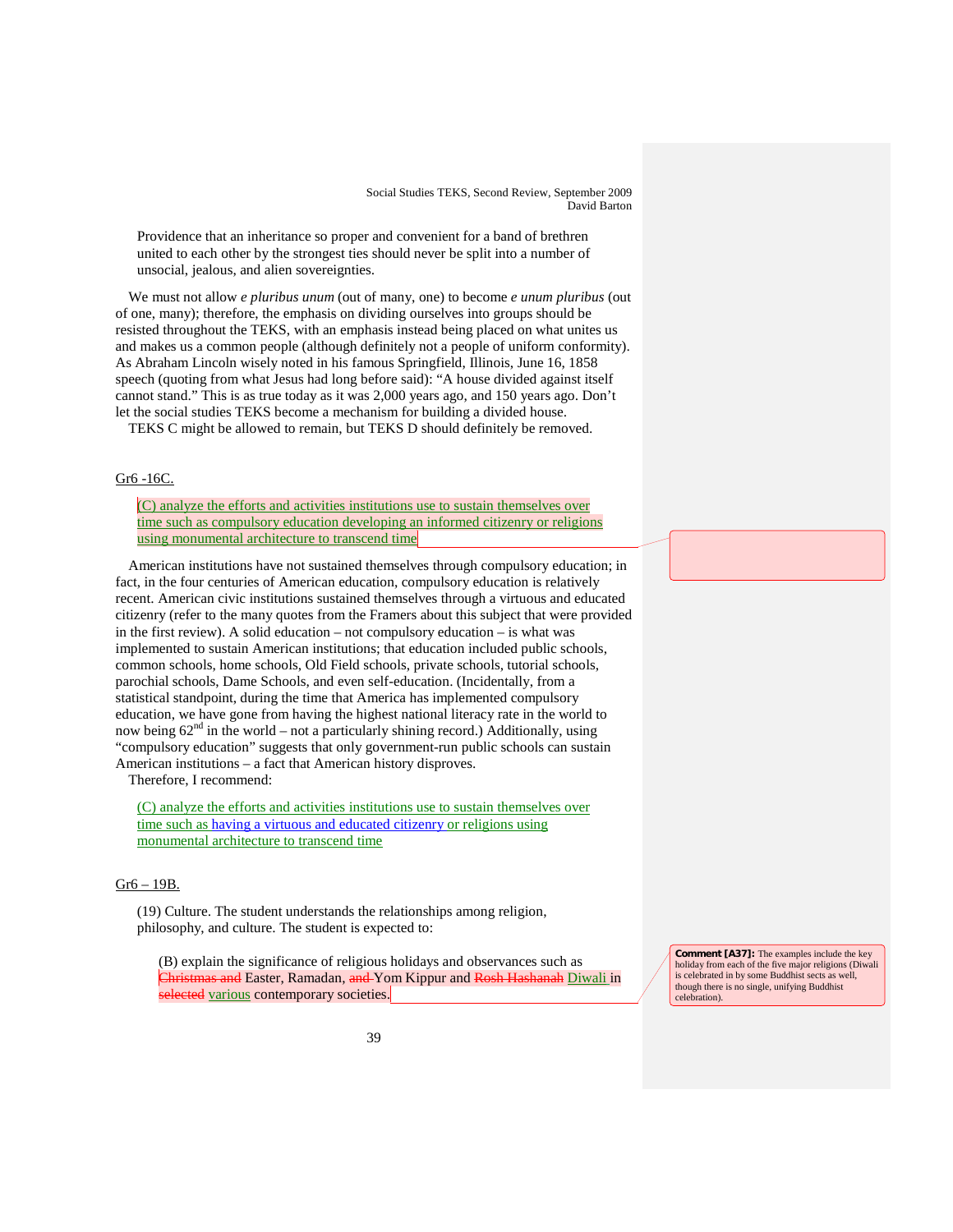Providence that an inheritance so proper and convenient for a band of brethren united to each other by the strongest ties should never be split into a number of unsocial, jealous, and alien sovereignties.

We must not allow *e pluribus unum* (out of many, one) to become *e unum pluribus* (out of one, many); therefore, the emphasis on dividing ourselves into groups should be resisted throughout the TEKS, with an emphasis instead being placed on what unites us and makes us a common people (although definitely not a people of uniform conformity). As Abraham Lincoln wisely noted in his famous Springfield, Illinois, June 16, 1858 speech (quoting from what Jesus had long before said): "A house divided against itself cannot stand." This is as true today as it was 2,000 years ago, and 150 years ago. Don't let the social studies TEKS become a mechanism for building a divided house.

TEKS C might be allowed to remain, but TEKS D should definitely be removed.

# Gr6 -16C.

(C) analyze the efforts and activities institutions use to sustain themselves over time such as compulsory education developing an informed citizenry or religions using monumental architecture to transcend time

American institutions have not sustained themselves through compulsory education; in fact, in the four centuries of American education, compulsory education is relatively recent. American civic institutions sustained themselves through a virtuous and educated citizenry (refer to the many quotes from the Framers about this subject that were provided in the first review). A solid education – not compulsory education – is what was implemented to sustain American institutions; that education included public schools, common schools, home schools, Old Field schools, private schools, tutorial schools, parochial schools, Dame Schools, and even self-education. (Incidentally, from a statistical standpoint, during the time that America has implemented compulsory education, we have gone from having the highest national literacy rate in the world to now being 62nd in the world – not a particularly shining record.) Additionally, using "compulsory education" suggests that only government-run public schools can sustain American institutions – a fact that American history disproves.

Therefore, I recommend:

(C) analyze the efforts and activities institutions use to sustain themselves over time such as having a virtuous and educated citizenry or religions using monumental architecture to transcend time

# Gr6 – 19B.

(19) Culture. The student understands the relationships among religion, philosophy, and culture. The student is expected to:

(B) explain the significance of religious holidays and observances such as and Easter, Ramadan, and Yom Kippur and Rosh Hashanah Diwali in selected various contemporary societies.

**Comment [A37]:** The examples include the key holiday from each of the five major religions (Diwali is celebrated in by some Buddhist sects as well, though there is no single, unifying Buddhist celebration).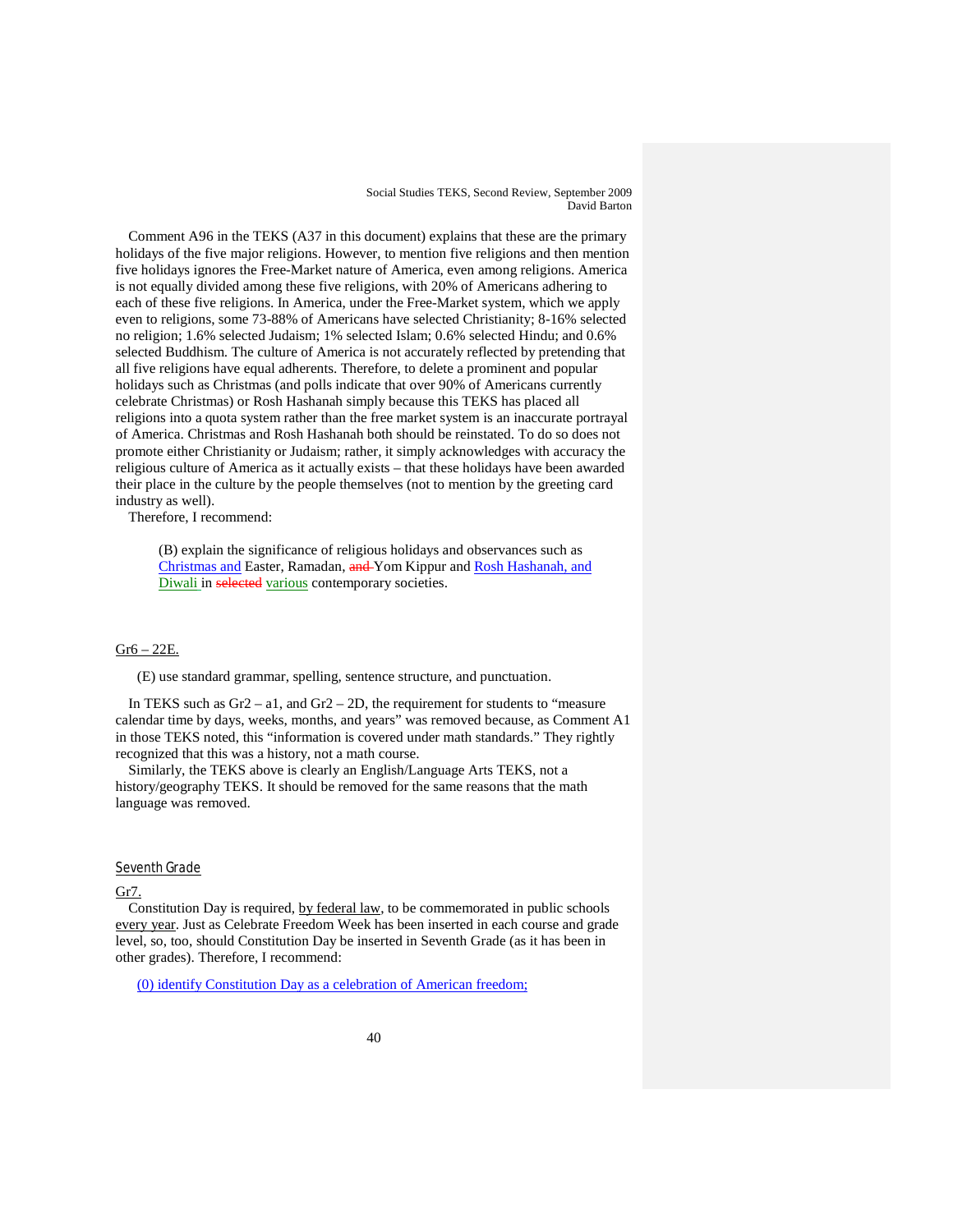Comment A96 in the TEKS (A37 in this document) explains that these are the primary holidays of the five major religions. However, to mention five religions and then mention five holidays ignores the Free-Market nature of America, even among religions. America is not equally divided among these five religions, with 20% of Americans adhering to each of these five religions. In America, under the Free-Market system, which we apply even to religions, some 73-88% of Americans have selected Christianity; 8-16% selected no religion; 1.6% selected Judaism; 1% selected Islam; 0.6% selected Hindu; and 0.6% selected Buddhism. The culture of America is not accurately reflected by pretending that all five religions have equal adherents. Therefore, to delete a prominent and popular holidays such as Christmas (and polls indicate that over 90% of Americans currently celebrate Christmas) or Rosh Hashanah simply because this TEKS has placed all religions into a quota system rather than the free market system is an inaccurate portrayal of America. Christmas and Rosh Hashanah both should be reinstated. To do so does not promote either Christianity or Judaism; rather, it simply acknowledges with accuracy the religious culture of America as it actually exists – that these holidays have been awarded their place in the culture by the people themselves (not to mention by the greeting card industry as well).

Therefore, I recommend:

(B) explain the significance of religious holidays and observances such as Christmas and Easter, Ramadan, and Yom Kippur and Rosh Hashanah, and Diwali in selected various contemporary societies.

# Gr6 – 22E.

(E) use standard grammar, spelling, sentence structure, and punctuation.

In TEKS such as Gr2 – a1, and Gr2 – 2D, the requirement for students to "measure calendar time by days, weeks, months, and years" was removed because, as Comment A1 in those TEKS noted, this "information is covered under math standards." They rightly recognized that this was a history, not a math course.

Similarly, the TEKS above is clearly an English/Language Arts TEKS, not a history/geography TEKS. It should be removed for the same reasons that the math language was removed.

#### Seventh Grade

#### Gr7.

Constitution Day is required, by federal law, to be commemorated in public schools every year. Just as Celebrate Freedom Week has been inserted in each course and grade level, so, too, should Constitution Day be inserted in Seventh Grade (as it has been in other grades). Therefore, I recommend:

(0) identify Constitution Day as a celebration of American freedom;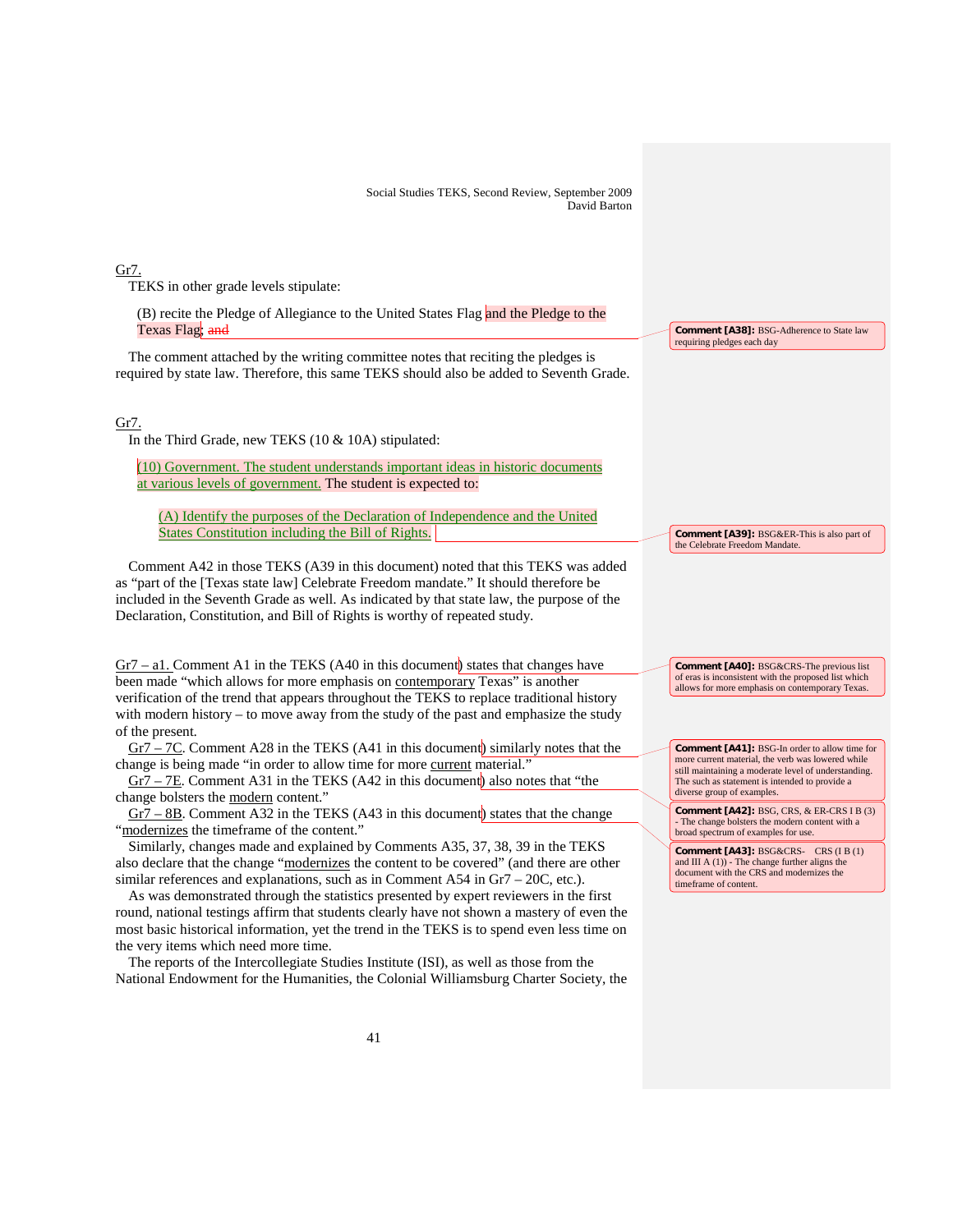Gr7.

TEKS in other grade levels stipulate:

(B) recite the Pledge of Allegiance to the United States Flag and the Pledge to the Texas Flag; and

The comment attached by the writing committee notes that reciting the pledges is required by state law. Therefore, this same TEKS should also be added to Seventh Grade.

# Gr7.

In the Third Grade, new TEKS (10 & 10A) stipulated:

(10) Government. The student understands important ideas in historic documents at various levels of government. The student is expected to:

(A) Identify the purposes of the Declaration of Independence and the United States Constitution including the Bill of Rights.

Comment A42 in those TEKS (A39 in this document) noted that this TEKS was added as "part of the [Texas state law] Celebrate Freedom mandate." It should therefore be included in the Seventh Grade as well. As indicated by that state law, the purpose of the Declaration, Constitution, and Bill of Rights is worthy of repeated study.

 $Gr7 - a1$ . Comment A1 in the TEKS (A40 in this document) states that changes have been made "which allows for more emphasis on contemporary Texas" is another verification of the trend that appears throughout the TEKS to replace traditional history with modern history – to move away from the study of the past and emphasize the study of the present.

Gr7 – 7C. Comment A28 in the TEKS (A41 in this document) similarly notes that the change is being made "in order to allow time for more current material."

Gr7 – 7E. Comment A31 in the TEKS (A42 in this document) also notes that "the change bolsters the modern content."

 $Gr7 - 8B$ . Comment A32 in the TEKS (A43 in this document) states that the change "modernizes the timeframe of the content."

Similarly, changes made and explained by Comments A35, 37, 38, 39 in the TEKS also declare that the change "modernizes the content to be covered" (and there are other similar references and explanations, such as in Comment A54 in Gr7 – 20C, etc.).

As was demonstrated through the statistics presented by expert reviewers in the first round, national testings affirm that students clearly have not shown a mastery of even the most basic historical information, yet the trend in the TEKS is to spend even less time on the very items which need more time.

The reports of the Intercollegiate Studies Institute (ISI), as well as those from the National Endowment for the Humanities, the Colonial Williamsburg Charter Society, the

**Comment [A38]:** BSG-Adherence to State law requiring pledges each day

**Comment [A40]:** BSG&CRS-The previous list of eras is inconsistent with the proposed list which allows for more emphasis on contemporary Texas.

**Comment [A39]:** BSG&ER-This is also part of

the Celebrate Freedom Mandate.

**Comment [A41]:** BSG-In order to allow time for more current material, the verb was lowered while still maintaining a moderate level of understanding. The such as statement is intended to provide a diverse group of examples.

**Comment [A42]:** BSG, CRS, & ER-CRS I B (3) - The change bolsters the modern content with a broad spectrum of examples for use.

**Comment [A43]:** BSG&CRS- CRS (I B (1) and III A (1)) - The change further aligns the document with the CRS and modernizes the timeframe of content.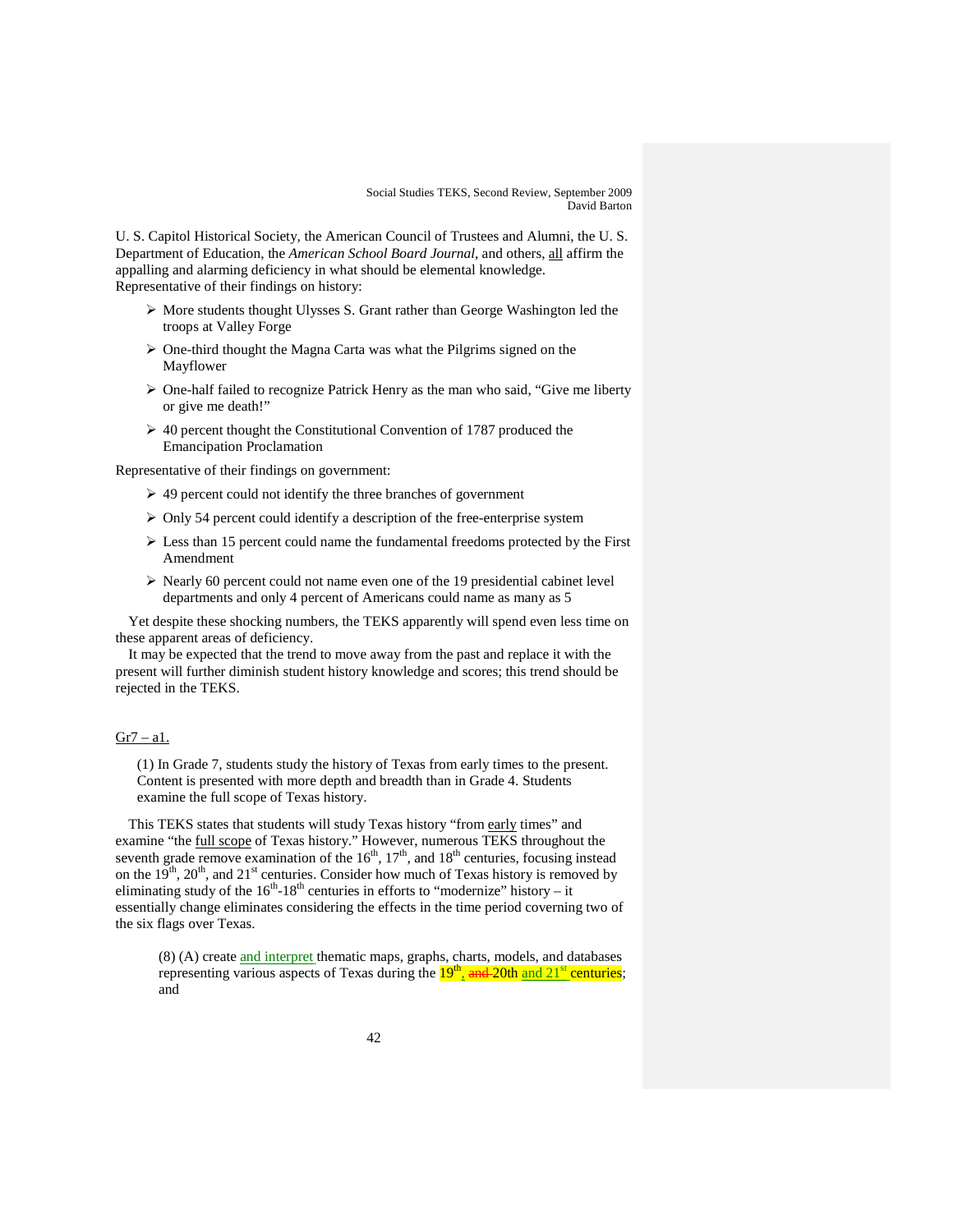U. S. Capitol Historical Society, the American Council of Trustees and Alumni, the U. S. Department of Education, the *American School Board Journal*, and others, all affirm the appalling and alarming deficiency in what should be elemental knowledge. Representative of their findings on history:

- $\triangleright$  More students thought Ulysses S. Grant rather than George Washington led the troops at Valley Forge
- One-third thought the Magna Carta was what the Pilgrims signed on the Mayflower
- $\triangleright$  One-half failed to recognize Patrick Henry as the man who said, "Give me liberty" or give me death!"
- $\geq 40$  percent thought the Constitutional Convention of 1787 produced the Emancipation Proclamation

Representative of their findings on government:

- $\geq$  49 percent could not identify the three branches of government
- $\triangleright$  Only 54 percent could identify a description of the free-enterprise system
- $\triangleright$  Less than 15 percent could name the fundamental freedoms protected by the First Amendment
- $\triangleright$  Nearly 60 percent could not name even one of the 19 presidential cabinet level departments and only 4 percent of Americans could name as many as 5

Yet despite these shocking numbers, the TEKS apparently will spend even less time on these apparent areas of deficiency.

It may be expected that the trend to move away from the past and replace it with the present will further diminish student history knowledge and scores; this trend should be rejected in the TEKS.

# $Gr7 - a1$ .

(1) In Grade 7, students study the history of Texas from early times to the present. Content is presented with more depth and breadth than in Grade 4. Students examine the full scope of Texas history.

This TEKS states that students will study Texas history "from early times" and examine "the full scope of Texas history." However, numerous TEKS throughout the seventh grade remove examination of the  $16<sup>th</sup>$ ,  $17<sup>th</sup>$ , and  $18<sup>th</sup>$  centuries, focusing instead on the  $19<sup>th</sup>$ ,  $20<sup>th</sup>$ , and  $21<sup>st</sup>$  centuries. Consider how much of Texas history is removed by eliminating study of the  $16<sup>th</sup> - 18<sup>th</sup>$  centuries in efforts to "modernize" history – it essentially change eliminates considering the effects in the time period coverning two of the six flags over Texas.

(8) (A) create and interpret thematic maps, graphs, charts, models, and databases representing various aspects of Texas during the  $19<sup>th</sup>$ , and  $20th$  and  $21<sup>st</sup>$  centuries; and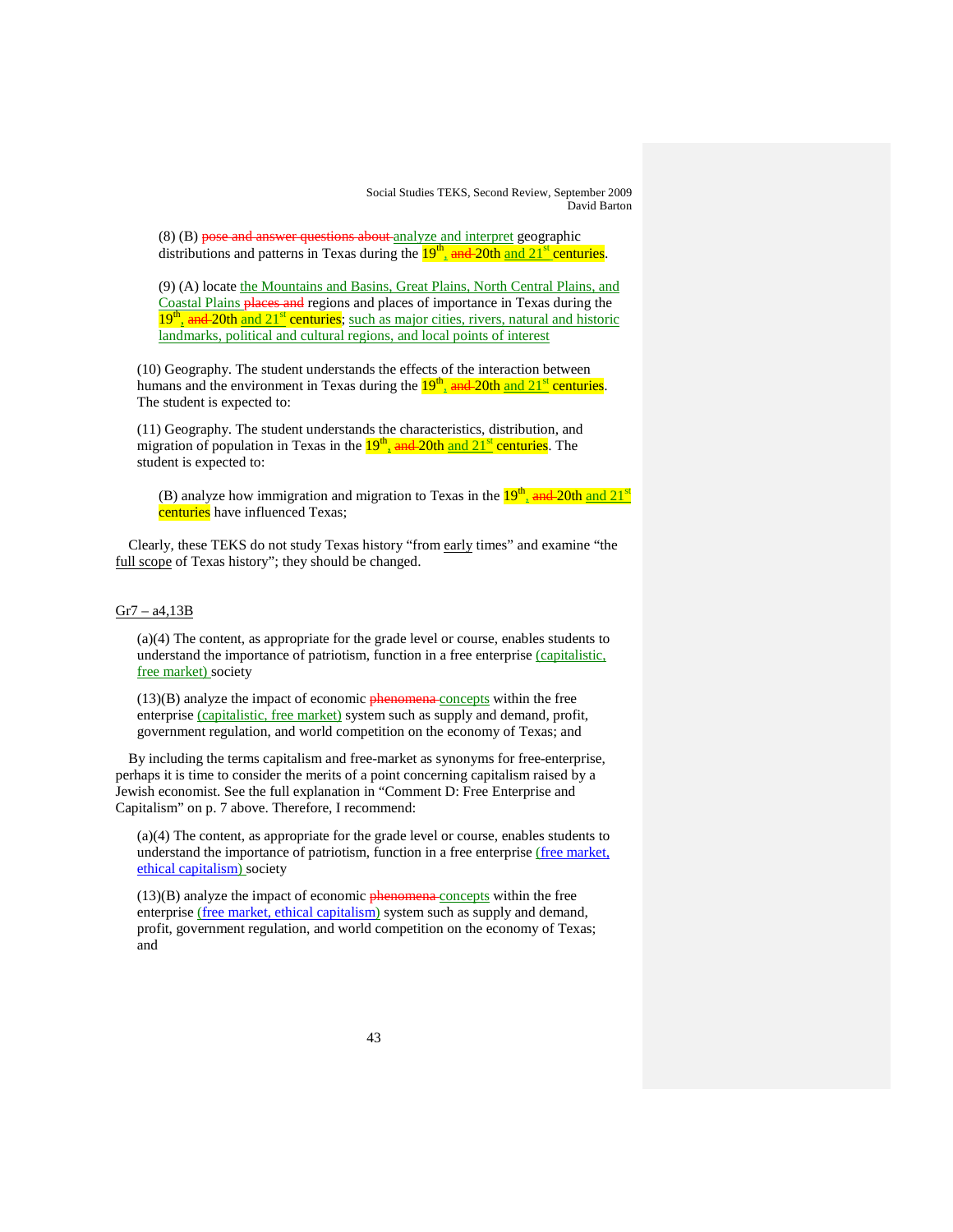(8) (B) pose and answer questions about analyze and interpret geographic distributions and patterns in Texas during the  $19<sup>th</sup>$  and  $20th$  and  $21<sup>st</sup>$  centuries.

(9) (A) locate the Mountains and Basins, Great Plains, North Central Plains, and Coastal Plains places and regions and places of importance in Texas during the 19<sup>th</sup>, and 20th and 21<sup>st</sup> centuries; such as major cities, rivers, natural and historic landmarks, political and cultural regions, and local points of interest

(10) Geography. The student understands the effects of the interaction between humans and the environment in Texas during the  $19<sup>th</sup>_{1}$  and  $20th$  and  $21<sup>st</sup>$  centuries. The student is expected to:

(11) Geography. The student understands the characteristics, distribution, and migration of population in Texas in the  $19<sup>th</sup>$  and 20th and 21<sup>st</sup> centuries. The student is expected to:

(B) analyze how immigration and migration to Texas in the  $19<sup>th</sup>$ <sub>a</sub> and  $20th$  and  $21<sup>st</sup>$ centuries have influenced Texas;

Clearly, these TEKS do not study Texas history "from early times" and examine "the full scope of Texas history"; they should be changed.

#### $Gr7 - a4,13B$

(a)(4) The content, as appropriate for the grade level or course, enables students to understand the importance of patriotism, function in a free enterprise (capitalistic, free market) society

(13)(B) analyze the impact of economic **phenomena** concepts within the free enterprise (capitalistic, free market) system such as supply and demand, profit, government regulation, and world competition on the economy of Texas; and

By including the terms capitalism and free-market as synonyms for free-enterprise, perhaps it is time to consider the merits of a point concerning capitalism raised by a Jewish economist. See the full explanation in "Comment D: Free Enterprise and Capitalism" on p. 7 above. Therefore, I recommend:

(a)(4) The content, as appropriate for the grade level or course, enables students to understand the importance of patriotism, function in a free enterprise (free market, ethical capitalism) society

(13)(B) analyze the impact of economic **phenomena** concepts within the free enterprise (free market, ethical capitalism) system such as supply and demand, profit, government regulation, and world competition on the economy of Texas; and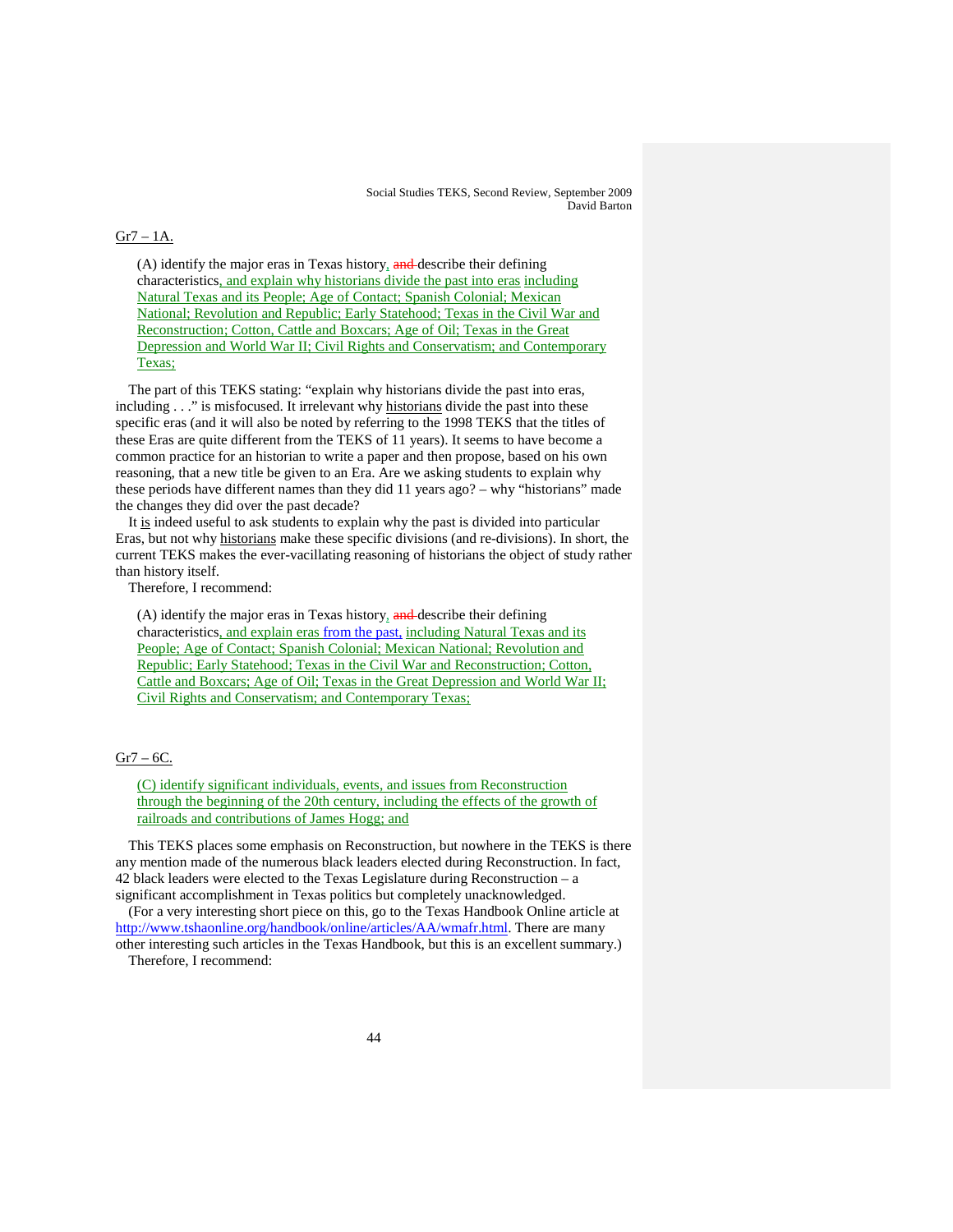#### $Gr7 - 1A.$

(A) identify the major eras in Texas history, and describe their defining characteristics, and explain why historians divide the past into eras including Natural Texas and its People; Age of Contact; Spanish Colonial; Mexican National; Revolution and Republic; Early Statehood; Texas in the Civil War and Reconstruction; Cotton, Cattle and Boxcars; Age of Oil; Texas in the Great Depression and World War II; Civil Rights and Conservatism; and Contemporary Texas;

The part of this TEKS stating: "explain why historians divide the past into eras, including . . ." is misfocused. It irrelevant why historians divide the past into these specific eras (and it will also be noted by referring to the 1998 TEKS that the titles of these Eras are quite different from the TEKS of 11 years). It seems to have become a common practice for an historian to write a paper and then propose, based on his own reasoning, that a new title be given to an Era. Are we asking students to explain why these periods have different names than they did 11 years ago? – why "historians" made the changes they did over the past decade?

It is indeed useful to ask students to explain why the past is divided into particular Eras, but not why historians make these specific divisions (and re-divisions). In short, the current TEKS makes the ever-vacillating reasoning of historians the object of study rather than history itself.

Therefore, I recommend:

(A) identify the major eras in Texas history, and describe their defining characteristics, and explain eras from the past, including Natural Texas and its People; Age of Contact; Spanish Colonial; Mexican National; Revolution and Republic; Early Statehood; Texas in the Civil War and Reconstruction; Cotton, Cattle and Boxcars; Age of Oil; Texas in the Great Depression and World War II; Civil Rights and Conservatism; and Contemporary Texas;

#### $Gr7 - 6C$ .

(C) identify significant individuals, events, and issues from Reconstruction through the beginning of the 20th century, including the effects of the growth of railroads and contributions of James Hogg; and

This TEKS places some emphasis on Reconstruction, but nowhere in the TEKS is there any mention made of the numerous black leaders elected during Reconstruction. In fact, 42 black leaders were elected to the Texas Legislature during Reconstruction – a significant accomplishment in Texas politics but completely unacknowledged.

(For a very interesting short piece on this, go to the Texas Handbook Online article at [http://www.tshaonline.org/handbook/online/articles/AA/wmafr.html.](http://www.tshaonline.org/handbook/online/articles/AA/wmafr.html) There are many other interesting such articles in the Texas Handbook, but this is an excellent summary.)

Therefore, I recommend: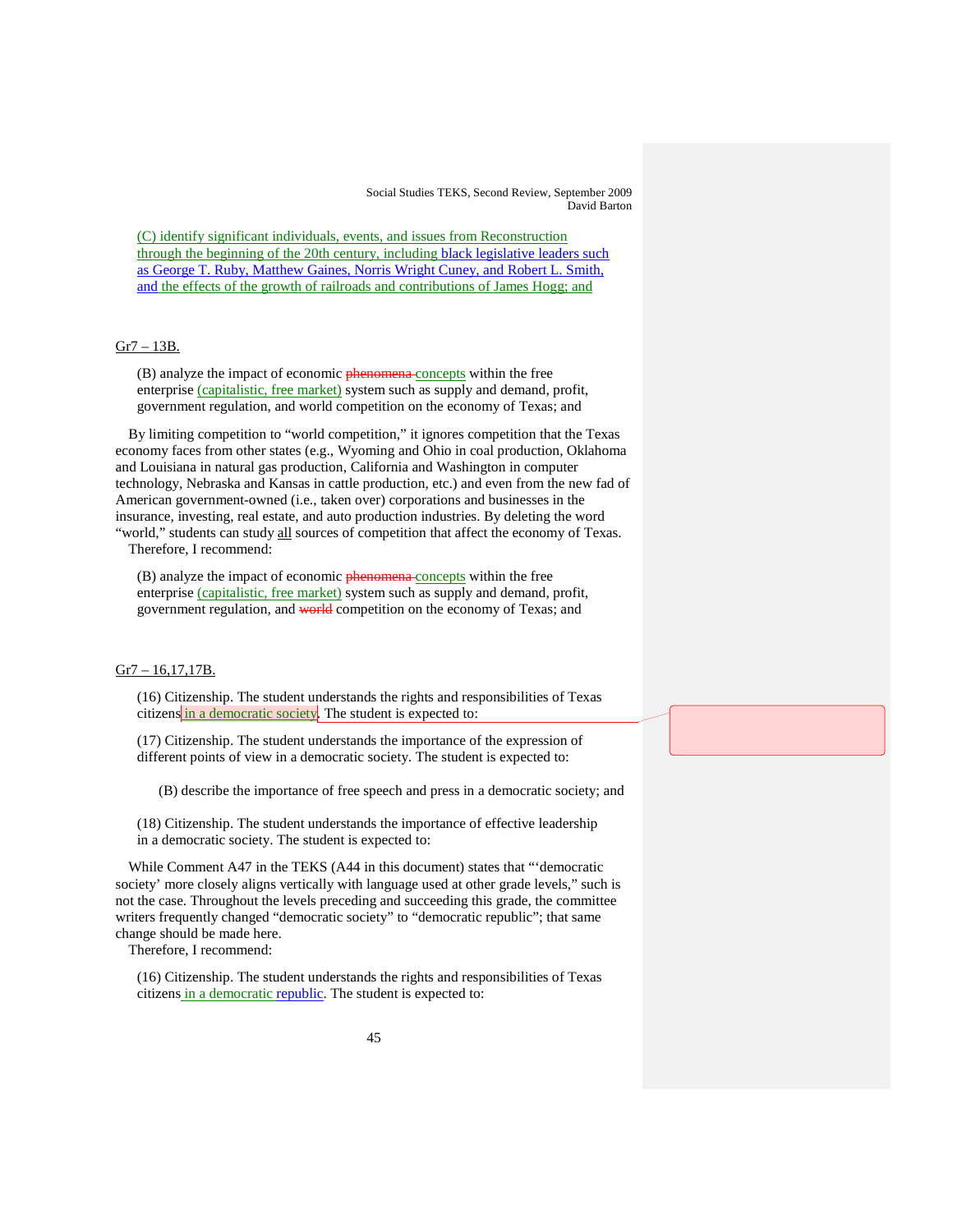(C) identify significant individuals, events, and issues from Reconstruction through the beginning of the 20th century, including black legislative leaders such as George T. Ruby, Matthew Gaines, Norris Wright Cuney, and Robert L. Smith, and the effects of the growth of railroads and contributions of James Hogg; and

# Gr7 – 13B.

(B) analyze the impact of economic **phenomena** concepts within the free enterprise (capitalistic, free market) system such as supply and demand, profit, government regulation, and world competition on the economy of Texas; and

By limiting competition to "world competition," it ignores competition that the Texas economy faces from other states (e.g., Wyoming and Ohio in coal production, Oklahoma and Louisiana in natural gas production, California and Washington in computer technology, Nebraska and Kansas in cattle production, etc.) and even from the new fad of American government-owned (i.e., taken over) corporations and businesses in the insurance, investing, real estate, and auto production industries. By deleting the word "world," students can study all sources of competition that affect the economy of Texas.

Therefore, I recommend:

(B) analyze the impact of economic phenomena-concepts within the free enterprise (capitalistic, free market) system such as supply and demand, profit, government regulation, and world competition on the economy of Texas; and

# Gr7 – 16,17,17B.

(16) Citizenship. The student understands the rights and responsibilities of Texas citizens in a democratic society. The student is expected to:

(17) Citizenship. The student understands the importance of the expression of different points of view in a democratic society. The student is expected to:

(B) describe the importance of free speech and press in a democratic society; and

(18) Citizenship. The student understands the importance of effective leadership in a democratic society. The student is expected to:

While Comment A47 in the TEKS (A44 in this document) states that "'democratic society' more closely aligns vertically with language used at other grade levels," such is not the case. Throughout the levels preceding and succeeding this grade, the committee writers frequently changed "democratic society" to "democratic republic"; that same change should be made here.

Therefore, I recommend:

(16) Citizenship. The student understands the rights and responsibilities of Texas citizens in a democratic republic. The student is expected to: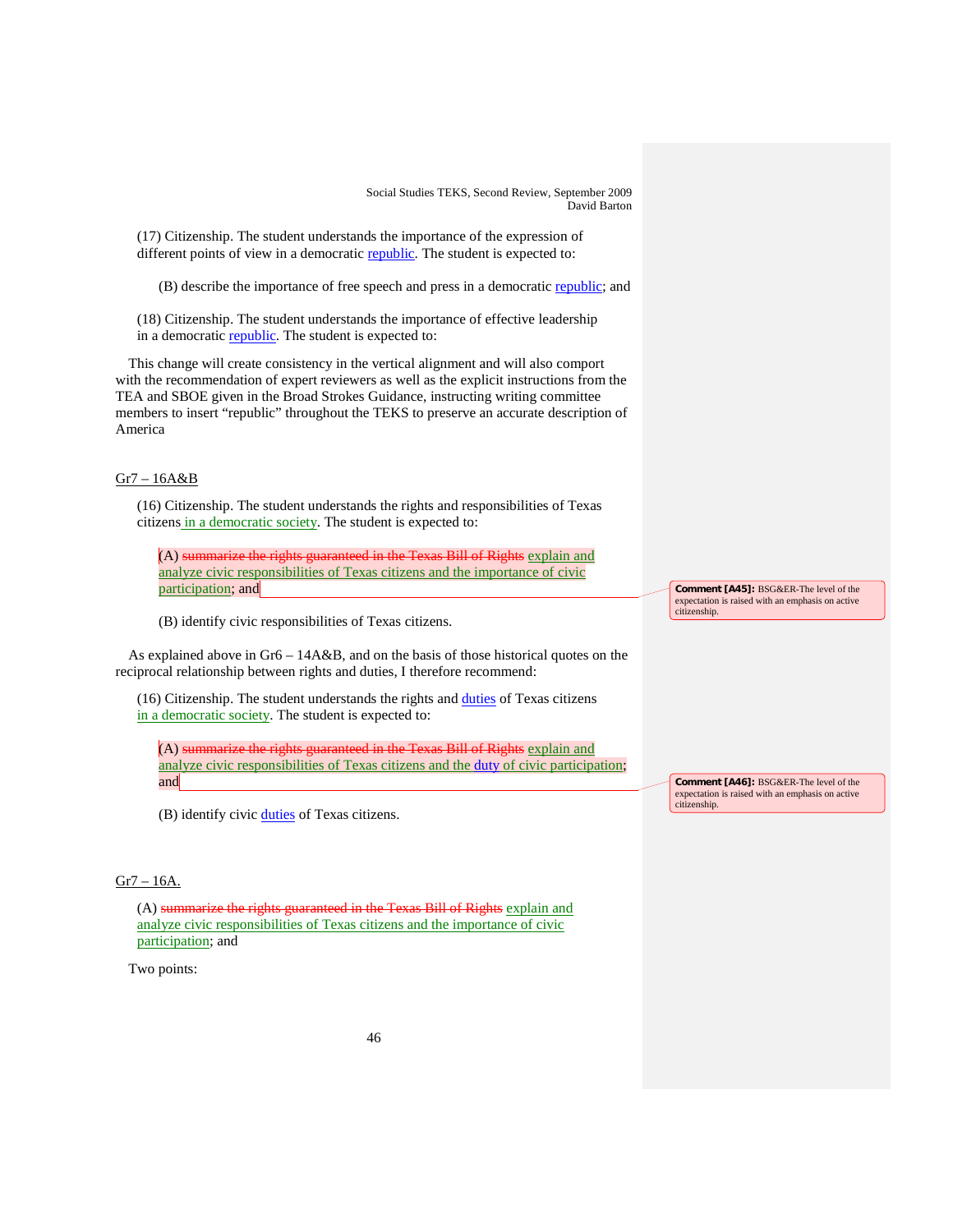(17) Citizenship. The student understands the importance of the expression of different points of view in a democratic republic. The student is expected to:

(B) describe the importance of free speech and press in a democratic republic; and

(18) Citizenship. The student understands the importance of effective leadership in a democratic **republic**. The student is expected to:

This change will create consistency in the vertical alignment and will also comport with the recommendation of expert reviewers as well as the explicit instructions from the TEA and SBOE given in the Broad Strokes Guidance, instructing writing committee members to insert "republic" throughout the TEKS to preserve an accurate description of America

# Gr7 – 16A&B

(16) Citizenship. The student understands the rights and responsibilities of Texas citizens in a democratic society. The student is expected to:

(A) summarize the rights guaranteed in the Texas Bill of Rights explain and analyze civic responsibilities of Texas citizens and the importance of civic participation; and

(B) identify civic responsibilities of Texas citizens.

As explained above in Gr6 – 14A&B, and on the basis of those historical quotes on the reciprocal relationship between rights and duties, I therefore recommend:

(16) Citizenship. The student understands the rights and duties of Texas citizens in a democratic society. The student is expected to:

(A) summarize the rights guaranteed in the Texas Bill of Rights explain and analyze civic responsibilities of Texas citizens and the duty of civic participation; and

(B) identify civic **duties** of Texas citizens.

# $Gr7 - 16A$ .

(A) summarize the rights guaranteed in the Texas Bill of Rights explain and analyze civic responsibilities of Texas citizens and the importance of civic participation; and

Two points:

**Comment [A45]:** BSG&ER-The level of the expectation is raised with an emphasis on active citizenship.

**Comment [A46]:** BSG&ER-The level of the expectation is raised with an emphasis on active citizenship.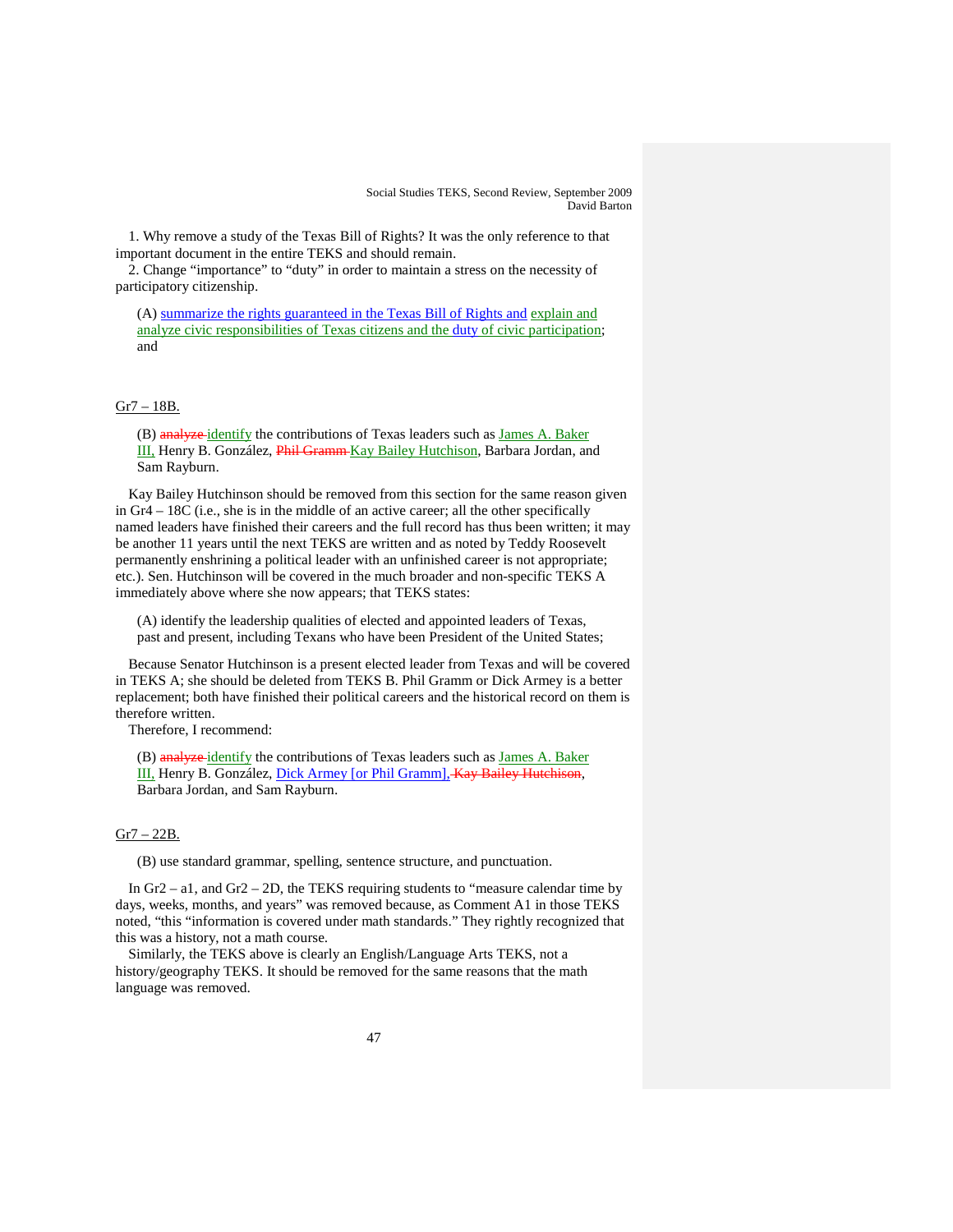1. Why remove a study of the Texas Bill of Rights? It was the only reference to that important document in the entire TEKS and should remain.

2. Change "importance" to "duty" in order to maintain a stress on the necessity of participatory citizenship.

(A) summarize the rights guaranteed in the Texas Bill of Rights and explain and analyze civic responsibilities of Texas citizens and the duty of civic participation; and

## Gr7 – 18B.

(B) analyze-identify the contributions of Texas leaders such as James A. Baker III, Henry B. González, Phil Gramm Kay Bailey Hutchison , Barbara Jordan, and Sam Rayburn.

Kay Bailey Hutchinson should be removed from this section for the same reason given in Gr4 – 18C (i.e., she is in the middle of an active career; all the other specifically named leaders have finished their careers and the full record has thus been written; it may be another 11 years until the next TEKS are written and as noted by Teddy Roosevelt permanently enshrining a political leader with an unfinished career is not appropriate; etc.). Sen. Hutchinson will be covered in the much broader and non-specific TEKS A immediately above where she now appears; that TEKS states:

(A) identify the leadership qualities of elected and appointed leaders of Texas, past and present, including Texans who have been President of the United States;

Because Senator Hutchinson is a present elected leader from Texas and will be covered in TEKS A; she should be deleted from TEKS B. Phil Gramm or Dick Armey is a better replacement; both have finished their political careers and the historical record on them is therefore written.

Therefore, I recommend:

(B) analyze-identify the contributions of Texas leaders such as James A. Baker III, Henry B. González, Dick Armey [or Phil Gramm], Kay Bailey Hutchison, Barbara Jordan, and Sam Rayburn.

#### Gr7 – 22B.

(B) use standard grammar, spelling, sentence structure, and punctuation.

In Gr2 – a1, and Gr2 – 2D, the TEKS requiring students to "measure calendar time by days, weeks, months, and years" was removed because, as Comment A1 in those TEKS noted, "this "information is covered under math standards." They rightly recognized that this was a history, not a math course.

Similarly, the TEKS above is clearly an English/Language Arts TEKS, not a history/geography TEKS. It should be removed for the same reasons that the math language was removed.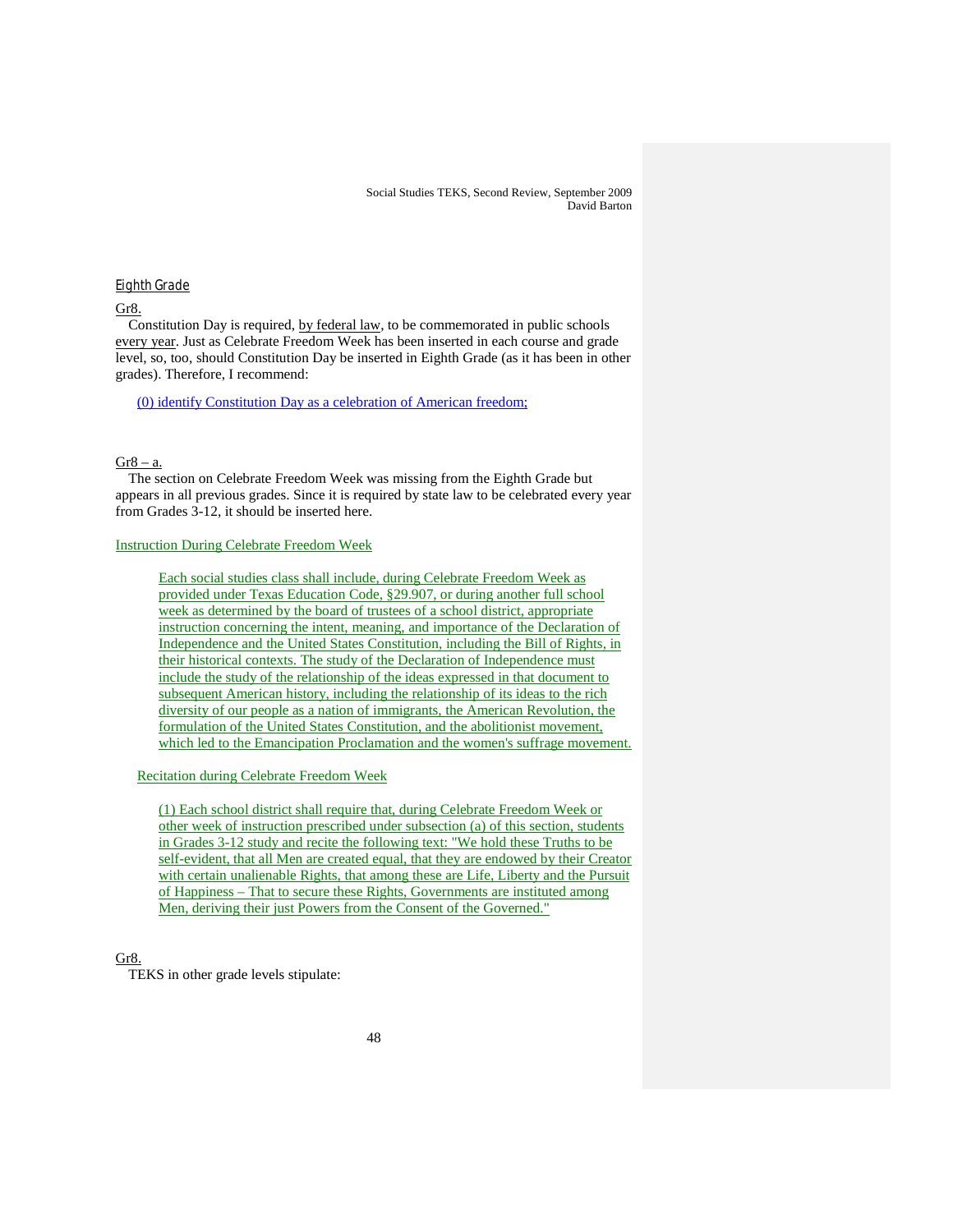### Eighth Grade

Gr8.

Constitution Day is required, by federal law, to be commemorated in public schools every year. Just as Celebrate Freedom Week has been inserted in each course and grade level, so, too, should Constitution Day be inserted in Eighth Grade (as it has been in other grades). Therefore, I recommend:

(0) identify Constitution Day as a celebration of American freedom;

#### $Gr8 - a$ .

The section on Celebrate Freedom Week was missing from the Eighth Grade but appears in all previous grades. Since it is required by state law to be celebrated every year from Grades 3-12, it should be inserted here.

#### Instruction During Celebrate Freedom Week

Each social studies class shall include, during Celebrate Freedom Week as provided under Texas Education Code, §29.907, or during another full school week as determined by the board of trustees of a school district, appropriate instruction concerning the intent, meaning, and importance of the Declaration of Independence and the United States Constitution, including the Bill of Rights, in their historical contexts. The study of the Declaration of Independence must include the study of the relationship of the ideas expressed in that document to subsequent American history, including the relationship of its ideas to the rich diversity of our people as a nation of immigrants, the American Revolution, the formulation of the United States Constitution, and the abolitionist movement, which led to the Emancipation Proclamation and the women's suffrage movement.

#### Recitation during Celebrate Freedom Week

(1) Each school district shall require that, during Celebrate Freedom Week or other week of instruction prescribed under subsection (a) of this section, students in Grades 3-12 study and recite the following text: "We hold these Truths to be self-evident, that all Men are created equal, that they are endowed by their Creator with certain unalienable Rights, that among these are Life, Liberty and the Pursuit of Happiness – That to secure these Rights, Governments are instituted among Men, deriving their just Powers from the Consent of the Governed."

# Gr8.

TEKS in other grade levels stipulate: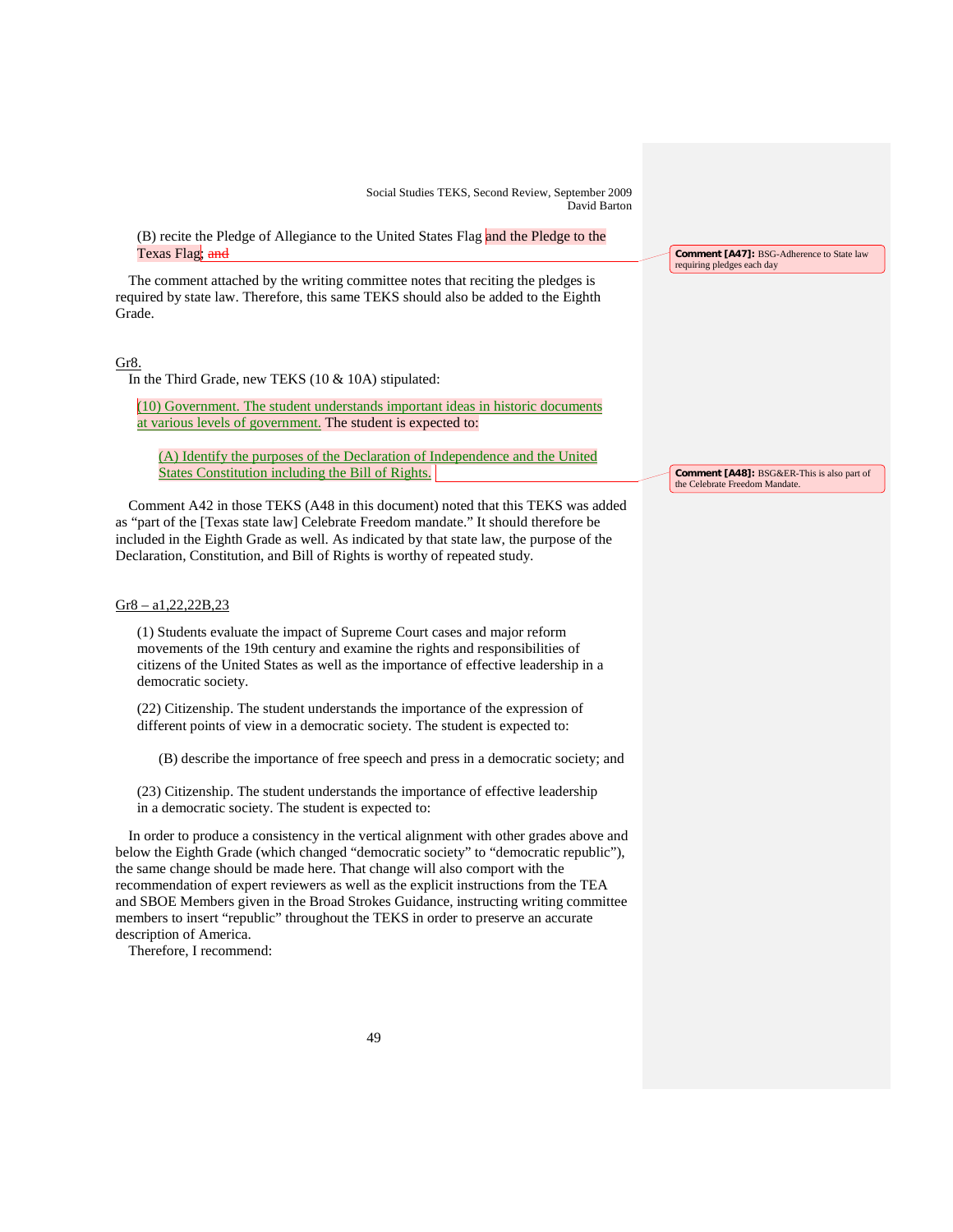(B) recite the Pledge of Allegiance to the United States Flag and the Pledge to the Texas Flag; and

The comment attached by the writing committee notes that reciting the pledges is required by state law. Therefore, this same TEKS should also be added to the Eighth Grade.

# Gr8.

In the Third Grade, new TEKS (10 & 10A) stipulated:

(10) Government. The student understands important ideas in historic documents at various levels of government. The student is expected to:

(A) Identify the purposes of the Declaration of Independence and the United States Constitution including the Bill of Rights.

Comment A42 in those TEKS (A48 in this document) noted that this TEKS was added as "part of the [Texas state law] Celebrate Freedom mandate." It should therefore be included in the Eighth Grade as well. As indicated by that state law, the purpose of the Declaration, Constitution, and Bill of Rights is worthy of repeated study.

### Gr8 – a1,22,22B,23

(1) Students evaluate the impact of Supreme Court cases and major reform movements of the 19th century and examine the rights and responsibilities of citizens of the United States as well as the importance of effective leadership in a democratic society.

(22) Citizenship. The student understands the importance of the expression of different points of view in a democratic society. The student is expected to:

(B) describe the importance of free speech and press in a democratic society; and

(23) Citizenship. The student understands the importance of effective leadership in a democratic society. The student is expected to:

In order to produce a consistency in the vertical alignment with other grades above and below the Eighth Grade (which changed "democratic society" to "democratic republic"), the same change should be made here. That change will also comport with the recommendation of expert reviewers as well as the explicit instructions from the TEA and SBOE Members given in the Broad Strokes Guidance, instructing writing committee members to insert "republic" throughout the TEKS in order to preserve an accurate description of America.

Therefore, I recommend:

**Comment [A47]:** BSG-Adherence to State law requiring pledges each day

**Comment [A48]:** BSG&ER-This is also part of the Celebrate Freedom Mandate.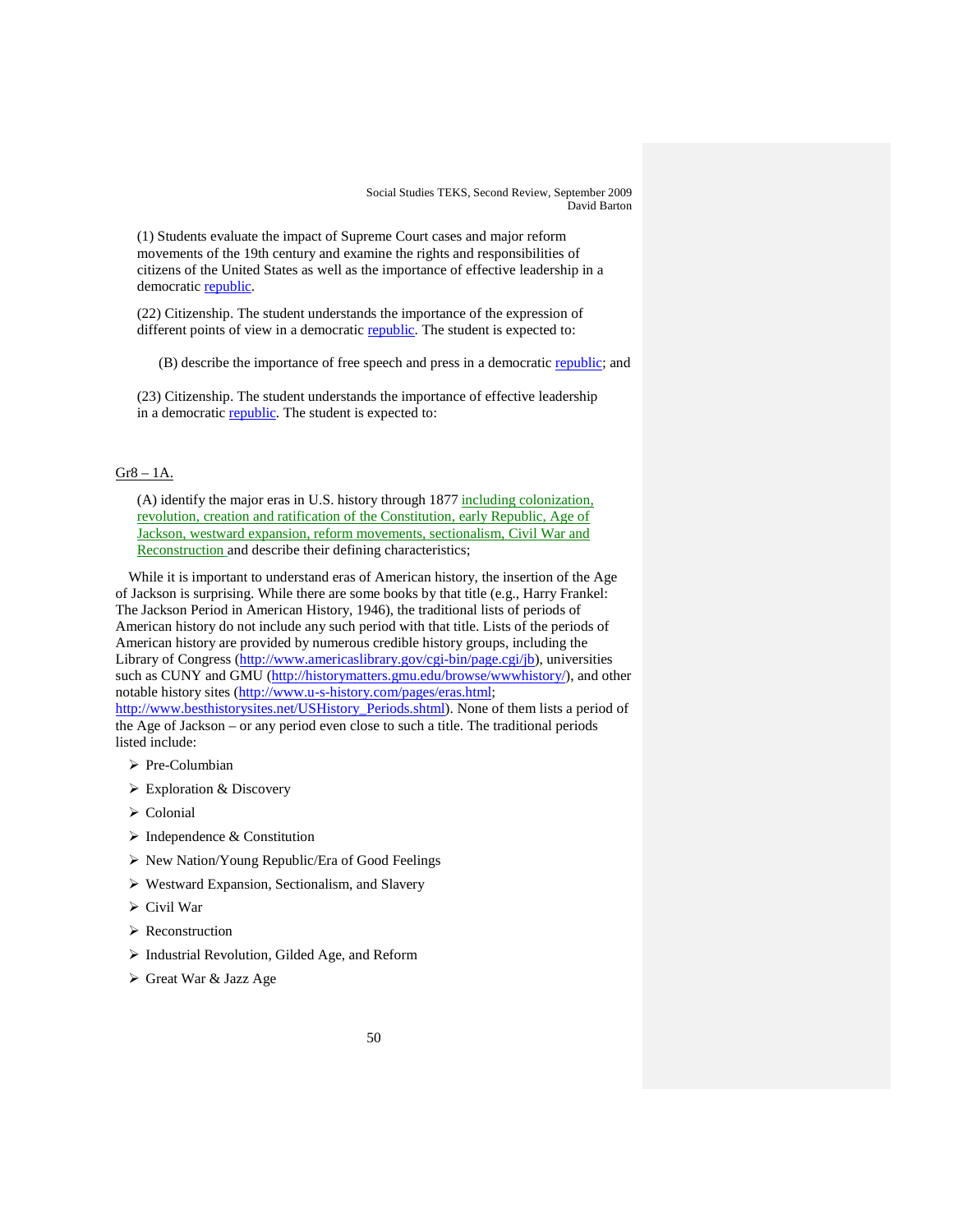(1) Students evaluate the impact of Supreme Court cases and major reform movements of the 19th century and examine the rights and responsibilities of citizens of the United States as well as the importance of effective leadership in a democratic republic.

(22) Citizenship. The student understands the importance of the expression of different points of view in a democratic republic. The student is expected to:

(B) describe the importance of free speech and press in a democratic republic; and

(23) Citizenship. The student understands the importance of effective leadership in a democratic **republic**. The student is expected to:

# Gr8 – 1A.

(A) identify the major eras in U.S. history through 1877 including colonization, revolution, creation and ratification of the Constitution, early Republic, Age of Jackson, westward expansion, reform movements, sectionalism, Civil War and Reconstruction and describe their defining characteristics;

While it is important to understand eras of American history, the insertion of the Age of Jackson is surprising. While there are some books by that title (e.g., Harry Frankel: The Jackson Period in American History, 1946), the traditional lists of periods of American history do not include any such period with that title. Lists of the periods of American history are provided by numerous credible history groups, including the Library of Congress ([http://www.americaslibrary.gov/cgi-bin/page.cgi/jb\)](http://www.americaslibrary.gov/cgi-bin/page.cgi/jb), universities such as CUNY and GMU [\(http://historymatters.gmu.edu/browse/wwwhistory/\)](http://historymatters.gmu.edu/browse/wwwhistory/), and other notable history sites [\(http://www.u-s-history.com/pages/eras.html;](http://www.u-s-history.com/pages/eras.html)

[http://www.besthistorysites.net/USHistory\\_Periods.shtml\)](http://www.besthistorysites.net/USHistory_Periods.shtml). None of them lists a period of the Age of Jackson – or any period even close to such a title. The traditional periods listed include:

- $\triangleright$  Pre-Columbian
- Exploration & Discovery
- Colonial
- $\triangleright$  Independence & Constitution
- $\triangleright$  New Nation/Young Republic/Era of Good Feelings
- Westward Expansion, Sectionalism, and Slavery
- $\triangleright$  Civil War
- > Reconstruction
- $\triangleright$  Industrial Revolution, Gilded Age, and Reform
- Great War & Jazz Age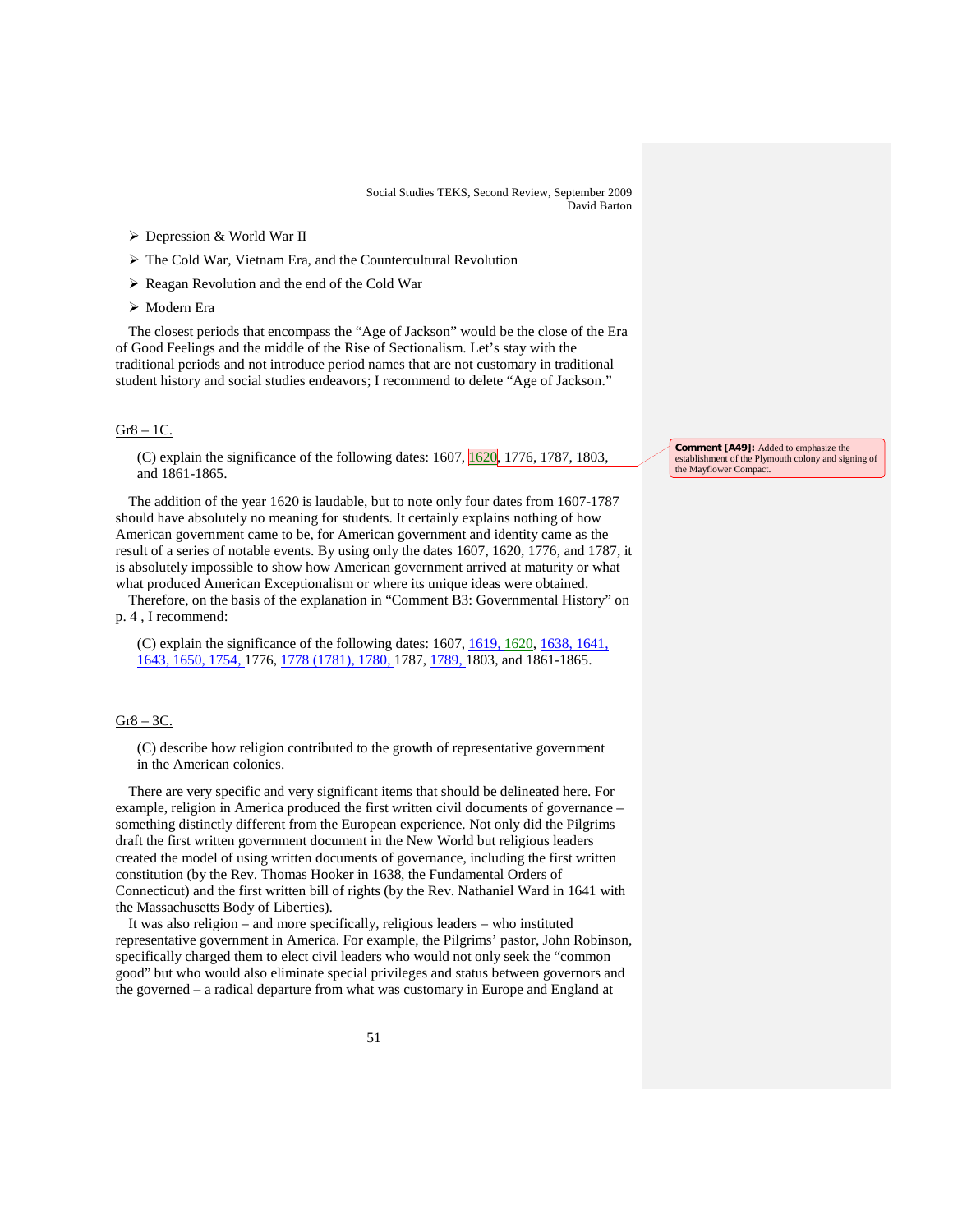- $\triangleright$  Depression & World War II
- The Cold War, Vietnam Era, and the Countercultural Revolution
- Reagan Revolution and the end of the Cold War
- Modern Era

The closest periods that encompass the "Age of Jackson" would be the close of the Era of Good Feelings and the middle of the Rise of Sectionalism. Let's stay with the traditional periods and not introduce period names that are not customary in traditional student history and social studies endeavors; I recommend to delete "Age of Jackson."

#### $Gr8 - 1C$ .

(C) explain the significance of the following dates:  $1607$ ,  $\boxed{1620}$ , 1776, 1787, 1803, and 1861-1865.

The addition of the year 1620 is laudable, but to note only four dates from 1607-1787 should have absolutely no meaning for students. It certainly explains nothing of how American government came to be, for American government and identity came as the result of a series of notable events. By using only the dates 1607, 1620, 1776, and 1787, it is absolutely impossible to show how American government arrived at maturity or what what produced American Exceptionalism or where its unique ideas were obtained.

Therefore, on the basis of the explanation in "Comment B3: Governmental History" on p. 4 , I recommend:

(C) explain the significance of the following dates: 1607, 1619, 1620, 1638, 1641, 1643, 1650, 1754, 1776, 1778 (1781), 1780, 1787, 1789, 1803, and 1861-1865.

# Gr8 – 3C.

(C) describe how religion contributed to the growth of representative government in the American colonies.

There are very specific and very significant items that should be delineated here. For example, religion in America produced the first written civil documents of governance – something distinctly different from the European experience. Not only did the Pilgrims draft the first written government document in the New World but religious leaders created the model of using written documents of governance, including the first written constitution (by the Rev. Thomas Hooker in 1638, the Fundamental Orders of Connecticut) and the first written bill of rights (by the Rev. Nathaniel Ward in 1641 with the Massachusetts Body of Liberties).

It was also religion – and more specifically, religious leaders – who instituted representative government in America. For example, the Pilgrims' pastor, John Robinson, specifically charged them to elect civil leaders who would not only seek the "common good" but who would also eliminate special privileges and status between governors and the governed – a radical departure from what was customary in Europe and England at

**Comment [A49]:** Added to emphasize the establishment of the Plymouth colony and signing of the Mayflower Compact.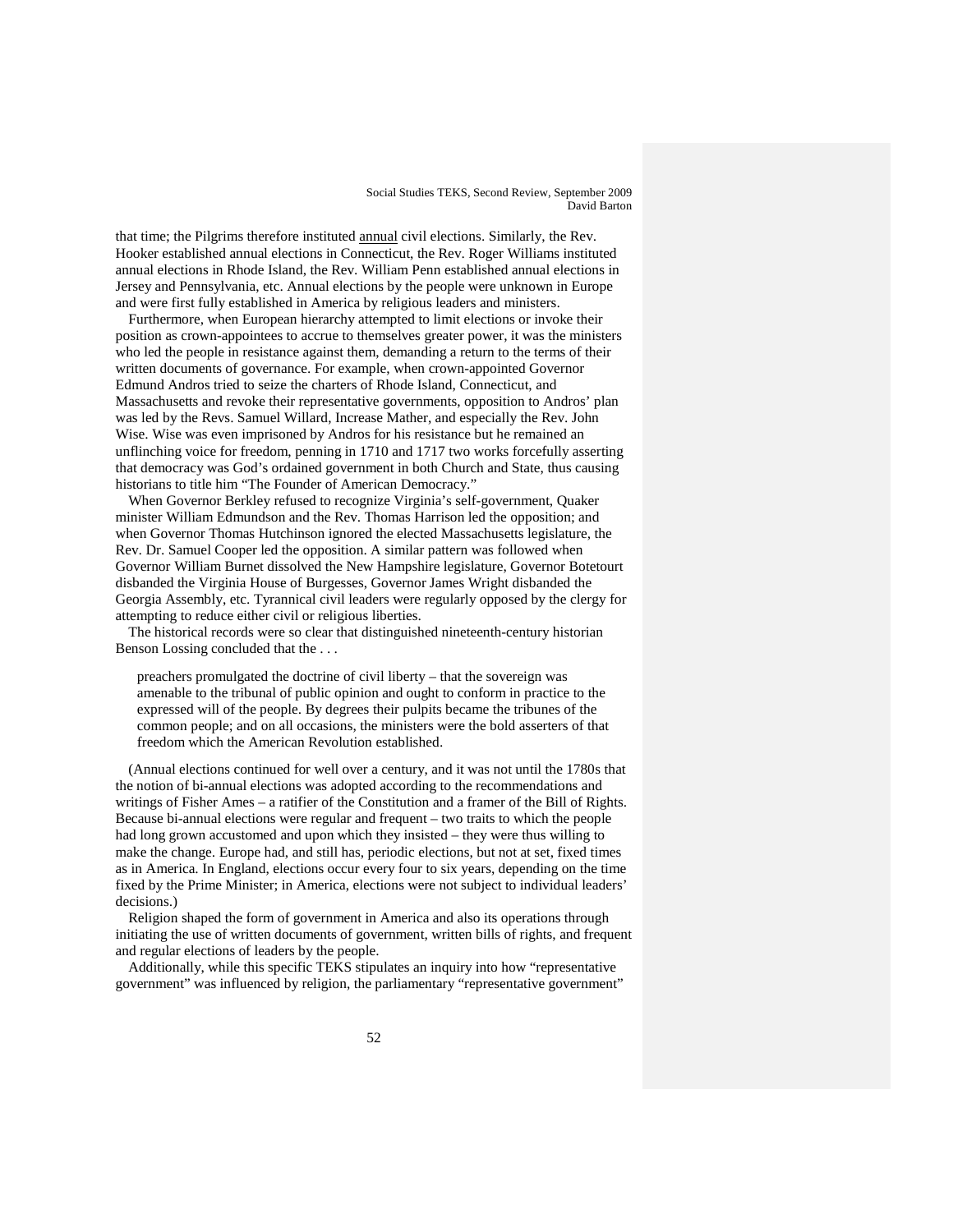that time; the Pilgrims therefore instituted annual civil elections. Similarly, the Rev. Hooker established annual elections in Connecticut, the Rev. Roger Williams instituted annual elections in Rhode Island, the Rev. William Penn established annual elections in Jersey and Pennsylvania, etc. Annual elections by the people were unknown in Europe and were first fully established in America by religious leaders and ministers.

Furthermore, when European hierarchy attempted to limit elections or invoke their position as crown-appointees to accrue to themselves greater power, it was the ministers who led the people in resistance against them, demanding a return to the terms of their written documents of governance. For example, when crown-appointed Governor Edmund Andros tried to seize the charters of Rhode Island, Connecticut, and Massachusetts and revoke their representative governments, opposition to Andros' plan was led by the Revs. Samuel Willard, Increase Mather, and especially the Rev. John Wise. Wise was even imprisoned by Andros for his resistance but he remained an unflinching voice for freedom, penning in 1710 and 1717 two works forcefully asserting that democracy was God's ordained government in both Church and State, thus causing historians to title him "The Founder of American Democracy."

When Governor Berkley refused to recognize Virginia's self-government, Quaker minister William Edmundson and the Rev. Thomas Harrison led the opposition; and when Governor Thomas Hutchinson ignored the elected Massachusetts legislature, the Rev. Dr. Samuel Cooper led the opposition. A similar pattern was followed when Governor William Burnet dissolved the New Hampshire legislature, Governor Botetourt disbanded the Virginia House of Burgesses, Governor James Wright disbanded the Georgia Assembly, etc. Tyrannical civil leaders were regularly opposed by the clergy for attempting to reduce either civil or religious liberties.

The historical records were so clear that distinguished nineteenth-century historian Benson Lossing concluded that the . . .

preachers promulgated the doctrine of civil liberty – that the sovereign was amenable to the tribunal of public opinion and ought to conform in practice to the expressed will of the people. By degrees their pulpits became the tribunes of the common people; and on all occasions, the ministers were the bold asserters of that freedom which the American Revolution established.

(Annual elections continued for well over a century, and it was not until the 1780s that the notion of bi-annual elections was adopted according to the recommendations and writings of Fisher Ames – a ratifier of the Constitution and a framer of the Bill of Rights. Because bi-annual elections were regular and frequent – two traits to which the people had long grown accustomed and upon which they insisted – they were thus willing to make the change. Europe had, and still has, periodic elections, but not at set, fixed times as in America. In England, elections occur every four to six years, depending on the time fixed by the Prime Minister; in America, elections were not subject to individual leaders' decisions.)

Religion shaped the form of government in America and also its operations through initiating the use of written documents of government, written bills of rights, and frequent and regular elections of leaders by the people.

Additionally, while this specific TEKS stipulates an inquiry into how "representative government" was influenced by religion, the parliamentary "representative government"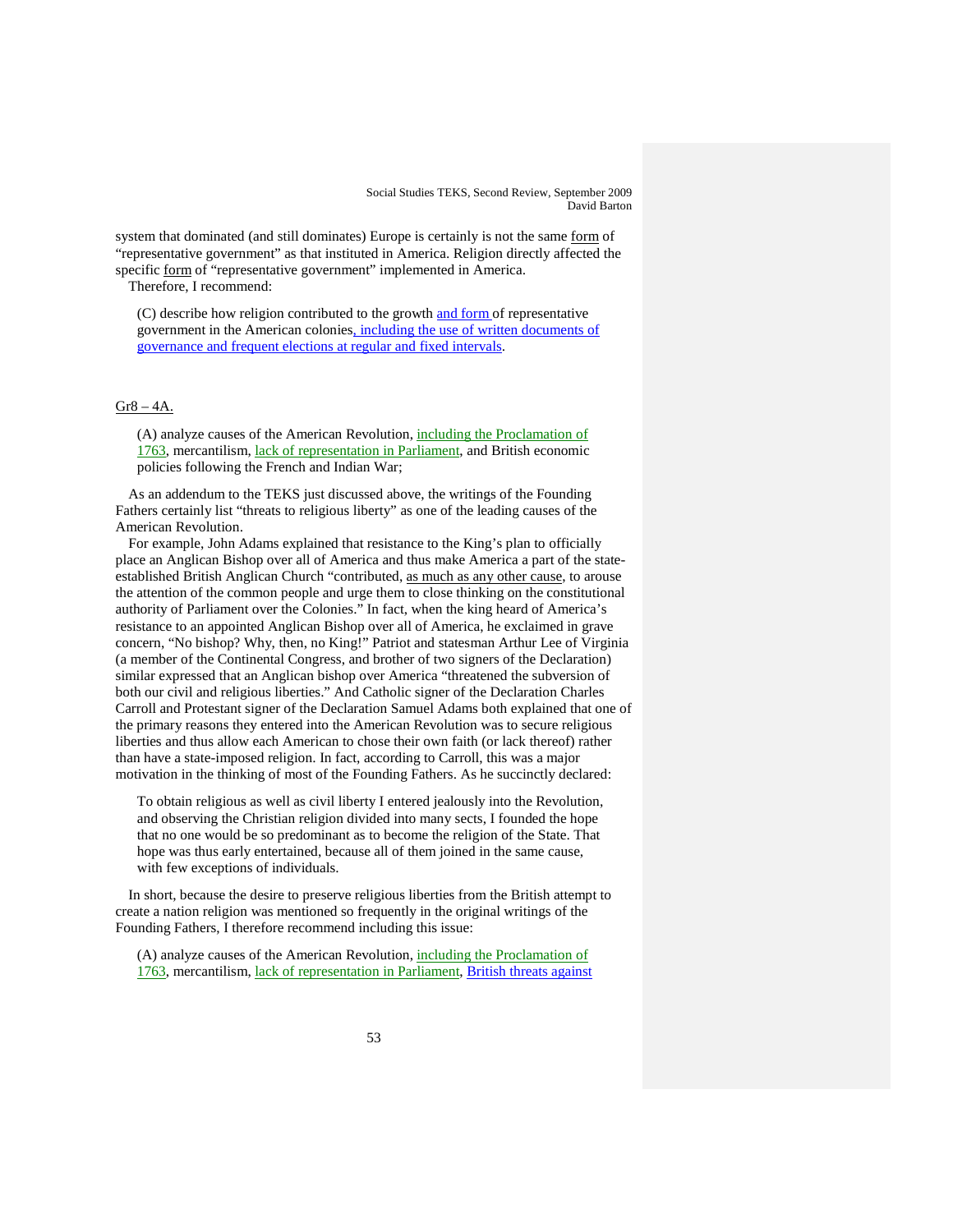system that dominated (and still dominates) Europe is certainly is not the same form of "representative government" as that instituted in America. Religion directly affected the specific form of "representative government" implemented in America.

Therefore, I recommend:

(C) describe how religion contributed to the growth and form of representative government in the American colonies, including the use of written documents of governance and frequent elections at regular and fixed intervals.

# $Gr8 - 4A$ .

(A) analyze causes of the American Revolution, *including the Proclamation of* 1763, mercantilism, lack of representation in Parliament, and British economic policies following the French and Indian War;

As an addendum to the TEKS just discussed above, the writings of the Founding Fathers certainly list "threats to religious liberty" as one of the leading causes of the American Revolution.

For example, John Adams explained that resistance to the King's plan to officially place an Anglican Bishop over all of America and thus make America a part of the stateestablished British Anglican Church "contributed, as much as any other cause, to arouse the attention of the common people and urge them to close thinking on the constitutional authority of Parliament over the Colonies." In fact, when the king heard of America's resistance to an appointed Anglican Bishop over all of America, he exclaimed in grave concern, "No bishop? Why, then, no King!" Patriot and statesman Arthur Lee of Virginia (a member of the Continental Congress, and brother of two signers of the Declaration) similar expressed that an Anglican bishop over America "threatened the subversion of both our civil and religious liberties." And Catholic signer of the Declaration Charles Carroll and Protestant signer of the Declaration Samuel Adams both explained that one of the primary reasons they entered into the American Revolution was to secure religious liberties and thus allow each American to chose their own faith (or lack thereof) rather than have a state-imposed religion. In fact, according to Carroll, this was a major motivation in the thinking of most of the Founding Fathers. As he succinctly declared:

To obtain religious as well as civil liberty I entered jealously into the Revolution, and observing the Christian religion divided into many sects, I founded the hope that no one would be so predominant as to become the religion of the State. That hope was thus early entertained, because all of them joined in the same cause, with few exceptions of individuals.

In short, because the desire to preserve religious liberties from the British attempt to create a nation religion was mentioned so frequently in the original writings of the Founding Fathers, I therefore recommend including this issue:

(A) analyze causes of the American Revolution, including the Proclamation of 1763, mercantilism, lack of representation in Parliament, British threats against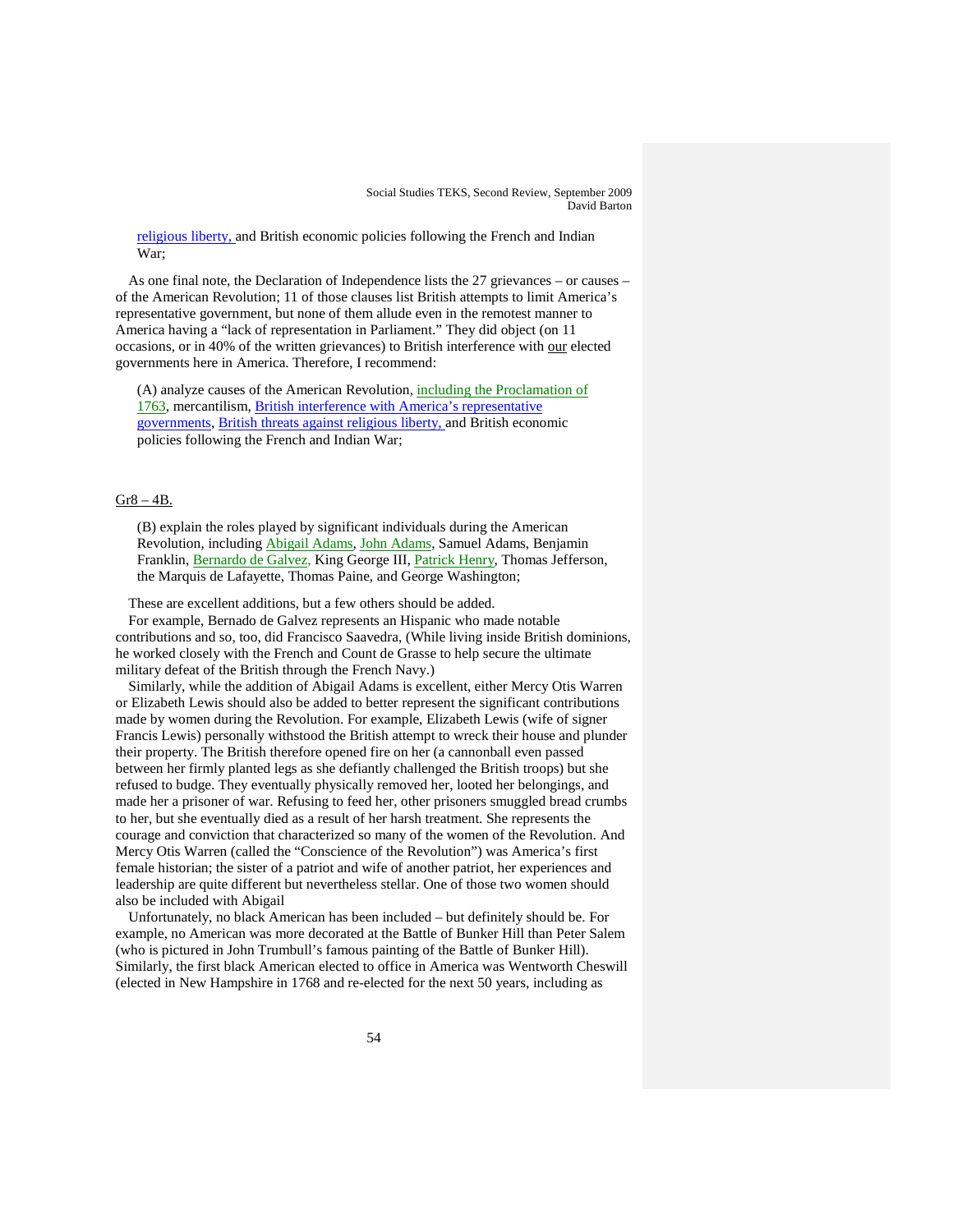religious liberty, and British economic policies following the French and Indian War;

As one final note, the Declaration of Independence lists the 27 grievances – or causes – of the American Revolution; 11 of those clauses list British attempts to limit America's representative government, but none of them allude even in the remotest manner to America having a "lack of representation in Parliament." They did object (on 11 occasions, or in 40% of the written grievances) to British interference with our elected governments here in America. Therefore, I recommend:

(A) analyze causes of the American Revolution, including the Proclamation of 1763, mercantilism, British interference with America's representative governments, British threats against religious liberty, and British economic policies following the French and Indian War;

#### $Gr8 - 4B$ .

(B) explain the roles played by significant individuals during the American Revolution, including *Abigail Adams*, John Adams, Samuel Adams, Benjamin Franklin, *Bernardo de Galvez*, King George III, *Patrick Henry*, Thomas Jefferson, the Marquis de Lafayette, Thomas Paine, and George Washington;

These are excellent additions, but a few others should be added.

For example, Bernado de Galvez represents an Hispanic who made notable contributions and so, too, did Francisco Saavedra, (While living inside British dominions, he worked closely with the French and Count de Grasse to help secure the ultimate military defeat of the British through the French Navy.)

Similarly, while the addition of Abigail Adams is excellent, either Mercy Otis Warren or Elizabeth Lewis should also be added to better represent the significant contributions made by women during the Revolution. For example, Elizabeth Lewis (wife of signer Francis Lewis) personally withstood the British attempt to wreck their house and plunder their property. The British therefore opened fire on her (a cannonball even passed between her firmly planted legs as she defiantly challenged the British troops) but she refused to budge. They eventually physically removed her, looted her belongings, and made her a prisoner of war. Refusing to feed her, other prisoners smuggled bread crumbs to her, but she eventually died as a result of her harsh treatment. She represents the courage and conviction that characterized so many of the women of the Revolution. And Mercy Otis Warren (called the "Conscience of the Revolution") was America's first female historian; the sister of a patriot and wife of another patriot, her experiences and leadership are quite different but nevertheless stellar. One of those two women should also be included with Abigail

Unfortunately, no black American has been included – but definitely should be. For example, no American was more decorated at the Battle of Bunker Hill than Peter Salem (who is pictured in John Trumbull's famous painting of the Battle of Bunker Hill). Similarly, the first black American elected to office in America was Wentworth Cheswill (elected in New Hampshire in 1768 and re-elected for the next 50 years, including as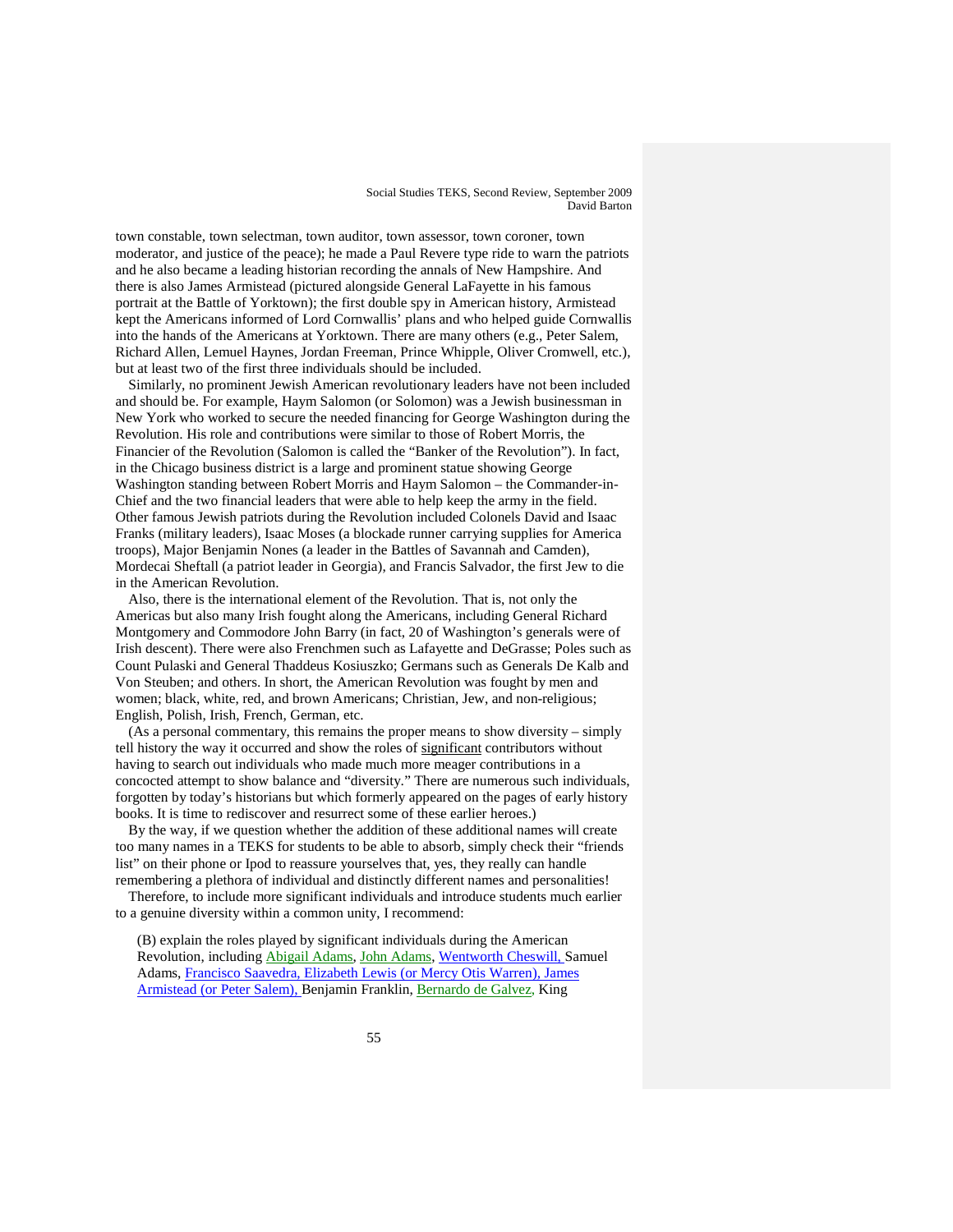town constable, town selectman, town auditor, town assessor, town coroner, town moderator, and justice of the peace); he made a Paul Revere type ride to warn the patriots and he also became a leading historian recording the annals of New Hampshire. And there is also James Armistead (pictured alongside General LaFayette in his famous portrait at the Battle of Yorktown); the first double spy in American history, Armistead kept the Americans informed of Lord Cornwallis' plans and who helped guide Cornwallis into the hands of the Americans at Yorktown. There are many others (e.g., Peter Salem, Richard Allen, Lemuel Haynes, Jordan Freeman, Prince Whipple, Oliver Cromwell, etc.), but at least two of the first three individuals should be included.

Similarly, no prominent Jewish American revolutionary leaders have not been included and should be. For example, Haym Salomon (or Solomon) was a Jewish businessman in New York who worked to secure the needed financing for George Washington during the Revolution. His role and contributions were similar to those of Robert Morris, the Financier of the Revolution (Salomon is called the "Banker of the Revolution"). In fact, in the Chicago business district is a large and prominent statue showing George Washington standing between Robert Morris and Haym Salomon – the Commander-in-Chief and the two financial leaders that were able to help keep the army in the field. Other famous Jewish patriots during the Revolution included Colonels David and Isaac Franks (military leaders), Isaac Moses (a blockade runner carrying supplies for America troops), Major Benjamin Nones (a leader in the Battles of Savannah and Camden), Mordecai Sheftall (a patriot leader in Georgia), and Francis Salvador, the first Jew to die in the American Revolution.

Also, there is the international element of the Revolution. That is, not only the Americas but also many Irish fought along the Americans, including General Richard Montgomery and Commodore John Barry (in fact, 20 of Washington's generals were of Irish descent). There were also Frenchmen such as Lafayette and DeGrasse; Poles such as Count Pulaski and General Thaddeus Kosiuszko; Germans such as Generals De Kalb and Von Steuben; and others. In short, the American Revolution was fought by men and women; black, white, red, and brown Americans; Christian, Jew, and non-religious; English, Polish, Irish, French, German, etc.

(As a personal commentary, this remains the proper means to show diversity – simply tell history the way it occurred and show the roles of significant contributors without having to search out individuals who made much more meager contributions in a concocted attempt to show balance and "diversity." There are numerous such individuals, forgotten by today's historians but which formerly appeared on the pages of early history books. It is time to rediscover and resurrect some of these earlier heroes.)

By the way, if we question whether the addition of these additional names will create too many names in a TEKS for students to be able to absorb, simply check their "friends list" on their phone or Ipod to reassure yourselves that, yes, they really can handle remembering a plethora of individual and distinctly different names and personalities!

Therefore, to include more significant individuals and introduce students much earlier to a genuine diversity within a common unity, I recommend:

(B) explain the roles played by significant individuals during the American Revolution, including Abigail Adams, John Adams, Wentworth Cheswill, Samuel Adams, Francisco Saavedra, Elizabeth Lewis (or Mercy Otis Warren), James Armistead (or Peter Salem), Benjamin Franklin, Bernardo de Galvez, King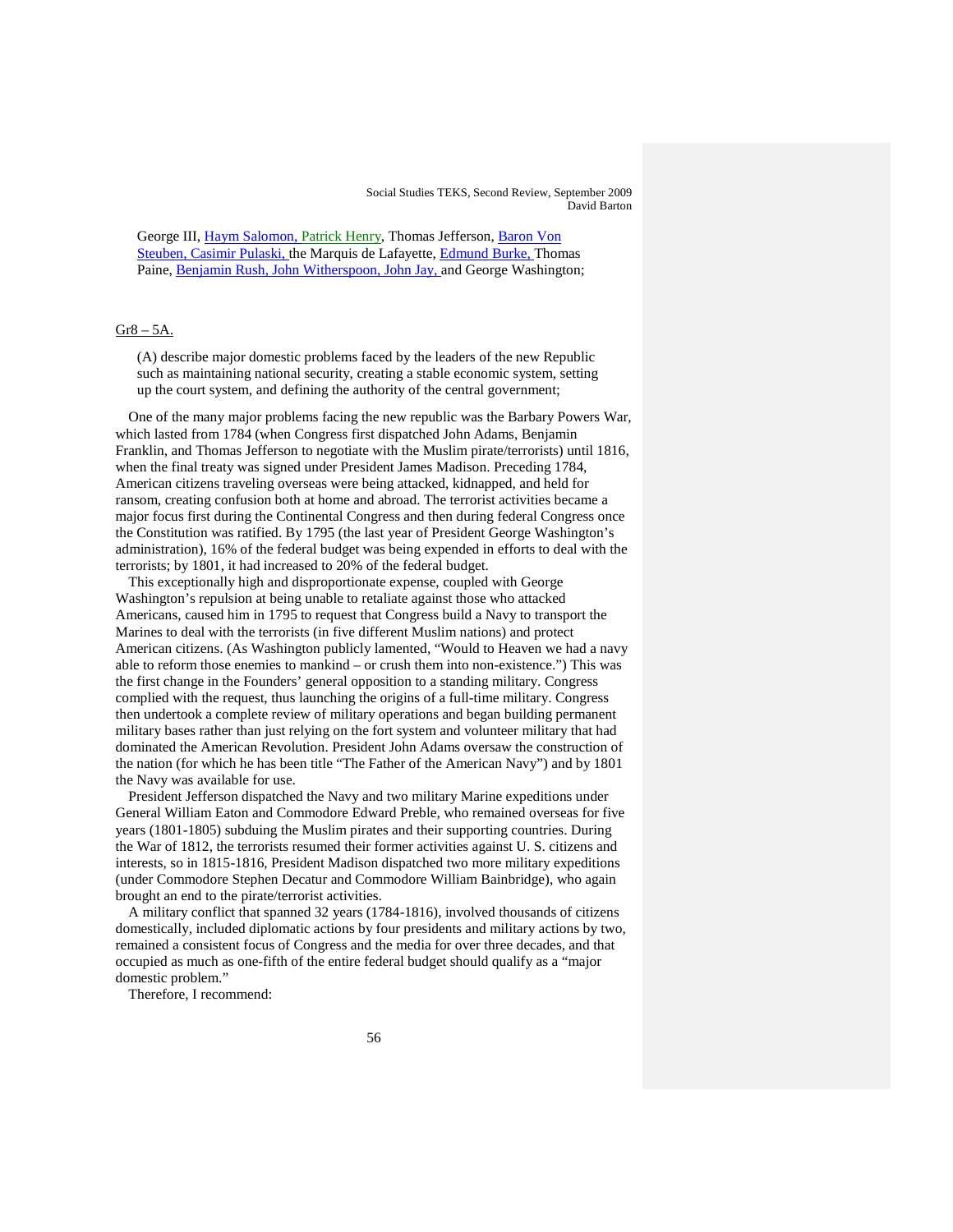George III, Haym Salomon, Patrick Henry, Thomas Jefferson, Baron Von Steuben, Casimir Pulaski, the Marquis de Lafayette, Edmund Burke, Thomas Paine, Benjamin Rush, John Witherspoon, John Jay, and George Washington;

#### $Gr8 - 5A$ .

(A) describe major domestic problems faced by the leaders of the new Republic such as maintaining national security, creating a stable economic system, setting up the court system, and defining the authority of the central government;

One of the many major problems facing the new republic was the Barbary Powers War, which lasted from 1784 (when Congress first dispatched John Adams, Benjamin Franklin, and Thomas Jefferson to negotiate with the Muslim pirate/terrorists) until 1816, when the final treaty was signed under President James Madison. Preceding 1784, American citizens traveling overseas were being attacked, kidnapped, and held for ransom, creating confusion both at home and abroad. The terrorist activities became a major focus first during the Continental Congress and then during federal Congress once the Constitution was ratified. By 1795 (the last year of President George Washington's administration), 16% of the federal budget was being expended in efforts to deal with the terrorists; by 1801, it had increased to 20% of the federal budget.

This exceptionally high and disproportionate expense, coupled with George Washington's repulsion at being unable to retaliate against those who attacked Americans, caused him in 1795 to request that Congress build a Navy to transport the Marines to deal with the terrorists (in five different Muslim nations) and protect American citizens. (As Washington publicly lamented, "Would to Heaven we had a navy able to reform those enemies to mankind – or crush them into non-existence.") This was the first change in the Founders' general opposition to a standing military. Congress complied with the request, thus launching the origins of a full-time military. Congress then undertook a complete review of military operations and began building permanent military bases rather than just relying on the fort system and volunteer military that had dominated the American Revolution. President John Adams oversaw the construction of the nation (for which he has been title "The Father of the American Navy") and by 1801 the Navy was available for use.

President Jefferson dispatched the Navy and two military Marine expeditions under General William Eaton and Commodore Edward Preble, who remained overseas for five years (1801-1805) subduing the Muslim pirates and their supporting countries. During the War of 1812, the terrorists resumed their former activities against U. S. citizens and interests, so in 1815-1816, President Madison dispatched two more military expeditions (under Commodore Stephen Decatur and Commodore William Bainbridge), who again brought an end to the pirate/terrorist activities.

A military conflict that spanned 32 years (1784-1816), involved thousands of citizens domestically, included diplomatic actions by four presidents and military actions by two, remained a consistent focus of Congress and the media for over three decades, and that occupied as much as one-fifth of the entire federal budget should qualify as a "major domestic problem."

Therefore, I recommend: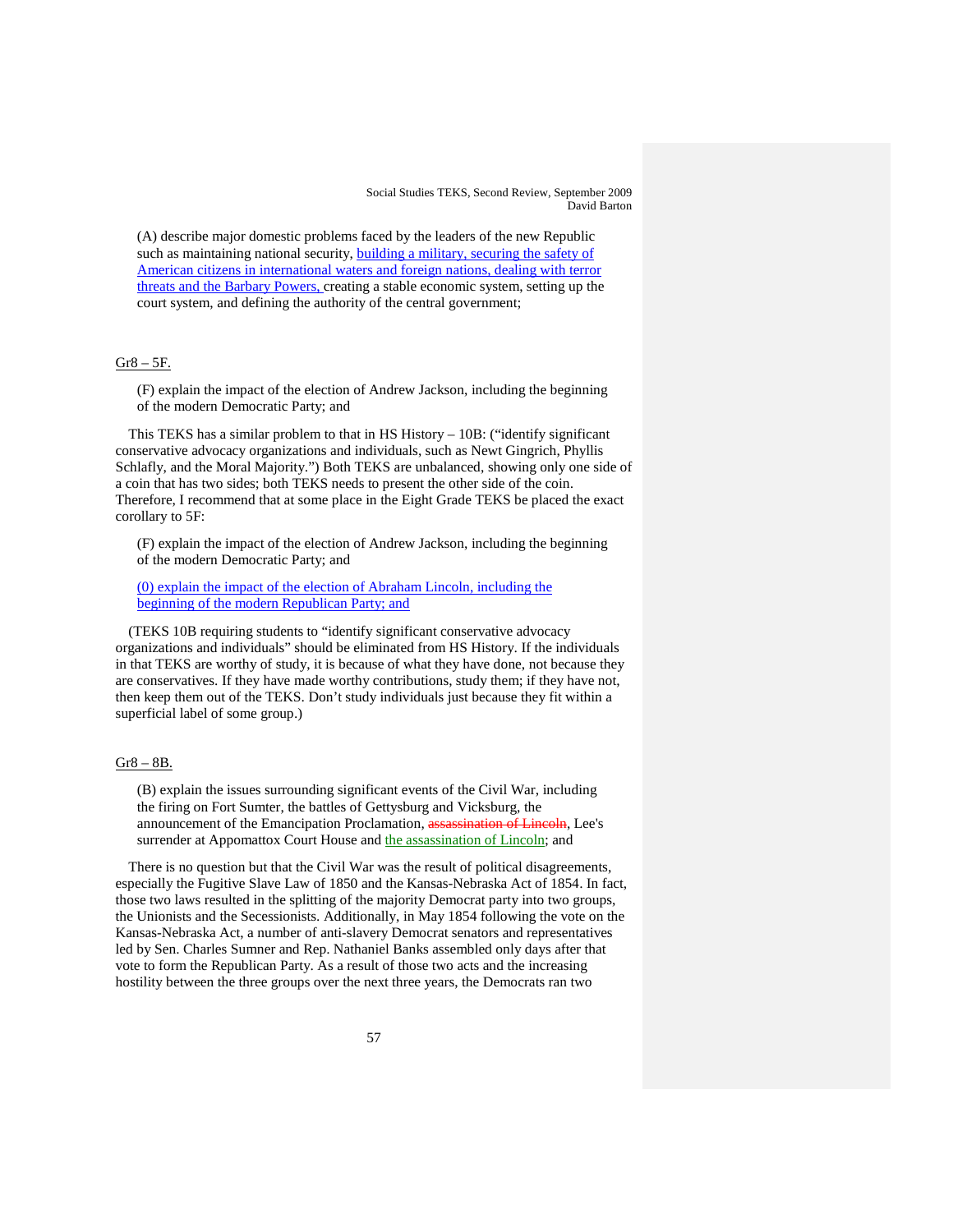(A) describe major domestic problems faced by the leaders of the new Republic such as maintaining national security, building a military, securing the safety of American citizens in international waters and foreign nations, dealing with terror threats and the Barbary Powers, creating a stable economic system, setting up the court system, and defining the authority of the central government;

# Gr8 – 5F.

(F) explain the impact of the election of Andrew Jackson, including the beginning of the modern Democratic Party; and

This TEKS has a similar problem to that in HS History – 10B: ("identify significant conservative advocacy organizations and individuals, such as Newt Gingrich, Phyllis Schlafly, and the Moral Majority.") Both TEKS are unbalanced, showing only one side of a coin that has two sides; both TEKS needs to present the other side of the coin. Therefore, I recommend that at some place in the Eight Grade TEKS be placed the exact corollary to 5F:

(F) explain the impact of the election of Andrew Jackson, including the beginning of the modern Democratic Party; and

(0) explain the impact of the election of Abraham Lincoln, including the beginning of the modern Republican Party; and

(TEKS 10B requiring students to "identify significant conservative advocacy organizations and individuals" should be eliminated from HS History. If the individuals in that TEKS are worthy of study, it is because of what they have done, not because they are conservatives. If they have made worthy contributions, study them; if they have not, then keep them out of the TEKS. Don't study individuals just because they fit within a superficial label of some group.)

## Gr8 – 8B.

(B) explain the issues surrounding significant events of the Civil War, including the firing on Fort Sumter, the battles of Gettysburg and Vicksburg, the announcement of the Emancipation Proclamation, assassination of Lincoln, Lee's surrender at Appomattox Court House and the assassination of Lincoln; and

There is no question but that the Civil War was the result of political disagreements, especially the Fugitive Slave Law of 1850 and the Kansas-Nebraska Act of 1854. In fact, those two laws resulted in the splitting of the majority Democrat party into two groups, the Unionists and the Secessionists. Additionally, in May 1854 following the vote on the Kansas-Nebraska Act, a number of anti-slavery Democrat senators and representatives led by Sen. Charles Sumner and Rep. Nathaniel Banks assembled only days after that vote to form the Republican Party. As a result of those two acts and the increasing hostility between the three groups over the next three years, the Democrats ran two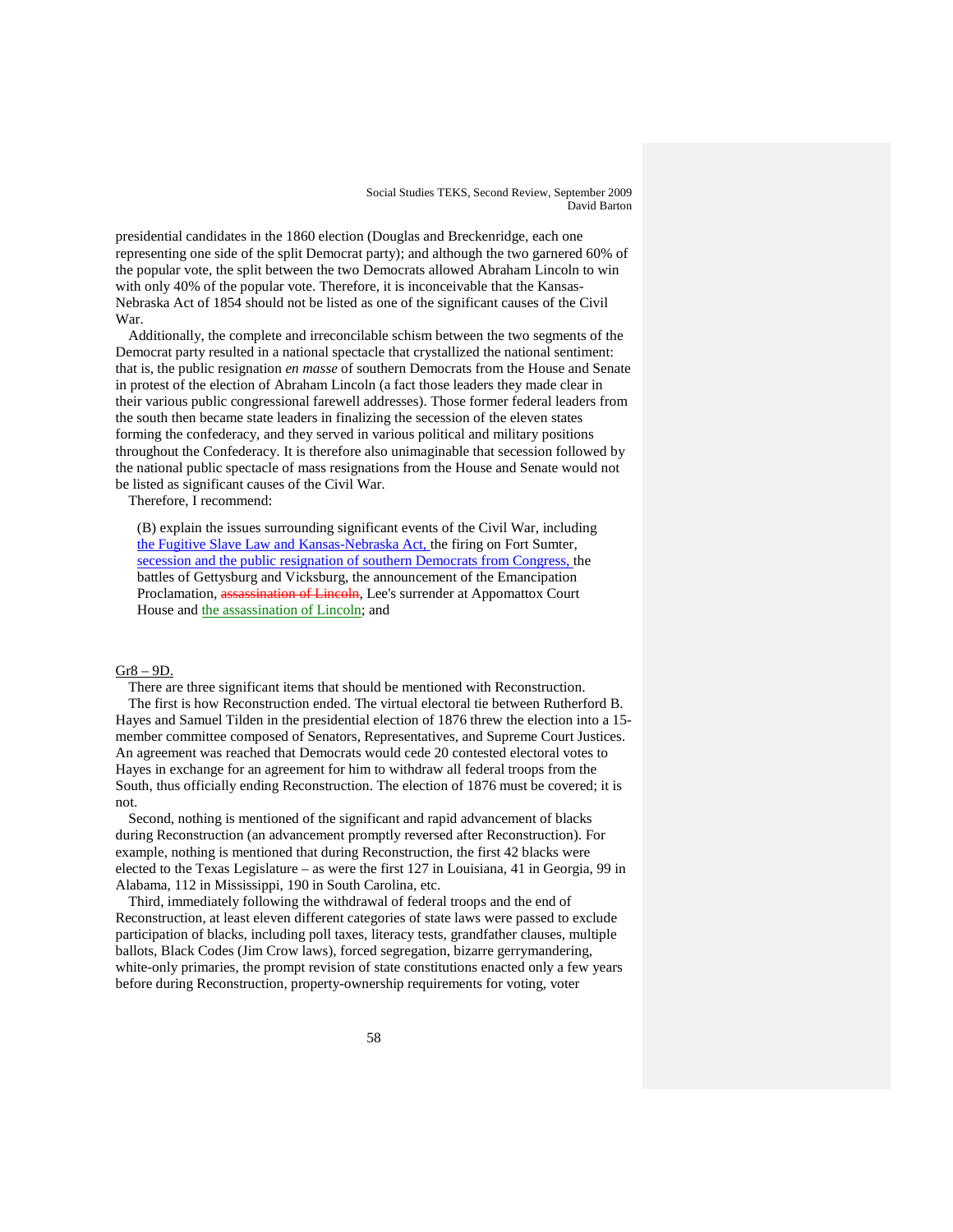presidential candidates in the 1860 election (Douglas and Breckenridge, each one representing one side of the split Democrat party); and although the two garnered 60% of the popular vote, the split between the two Democrats allowed Abraham Lincoln to win with only 40% of the popular vote. Therefore, it is inconceivable that the Kansas-Nebraska Act of 1854 should not be listed as one of the significant causes of the Civil War.

Additionally, the complete and irreconcilable schism between the two segments of the Democrat party resulted in a national spectacle that crystallized the national sentiment: that is, the public resignation *en masse* of southern Democrats from the House and Senate in protest of the election of Abraham Lincoln (a fact those leaders they made clear in their various public congressional farewell addresses). Those former federal leaders from the south then became state leaders in finalizing the secession of the eleven states forming the confederacy, and they served in various political and military positions throughout the Confederacy. It is therefore also unimaginable that secession followed by the national public spectacle of mass resignations from the House and Senate would not be listed as significant causes of the Civil War.

Therefore, I recommend:

(B) explain the issues surrounding significant events of the Civil War, including the Fugitive Slave Law and Kansas-Nebraska Act, the firing on Fort Sumter, secession and the public resignation of southern Democrats from Congress, the battles of Gettysburg and Vicksburg, the announcement of the Emancipation Proclamation, assassination of Lincoln, Lee's surrender at Appomattox Court House and the assassination of Lincoln; and

# Gr8 – 9D.

There are three significant items that should be mentioned with Reconstruction. The first is how Reconstruction ended. The virtual electoral tie between Rutherford B. Hayes and Samuel Tilden in the presidential election of 1876 threw the election into a 15 member committee composed of Senators, Representatives, and Supreme Court Justices. An agreement was reached that Democrats would cede 20 contested electoral votes to Hayes in exchange for an agreement for him to withdraw all federal troops from the South, thus officially ending Reconstruction. The election of 1876 must be covered; it is not.

Second, nothing is mentioned of the significant and rapid advancement of blacks during Reconstruction (an advancement promptly reversed after Reconstruction). For example, nothing is mentioned that during Reconstruction, the first 42 blacks were elected to the Texas Legislature – as were the first 127 in Louisiana, 41 in Georgia, 99 in Alabama, 112 in Mississippi, 190 in South Carolina, etc.

Third, immediately following the withdrawal of federal troops and the end of Reconstruction, at least eleven different categories of state laws were passed to exclude participation of blacks, including poll taxes, literacy tests, grandfather clauses, multiple ballots, Black Codes (Jim Crow laws), forced segregation, bizarre gerrymandering, white-only primaries, the prompt revision of state constitutions enacted only a few years before during Reconstruction, property-ownership requirements for voting, voter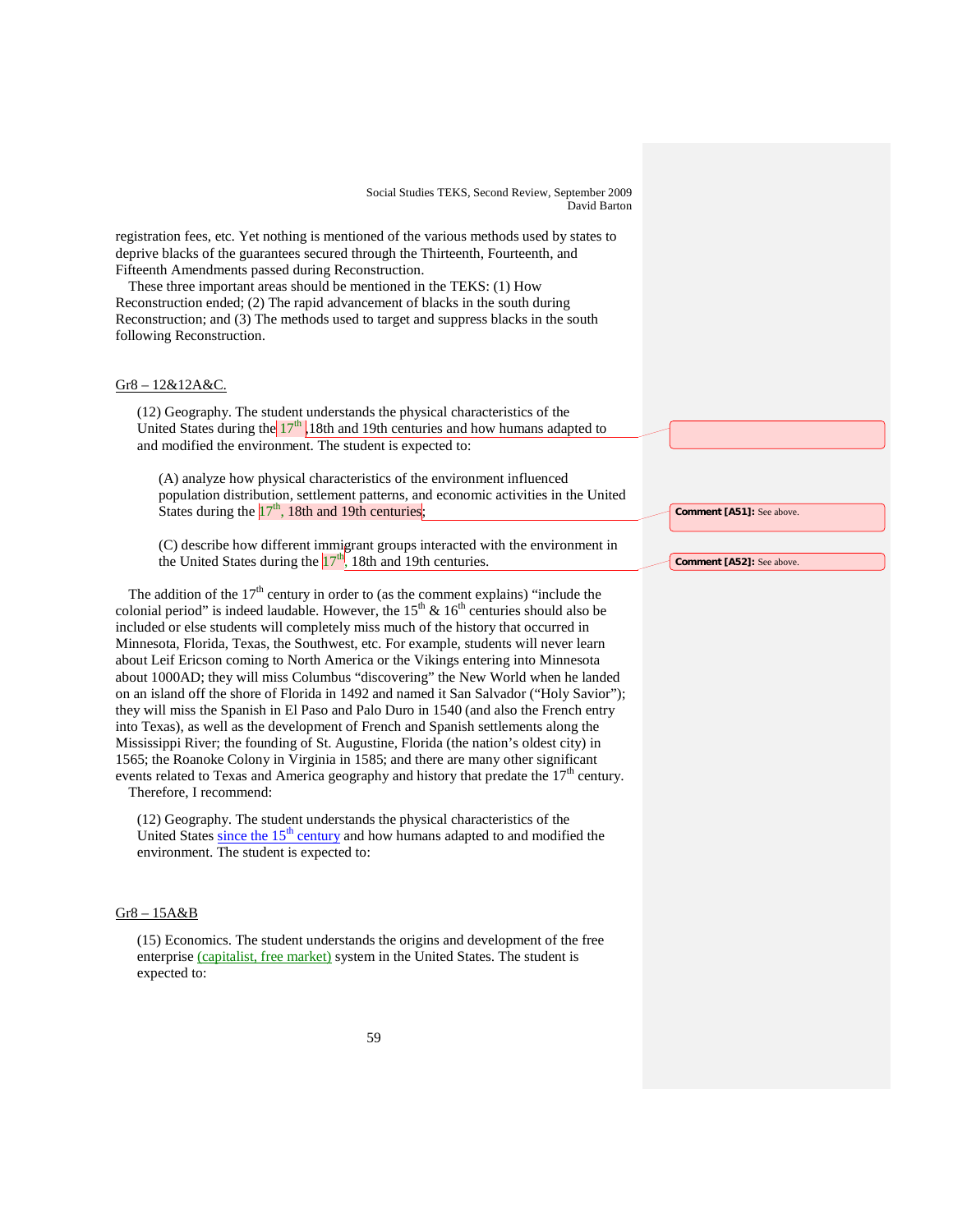registration fees, etc. Yet nothing is mentioned of the various methods used by states to deprive blacks of the guarantees secured through the Thirteenth, Fourteenth, and Fifteenth Amendments passed during Reconstruction.

These three important areas should be mentioned in the TEKS: (1) How Reconstruction ended; (2) The rapid advancement of blacks in the south during Reconstruction; and (3) The methods used to target and suppress blacks in the south following Reconstruction.

# Gr8 – 12&12A&C.

(12) Geography. The student understands the physical characteristics of the United States during the  $17<sup>th</sup>$ , 18th and 19th centuries and how humans adapted to and modified the environment. The student is expected to:

(A) analyze how physical characteristics of the environment influenced population distribution, settlement patterns, and economic activities in the United States during the  $17<sup>th</sup>$ , 18th and 19th centuries;

(C) describe how different immigrant groups interacted with the environment in the United States during the  $17<sup>th</sup>$ , 18th and 19th centuries.

The addition of the  $17<sup>th</sup>$  century in order to (as the comment explains) "include the colonial period" is indeed laudable. However, the  $15<sup>th</sup>$  &  $16<sup>th</sup>$  centuries should also be included or else students will completely miss much of the history that occurred in Minnesota, Florida, Texas, the Southwest, etc. For example, students will never learn about Leif Ericson coming to North America or the Vikings entering into Minnesota about 1000AD; they will miss Columbus "discovering" the New World when he landed on an island off the shore of Florida in 1492 and named it San Salvador ("Holy Savior"); they will miss the Spanish in El Paso and Palo Duro in 1540 (and also the French entry into Texas), as well as the development of French and Spanish settlements along the Mississippi River; the founding of St. Augustine, Florida (the nation's oldest city) in 1565; the Roanoke Colony in Virginia in 1585; and there are many other significant events related to Texas and America geography and history that predate the  $17<sup>th</sup>$  century.

Therefore, I recommend:

(12) Geography. The student understands the physical characteristics of the United States since the  $15<sup>th</sup>$  century and how humans adapted to and modified the environment. The student is expected to:

### Gr8 – 15A&B

(15) Economics. The student understands the origins and development of the free enterprise (capitalist, free market) system in the United States. The student is expected to:

**Comment [A51]:** See above.

**Comment [A52]:** See above.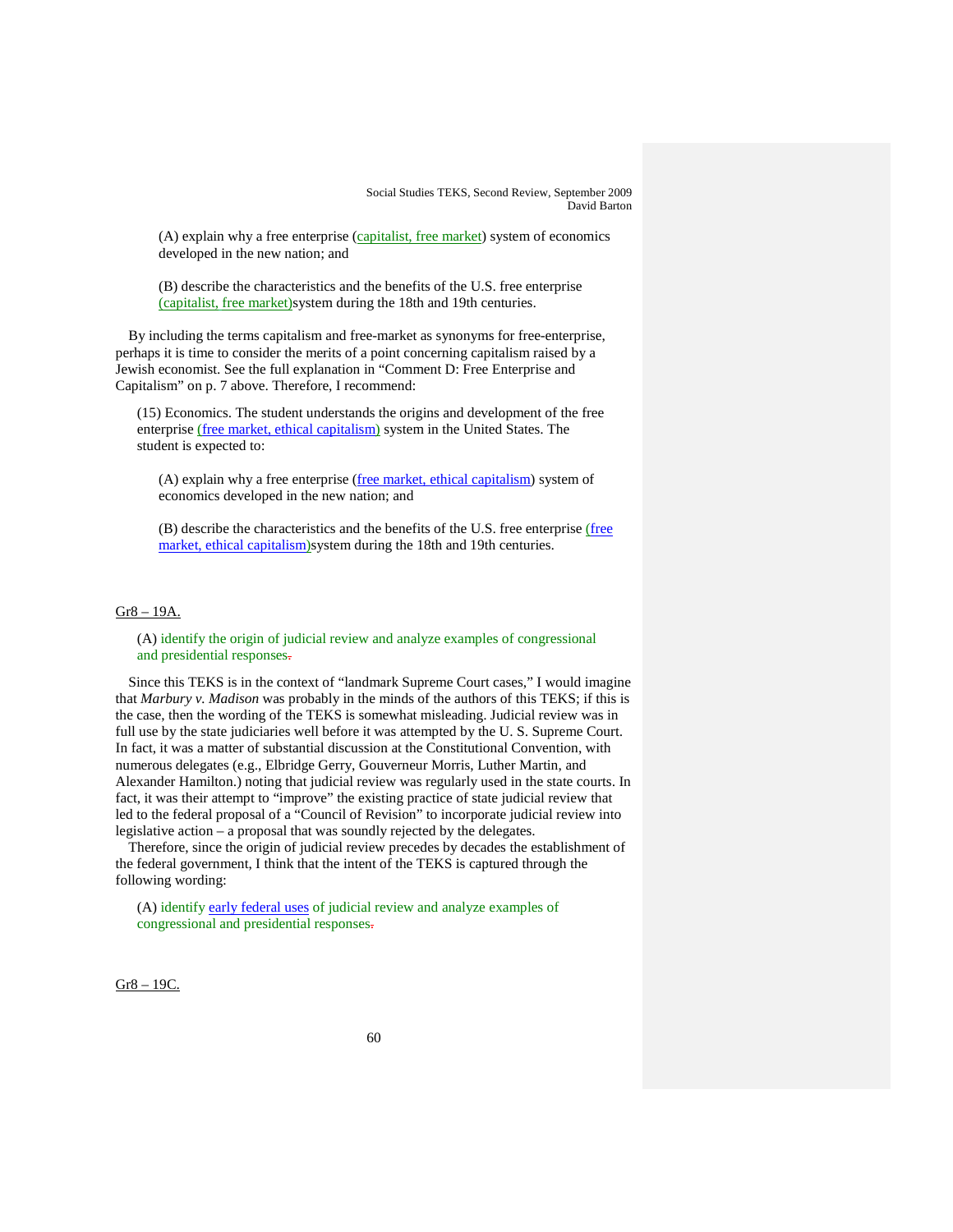$(A)$  explain why a free enterprise  $(capitalist, free market)$  system of economics developed in the new nation; and

(B) describe the characteristics and the benefits of the U.S. free enterprise (capitalist, free market) system during the 18th and 19th centuries.

By including the terms capitalism and free-market as synonyms for free-enterprise, perhaps it is time to consider the merits of a point concerning capitalism raised by a Jewish economist. See the full explanation in "Comment D: Free Enterprise and Capitalism" on p. 7 above. Therefore, I recommend:

(15) Economics. The student understands the origins and development of the free enterprise (free market, ethical capitalism) system in the United States. The student is expected to:

(A) explain why a free enterprise (free market, ethical capitalism) system of economics developed in the new nation; and

(B) describe the characteristics and the benefits of the U.S. free enterprise (free market, ethical capitalism)system during the 18th and 19th centuries.

# Gr8 – 19A.

(A) identify the origin of judicial review and analyze examples of congressional and presidential responses.

Since this TEKS is in the context of "landmark Supreme Court cases," I would imagine that *Marbury v. Madison* was probably in the minds of the authors of this TEKS; if this is the case, then the wording of the TEKS is somewhat misleading. Judicial review was in full use by the state judiciaries well before it was attempted by the U. S. Supreme Court. In fact, it was a matter of substantial discussion at the Constitutional Convention, with numerous delegates (e.g., Elbridge Gerry, Gouverneur Morris, Luther Martin, and Alexander Hamilton.) noting that judicial review was regularly used in the state courts. In fact, it was their attempt to "improve" the existing practice of state judicial review that led to the federal proposal of a "Council of Revision" to incorporate judicial review into legislative action – a proposal that was soundly rejected by the delegates.

Therefore, since the origin of judicial review precedes by decades the establishment of the federal government, I think that the intent of the TEKS is captured through the following wording:

(A) identify early federal uses of judicial review and analyze examples of congressional and presidential responses.

Gr8 – 19C.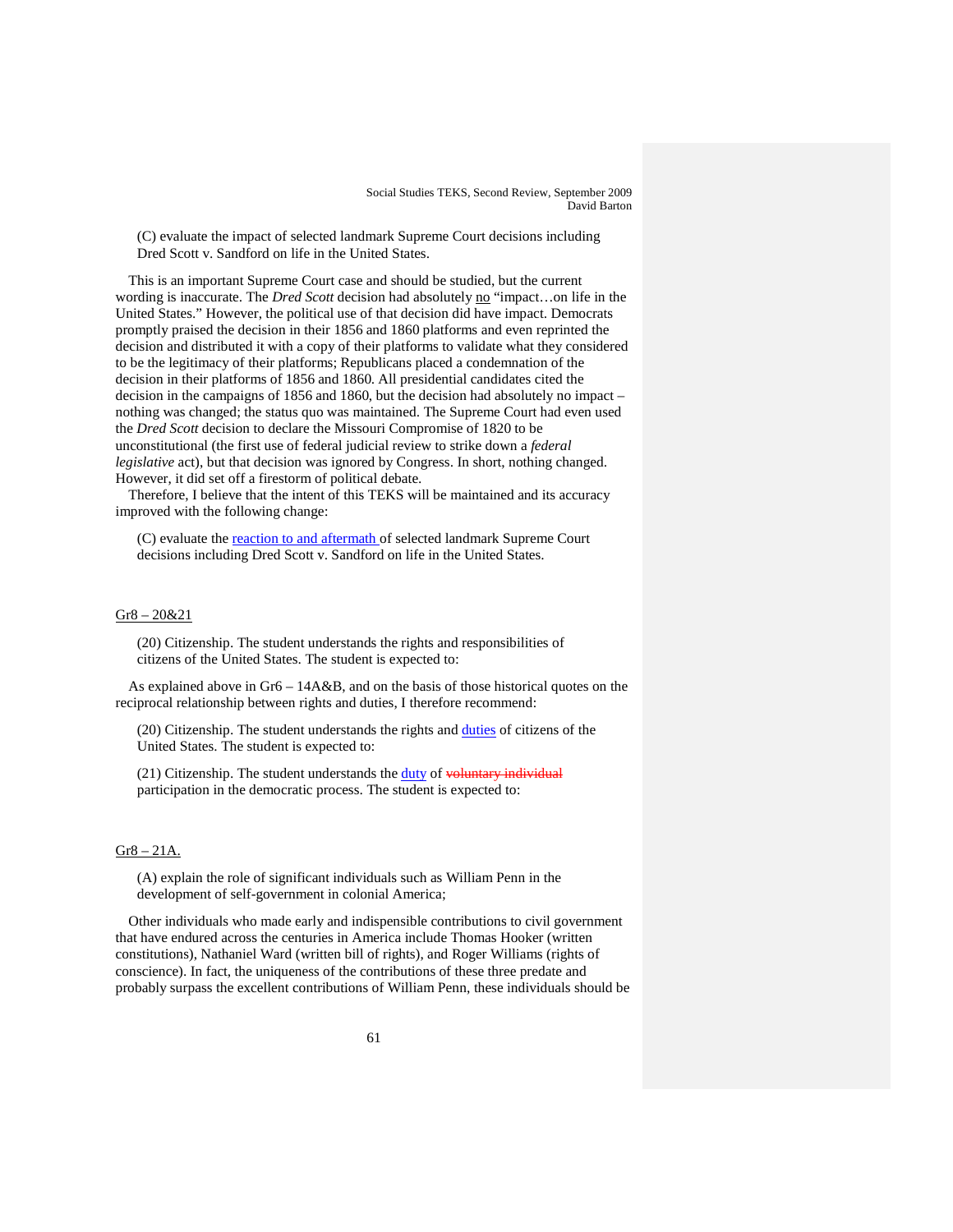(C) evaluate the impact of selected landmark Supreme Court decisions including Dred Scott v. Sandford on life in the United States.

This is an important Supreme Court case and should be studied, but the current wording is inaccurate. The *Dred Scott* decision had absolutely no "impact...on life in the United States." However, the political use of that decision did have impact. Democrats promptly praised the decision in their 1856 and 1860 platforms and even reprinted the decision and distributed it with a copy of their platforms to validate what they considered to be the legitimacy of their platforms; Republicans placed a condemnation of the decision in their platforms of 1856 and 1860. All presidential candidates cited the decision in the campaigns of 1856 and 1860, but the decision had absolutely no impact – nothing was changed; the status quo was maintained. The Supreme Court had even used the *Dred Scott* decision to declare the Missouri Compromise of 1820 to be unconstitutional (the first use of federal judicial review to strike down a *federal legislative* act), but that decision was ignored by Congress. In short, nothing changed. However, it did set off a firestorm of political debate.

Therefore, I believe that the intent of this TEKS will be maintained and its accuracy improved with the following change:

(C) evaluate the reaction to and aftermath of selected landmark Supreme Court decisions including Dred Scott v. Sandford on life in the United States.

#### Gr8 – 20&21

(20) Citizenship. The student understands the rights and responsibilities of citizens of the United States. The student is expected to:

As explained above in Gr6 – 14A&B, and on the basis of those historical quotes on the reciprocal relationship between rights and duties, I therefore recommend:

(20) Citizenship. The student understands the rights and duties of citizens of the United States. The student is expected to:

(21) Citizenship. The student understands the **duty** of voluntary individual participation in the democratic process. The student is expected to:

# $Gr8 - 21A$ .

(A) explain the role of significant individuals such as William Penn in the development of self-government in colonial America;

Other individuals who made early and indispensible contributions to civil government that have endured across the centuries in America include Thomas Hooker (written constitutions), Nathaniel Ward (written bill of rights), and Roger Williams (rights of conscience). In fact, the uniqueness of the contributions of these three predate and probably surpass the excellent contributions of William Penn, these individuals should be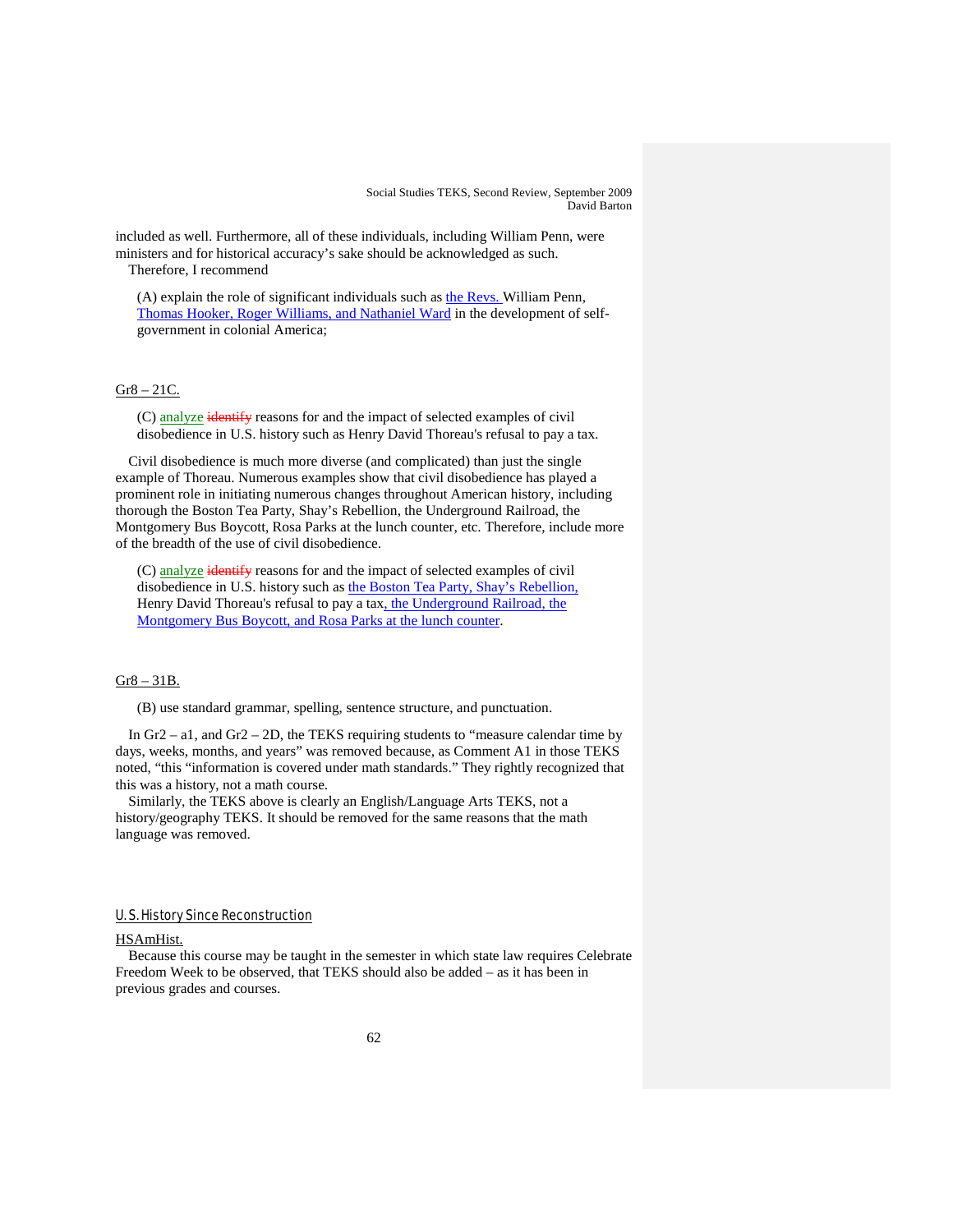included as well. Furthermore, all of these individuals, including William Penn, were ministers and for historical accuracy's sake should be acknowledged as such.

Therefore, I recommend

(A) explain the role of significant individuals such as  $the Revs.$  William Penn,</u> Thomas Hooker, Roger Williams, and Nathaniel Ward in the development of selfgovernment in colonial America;

#### Gr8 – 21C.

(C) analyze identify reasons for and the impact of selected examples of civil disobedience in U.S. history such as Henry David Thoreau's refusal to pay a tax.

Civil disobedience is much more diverse (and complicated) than just the single example of Thoreau. Numerous examples show that civil disobedience has played a prominent role in initiating numerous changes throughout American history, including thorough the Boston Tea Party, Shay's Rebellion, the Underground Railroad, the Montgomery Bus Boycott, Rosa Parks at the lunch counter, etc. Therefore, include more of the breadth of the use of civil disobedience.

(C) analyze identify reasons for and the impact of selected examples of civil disobedience in U.S. history such as the Boston Tea Party, Shay's Rebellion, Henry David Thoreau's refusal to pay a tax, the Underground Railroad, the Montgomery Bus Boycott, and Rosa Parks at the lunch counter.

#### Gr8 – 31B.

(B) use standard grammar, spelling, sentence structure, and punctuation.

In Gr2 – a1, and Gr2 – 2D, the TEKS requiring students to "measure calendar time by days, weeks, months, and years" was removed because, as Comment A1 in those TEKS noted, "this "information is covered under math standards." They rightly recognized that this was a history, not a math course.

Similarly, the TEKS above is clearly an English/Language Arts TEKS, not a history/geography TEKS. It should be removed for the same reasons that the math language was removed.

# U. S. History Since Reconstruction

#### HSAmHist.

Because this course may be taught in the semester in which state law requires Celebrate Freedom Week to be observed, that TEKS should also be added – as it has been in previous grades and courses.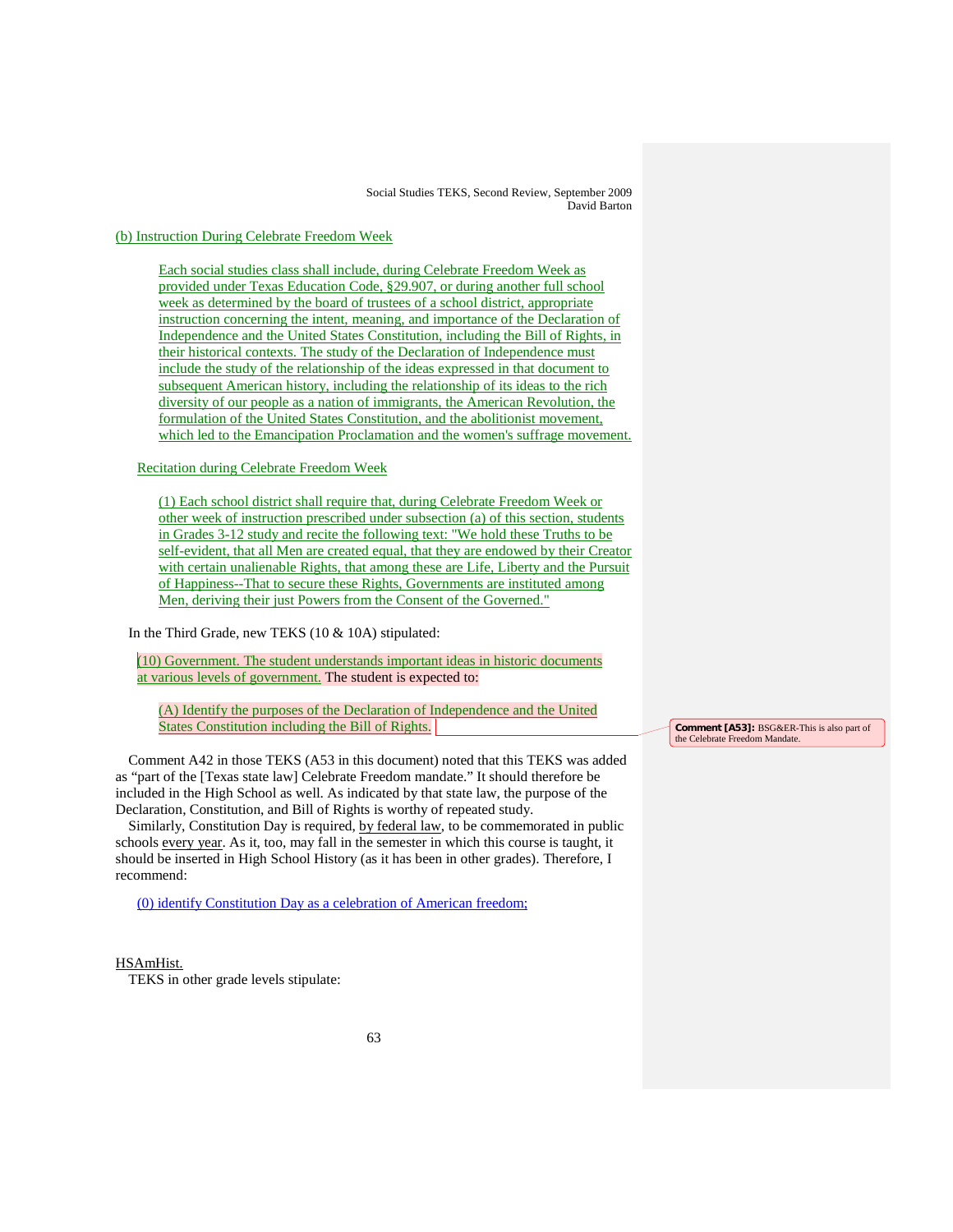(b) Instruction During Celebrate Freedom Week

Each social studies class shall include, during Celebrate Freedom Week as provided under Texas Education Code, §29.907, or during another full school week as determined by the board of trustees of a school district, appropriate instruction concerning the intent, meaning, and importance of the Declaration of Independence and the United States Constitution, including the Bill of Rights, in their historical contexts. The study of the Declaration of Independence must include the study of the relationship of the ideas expressed in that document to subsequent American history, including the relationship of its ideas to the rich diversity of our people as a nation of immigrants, the American Revolution, the formulation of the United States Constitution, and the abolitionist movement, which led to the Emancipation Proclamation and the women's suffrage movement.

Recitation during Celebrate Freedom Week

(1) Each school district shall require that, during Celebrate Freedom Week or other week of instruction prescribed under subsection (a) of this section, students in Grades 3-12 study and recite the following text: "We hold these Truths to be self-evident, that all Men are created equal, that they are endowed by their Creator with certain unalienable Rights, that among these are Life, Liberty and the Pursuit of Happiness--That to secure these Rights, Governments are instituted among Men, deriving their just Powers from the Consent of the Governed."

In the Third Grade, new TEKS (10 & 10A) stipulated:

(10) Government. The student understands important ideas in historic documents at various levels of government. The student is expected to:

(A) Identify the purposes of the Declaration of Independence and the United States Constitution including the Bill of Rights.

Comment A42 in those TEKS (A53 in this document) noted that this TEKS was added as "part of the [Texas state law] Celebrate Freedom mandate." It should therefore be included in the High School as well. As indicated by that state law, the purpose of the Declaration, Constitution, and Bill of Rights is worthy of repeated study.

Similarly, Constitution Day is required, by federal law, to be commemorated in public schools every year. As it, too, may fall in the semester in which this course is taught, it should be inserted in High School History (as it has been in other grades). Therefore, I recommend:

(0) identify Constitution Day as a celebration of American freedom;

#### HSAmHist.

TEKS in other grade levels stipulate:

**Comment [A53]:** BSG&ER-This is also part of the Celebrate Freedom Manda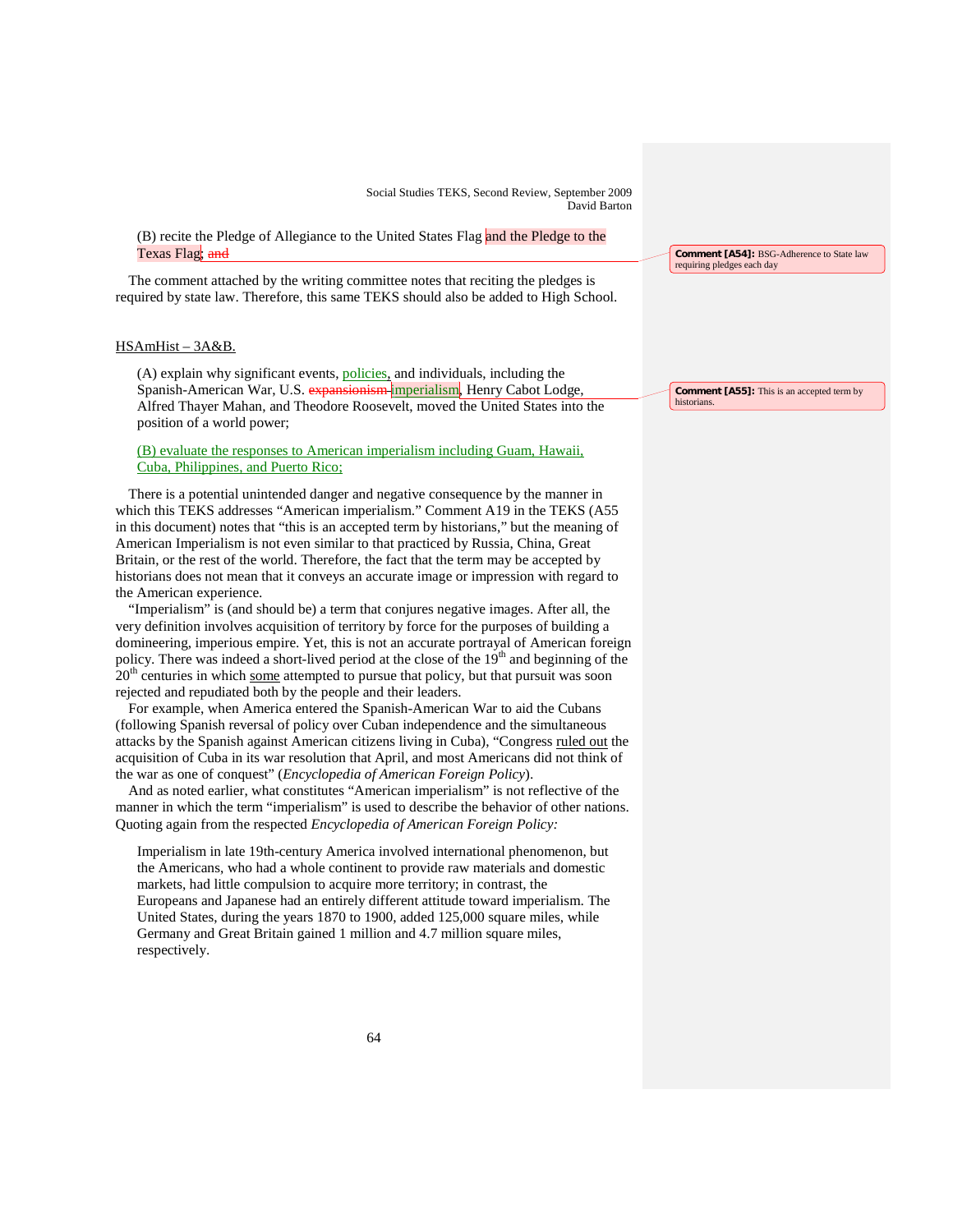(B) recite the Pledge of Allegiance to the United States Flag and the Pledge to the Texas Flag; and

The comment attached by the writing committee notes that reciting the pledges is required by state law. Therefore, this same TEKS should also be added to High School.

# HSAmHist – 3A&B.

(A) explain why significant events, **policies**, and individuals, including the Spanish-American War, U.S. expansionism imperialism, Henry Cabot Lodge, Alfred Thayer Mahan, and Theodore Roosevelt, moved the United States into the position of a world power;

# (B) evaluate the responses to American imperialism including Guam, Hawaii, Cuba, Philippines, and Puerto Rico;

There is a potential unintended danger and negative consequence by the manner in which this TEKS addresses "American imperialism." Comment A19 in the TEKS (A55 in this document) notes that "this is an accepted term by historians," but the meaning of American Imperialism is not even similar to that practiced by Russia, China, Great Britain, or the rest of the world. Therefore, the fact that the term may be accepted by historians does not mean that it conveys an accurate image or impression with regard to the American experience.

"Imperialism" is (and should be) a term that conjures negative images. After all, the very definition involves acquisition of territory by force for the purposes of building a domineering, imperious empire. Yet, this is not an accurate portrayal of American foreign policy. There was indeed a short-lived period at the close of the 19<sup>th</sup> and beginning of the  $20<sup>th</sup>$  centuries in which some attempted to pursue that policy, but that pursuit was soon rejected and repudiated both by the people and their leaders.

For example, when America entered the Spanish-American War to aid the Cubans (following Spanish reversal of policy over Cuban independence and the simultaneous attacks by the Spanish against American citizens living in Cuba), "Congress ruled out the acquisition of Cuba in its war resolution that April, and most Americans did not think of the war as one of conquest" (*Encyclopedia of American Foreign Policy*).

And as noted earlier, what constitutes "American imperialism" is not reflective of the manner in which the term "imperialism" is used to describe the behavior of other nations. Quoting again from the respected *Encyclopedia of American Foreign Policy:*

Imperialism in late 19th-century America involved international phenomenon, but the Americans, who had a whole continent to provide raw materials and domestic markets, had little compulsion to acquire more territory; in contrast, the Europeans and Japanese had an entirely different attitude toward imperialism. The United States, during the years 1870 to 1900, added 125,000 square miles, while Germany and Great Britain gained 1 million and 4.7 million square miles, respectively.

**Comment [A54]:** BSG-Adherence to State law requiring pledges each day

**Comment [A55]:** This is an accepted term by historian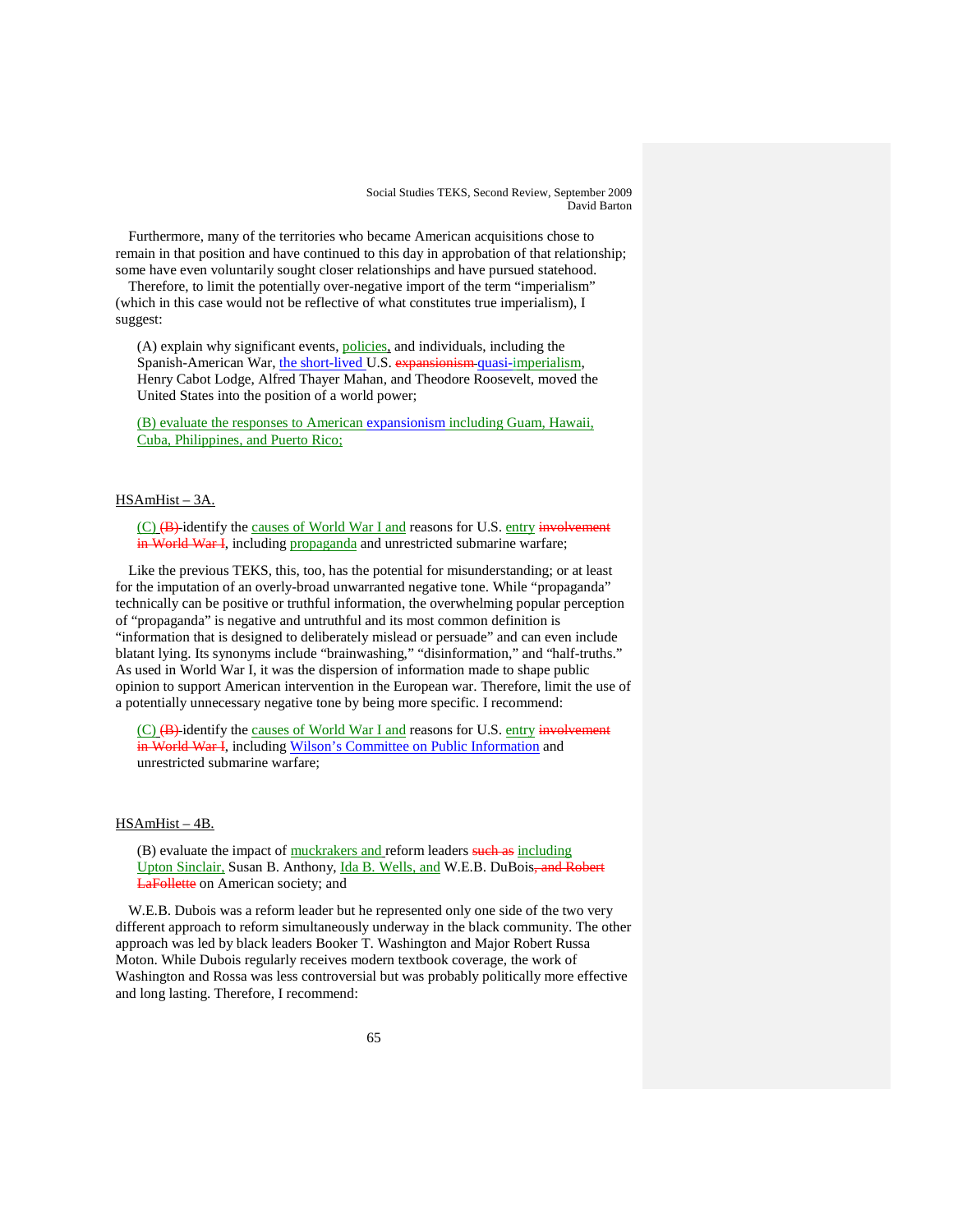Furthermore, many of the territories who became American acquisitions chose to remain in that position and have continued to this day in approbation of that relationship; some have even voluntarily sought closer relationships and have pursued statehood.

Therefore, to limit the potentially over-negative import of the term "imperialism" (which in this case would not be reflective of what constitutes true imperialism), I suggest:

(A) explain why significant events, policies, and individuals, including the Spanish-American War, the short-lived U.S. expansionism quasi-imperialism, Henry Cabot Lodge, Alfred Thayer Mahan, and Theodore Roosevelt, moved the United States into the position of a world power;

(B) evaluate the responses to American expansionism including Guam, Hawaii, Cuba, Philippines, and Puerto Rico;

#### HSAmHist – 3A.

(C) (B) identify the causes of World War I and reasons for U.S. entry involvement in World War I, including propaganda and unrestricted submarine warfare;

Like the previous TEKS, this, too, has the potential for misunderstanding; or at least for the imputation of an overly-broad unwarranted negative tone. While "propaganda" technically can be positive or truthful information, the overwhelming popular perception of "propaganda" is negative and untruthful and its most common definition is "information that is designed to deliberately mislead or persuade" and can even include blatant lying. Its synonyms include "brainwashing," "disinformation," and "half-truths." As used in World War I, it was the dispersion of information made to shape public opinion to support American intervention in the European war. Therefore, limit the use of a potentially unnecessary negative tone by being more specific. I recommend:

 $(C)$   $(B)$  identify the causes of World War I and reasons for U.S. entry involvement in World War I, including Wilson's Committee on Public Information and unrestricted submarine warfare;

#### HSAmHist – 4B.

(B) evaluate the impact of muckrakers and reform leaders such as including Upton Sinclair, Susan B. Anthony, Ida B. Wells, and W.E.B. DuBois<del>, and Robert</del> LaFollette on American society; and

W.E.B. Dubois was a reform leader but he represented only one side of the two very different approach to reform simultaneously underway in the black community. The other approach was led by black leaders Booker T. Washington and Major Robert Russa Moton. While Dubois regularly receives modern textbook coverage, the work of Washington and Rossa was less controversial but was probably politically more effective and long lasting. Therefore, I recommend: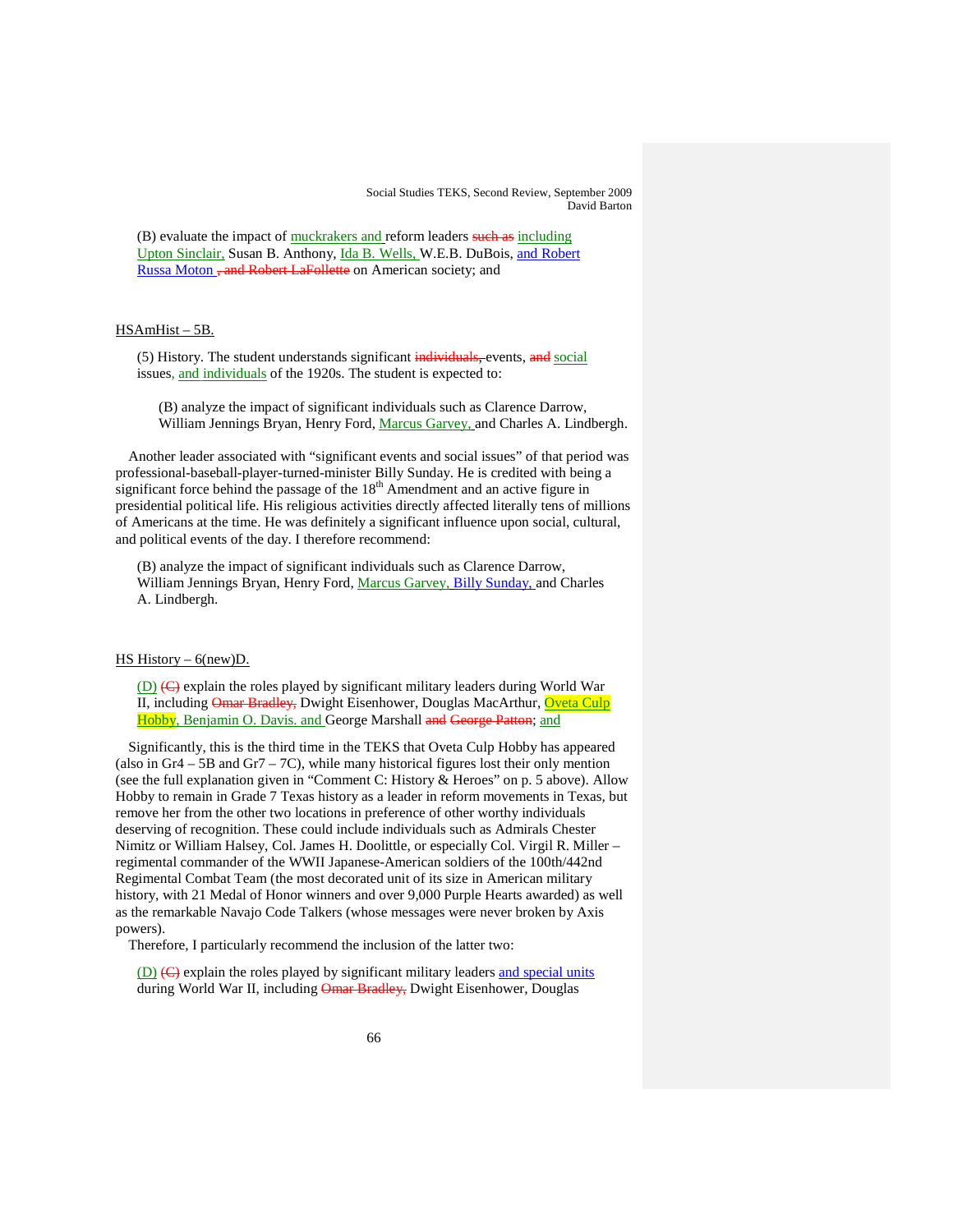(B) evaluate the impact of muckrakers and reform leaders such as including Upton Sinclair, Susan B. Anthony, Ida B. Wells, W.E.B. DuBois, and Robert Russa Moton , and Robert LaFollette on American society; and

# HSAmHist – 5B.

(5) History. The student understands significant individuals, events, and social issues, and individuals of the 1920s. The student is expected to:

(B) analyze the impact of significant individuals such as Clarence Darrow, William Jennings Bryan, Henry Ford, Marcus Garvey, and Charles A. Lindbergh.

Another leader associated with "significant events and social issues" of that period was professional-baseball-player-turned-minister Billy Sunday. He is credited with being a significant force behind the passage of the  $18<sup>th</sup>$  Amendment and an active figure in presidential political life. His religious activities directly affected literally tens of millions of Americans at the time. He was definitely a significant influence upon social, cultural, and political events of the day. I therefore recommend:

(B) analyze the impact of significant individuals such as Clarence Darrow, William Jennings Bryan, Henry Ford, Marcus Garvey, Billy Sunday, and Charles A. Lindbergh.

### HS History –  $6$ (new)D.

(D) (C) explain the roles played by significant military leaders during World War II, including Omar Bradley, Dwight Eisenhower, Douglas MacArthur, Oveta Culp Hobby, Benjamin O. Davis. and George Marshall <del>and George Patton</del>; and

Significantly, this is the third time in the TEKS that Oveta Culp Hobby has appeared (also in Gr4 – 5B and Gr7 – 7C), while many historical figures lost their only mention (see the full explanation given in "Comment C: History & Heroes" on p. 5 above). Allow Hobby to remain in Grade 7 Texas history as a leader in reform movements in Texas, but remove her from the other two locations in preference of other worthy individuals deserving of recognition. These could include individuals such as Admirals Chester Nimitz or William Halsey, Col. James H. Doolittle, or especially Col. Virgil R. Miller – regimental commander of the WWII Japanese-American soldiers of the 100th/442nd Regimental Combat Team (the most decorated unit of its size in American military history, with 21 Medal of Honor winners and over 9,000 Purple Hearts awarded) as well as the remarkable Navajo Code Talkers (whose messages were never broken by Axis powers).

Therefore, I particularly recommend the inclusion of the latter two:

 $(D)$   $(E)$  explain the roles played by significant military leaders and special units during World War II, including Omar Bradley, Dwight Eisenhower, Douglas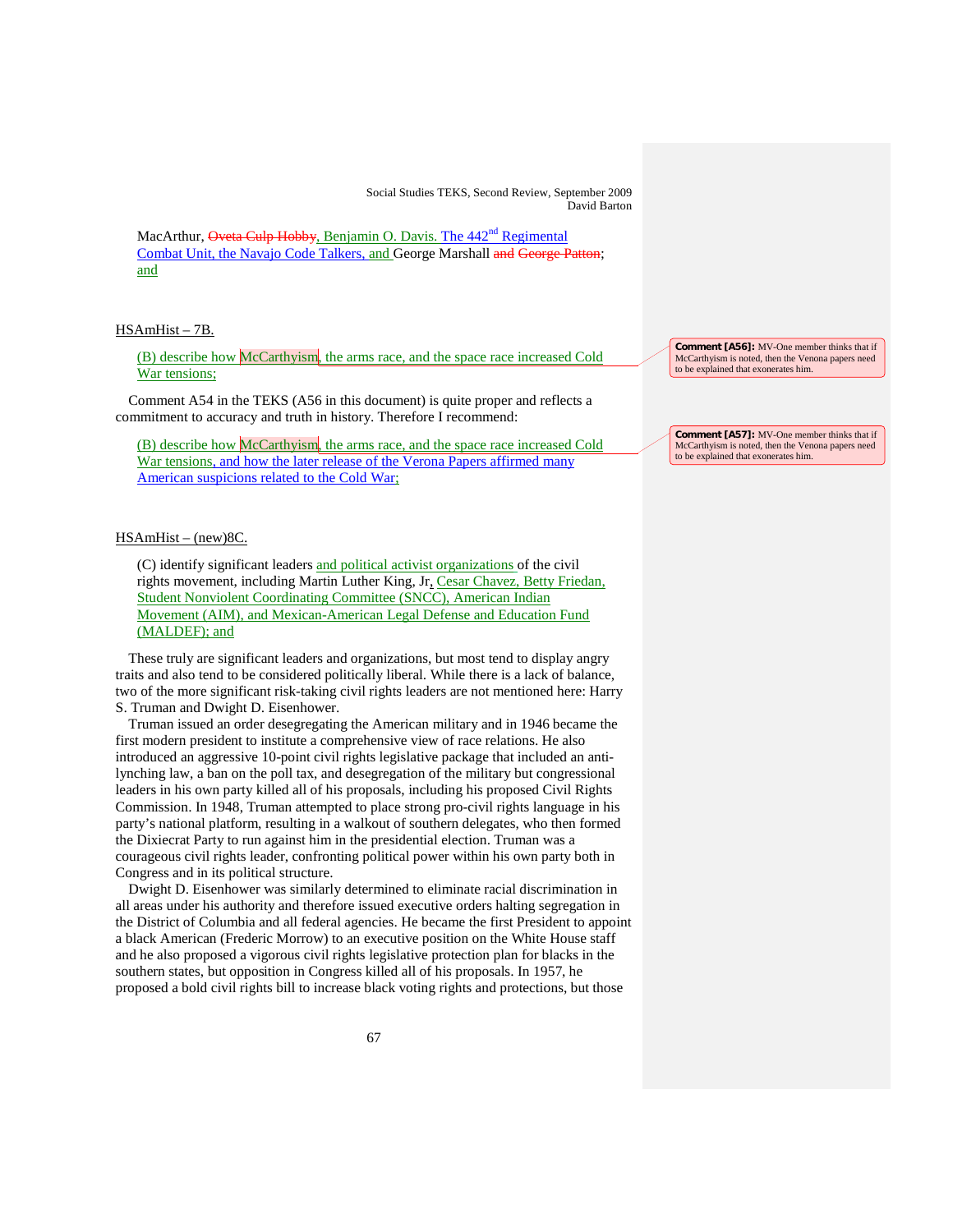MacArthur, Oveta Culp Hobby, Benjamin O. Davis. The 442<sup>nd</sup> Regimental Combat Unit, the Navajo Code Talkers, and George Marshall and George Patton; and

#### HSAmHist – 7B.

(B) describe how McCarthyism, the arms race, and the space race increased Cold War tensions;

Comment A54 in the TEKS (A56 in this document) is quite proper and reflects a commitment to accuracy and truth in history. Therefore I recommend:

(B) describe how McCarthyism, the arms race, and the space race increased Cold War tensions, and how the later release of the Verona Papers affirmed many American suspicions related to the Cold War;

# HSAmHist – (new)8C.

(C) identify significant leaders and political activist organizations of the civil rights movement, including Martin Luther King, Jr, Cesar Chavez, Betty Friedan, Student Nonviolent Coordinating Committee (SNCC), American Indian Movement (AIM), and Mexican-American Legal Defense and Education Fund (MALDEF); and

These truly are significant leaders and organizations, but most tend to display angry traits and also tend to be considered politically liberal. While there is a lack of balance, two of the more significant risk-taking civil rights leaders are not mentioned here: Harry S. Truman and Dwight D. Eisenhower.

Truman issued an order desegregating the American military and in 1946 became the first modern president to institute a comprehensive view of race relations. He also introduced an aggressive 10-point civil rights legislative package that included an antilynching law, a ban on the poll tax, and desegregation of the military but congressional leaders in his own party killed all of his proposals, including his proposed Civil Rights Commission. In 1948, Truman attempted to place strong pro-civil rights language in his party's national platform, resulting in a walkout of southern delegates, who then formed the Dixiecrat Party to run against him in the presidential election. Truman was a courageous civil rights leader, confronting political power within his own party both in Congress and in its political structure.

Dwight D. Eisenhower was similarly determined to eliminate racial discrimination in all areas under his authority and therefore issued executive orders halting segregation in the District of Columbia and all federal agencies. He became the first President to appoint a black American (Frederic Morrow) to an executive position on the White House staff and he also proposed a vigorous civil rights legislative protection plan for blacks in the southern states, but opposition in Congress killed all of his proposals. In 1957, he proposed a bold civil rights bill to increase black voting rights and protections, but those

**Comment [A56]:** MV-One member thinks that if McCarthyism is noted, then the Venona papers need to be explained that exonerates him.

**Comment [A57]:** MV-One member thinks that if McCarthyism is noted, then the Venona papers need to be explained that exonerates him.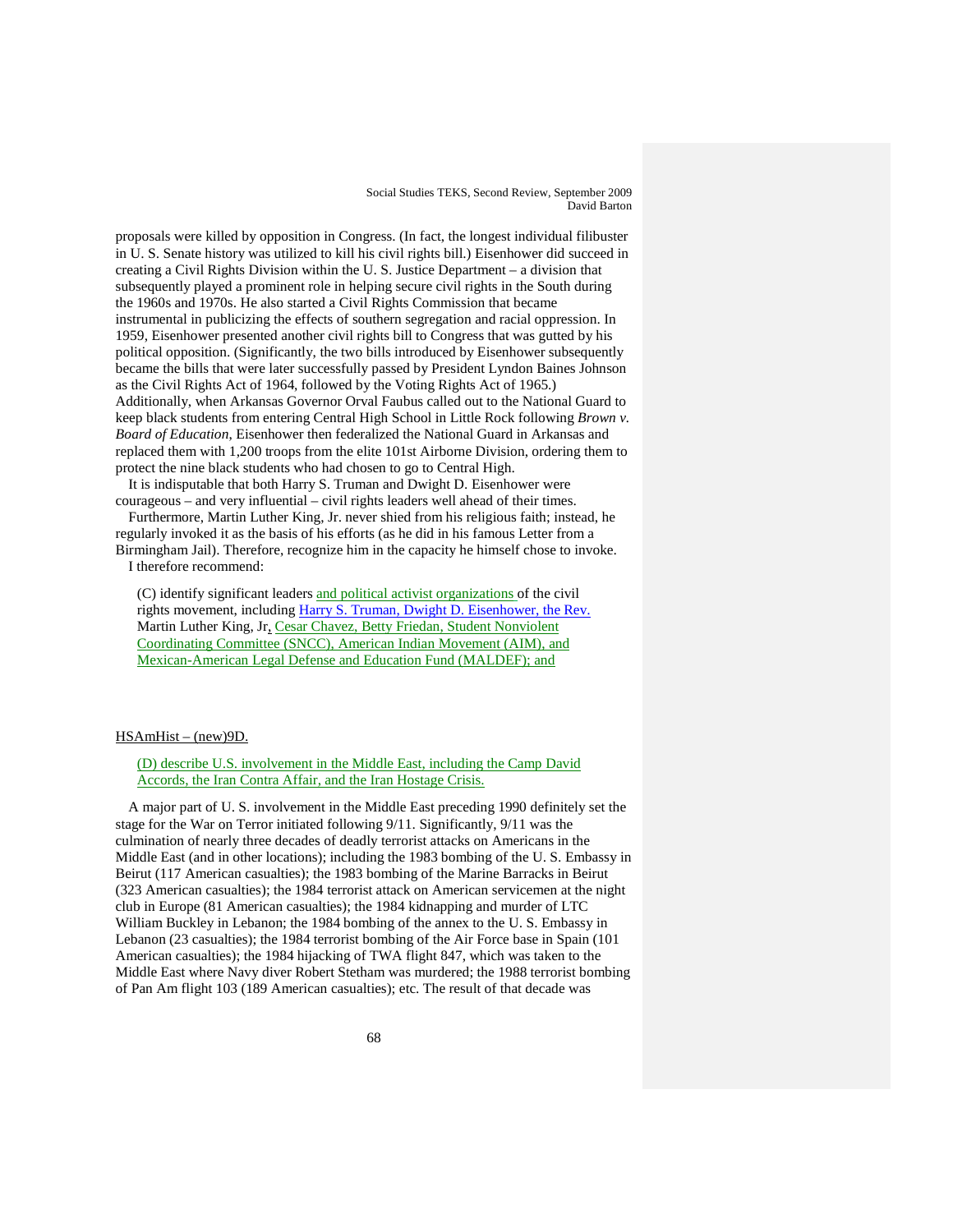proposals were killed by opposition in Congress. (In fact, the longest individual filibuster in U. S. Senate history was utilized to kill his civil rights bill.) Eisenhower did succeed in creating a Civil Rights Division within the U. S. Justice Department – a division that subsequently played a prominent role in helping secure civil rights in the South during the 1960s and 1970s. He also started a Civil Rights Commission that became instrumental in publicizing the effects of southern segregation and racial oppression. In 1959, Eisenhower presented another civil rights bill to Congress that was gutted by his political opposition. (Significantly, the two bills introduced by Eisenhower subsequently became the bills that were later successfully passed by President Lyndon Baines Johnson as the Civil Rights Act of 1964, followed by the Voting Rights Act of 1965.) Additionally, when Arkansas Governor Orval Faubus called out to the National Guard to keep black students from entering Central High School in Little Rock following *Brown v. Board of Education*, Eisenhower then federalized the National Guard in Arkansas and replaced them with 1,200 troops from the elite 101st Airborne Division, ordering them to protect the nine black students who had chosen to go to Central High.

It is indisputable that both Harry S. Truman and Dwight D. Eisenhower were courageous – and very influential – civil rights leaders well ahead of their times.

Furthermore, Martin Luther King, Jr. never shied from his religious faith; instead, he regularly invoked it as the basis of his efforts (as he did in his famous Letter from a Birmingham Jail). Therefore, recognize him in the capacity he himself chose to invoke.

I therefore recommend:

(C) identify significant leaders and political activist organizations of the civil rights movement, including Harry S. Truman, Dwight D. Eisenhower, the Rev. Martin Luther King, Jr, Cesar Chavez, Betty Friedan, Student Nonviolent Coordinating Committee (SNCC), American Indian Movement (AIM), and Mexican-American Legal Defense and Education Fund (MALDEF); and

#### HSAmHist – (new)9D.

(D) describe U.S. involvement in the Middle East, including the Camp David Accords, the Iran Contra Affair, and the Iran Hostage Crisis.

A major part of U. S. involvement in the Middle East preceding 1990 definitely set the stage for the War on Terror initiated following 9/11. Significantly, 9/11 was the culmination of nearly three decades of deadly terrorist attacks on Americans in the Middle East (and in other locations); including the 1983 bombing of the U. S. Embassy in Beirut (117 American casualties); the 1983 bombing of the Marine Barracks in Beirut (323 American casualties); the 1984 terrorist attack on American servicemen at the night club in Europe (81 American casualties); the 1984 kidnapping and murder of LTC William Buckley in Lebanon; the 1984 bombing of the annex to the U. S. Embassy in Lebanon (23 casualties); the 1984 terrorist bombing of the Air Force base in Spain (101 American casualties); the 1984 hijacking of TWA flight 847, which was taken to the Middle East where Navy diver Robert Stetham was murdered; the 1988 terrorist bombing of Pan Am flight 103 (189 American casualties); etc. The result of that decade was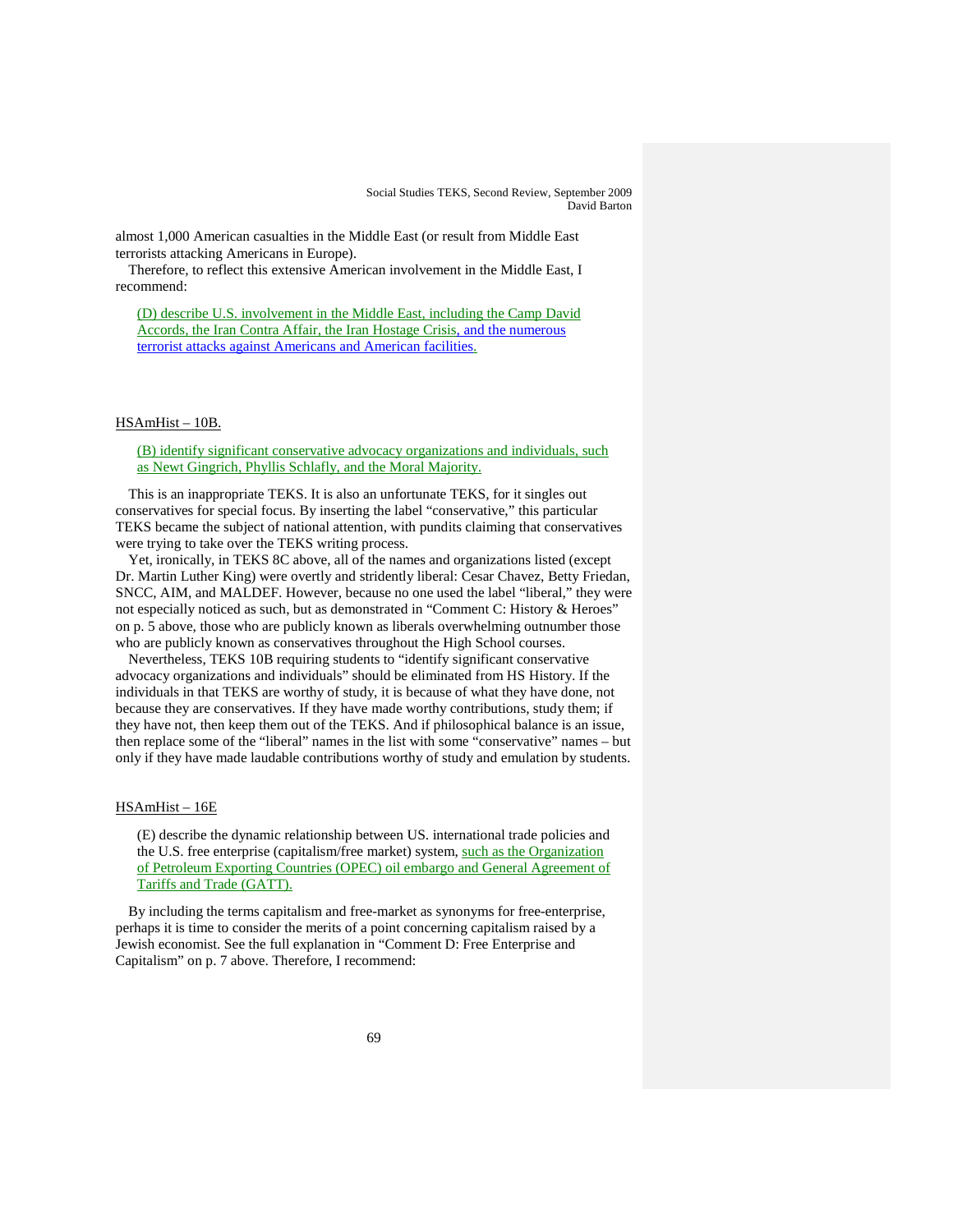almost 1,000 American casualties in the Middle East (or result from Middle East terrorists attacking Americans in Europe).

Therefore, to reflect this extensive American involvement in the Middle East, I recommend:

(D) describe U.S. involvement in the Middle East, including the Camp David Accords, the Iran Contra Affair, the Iran Hostage Crisis, and the numerous terrorist attacks against Americans and American facilities.

#### HSAmHist – 10B.

(B) identify significant conservative advocacy organizations and individuals, such as Newt Gingrich, Phyllis Schlafly, and the Moral Majority.

This is an inappropriate TEKS. It is also an unfortunate TEKS, for it singles out conservatives for special focus. By inserting the label "conservative," this particular TEKS became the subject of national attention, with pundits claiming that conservatives were trying to take over the TEKS writing process.

Yet, ironically, in TEKS 8C above, all of the names and organizations listed (except Dr. Martin Luther King) were overtly and stridently liberal: Cesar Chavez, Betty Friedan, SNCC, AIM, and MALDEF. However, because no one used the label "liberal," they were not especially noticed as such, but as demonstrated in "Comment C: History & Heroes" on p. 5 above, those who are publicly known as liberals overwhelming outnumber those who are publicly known as conservatives throughout the High School courses.

Nevertheless, TEKS 10B requiring students to "identify significant conservative advocacy organizations and individuals" should be eliminated from HS History. If the individuals in that TEKS are worthy of study, it is because of what they have done, not because they are conservatives. If they have made worthy contributions, study them; if they have not, then keep them out of the TEKS. And if philosophical balance is an issue, then replace some of the "liberal" names in the list with some "conservative" names – but only if they have made laudable contributions worthy of study and emulation by students.

#### HSAmHist – 16E

(E) describe the dynamic relationship between US. international trade policies and the U.S. free enterprise (capitalism/free market) system, such as the Organization of Petroleum Exporting Countries (OPEC) oil embargo and General Agreement of Tariffs and Trade (GATT).

By including the terms capitalism and free-market as synonyms for free-enterprise, perhaps it is time to consider the merits of a point concerning capitalism raised by a Jewish economist. See the full explanation in "Comment D: Free Enterprise and Capitalism" on p. 7 above. Therefore, I recommend: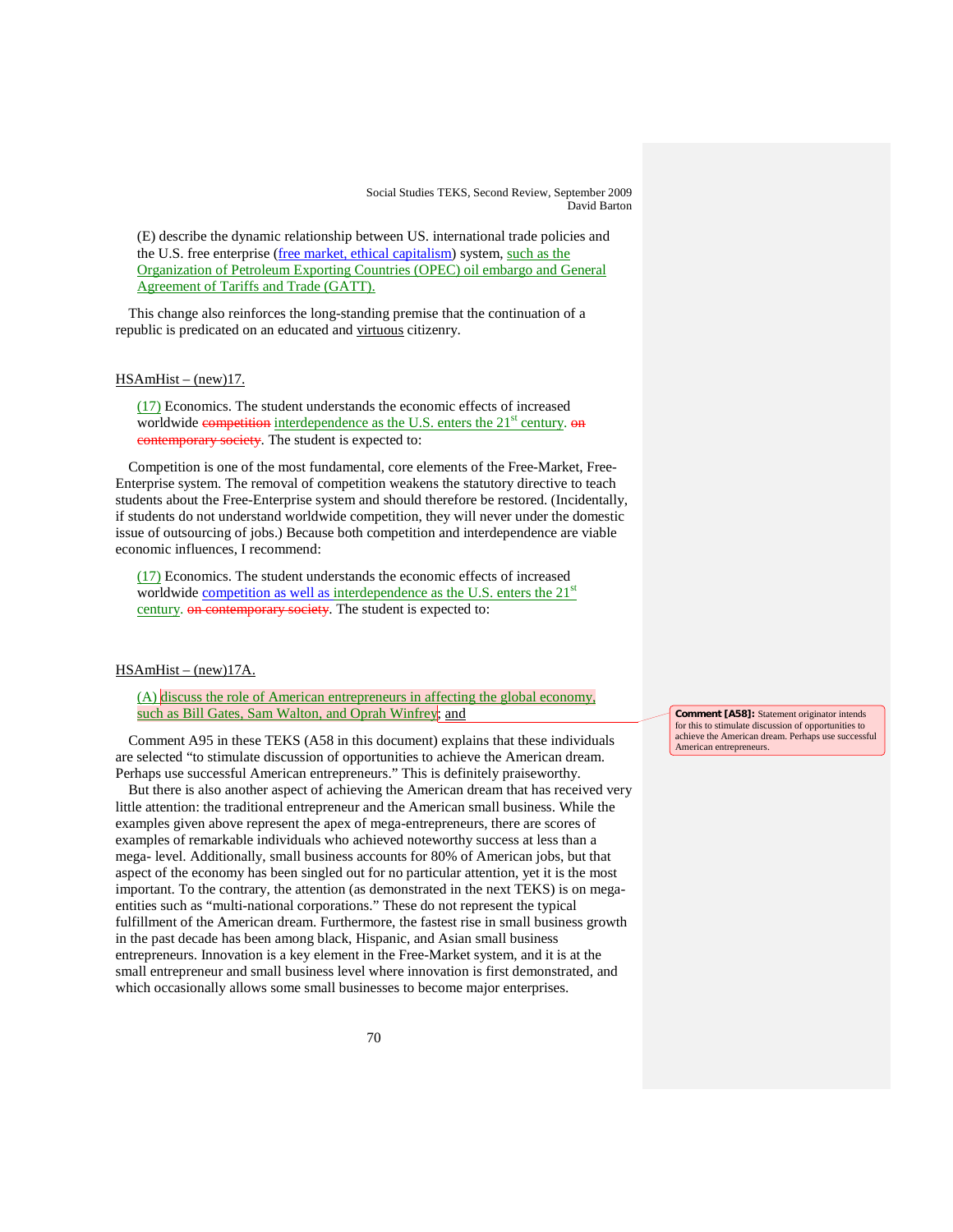(E) describe the dynamic relationship between US. international trade policies and the U.S. free enterprise (free market, ethical capitalism) system, such as the Organization of Petroleum Exporting Countries (OPEC) oil embargo and General Agreement of Tariffs and Trade (GATT).

This change also reinforces the long-standing premise that the continuation of a republic is predicated on an educated and virtuous citizenry.

#### HSAmHist – (new)17.

(17) Economics. The student understands the economic effects of increased worldwide competition interdependence as the U.S. enters the 21<sup>st</sup> century. on contemporary society. The student is expected to:

Competition is one of the most fundamental, core elements of the Free-Market, Free-Enterprise system. The removal of competition weakens the statutory directive to teach students about the Free-Enterprise system and should therefore be restored. (Incidentally, if students do not understand worldwide competition, they will never under the domestic issue of outsourcing of jobs.) Because both competition and interdependence are viable economic influences, I recommend:

(17) Economics. The student understands the economic effects of increased worldwide competition as well as interdependence as the U.S. enters the  $21<sup>st</sup>$ century. on contemporary society. The student is expected to:

# HSAmHist – (new)17A.

(A) discuss the role of American entrepreneurs in affecting the global economy, such as Bill Gates, Sam Walton, and Oprah Winfrey; and

Comment A95 in these TEKS (A58 in this document) explains that these individuals are selected "to stimulate discussion of opportunities to achieve the American dream. Perhaps use successful American entrepreneurs." This is definitely praiseworthy.

But there is also another aspect of achieving the American dream that has received very little attention: the traditional entrepreneur and the American small business. While the examples given above represent the apex of mega-entrepreneurs, there are scores of examples of remarkable individuals who achieved noteworthy success at less than a mega- level. Additionally, small business accounts for 80% of American jobs, but that aspect of the economy has been singled out for no particular attention, yet it is the most important. To the contrary, the attention (as demonstrated in the next TEKS) is on megaentities such as "multi-national corporations." These do not represent the typical fulfillment of the American dream. Furthermore, the fastest rise in small business growth in the past decade has been among black, Hispanic, and Asian small business entrepreneurs. Innovation is a key element in the Free-Market system, and it is at the small entrepreneur and small business level where innovation is first demonstrated, and which occasionally allows some small businesses to become major enterprises.

**Comment [A58]:** Statement originator intends for this to stimulate discussion of opportunities to achieve the American dream. Perhaps use successful American entrepreneurs.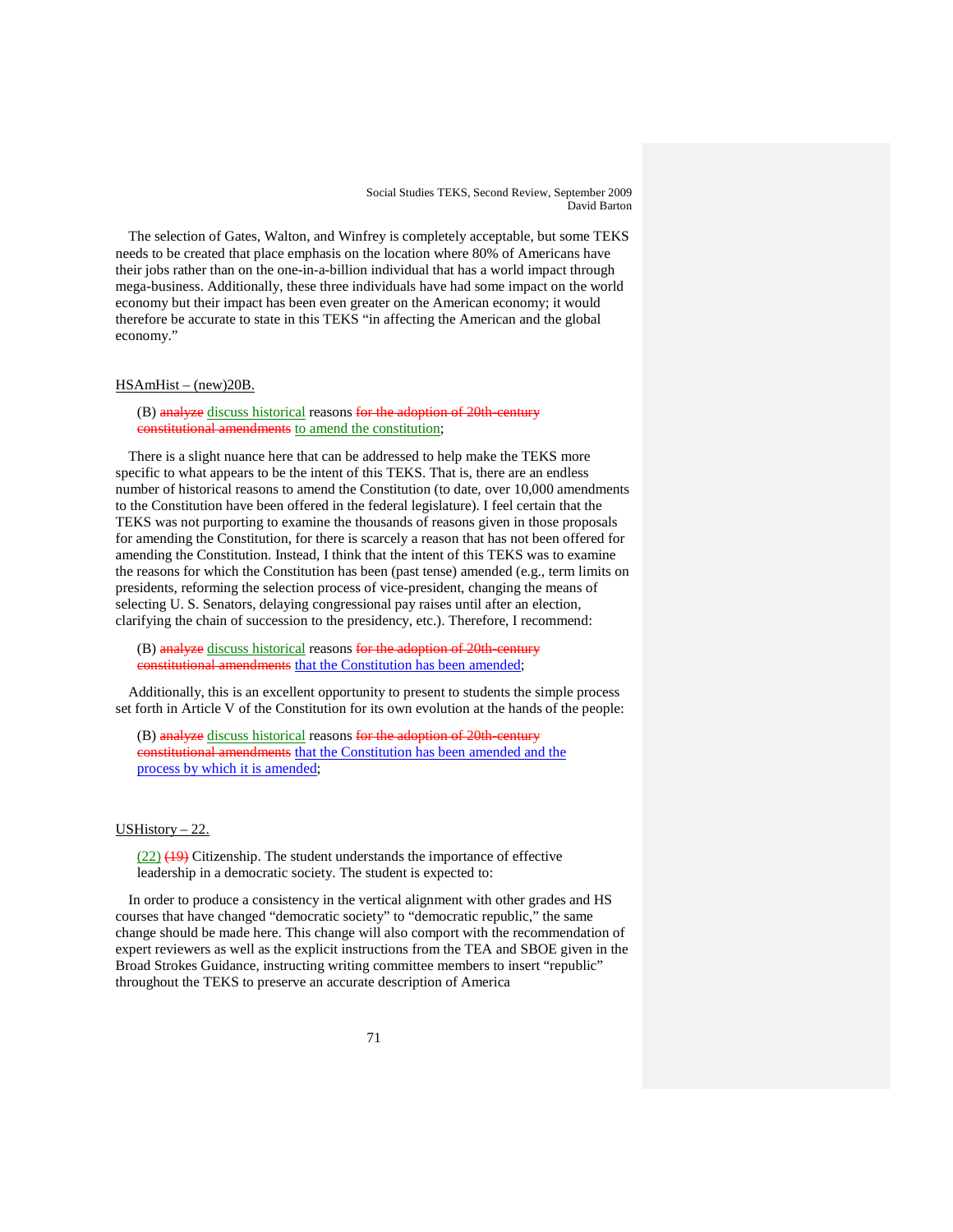The selection of Gates, Walton, and Winfrey is completely acceptable, but some TEKS needs to be created that place emphasis on the location where 80% of Americans have their jobs rather than on the one-in-a-billion individual that has a world impact through mega-business. Additionally, these three individuals have had some impact on the world economy but their impact has been even greater on the American economy; it would therefore be accurate to state in this TEKS "in affecting the American and the global economy."

# HSAmHist – (new)20B.

(B) analyze discuss historical reasons for the adoption of 20th-century constitutional amendments to amend the constitution;

There is a slight nuance here that can be addressed to help make the TEKS more specific to what appears to be the intent of this TEKS. That is, there are an endless number of historical reasons to amend the Constitution (to date, over 10,000 amendments to the Constitution have been offered in the federal legislature). I feel certain that the TEKS was not purporting to examine the thousands of reasons given in those proposals for amending the Constitution, for there is scarcely a reason that has not been offered for amending the Constitution. Instead, I think that the intent of this TEKS was to examine the reasons for which the Constitution has been (past tense) amended (e.g., term limits on presidents, reforming the selection process of vice-president, changing the means of selecting U. S. Senators, delaying congressional pay raises until after an election, clarifying the chain of succession to the presidency, etc.). Therefore, I recommend:

(B) analyze discuss historical reasons for the adoption of 20th-century constitutional amendments that the Constitution has been amended;

Additionally, this is an excellent opportunity to present to students the simple process set forth in Article V of the Constitution for its own evolution at the hands of the people:

(B) analyze discuss historical reasons for the adoption of 20th-century constitutional amendments that the Constitution has been amended and the process by which it is amended;

# USHistory – 22.

 $(22)$   $(19)$  Citizenship. The student understands the importance of effective leadership in a democratic society. The student is expected to:

In order to produce a consistency in the vertical alignment with other grades and HS courses that have changed "democratic society" to "democratic republic," the same change should be made here. This change will also comport with the recommendation of expert reviewers as well as the explicit instructions from the TEA and SBOE given in the Broad Strokes Guidance, instructing writing committee members to insert "republic" throughout the TEKS to preserve an accurate description of America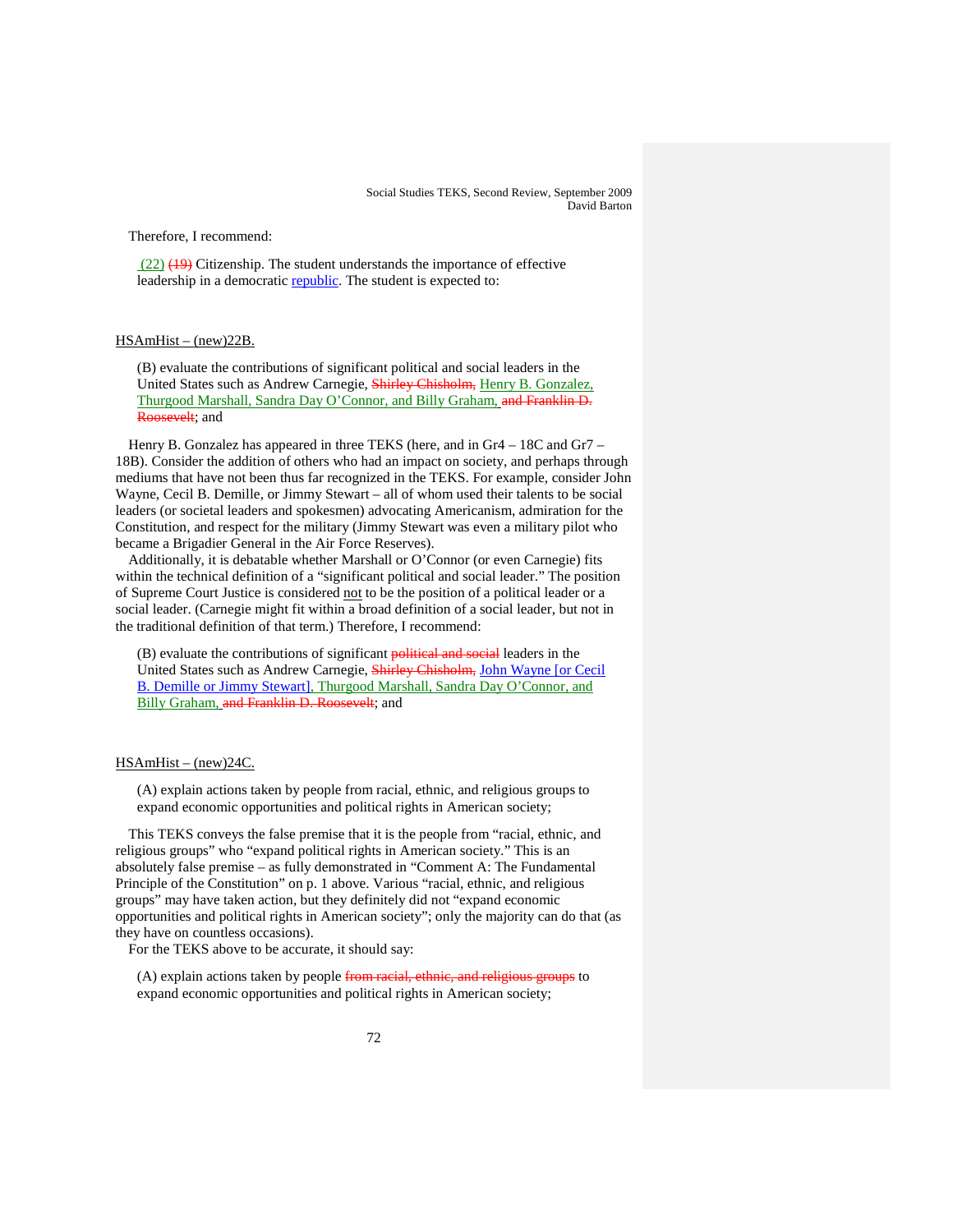Therefore, I recommend:

 $(22)$   $(19)$  Citizenship. The student understands the importance of effective leadership in a democratic republic. The student is expected to:

## HSAmHist – (new)22B.

(B) evaluate the contributions of significant political and social leaders in the United States such as Andrew Carnegie, Shirley Chisholm, Henry B. Gonzalez, Thurgood Marshall, Sandra Day O'Connor, and Billy Graham, and Franklin D. Roosevelt; and

Henry B. Gonzalez has appeared in three TEKS (here, and in Gr4 – 18C and Gr7 – 18B). Consider the addition of others who had an impact on society, and perhaps through mediums that have not been thus far recognized in the TEKS. For example, consider John Wayne, Cecil B. Demille, or Jimmy Stewart – all of whom used their talents to be social leaders (or societal leaders and spokesmen) advocating Americanism, admiration for the Constitution, and respect for the military (Jimmy Stewart was even a military pilot who became a Brigadier General in the Air Force Reserves).

Additionally, it is debatable whether Marshall or O'Connor (or even Carnegie) fits within the technical definition of a "significant political and social leader." The position of Supreme Court Justice is considered not to be the position of a political leader or a social leader. (Carnegie might fit within a broad definition of a social leader, but not in the traditional definition of that term.) Therefore, I recommend:

(B) evaluate the contributions of significant **political and social** leaders in the United States such as Andrew Carnegie, Shirley Chisholm, John Wayne [or Cecil B. Demille or Jimmy Stewart], Thurgood Marshall, Sandra Day O'Connor, and Billy Graham, and Franklin D. Roosevelt; and

#### HSAmHist – (new)24C.

(A) explain actions taken by people from racial, ethnic, and religious groups to expand economic opportunities and political rights in American society;

This TEKS conveys the false premise that it is the people from "racial, ethnic, and religious groups" who "expand political rights in American society." This is an absolutely false premise – as fully demonstrated in "Comment A: The Fundamental Principle of the Constitution" on p. 1 above. Various "racial, ethnic, and religious groups" may have taken action, but they definitely did not "expand economic opportunities and political rights in American society"; only the majority can do that (as they have on countless occasions).

For the TEKS above to be accurate, it should say:

(A) explain actions taken by people from racial, ethnic, and religious groups to expand economic opportunities and political rights in American society;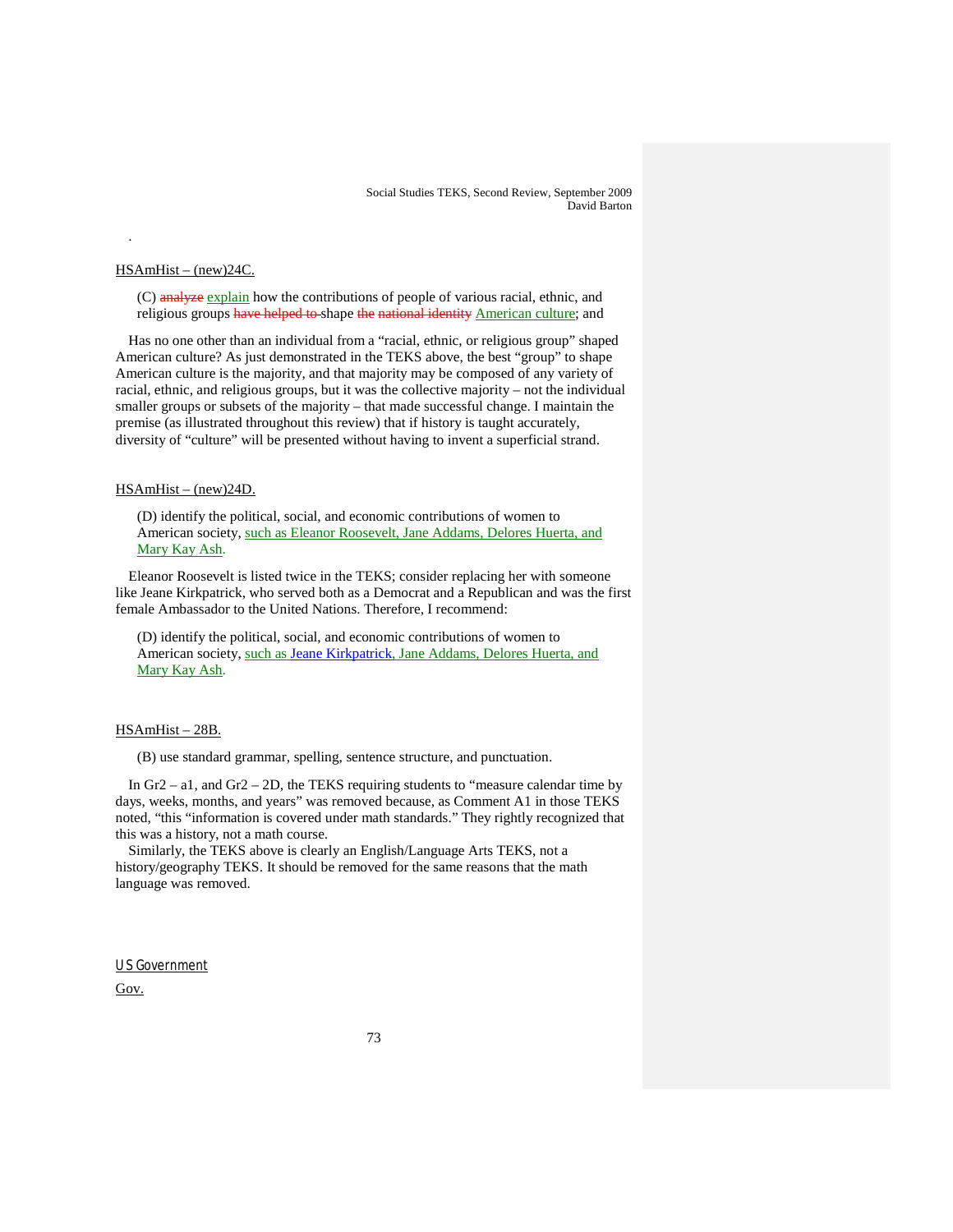#### HSAmHist – (new)24C.

.

(C) analyze explain how the contributions of people of various racial, ethnic, and religious groups <del>have helped to</del> shape <del>the national identity</del> <u>American culture</u>; and

Has no one other than an individual from a "racial, ethnic, or religious group" shaped American culture? As just demonstrated in the TEKS above, the best "group" to shape American culture is the majority, and that majority may be composed of any variety of racial, ethnic, and religious groups, but it was the collective majority – not the individual smaller groups or subsets of the majority – that made successful change. I maintain the premise (as illustrated throughout this review) that if history is taught accurately, diversity of "culture" will be presented without having to invent a superficial strand.

# HSAmHist – (new)24D.

(D) identify the political, social, and economic contributions of women to American society, such as Eleanor Roosevelt, Jane Addams, Delores Huerta, and Mary Kay Ash.

Eleanor Roosevelt is listed twice in the TEKS; consider replacing her with someone like Jeane Kirkpatrick, who served both as a Democrat and a Republican and was the first female Ambassador to the United Nations. Therefore, I recommend:

(D) identify the political, social, and economic contributions of women to American society, such as Jeane Kirkpatrick, Jane Addams, Delores Huerta, and Mary Kay Ash.

#### HSAmHist – 28B.

(B) use standard grammar, spelling, sentence structure, and punctuation.

In Gr2 – a1, and Gr2 – 2D, the TEKS requiring students to "measure calendar time by days, weeks, months, and years" was removed because, as Comment A1 in those TEKS noted, "this "information is covered under math standards." They rightly recognized that this was a history, not a math course.

Similarly, the TEKS above is clearly an English/Language Arts TEKS, not a history/geography TEKS. It should be removed for the same reasons that the math language was removed.

# U S Government

Gov.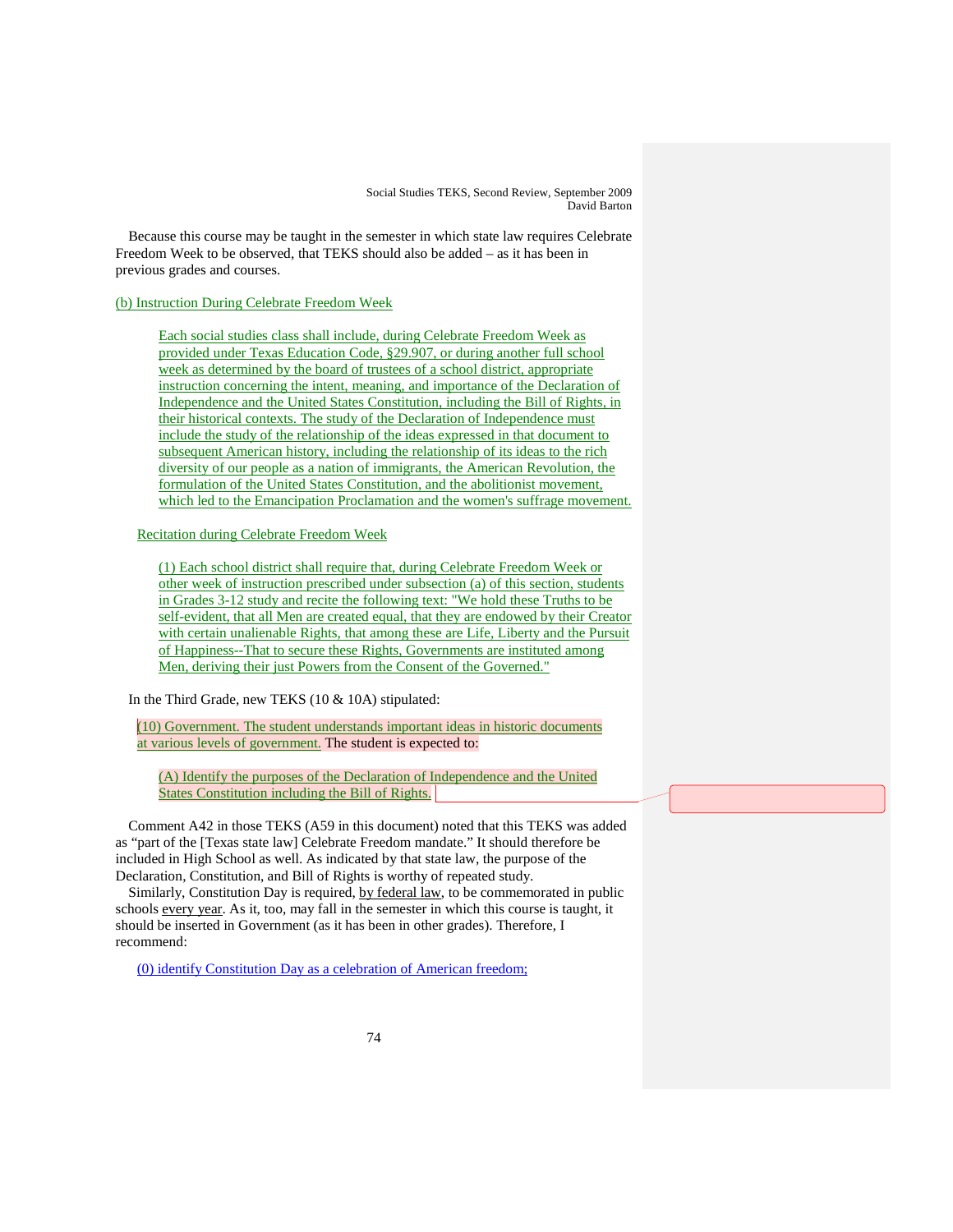Because this course may be taught in the semester in which state law requires Celebrate Freedom Week to be observed, that TEKS should also be added – as it has been in previous grades and courses.

### (b) Instruction During Celebrate Freedom Week

Each social studies class shall include, during Celebrate Freedom Week as provided under Texas Education Code, §29.907, or during another full school week as determined by the board of trustees of a school district, appropriate instruction concerning the intent, meaning, and importance of the Declaration of Independence and the United States Constitution, including the Bill of Rights, in their historical contexts. The study of the Declaration of Independence must include the study of the relationship of the ideas expressed in that document to subsequent American history, including the relationship of its ideas to the rich diversity of our people as a nation of immigrants, the American Revolution, the formulation of the United States Constitution, and the abolitionist movement, which led to the Emancipation Proclamation and the women's suffrage movement.

Recitation during Celebrate Freedom Week

(1) Each school district shall require that, during Celebrate Freedom Week or other week of instruction prescribed under subsection (a) of this section, students in Grades 3-12 study and recite the following text: "We hold these Truths to be self-evident, that all Men are created equal, that they are endowed by their Creator with certain unalienable Rights, that among these are Life, Liberty and the Pursuit of Happiness--That to secure these Rights, Governments are instituted among Men, deriving their just Powers from the Consent of the Governed."

In the Third Grade, new TEKS (10 & 10A) stipulated:

(10) Government. The student understands important ideas in historic documents at various levels of government. The student is expected to:

(A) Identify the purposes of the Declaration of Independence and the United States Constitution including the Bill of Rights.

Comment A42 in those TEKS (A59 in this document) noted that this TEKS was added as "part of the [Texas state law] Celebrate Freedom mandate." It should therefore be included in High School as well. As indicated by that state law, the purpose of the Declaration, Constitution, and Bill of Rights is worthy of repeated study.

Similarly, Constitution Day is required, by federal law, to be commemorated in public schools every year. As it, too, may fall in the semester in which this course is taught, it should be inserted in Government (as it has been in other grades). Therefore, I recommend:

(0) identify Constitution Day as a celebration of American freedom;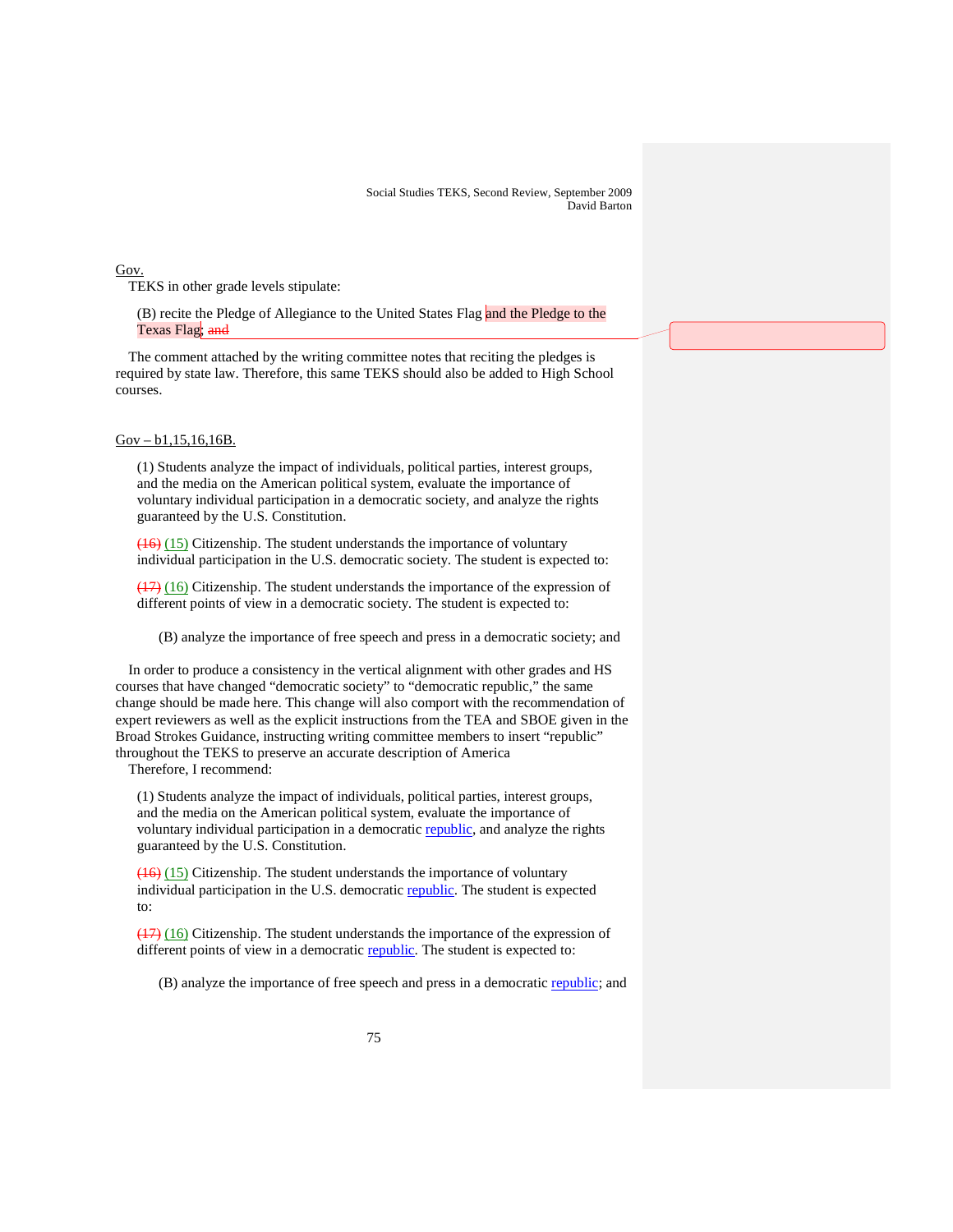Gov.

TEKS in other grade levels stipulate:

(B) recite the Pledge of Allegiance to the United States Flag and the Pledge to the Texas Flag; and

The comment attached by the writing committee notes that reciting the pledges is required by state law. Therefore, this same TEKS should also be added to High School courses.

# Gov – b1,15,16,16B.

(1) Students analyze the impact of individuals, political parties, interest groups, and the media on the American political system, evaluate the importance of voluntary individual participation in a democratic society, and analyze the rights guaranteed by the U.S. Constitution.

(16) (15) Citizenship. The student understands the importance of voluntary individual participation in the U.S. democratic society. The student is expected to:

(17) (16) Citizenship. The student understands the importance of the expression of different points of view in a democratic society. The student is expected to:

(B) analyze the importance of free speech and press in a democratic society; and

In order to produce a consistency in the vertical alignment with other grades and HS courses that have changed "democratic society" to "democratic republic," the same change should be made here. This change will also comport with the recommendation of expert reviewers as well as the explicit instructions from the TEA and SBOE given in the Broad Strokes Guidance, instructing writing committee members to insert "republic" throughout the TEKS to preserve an accurate description of America

Therefore, I recommend:

(1) Students analyze the impact of individuals, political parties, interest groups, and the media on the American political system, evaluate the importance of voluntary individual participation in a democratic republic, and analyze the rights guaranteed by the U.S. Constitution.

(16) (15) Citizenship. The student understands the importance of voluntary individual participation in the U.S. democratic republic. The student is expected to:

 $(17)$   $(16)$  Citizenship. The student understands the importance of the expression of different points of view in a democratic republic. The student is expected to:

(B) analyze the importance of free speech and press in a democratic republic; and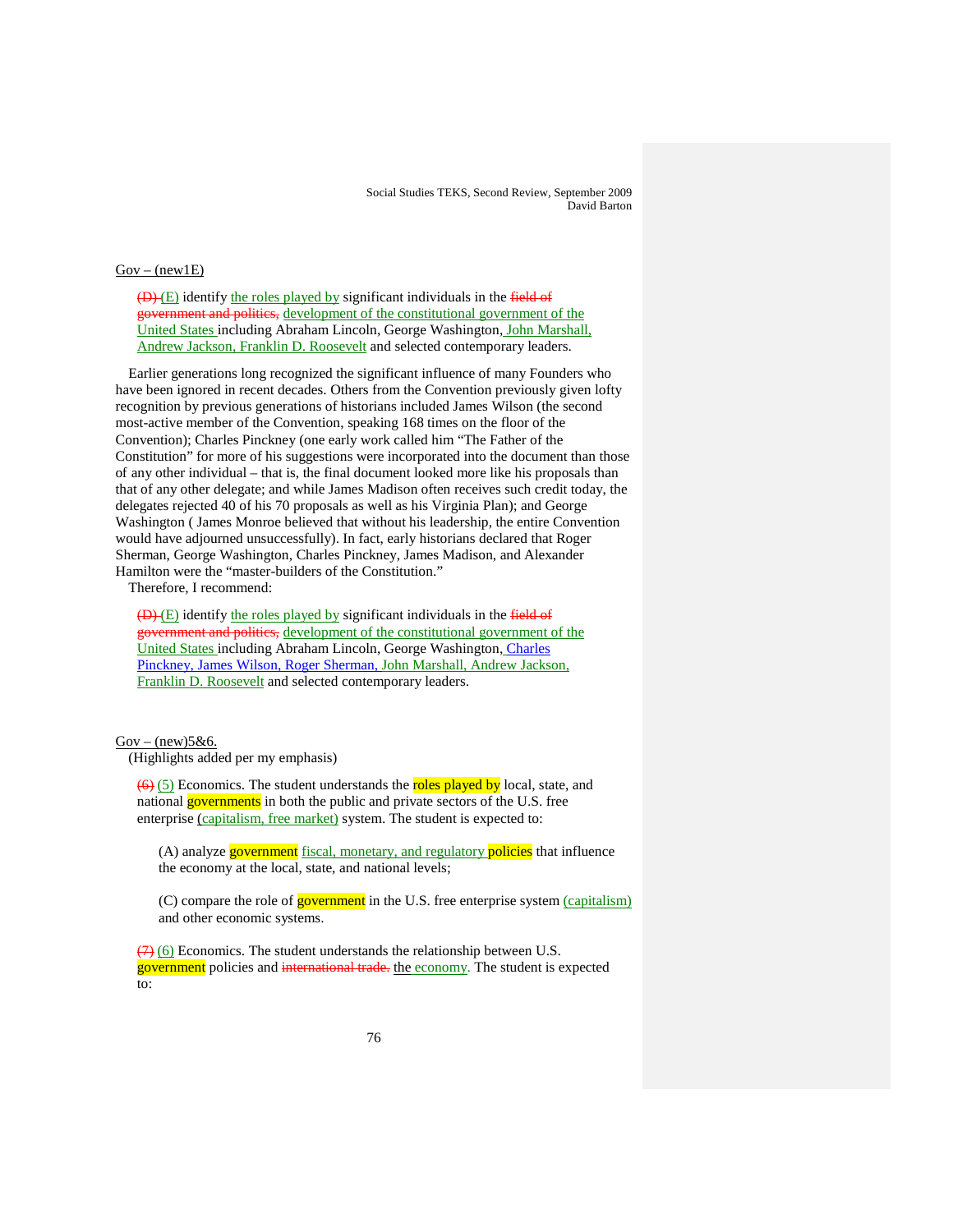# $Gov - (new1E)$

 $(D)$  (E) identify the roles played by significant individuals in the field of government and politics, development of the constitutional government of the United States including Abraham Lincoln, George Washington, John Marshall, Andrew Jackson, Franklin D. Roosevelt and selected contemporary leaders.

Earlier generations long recognized the significant influence of many Founders who have been ignored in recent decades. Others from the Convention previously given lofty recognition by previous generations of historians included James Wilson (the second most-active member of the Convention, speaking 168 times on the floor of the Convention); Charles Pinckney (one early work called him "The Father of the Constitution" for more of his suggestions were incorporated into the document than those of any other individual – that is, the final document looked more like his proposals than that of any other delegate; and while James Madison often receives such credit today, the delegates rejected 40 of his 70 proposals as well as his Virginia Plan); and George Washington ( James Monroe believed that without his leadership, the entire Convention would have adjourned unsuccessfully). In fact, early historians declared that Roger Sherman, George Washington, Charles Pinckney, James Madison, and Alexander Hamilton were the "master-builders of the Constitution."

Therefore, I recommend:

 $(D)$  (E) identify the roles played by significant individuals in the field of government and politics, development of the constitutional government of the United States including Abraham Lincoln, George Washington, Charles Pinckney, James Wilson, Roger Sherman, John Marshall, Andrew Jackson, Franklin D. Roosevelt and selected contemporary leaders.

#### $Gov - (new)5&6.$

(Highlights added per my emphasis)

 $(6)$  (5) Economics. The student understands the roles played by local, state, and national governments in both the public and private sectors of the U.S. free enterprise (capitalism, free market) system. The student is expected to:

(A) analyze **government** fiscal, monetary, and regulatory **policies** that influence the economy at the local, state, and national levels;

(C) compare the role of **government** in the U.S. free enterprise system (*capitalism*) and other economic systems.

 $(7)$  (6) Economics. The student understands the relationship between U.S. government policies and international trade. the economy. The student is expected to: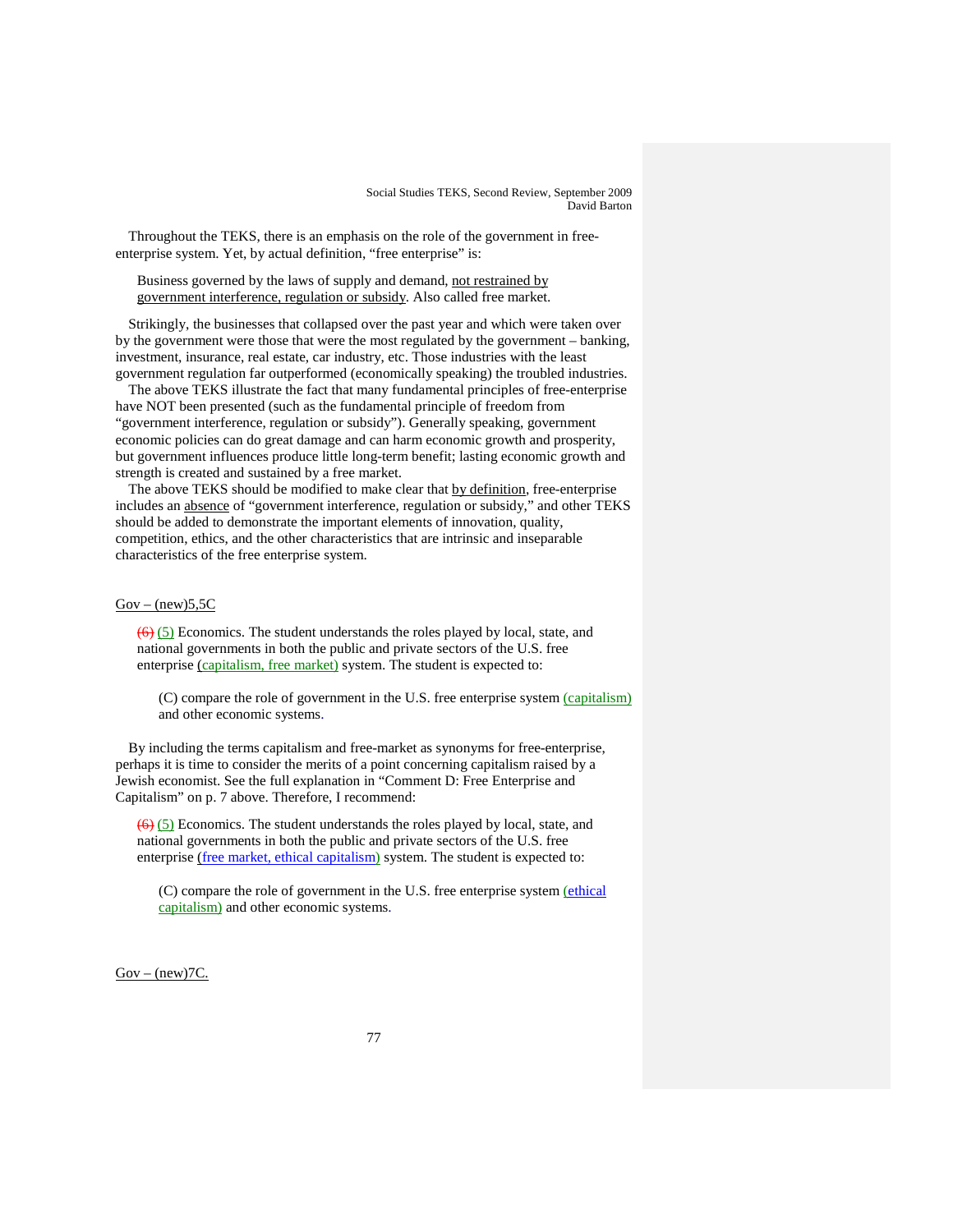Throughout the TEKS, there is an emphasis on the role of the government in freeenterprise system. Yet, by actual definition, "free enterprise" is:

Business governed by the laws of supply and demand, not restrained by government interference, regulation or subsidy. Also called free market.

Strikingly, the businesses that collapsed over the past year and which were taken over by the government were those that were the most regulated by the government – banking, investment, insurance, real estate, car industry, etc. Those industries with the least government regulation far outperformed (economically speaking) the troubled industries.

The above TEKS illustrate the fact that many fundamental principles of free-enterprise have NOT been presented (such as the fundamental principle of freedom from "government interference, regulation or subsidy"). Generally speaking, government economic policies can do great damage and can harm economic growth and prosperity, but government influences produce little long-term benefit; lasting economic growth and strength is created and sustained by a free market.

The above TEKS should be modified to make clear that by definition, free-enterprise includes an absence of "government interference, regulation or subsidy," and other TEKS should be added to demonstrate the important elements of innovation, quality, competition, ethics, and the other characteristics that are intrinsic and inseparable characteristics of the free enterprise system.

#### $Gov - (new)5, 5C$

 $(6)$  (5) Economics. The student understands the roles played by local, state, and national governments in both the public and private sectors of the U.S. free enterprise (capitalism, free market) system. The student is expected to:

(C) compare the role of government in the U.S. free enterprise system (capitalism) and other economic systems.

By including the terms capitalism and free-market as synonyms for free-enterprise, perhaps it is time to consider the merits of a point concerning capitalism raised by a Jewish economist. See the full explanation in "Comment D: Free Enterprise and Capitalism" on p. 7 above. Therefore, I recommend:

 $\left(\frac{6}{6}\right)$  (5) Economics. The student understands the roles played by local, state, and national governments in both the public and private sectors of the U.S. free enterprise (free market, ethical capitalism) system. The student is expected to:

(C) compare the role of government in the U.S. free enterprise system *(ethical*) capitalism) and other economic systems.

 $Gov - (new)7C$ .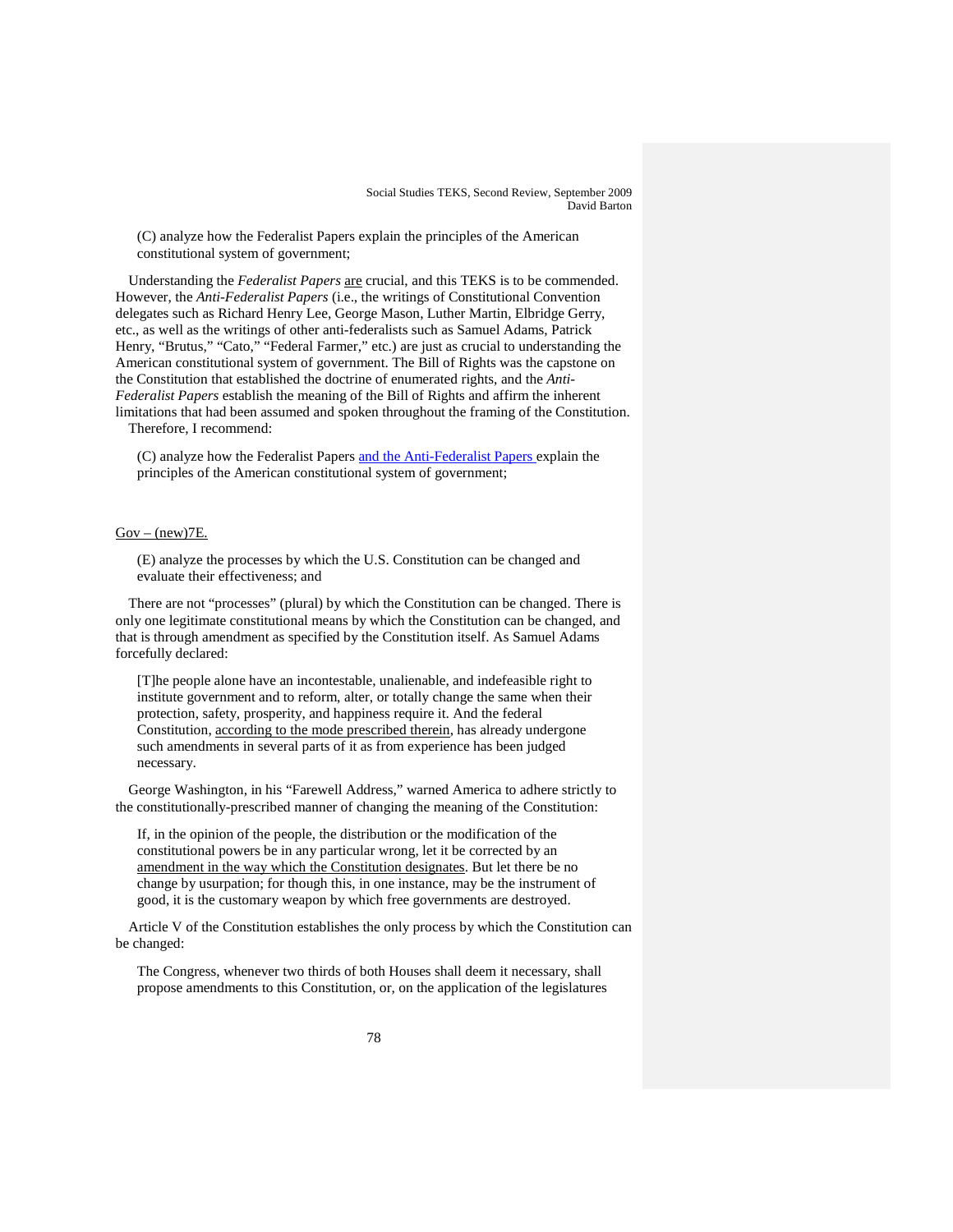(C) analyze how the Federalist Papers explain the principles of the American constitutional system of government;

Understanding the *Federalist Papers* are crucial, and this TEKS is to be commended. However, the *Anti-Federalist Papers* (i.e., the writings of Constitutional Convention delegates such as Richard Henry Lee, George Mason, Luther Martin, Elbridge Gerry, etc., as well as the writings of other anti-federalists such as Samuel Adams, Patrick Henry, "Brutus," "Cato," "Federal Farmer," etc.) are just as crucial to understanding the American constitutional system of government. The Bill of Rights was the capstone on the Constitution that established the doctrine of enumerated rights, and the *Anti-Federalist Papers* establish the meaning of the Bill of Rights and affirm the inherent limitations that had been assumed and spoken throughout the framing of the Constitution. Therefore, I recommend:

(C) analyze how the Federalist Papers and the Anti-Federalist Papers explain the principles of the American constitutional system of government;

## $Gov - (new)7E$ .

(E) analyze the processes by which the U.S. Constitution can be changed and evaluate their effectiveness; and

There are not "processes" (plural) by which the Constitution can be changed. There is only one legitimate constitutional means by which the Constitution can be changed, and that is through amendment as specified by the Constitution itself. As Samuel Adams forcefully declared:

[T]he people alone have an incontestable, unalienable, and indefeasible right to institute government and to reform, alter, or totally change the same when their protection, safety, prosperity, and happiness require it. And the federal Constitution, according to the mode prescribed therein, has already undergone such amendments in several parts of it as from experience has been judged necessary.

George Washington, in his "Farewell Address," warned America to adhere strictly to the constitutionally-prescribed manner of changing the meaning of the Constitution:

If, in the opinion of the people, the distribution or the modification of the constitutional powers be in any particular wrong, let it be corrected by an amendment in the way which the Constitution designates . But let there be no change by usurpation; for though this, in one instance, may be the instrument of good, it is the customary weapon by which free governments are destroyed.

Article V of the Constitution establishes the only process by which the Constitution can be changed:

The Congress, whenever two thirds of both Houses shall deem it necessary, shall propose amendments to this Constitution, or, on the application of the legislatures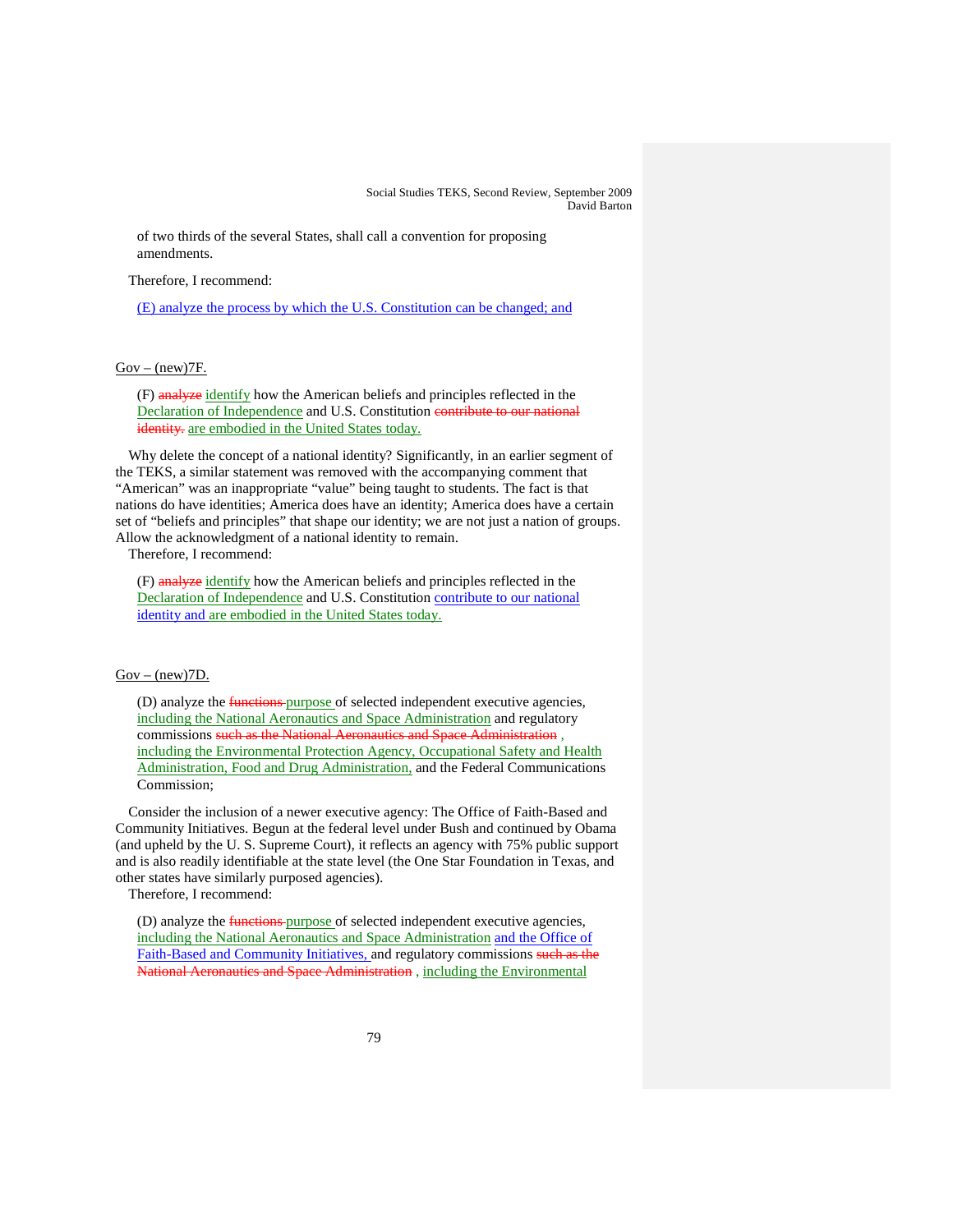of two thirds of the several States, shall call a convention for proposing amendments.

Therefore, I recommend:

(E) analyze the process by which the U.S. Constitution can be changed; and

 $Gov - (new)7F$ .

(F) analyze identify how the American beliefs and principles reflected in the Declaration of Independence and U.S. Constitution contribute to our national identity. are embodied in the United States today.

Why delete the concept of a national identity? Significantly, in an earlier segment of the TEKS, a similar statement was removed with the accompanying comment that "American" was an inappropriate "value" being taught to students. The fact is that nations do have identities; America does have an identity; America does have a certain set of "beliefs and principles" that shape our identity; we are not just a nation of groups. Allow the acknowledgment of a national identity to remain.

Therefore, I recommend:

(F) analyze identify how the American beliefs and principles reflected in the Declaration of Independence and U.S. Constitution contribute to our national identity and are embodied in the United States today.

# $Gov - (new)7D$ .

(D) analyze the **functions** purpose of selected independent executive agencies, including the National Aeronautics and Space Administration and regulatory commissions such as the National Aeronautics and Space Administration , including the Environmental Protection Agency, Occupational Safety and Health Administration, Food and Drug Administration, and the Federal Communications Commission;

Consider the inclusion of a newer executive agency: The Office of Faith-Based and Community Initiatives. Begun at the federal level under Bush and continued by Obama (and upheld by the U. S. Supreme Court), it reflects an agency with 75% public support and is also readily identifiable at the state level (the One Star Foundation in Texas, and other states have similarly purposed agencies).

Therefore, I recommend:

(D) analyze the **functions** purpose of selected independent executive agencies, including the National Aeronautics and Space Administration and the Office of Faith-Based and Community Initiatives, and regulatory commissions such as the National Aeronautics and Space Administration , including the Environmental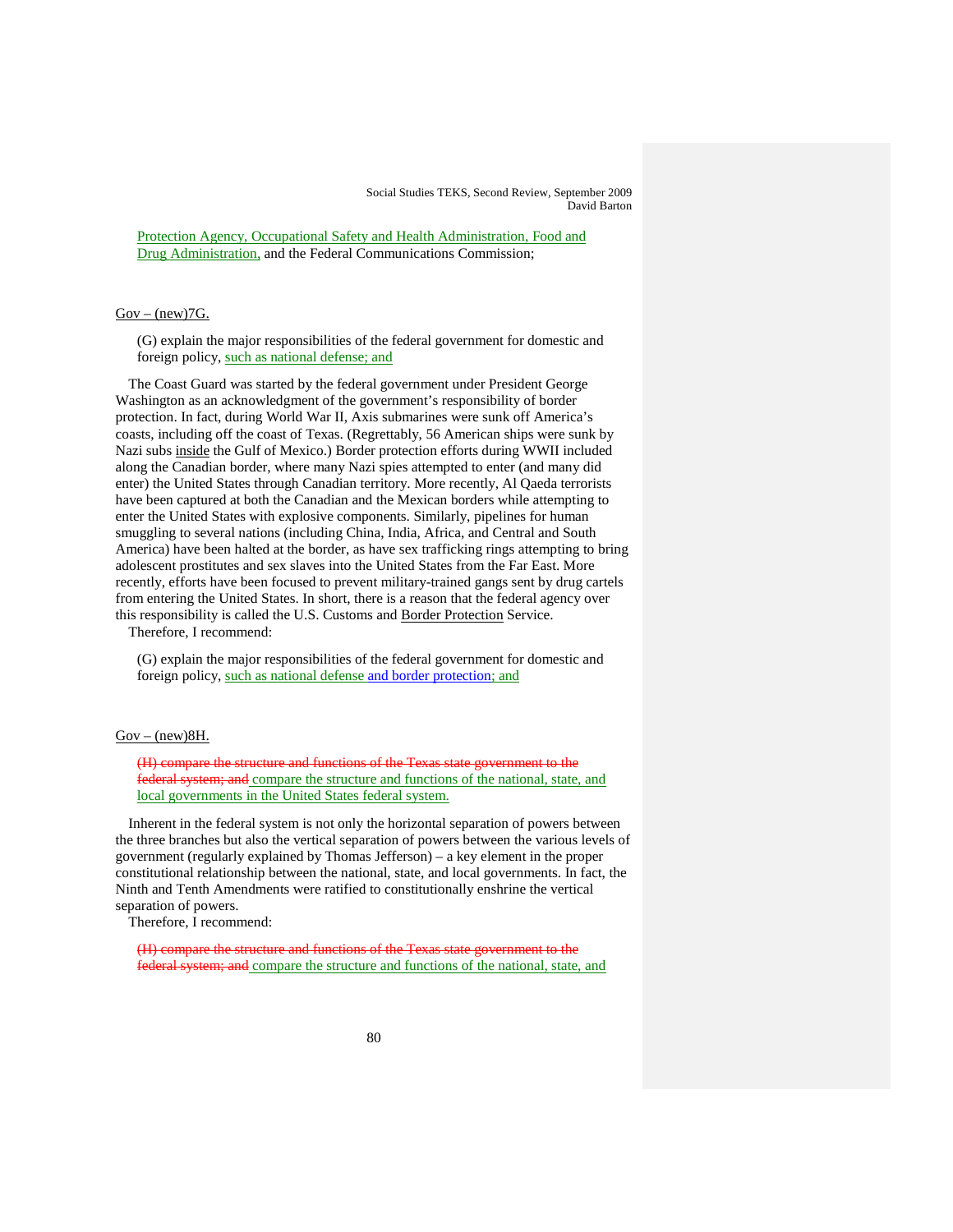Protection Agency, Occupational Safety and Health Administration, Food and Drug Administration, and the Federal Communications Commission;

## $Gov - (new)7G.$

(G) explain the major responsibilities of the federal government for domestic and foreign policy, such as national defense; and

The Coast Guard was started by the federal government under President George Washington as an acknowledgment of the government's responsibility of border protection. In fact, during World War II, Axis submarines were sunk off America's coasts, including off the coast of Texas. (Regrettably, 56 American ships were sunk by Nazi subs inside the Gulf of Mexico.) Border protection efforts during WWII included along the Canadian border, where many Nazi spies attempted to enter (and many did enter) the United States through Canadian territory. More recently, Al Qaeda terrorists have been captured at both the Canadian and the Mexican borders while attempting to enter the United States with explosive components. Similarly, pipelines for human smuggling to several nations (including China, India, Africa, and Central and South America) have been halted at the border, as have sex trafficking rings attempting to bring adolescent prostitutes and sex slaves into the United States from the Far East. More recently, efforts have been focused to prevent military-trained gangs sent by drug cartels from entering the United States. In short, there is a reason that the federal agency over this responsibility is called the U.S. Customs and Border Protection Service.

Therefore, I recommend:

(G) explain the major responsibilities of the federal government for domestic and foreign policy, such as national defense and border protection; and

### $Gov - (new)8H$ .

(H) compare the structure and functions of the Texas state government to the federal system; and compare the structure and functions of the national, state, and local governments in the United States federal system.

Inherent in the federal system is not only the horizontal separation of powers between the three branches but also the vertical separation of powers between the various levels of government (regularly explained by Thomas Jefferson) – a key element in the proper constitutional relationship between the national, state, and local governments. In fact, the Ninth and Tenth Amendments were ratified to constitutionally enshrine the vertical separation of powers.

Therefore, I recommend:

(H) compare the structure and functions of the Texas state government to the federal system; and compare the structure and functions of the national, state, and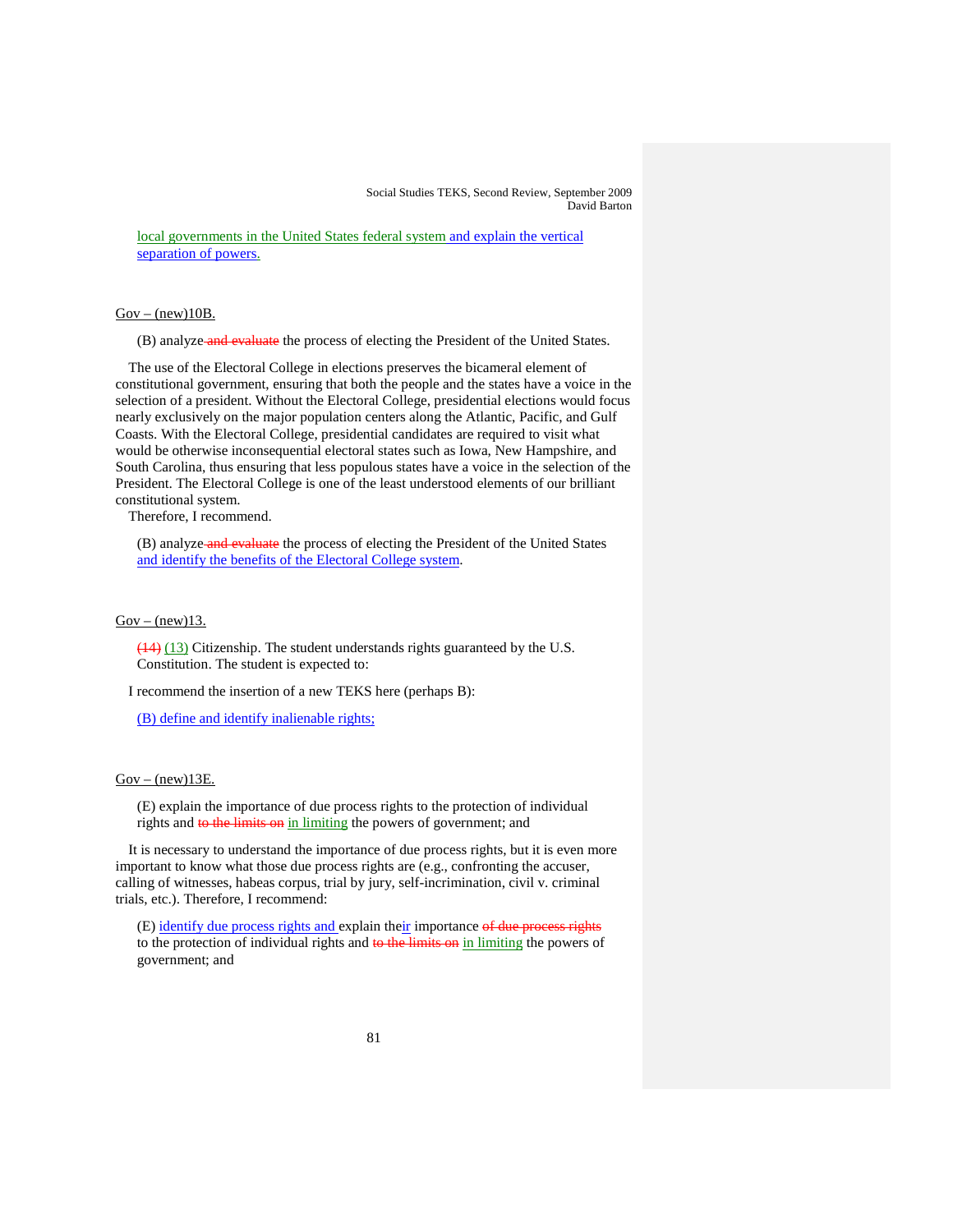local governments in the United States federal system and explain the vertical separation of powers.

#### $Gov - (new)10B$ .

(B) analyze and evaluate the process of electing the President of the United States.

The use of the Electoral College in elections preserves the bicameral element of constitutional government, ensuring that both the people and the states have a voice in the selection of a president. Without the Electoral College, presidential elections would focus nearly exclusively on the major population centers along the Atlantic, Pacific, and Gulf Coasts. With the Electoral College, presidential candidates are required to visit what would be otherwise inconsequential electoral states such as Iowa, New Hampshire, and South Carolina, thus ensuring that less populous states have a voice in the selection of the President. The Electoral College is one of the least understood elements of our brilliant constitutional system.

Therefore, I recommend.

(B) analyze and evaluate the process of electing the President of the United States and identify the benefits of the Electoral College system.

#### $Gov - (new)13$ .

 $(14)$   $(13)$  Citizenship. The student understands rights guaranteed by the U.S. Constitution. The student is expected to:

I recommend the insertion of a new TEKS here (perhaps B):

(B) define and identify inalienable rights;

### $Gov - (new)13E$ .

(E) explain the importance of due process rights to the protection of individual rights and to the limits on in limiting the powers of government; and

It is necessary to understand the importance of due process rights, but it is even more important to know what those due process rights are (e.g., confronting the accuser, calling of witnesses, habeas corpus, trial by jury, self-incrimination, civil v. criminal trials, etc.). Therefore, I recommend:

(E) identify due process rights and explain their importance of due process rights to the protection of individual rights and to the limits on in limiting the powers of government; and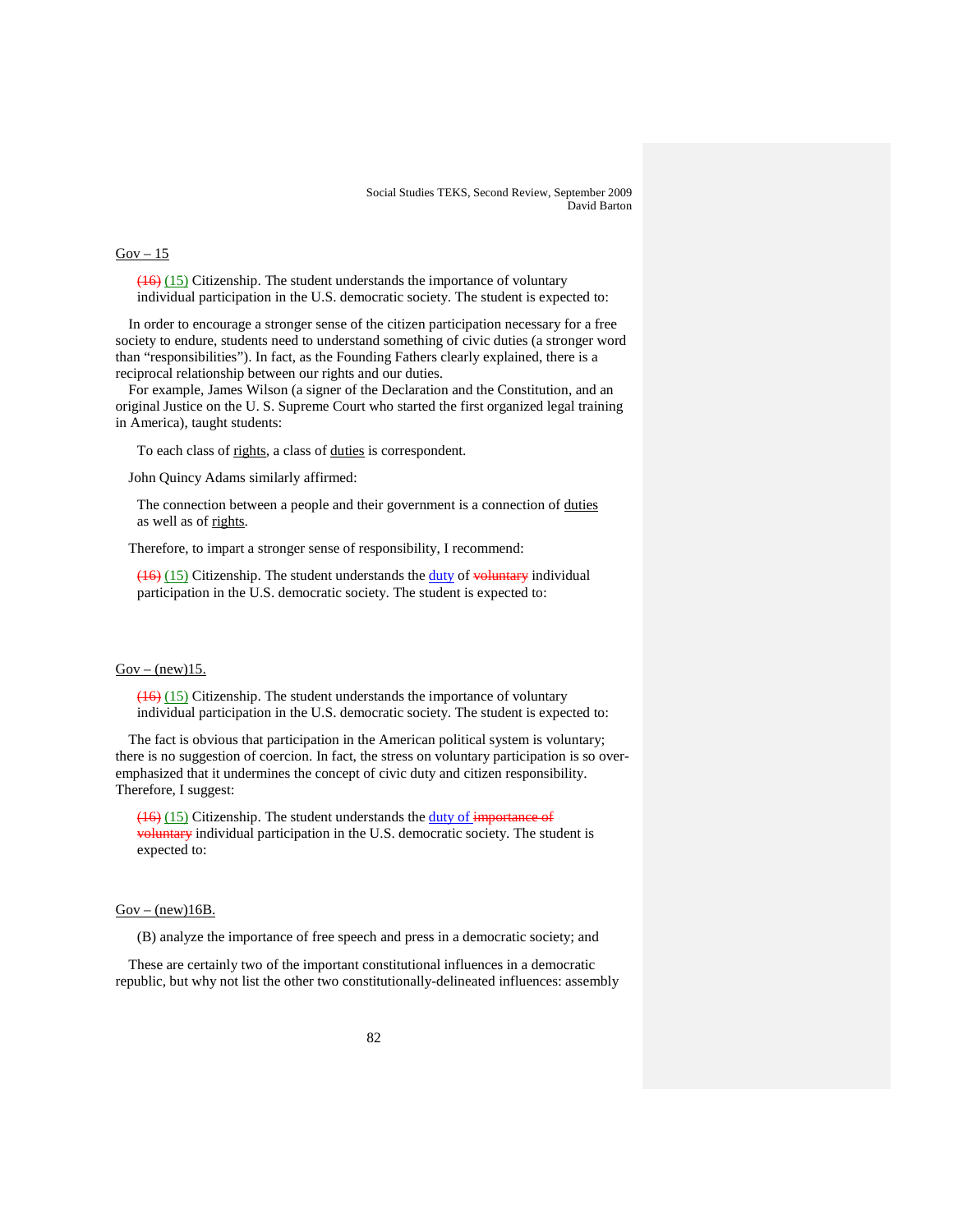# $Gov - 15$

(16) (15) Citizenship. The student understands the importance of voluntary individual participation in the U.S. democratic society. The student is expected to:

In order to encourage a stronger sense of the citizen participation necessary for a free society to endure, students need to understand something of civic duties (a stronger word than "responsibilities"). In fact, as the Founding Fathers clearly explained, there is a reciprocal relationship between our rights and our duties.

For example, James Wilson (a signer of the Declaration and the Constitution, and an original Justice on the U. S. Supreme Court who started the first organized legal training in America), taught students:

To each class of rights, a class of duties is correspondent.

John Quincy Adams similarly affirmed:

The connection between a people and their government is a connection of duties as well as of rights.

Therefore, to impart a stronger sense of responsibility, I recommend:

 $(16)$  (15) Citizenship. The student understands the duty of voluntary individual participation in the U.S. democratic society. The student is expected to:

## $Gov - (new)15$ .

(16) (15) Citizenship. The student understands the importance of voluntary individual participation in the U.S. democratic society. The student is expected to:

The fact is obvious that participation in the American political system is voluntary; there is no suggestion of coercion. In fact, the stress on voluntary participation is so overemphasized that it undermines the concept of civic duty and citizen responsibility. Therefore, I suggest:

(16) (15) Citizenship. The student understands the duty of importance of voluntary individual participation in the U.S. democratic society. The student is expected to:

#### $Gov - (new)16B$ .

(B) analyze the importance of free speech and press in a democratic society; and

These are certainly two of the important constitutional influences in a democratic republic, but why not list the other two constitutionally-delineated influences: assembly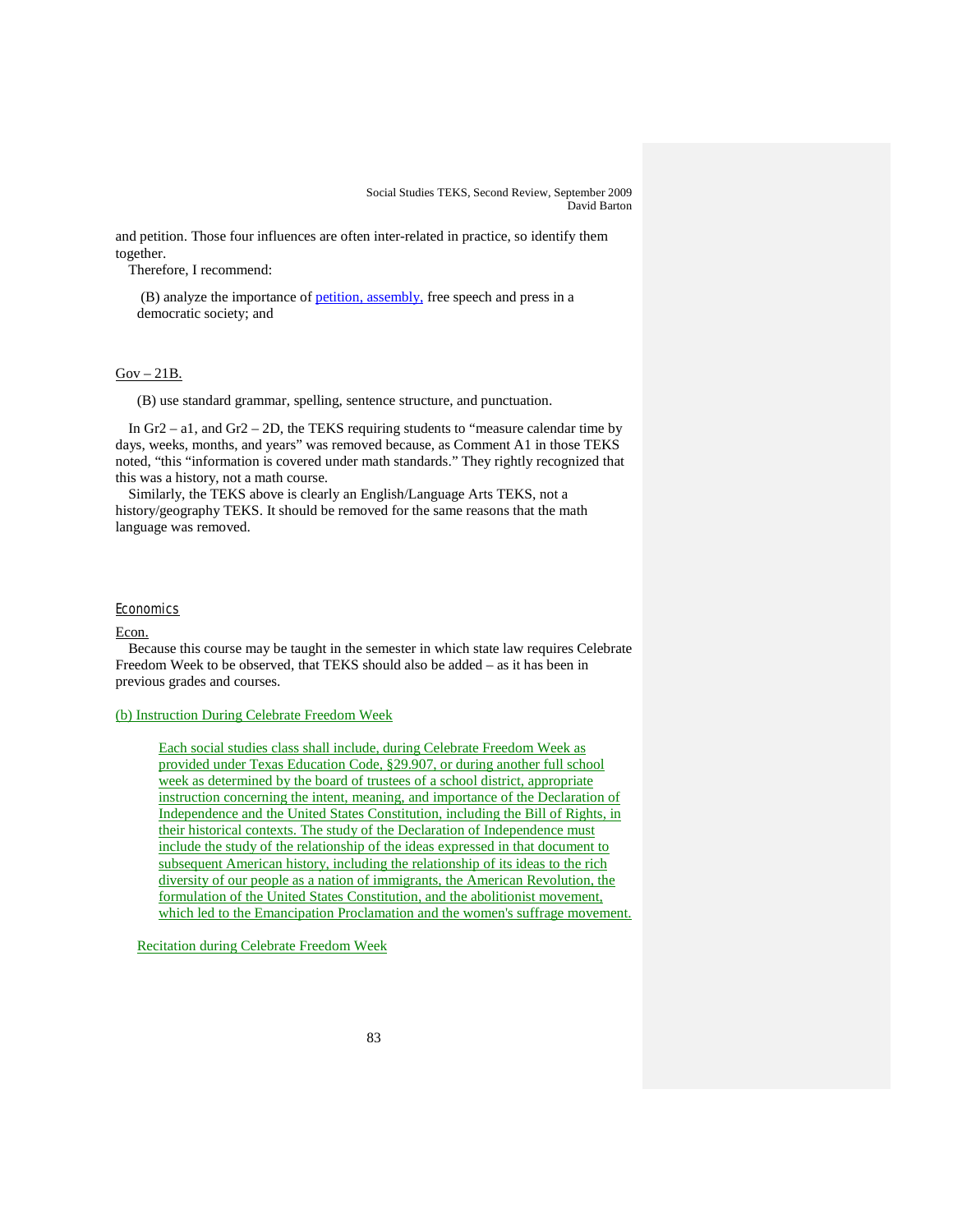and petition. Those four influences are often inter-related in practice, so identify them together.

Therefore, I recommend:

(B) analyze the importance of **petition**, assembly, free speech and press in a democratic society; and

#### $Gov - 21B$ .

(B) use standard grammar, spelling, sentence structure, and punctuation.

In Gr2 – a1, and Gr2 – 2D, the TEKS requiring students to "measure calendar time by days, weeks, months, and years" was removed because, as Comment A1 in those TEKS noted, "this "information is covered under math standards." They rightly recognized that this was a history, not a math course.

Similarly, the TEKS above is clearly an English/Language Arts TEKS, not a history/geography TEKS. It should be removed for the same reasons that the math language was removed.

## **Economics**

Econ.

Because this course may be taught in the semester in which state law requires Celebrate Freedom Week to be observed, that TEKS should also be added – as it has been in previous grades and courses.

#### (b) Instruction During Celebrate Freedom Week

Each social studies class shall include, during Celebrate Freedom Week as provided under Texas Education Code, §29.907, or during another full school week as determined by the board of trustees of a school district, appropriate instruction concerning the intent, meaning, and importance of the Declaration of Independence and the United States Constitution, including the Bill of Rights, in their historical contexts. The study of the Declaration of Independence must include the study of the relationship of the ideas expressed in that document to subsequent American history, including the relationship of its ideas to the rich diversity of our people as a nation of immigrants, the American Revolution, the formulation of the United States Constitution, and the abolitionist movement, which led to the Emancipation Proclamation and the women's suffrage movement.

Recitation during Celebrate Freedom Week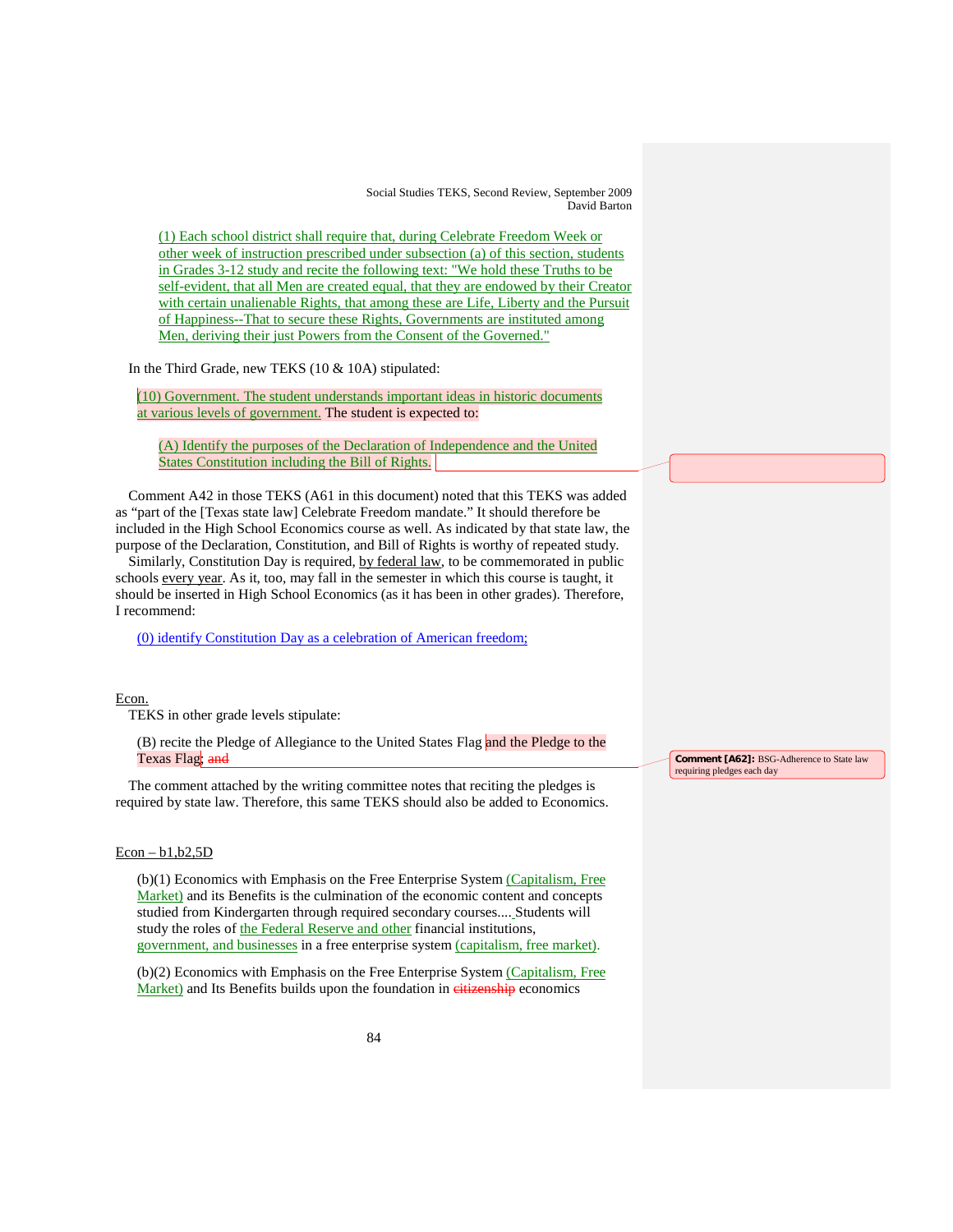(1) Each school district shall require that, during Celebrate Freedom Week or other week of instruction prescribed under subsection (a) of this section, students in Grades 3-12 study and recite the following text: "We hold these Truths to be self-evident, that all Men are created equal, that they are endowed by their Creator with certain unalienable Rights, that among these are Life, Liberty and the Pursuit of Happiness--That to secure these Rights, Governments are instituted among Men, deriving their just Powers from the Consent of the Governed."

In the Third Grade, new TEKS (10 & 10A) stipulated:

(10) Government. The student understands important ideas in historic documents at various levels of government. The student is expected to:

(A) Identify the purposes of the Declaration of Independence and the United States Constitution including the Bill of Rights.

Comment A42 in those TEKS (A61 in this document) noted that this TEKS was added as "part of the [Texas state law] Celebrate Freedom mandate." It should therefore be included in the High School Economics course as well. As indicated by that state law, the purpose of the Declaration, Constitution, and Bill of Rights is worthy of repeated study.

Similarly, Constitution Day is required, by federal law, to be commemorated in public schools every year. As it, too, may fall in the semester in which this course is taught, it should be inserted in High School Economics (as it has been in other grades). Therefore, I recommend:

(0) identify Constitution Day as a celebration of American freedom;

Econ.

TEKS in other grade levels stipulate:

(B) recite the Pledge of Allegiance to the United States Flag and the Pledge to the Texas Flag; and

The comment attached by the writing committee notes that reciting the pledges is required by state law. Therefore, this same TEKS should also be added to Economics.

### $Econ - b1, b2, 5D$

(b)(1) Economics with Emphasis on the Free Enterprise System (Capitalism, Free Market) and its Benefits is the culmination of the economic content and concepts studied from Kindergarten through required secondary courses.... Students will study the roles of the Federal Reserve and other financial institutions, government, and businesses in a free enterprise system (capitalism, free market).

(b)(2) Economics with Emphasis on the Free Enterprise System (Capitalism, Free Market) and Its Benefits builds upon the foundation in eitizenship economics

**Comment [A62]:** BSG-Adherence to State law requiring pledges each day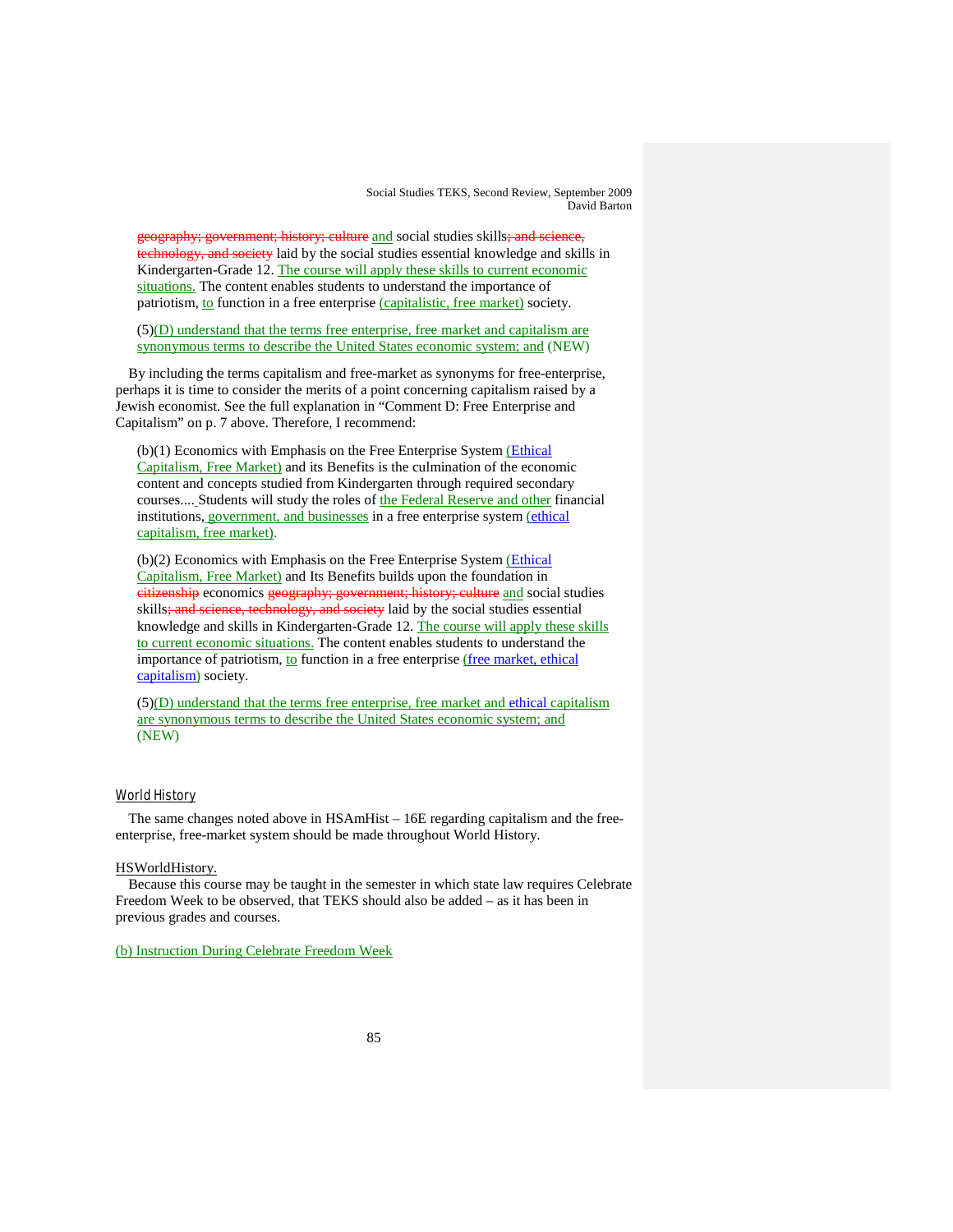geography; government; history; culture and social studies skills; and science, technology, and society laid by the social studies essential knowledge and skills in Kindergarten-Grade 12. The course will apply these skills to current economic situations. The content enables students to understand the importance of patriotism, *to* function in a free enterprise *(capitalistic, free market)* society.

(5)(D) understand that the terms free enterprise, free market and capitalism are synonymous terms to describe the United States economic system; and (NEW)

By including the terms capitalism and free-market as synonyms for free-enterprise, perhaps it is time to consider the merits of a point concerning capitalism raised by a Jewish economist. See the full explanation in "Comment D: Free Enterprise and Capitalism" on p. 7 above. Therefore, I recommend:

(b)(1) Economics with Emphasis on the Free Enterprise System (Ethical Capitalism, Free Market) and its Benefits is the culmination of the economic content and concepts studied from Kindergarten through required secondary courses.... Students will study the roles of the Federal Reserve and other financial institutions, government, and businesses in a free enterprise system (ethical capitalism, free market) .

(b)(2) Economics with Emphasis on the Free Enterprise System (Ethical Capitalism, Free Market) and Its Benefits builds upon the foundation in citizenship economics geography; government; history; culture and social studies skills; and science, technology, and society laid by the social studies essential knowledge and skills in Kindergarten-Grade 12. The course will apply these skills to current economic situations. The content enables students to understand the importance of patriotism, to function in a free enterprise (free market, ethical capitalism) society.

(5)(D) understand that the terms free enterprise, free market and ethical capitalism are synonymous terms to describe the United States economic system; and (NEW)

# World History

The same changes noted above in HSAmHist – 16E regarding capitalism and the freeenterprise, free-market system should be made throughout World History.

### HSWorldHistory.

Because this course may be taught in the semester in which state law requires Celebrate Freedom Week to be observed, that TEKS should also be added – as it has been in previous grades and courses.

(b) Instruction During Celebrate Freedom Week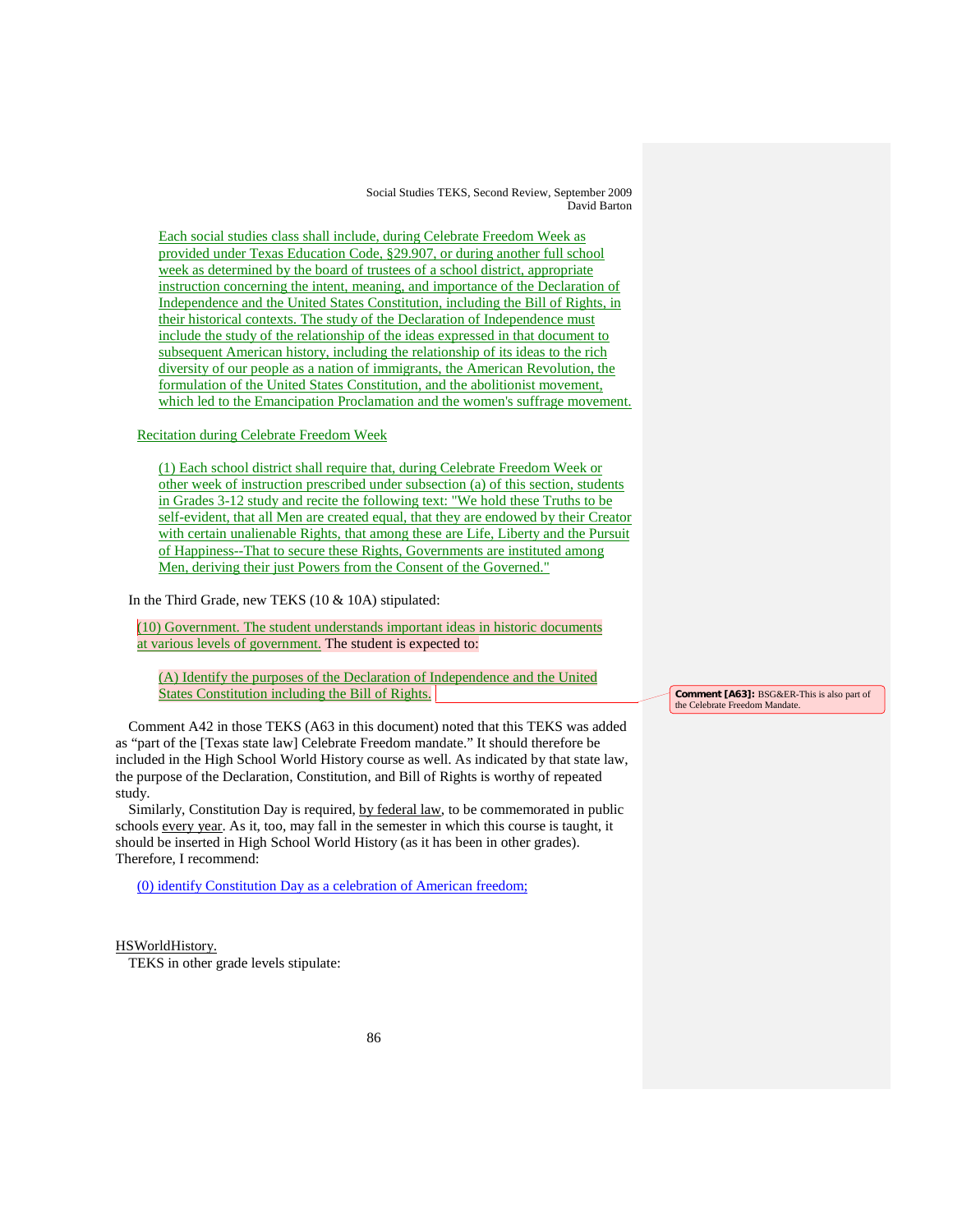Each social studies class shall include, during Celebrate Freedom Week as provided under Texas Education Code, §29.907, or during another full school week as determined by the board of trustees of a school district, appropriate instruction concerning the intent, meaning, and importance of the Declaration of Independence and the United States Constitution, including the Bill of Rights, in their historical contexts. The study of the Declaration of Independence must include the study of the relationship of the ideas expressed in that document to subsequent American history, including the relationship of its ideas to the rich diversity of our people as a nation of immigrants, the American Revolution, the formulation of the United States Constitution, and the abolitionist movement, which led to the Emancipation Proclamation and the women's suffrage movement.

Recitation during Celebrate Freedom Week

(1) Each school district shall require that, during Celebrate Freedom Week or other week of instruction prescribed under subsection (a) of this section, students in Grades 3-12 study and recite the following text: "We hold these Truths to be self-evident, that all Men are created equal, that they are endowed by their Creator with certain unalienable Rights, that among these are Life, Liberty and the Pursuit of Happiness--That to secure these Rights, Governments are instituted among Men, deriving their just Powers from the Consent of the Governed."

In the Third Grade, new TEKS (10 & 10A) stipulated:

(10) Government. The student understands important ideas in historic documents at various levels of government. The student is expected to:

(A) Identify the purposes of the Declaration of Independence and the United States Constitution including the Bill of Rights.

Comment A42 in those TEKS (A63 in this document) noted that this TEKS was added as "part of the [Texas state law] Celebrate Freedom mandate." It should therefore be included in the High School World History course as well. As indicated by that state law, the purpose of the Declaration, Constitution, and Bill of Rights is worthy of repeated study.

Similarly, Constitution Day is required, by federal law, to be commemorated in public schools every year. As it, too, may fall in the semester in which this course is taught, it should be inserted in High School World History (as it has been in other grades). Therefore, I recommend:

(0) identify Constitution Day as a celebration of American freedom;

#### HSWorldHistory.

TEKS in other grade levels stipulate:

**Comment [A63]:** BSG&ER-This is also part of the Celebrate Freedom Mandate.